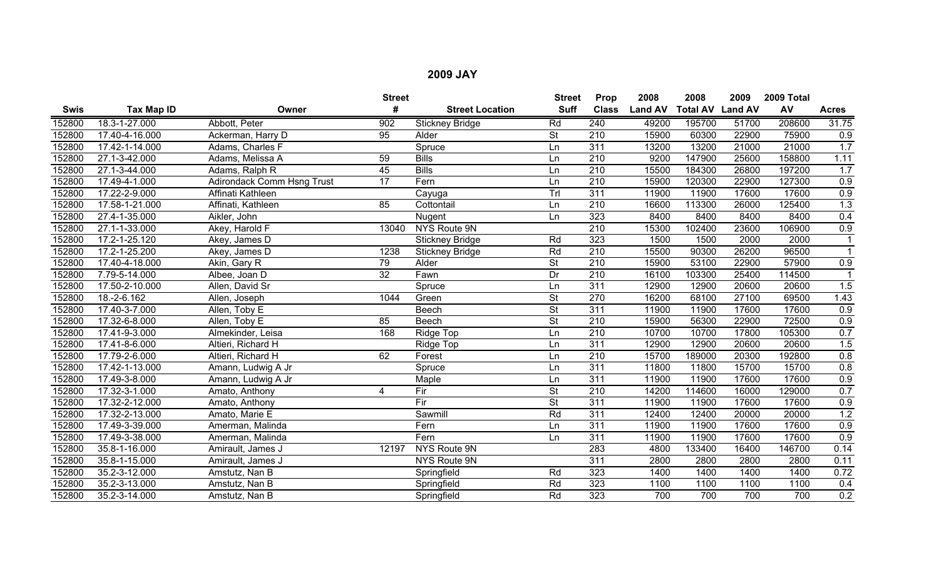|             |                             |                            | <b>Street</b>   |                        | <b>Street</b>            | Prop             | 2008           | 2008                    | 2009  | 2009 Total |                  |
|-------------|-----------------------------|----------------------------|-----------------|------------------------|--------------------------|------------------|----------------|-------------------------|-------|------------|------------------|
| <b>Swis</b> | Tax Map ID                  | Owner                      | #               | <b>Street Location</b> | <b>Suff</b>              | <b>Class</b>     | <b>Land AV</b> | <b>Total AV Land AV</b> |       | AV         | <b>Acres</b>     |
| 152800      | 18.3-1-27.000               | Abbott, Peter              | 902             | <b>Stickney Bridge</b> | Rd                       | 240              | 49200          | 195700                  | 51700 | 208600     | 31.75            |
| 152800      | 17.40-4-16.000              | Ackerman, Harry D          | 95              | Alder                  | $\overline{\mathsf{St}}$ | 210              | 15900          | 60300                   | 22900 | 75900      | 0.9              |
| 152800      | 17.42-1-14.000              | Adams, Charles F           |                 | Spruce                 | Ln                       | 311              | 13200          | 13200                   | 21000 | 21000      | 1.7              |
| 152800      | 27.1-3-42.000               | Adams, Melissa A           | 59              | <b>Bills</b>           | Ln                       | 210              | 9200           | 147900                  | 25600 | 158800     | 1.11             |
| 152800      | 27.1-3-44.000               | Adams, Ralph R             | 45              | <b>Bills</b>           | Ln                       | 210              | 15500          | 184300                  | 26800 | 197200     | 1.7              |
| 152800      | 17.49-4-1.000               | Adirondack Comm Hsng Trust | $\overline{17}$ | Fern                   | Ln                       | $\overline{210}$ | 15900          | 120300                  | 22900 | 127300     | 0.9              |
| 152800      | 17.22-2-9.000               | Affinati Kathleen          |                 | Cayuga                 | Trl                      | 311              | 11900          | 11900                   | 17600 | 17600      | 0.9              |
| 152800      | 17.58-1-21.000              | Affinati, Kathleen         | 85              | Cottontail             | Ln                       | $\overline{210}$ | 16600          | 113300                  | 26000 | 125400     | $\overline{1.3}$ |
| 152800      | 27.4-1-35.000               | Aikler, John               |                 | Nugent                 | Ln                       | 323              | 8400           | 8400                    | 8400  | 8400       | 0.4              |
| 152800      | 27.1-1-33.000               | Akey, Harold F             | 13040           | NYS Route 9N           |                          | 210              | 15300          | 102400                  | 23600 | 106900     | 0.9              |
| 152800      | 17.2-1-25.120               | Akey, James D              |                 | <b>Stickney Bridge</b> | Rd                       | 323              | 1500           | 1500                    | 2000  | 2000       |                  |
| 152800      | 17.2-1-25.200               | Akey, James D              | 1238            | Stickney Bridge        | Rd                       | 210              | 15500          | 90300                   | 26200 | 96500      |                  |
| 152800      | 17.40-4-18.000              | Akin, Gary R               | 79              | Alder                  | $\overline{\mathsf{St}}$ | 210              | 15900          | 53100                   | 22900 | 57900      | 0.9              |
| 152800      | 7.79-5-14.000               | Albee, Joan D              | $\overline{32}$ | Fawn                   | Dr                       | $\overline{210}$ | 16100          | 103300                  | 25400 | 114500     |                  |
| 152800      | 17.50-2-10.000              | Allen, David Sr            |                 | Spruce                 | Ln                       | 311              | 12900          | 12900                   | 20600 | 20600      | 1.5              |
| 152800      | 18.-2-6.162                 | Allen, Joseph              | 1044            | Green                  | <b>St</b>                | 270              | 16200          | 68100                   | 27100 | 69500      | 1.43             |
| 152800      | $\overline{17.40}$ -3-7.000 | Allen, Toby E              |                 | Beech                  | <b>St</b>                | 311              | 11900          | 11900                   | 17600 | 17600      | 0.9              |
| 152800      | 17.32-6-8.000               | Allen, Toby E              | 85              | Beech                  | $\overline{\mathsf{St}}$ | 210              | 15900          | 56300                   | 22900 | 72500      | 0.9              |
| 152800      | 17.41-9-3.000               | Almekinder, Leisa          | 168             | Ridge Top              | Ln                       | $\overline{210}$ | 10700          | 10700                   | 17800 | 105300     | 0.7              |
| 152800      | 17.41-8-6.000               | Altieri, Richard H         |                 | Ridge Top              | Ln                       | 311              | 12900          | 12900                   | 20600 | 20600      | 1.5              |
| 152800      | 17.79-2-6.000               | Altieri, Richard H         | 62              | Forest                 | Ln                       | $\overline{210}$ | 15700          | 189000                  | 20300 | 192800     | 0.8              |
| 152800      | 17.42-1-13.000              | Amann, Ludwig A Jr         |                 | Spruce                 | Ln                       | 311              | 11800          | 11800                   | 15700 | 15700      | 0.8              |
| 152800      | 17.49-3-8.000               | Amann, Ludwig A Jr         |                 | Maple                  | Ln                       | 311              | 11900          | 11900                   | 17600 | 17600      | 0.9              |
| 152800      | $\overline{17.32}$ -3-1.000 | Amato, Anthony             | 4               | Fir                    | <b>St</b>                | 210              | 14200          | 114600                  | 16000 | 129000     | 0.7              |
| 152800      | 17.32-2-12.000              | Amato, Anthony             |                 | $\overline{F}$         | <b>St</b>                | 311              | 11900          | 11900                   | 17600 | 17600      | 0.9              |
| 152800      | 17.32-2-13.000              | Amato, Marie E             |                 | Sawmill                | Rd                       | 311              | 12400          | 12400                   | 20000 | 20000      | 1.2              |
| 152800      | 17.49-3-39.000              | Amerman, Malinda           |                 | Fern                   | Ln                       | 311              | 11900          | 11900                   | 17600 | 17600      | 0.9              |
| 152800      | 17.49-3-38.000              | Amerman, Malinda           |                 | Fern                   | Ln                       | 311              | 11900          | 11900                   | 17600 | 17600      | 0.9              |
| 152800      | 35.8-1-16.000               | Amirault, James J          | 12197           | <b>NYS Route 9N</b>    |                          | 283              | 4800           | 133400                  | 16400 | 146700     | 0.14             |
| 152800      | 35.8-1-15.000               | Amirault, James J          |                 | NYS Route 9N           |                          | 311              | 2800           | 2800                    | 2800  | 2800       | 0.11             |
| 152800      | 35.2-3-12.000               | Amstutz, Nan B             |                 | Springfield            | Rd                       | 323              | 1400           | 1400                    | 1400  | 1400       | 0.72             |
| 152800      | 35.2-3-13.000               | Amstutz, Nan B             |                 | Springfield            | Rd                       | 323              | 1100           | 1100                    | 1100  | 1100       | 0.4              |
| 152800      | 35.2-3-14.000               | Amstutz, Nan B             |                 | Springfield            | Rd                       | 323              | 700            | 700                     | 700   | 700        | 0.2              |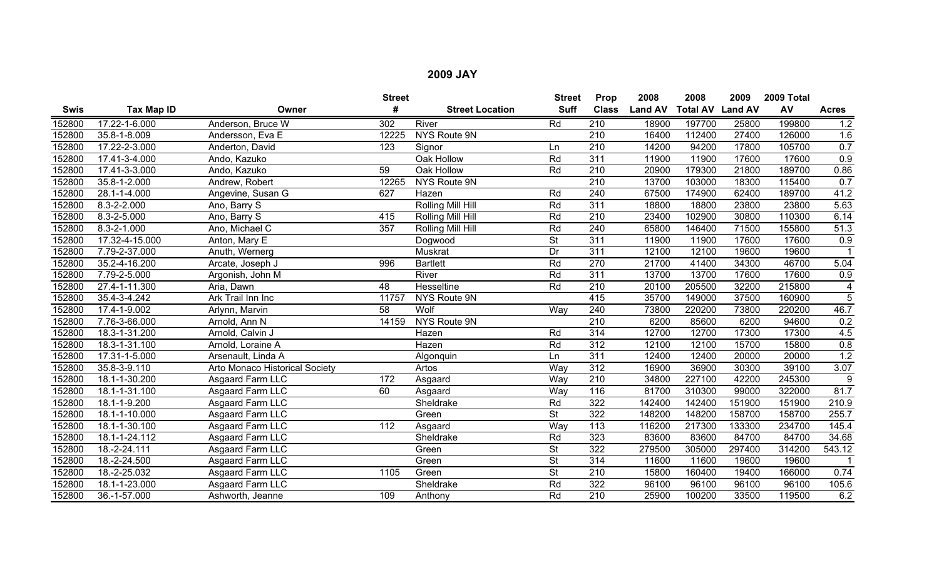|             |                     |                                | <b>Street</b>   |                        | <b>Street</b>            | Prop             | 2008           | 2008                    | 2009   | 2009 Total |                     |
|-------------|---------------------|--------------------------------|-----------------|------------------------|--------------------------|------------------|----------------|-------------------------|--------|------------|---------------------|
| <b>Swis</b> | Tax Map ID          | Owner                          | #               | <b>Street Location</b> | <b>Suff</b>              | <b>Class</b>     | <b>Land AV</b> | <b>Total AV Land AV</b> |        | AV         | <b>Acres</b>        |
| 152800      | 17.22-1-6.000       | Anderson, Bruce W              | 302             | River                  | Rd                       | $\overline{210}$ | 18900          | 197700                  | 25800  | 199800     | 1.2                 |
| 152800      | 35.8-1-8.009        | Andersson, Eva E               | 12225           | NYS Route 9N           |                          | $\overline{210}$ | 16400          | 112400                  | 27400  | 126000     | 1.6                 |
| 152800      | 17.22-2-3.000       | Anderton, David                | 123             | Signor                 | Ln                       | $\overline{210}$ | 14200          | 94200                   | 17800  | 105700     | 0.7                 |
| 152800      | 17.41-3-4.000       | Ando, Kazuko                   |                 | Oak Hollow             | Rd                       | 311              | 11900          | 11900                   | 17600  | 17600      | $\overline{0.9}$    |
| 152800      | $17.41 - 3 - 3.000$ | Ando, Kazuko                   | 59              | Oak Hollow             | Rd                       | $\overline{210}$ | 20900          | 179300                  | 21800  | 189700     | 0.86                |
| 152800      | 35.8-1-2.000        | Andrew, Robert                 | 12265           | NYS Route 9N           |                          | $\overline{210}$ | 13700          | 103000                  | 18300  | 115400     | 0.7                 |
| 152800      | 28.1-1-4.000        | Angevine, Susan G              | 627             | Hazen                  | Rd                       | $\overline{240}$ | 67500          | 174900                  | 62400  | 189700     | 41.2                |
| 152800      | 8.3-2-2.000         | Ano, Barry S                   |                 | Rolling Mill Hill      | Rd                       | 311              | 18800          | 18800                   | 23800  | 23800      | 5.63                |
| 152800      | 8.3-2-5.000         | Ano, Barry S                   | 415             | Rolling Mill Hill      | Rd                       | 210              | 23400          | 102900                  | 30800  | 110300     | 6.14                |
| 152800      | 8.3-2-1.000         | Ano, Michael C                 | 357             | Rolling Mill Hill      | Rd                       | 240              | 65800          | 146400                  | 71500  | 155800     | 51.3                |
| 152800      | 17.32-4-15.000      | Anton, Mary E                  |                 | Dogwood                | $\overline{\mathsf{St}}$ | 311              | 11900          | 11900                   | 17600  | 17600      | 0.9                 |
| 152800      | 7.79-2-37.000       | Anuth, Wernerg                 |                 | Muskrat                | $\overline{Dr}$          | 311              | 12100          | 12100                   | 19600  | 19600      |                     |
| 152800      | 35.2-4-16.200       | Arcate, Joseph J               | 996             | <b>Bartlett</b>        | Rd                       | 270              | 21700          | 41400                   | 34300  | 46700      | 5.04                |
| 152800      | 7.79-2-5.000        | Argonish, John M               |                 | River                  | Rd                       | 311              | 13700          | 13700                   | 17600  | 17600      | 0.9                 |
| 152800      | 27.4-1-11.300       | Aria, Dawn                     | 48              | Hesseltine             | Rd                       | 210              | 20100          | 205500                  | 32200  | 215800     | $\overline{4}$      |
| 152800      | 35.4-3-4.242        | Ark Trail Inn Inc              | 11757           | NYS Route 9N           |                          | 415              | 35700          | 149000                  | 37500  | 160900     | 5                   |
| 152800      | 17.4-1-9.002        | Arlynn, Marvin                 | $\overline{58}$ | Wolf                   | Way                      | 240              | 73800          | 220200                  | 73800  | 220200     | 46.7                |
| 152800      | 7.76-3-66.000       | Arnold, Ann N                  | 14159           | NYS Route 9N           |                          | $\overline{210}$ | 6200           | 85600                   | 6200   | 94600      | 0.2                 |
| 152800      | 18.3-1-31.200       | Arnold, Calvin J               |                 | Hazen                  | Rd                       | 314              | 12700          | 12700                   | 17300  | 17300      | 4.5                 |
| 152800      | 18.3-1-31.100       | Arnold, Loraine A              |                 | Hazen                  | Rd                       | 312              | 12100          | 12100                   | 15700  | 15800      | 0.8                 |
| 152800      | 17.31-1-5.000       | Arsenault, Linda A             |                 | Algonquin              | Ln                       | 311              | 12400          | 12400                   | 20000  | 20000      | $\overline{1.2}$    |
| 152800      | 35.8-3-9.110        | Arto Monaco Historical Society |                 | Artos                  | Wav                      | $\overline{312}$ | 16900          | 36900                   | 30300  | 39100      | 3.07                |
| 152800      | 18.1-1-30.200       | Asgaard Farm LLC               | 172             | Asgaard                | Way                      | 210              | 34800          | 227100                  | 42200  | 245300     | 9                   |
| 152800      | 18.1-1-31.100       | <b>Asgaard Farm LLC</b>        | 60              | Asgaard                | Way                      | 116              | 81700          | 310300                  | 99000  | 322000     | 81.7                |
| 152800      | 18.1-1-9.200        | Asgaard Farm LLC               |                 | Sheldrake              | Rd                       | 322              | 142400         | 142400                  | 151900 | 151900     | 210.9               |
| 152800      | 18.1-1-10.000       | Asgaard Farm LLC               |                 | Green                  | $\overline{\mathsf{St}}$ | 322              | 148200         | 148200                  | 158700 | 158700     | 255.7               |
| 152800      | 18.1-1-30.100       | Asgaard Farm LLC               | 112             | Asgaard                | Way                      | 113              | 116200         | 217300                  | 133300 | 234700     | 145.4               |
| 152800      | 18.1-1-24.112       | Asgaard Farm LLC               |                 | Sheldrake              | Rd                       | 323              | 83600          | 83600                   | 84700  | 84700      | 34.68               |
| 152800      | 18.-2-24.111        | Asgaard Farm LLC               |                 | Green                  | $\overline{\mathsf{St}}$ | 322              | 279500         | 305000                  | 297400 | 314200     | $\overline{543.12}$ |
| 152800      | 18.-2-24.500        | Asgaard Farm LLC               |                 | Green                  | $\overline{\mathsf{St}}$ | 314              | 11600          | 11600                   | 19600  | 19600      |                     |
| 152800      | 18.-2-25.032        | Asgaard Farm LLC               | 1105            | Green                  | <b>St</b>                | 210              | 15800          | 160400                  | 19400  | 166000     | 0.74                |
| 152800      | 18.1-1-23.000       | Asgaard Farm LLC               |                 | Sheldrake              | Rd                       | 322              | 96100          | 96100                   | 96100  | 96100      | 105.6               |
| 152800      | 36.-1-57.000        | Ashworth, Jeanne               | 109             | Anthony                | Rd                       | 210              | 25900          | 100200                  | 33500  | 119500     | 6.2                 |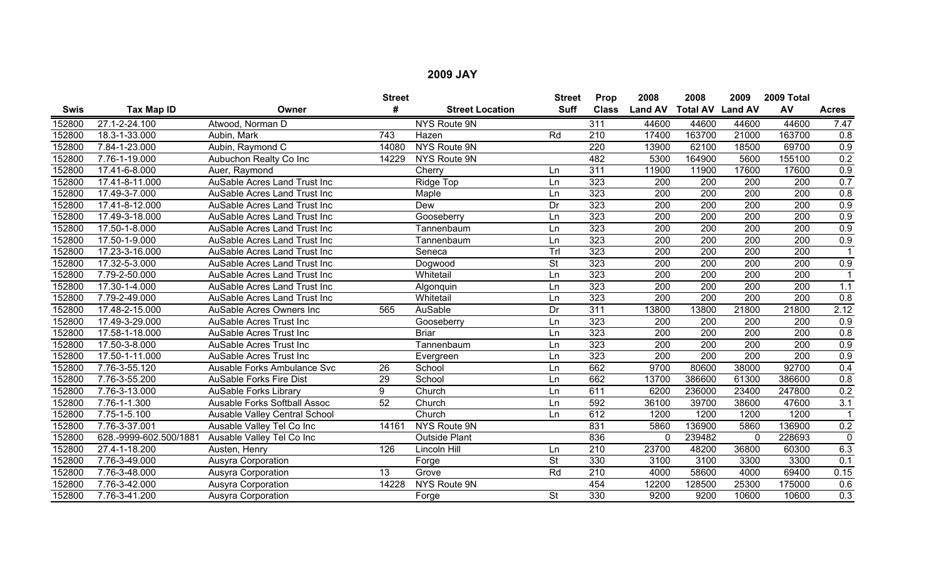|             |                        |                                     | <b>Street</b> |                        | <b>Street</b>            | Prop             | 2008             | 2008                    | 2009             | 2009 Total       |                  |
|-------------|------------------------|-------------------------------------|---------------|------------------------|--------------------------|------------------|------------------|-------------------------|------------------|------------------|------------------|
| <b>Swis</b> | Tax Map ID             | Owner                               | #             | <b>Street Location</b> | <b>Suff</b>              | <b>Class</b>     | <b>Land AV</b>   | <b>Total AV Land AV</b> |                  | AV               | <b>Acres</b>     |
| 152800      | 27.1-2-24.100          | Atwood, Norman D                    |               | NYS Route 9N           |                          | $\overline{311}$ | 44600            | 44600                   | 44600            | 44600            | 7.47             |
| 152800      | 18.3-1-33.000          | Aubin, Mark                         | 743           | Hazen                  | Rd                       | 210              | 17400            | 163700                  | 21000            | 163700           | 0.8              |
| 152800      | 7.84-1-23.000          | Aubin, Raymond C                    | 14080         | NYS Route 9N           |                          | 220              | 13900            | 62100                   | 18500            | 69700            | $\overline{0.9}$ |
| 152800      | 7.76-1-19.000          | Aubuchon Realty Co Inc              | 14229         | <b>NYS Route 9N</b>    |                          | 482              | 5300             | 164900                  | 5600             | 155100           | 0.2              |
| 152800      | 17.41-6-8.000          | Auer, Raymond                       |               | Cherry                 | Ln                       | $\overline{311}$ | 11900            | 11900                   | 17600            | 17600            | 0.9              |
| 152800      | 17.41-8-11.000         | AuSable Acres Land Trust Inc        |               | Ridge Top              | Ln                       | 323              | 200              | 200                     | 200              | 200              | 0.7              |
| 152800      | 17.49-3-7.000          | <b>AuSable Acres Land Trust Inc</b> |               | Maple                  | Ln                       | 323              | 200              | $\overline{200}$        | 200              | $\overline{200}$ | 0.8              |
| 152800      | 17.41-8-12.000         | AuSable Acres Land Trust Inc        |               | Dew                    | Dr                       | 323              | 200              | $\overline{200}$        | $\overline{200}$ | $\overline{200}$ | 0.9              |
| 152800      | 17.49-3-18.000         | AuSable Acres Land Trust Inc        |               | Gooseberry             | Ln                       | 323              | 200              | 200                     | 200              | 200              | 0.9              |
| 152800      | 17.50-1-8.000          | AuSable Acres Land Trust Inc        |               | Tannenbaum             | Ln                       | 323              | 200              | 200                     | 200              | $\overline{200}$ | $\overline{0.9}$ |
| 152800      | 17.50-1-9.000          | AuSable Acres Land Trust Inc        |               | Tannenbaum             | Ln                       | 323              | $\overline{200}$ | $\overline{200}$        | 200              | 200              | 0.9              |
| 152800      | 17.23-3-16.000         | AuSable Acres Land Trust Inc        |               | Seneca                 | Trl                      | 323              | 200              | $\overline{200}$        | $\overline{200}$ | 200              |                  |
| 152800      | 17.32-5-3.000          | AuSable Acres Land Trust Inc        |               | Dogwood                | <b>St</b>                | 323              | 200              | 200                     | $\overline{200}$ | $\overline{200}$ | 0.9              |
| 152800      | 7.79-2-50.000          | AuSable Acres Land Trust Inc        |               | Whitetail              | Ln                       | 323              | 200              | 200                     | 200              | $\overline{200}$ |                  |
| 152800      | 17.30-1-4.000          | AuSable Acres Land Trust Inc        |               | Algonquin              | Ln                       | 323              | 200              | 200                     | 200              | 200              | 1.1              |
| 152800      | 7.79-2-49.000          | <b>AuSable Acres Land Trust Inc</b> |               | Whitetail              | Ln                       | 323              | 200              | 200                     | 200              | 200              | 0.8              |
| 152800      | 17.48-2-15.000         | AuSable Acres Owners Inc            | 565           | AuSable                | Dr                       | 311              | 13800            | 13800                   | 21800            | 21800            | 2.12             |
| 152800      | 17.49-3-29.000         | AuSable Acres Trust Inc             |               | Gooseberry             | Ln                       | 323              | 200              | 200                     | 200              | $\overline{200}$ | 0.9              |
| 152800      | 17.58-1-18.000         | AuSable Acres Trust Inc             |               | <b>Briar</b>           | Ln                       | 323              | 200              | 200                     | 200              | 200              | $\overline{0.8}$ |
| 152800      | 17.50-3-8.000          | AuSable Acres Trust Inc             |               | Tannenbaum             | Ln                       | 323              | 200              | $\overline{200}$        | 200              | $\overline{200}$ | 0.9              |
| 152800      | 17.50-1-11.000         | AuSable Acres Trust Inc             |               | Evergreen              | Ln                       | 323              | 200              | 200                     | 200              | 200              | 0.9              |
| 152800      | 7.76-3-55.120          | <b>Ausable Forks Ambulance Svc</b>  | 26            | School                 | Ln                       | 662              | 9700             | 80600                   | 38000            | 92700            | 0.4              |
| 152800      | 7.76-3-55.200          | <b>AuSable Forks Fire Dist</b>      | 29            | School                 | Ln                       | 662              | 13700            | 386600                  | 61300            | 386600           | 0.8              |
| 152800      | 7.76-3-13.000          | <b>AuSable Forks Library</b>        | 9             | Church                 | Ln                       | 611              | 6200             | 236000                  | 23400            | 247800           | 0.2              |
| 152800      | 7.76-1-1.300           | <b>Ausable Forks Softball Assoc</b> | 52            | Church                 | Ln                       | 592              | 36100            | 39700                   | 38600            | 47600            | $\overline{3.1}$ |
| 152800      | 7.75-1-5.100           | Ausable Valley Central School       |               | Church                 | Ln                       | 612              | 1200             | 1200                    | 1200             | 1200             |                  |
| 152800      | 7.76-3-37.001          | Ausable Valley Tel Co Inc           | 14161         | NYS Route 9N           |                          | 831              | 5860             | 136900                  | 5860             | 136900           | 0.2              |
| 152800      | 628.-9999-602.500/1881 | Ausable Valley Tel Co Inc           |               | <b>Outside Plant</b>   |                          | 836              | $\mathbf{0}$     | 239482                  | $\mathbf{0}$     | 228693           | $\mathbf 0$      |
| 152800      | 27.4-1-18.200          | Austen, Henry                       | 126           | Lincoln Hill           | Ln                       | $\overline{210}$ | 23700            | 48200                   | 36800            | 60300            | 6.3              |
| 152800      | 7.76-3-49.000          | Ausyra Corporation                  |               | Forge                  | $\overline{\mathsf{St}}$ | 330              | 3100             | 3100                    | 3300             | 3300             | 0.1              |
| 152800      | 7.76-3-48.000          | Ausyra Corporation                  | 13            | Grove                  | Rd                       | 210              | 4000             | 58600                   | 4000             | 69400            | 0.15             |
| 152800      | 7.76-3-42.000          | Ausyra Corporation                  | 14228         | NYS Route 9N           |                          | 454              | 12200            | 128500                  | 25300            | 175000           | 0.6              |
| 152800      | 7.76-3-41.200          | Ausyra Corporation                  |               | Forge                  | <b>St</b>                | 330              | 9200             | 9200                    | 10600            | 10600            | 0.3              |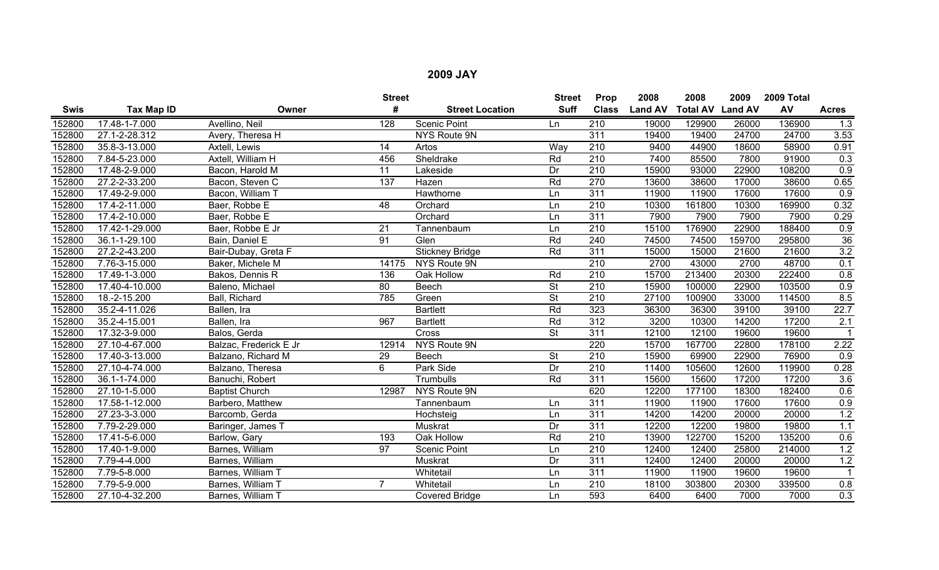|             |                     |                        | <b>Street</b>   |                        | <b>Street</b>            | Prop             | 2008           | 2008                    | 2009   | 2009 Total |                  |
|-------------|---------------------|------------------------|-----------------|------------------------|--------------------------|------------------|----------------|-------------------------|--------|------------|------------------|
| <b>Swis</b> | Tax Map ID          | Owner                  | #               | <b>Street Location</b> | <b>Suff</b>              | <b>Class</b>     | <b>Land AV</b> | <b>Total AV Land AV</b> |        | AV         | <b>Acres</b>     |
| 152800      | 17.48-1-7.000       | Avellino, Neil         | 128             | <b>Scenic Point</b>    | Ln                       | 210              | 19000          | 129900                  | 26000  | 136900     | $\overline{1.3}$ |
| 152800      | $27.1 - 2 - 28.312$ | Avery, Theresa H       |                 | NYS Route 9N           |                          | 311              | 19400          | 19400                   | 24700  | 24700      | 3.53             |
| 152800      | 35.8-3-13.000       | Axtell, Lewis          | 14              | Artos                  | Wav                      | $\overline{210}$ | 9400           | 44900                   | 18600  | 58900      | 0.91             |
| 152800      | 7.84-5-23.000       | Axtell, William H      | 456             | Sheldrake              | Rd                       | $\overline{210}$ | 7400           | 85500                   | 7800   | 91900      | 0.3              |
| 152800      | 17.48-2-9.000       | Bacon, Harold M        | 11              | Lakeside               | Dr                       | $\overline{210}$ | 15900          | 93000                   | 22900  | 108200     | 0.9              |
| 152800      | 27.2-2-33.200       | Bacon, Steven C        | 137             | Hazen                  | Rd                       | 270              | 13600          | 38600                   | 17000  | 38600      | 0.65             |
| 152800      | 17.49-2-9.000       | Bacon, William T       |                 | Hawthorne              | Ln                       | 311              | 11900          | 11900                   | 17600  | 17600      | 0.9              |
| 152800      | 17.4-2-11.000       | Baer, Robbe E          | 48              | Orchard                | Ln                       | $\overline{210}$ | 10300          | 161800                  | 10300  | 169900     | 0.32             |
| 152800      | 17.4-2-10.000       | Baer, Robbe E          |                 | Orchard                | Ln                       | 311              | 7900           | 7900                    | 7900   | 7900       | 0.29             |
| 152800      | 17.42-1-29.000      | Baer, Robbe E Jr       | $\overline{21}$ | Tannenbaum             | Ln                       | 210              | 15100          | 176900                  | 22900  | 188400     | 0.9              |
| 152800      | 36.1-1-29.100       | Bain, Daniel E         | $\overline{91}$ | Glen                   | Rd                       | 240              | 74500          | 74500                   | 159700 | 295800     | 36               |
| 152800      | 27.2-2-43.200       | Bair-Dubay, Greta F    |                 | <b>Stickney Bridge</b> | Rd                       | 311              | 15000          | 15000                   | 21600  | 21600      | $\overline{3.2}$ |
| 152800      | 7.76-3-15.000       | Baker, Michele M       | 14175           | NYS Route 9N           |                          | $\overline{210}$ | 2700           | 43000                   | 2700   | 48700      | 0.1              |
| 152800      | 17.49-1-3.000       | Bakos, Dennis R        | 136             | Oak Hollow             | Rd                       | 210              | 15700          | 213400                  | 20300  | 222400     | 0.8              |
| 152800      | 17.40-4-10.000      | Baleno, Michael        | 80              | Beech                  | $\overline{\mathsf{St}}$ | $\overline{210}$ | 15900          | 100000                  | 22900  | 103500     | 0.9              |
| 152800      | 18.-2-15.200        | Ball, Richard          | 785             | Green                  | <b>St</b>                | 210              | 27100          | 100900                  | 33000  | 114500     | 8.5              |
| 152800      | 35.2-4-11.026       | Ballen, Ira            |                 | <b>Bartlett</b>        | Rd                       | 323              | 36300          | 36300                   | 39100  | 39100      | 22.7             |
| 152800      | 35.2-4-15.001       | Ballen, Ira            | 967             | <b>Bartlett</b>        | Rd                       | 312              | 3200           | 10300                   | 14200  | 17200      | 2.1              |
| 152800      | 17.32-3-9.000       | Balos, Gerda           |                 | Cross                  | <b>St</b>                | $\overline{311}$ | 12100          | 12100                   | 19600  | 19600      |                  |
| 152800      | 27.10-4-67.000      | Balzac, Frederick E Jr | 12914           | NYS Route 9N           |                          | 220              | 15700          | 167700                  | 22800  | 178100     | 2.22             |
| 152800      | 17.40-3-13.000      | Balzano, Richard M     | 29              | Beech                  | $\overline{\mathsf{St}}$ | 210              | 15900          | 69900                   | 22900  | 76900      | 0.9              |
| 152800      | 27.10-4-74.000      | Balzano, Theresa       | 6               | Park Side              | $\overline{Dr}$          | 210              | 11400          | 105600                  | 12600  | 119900     | 0.28             |
| 152800      | 36.1-1-74.000       | Banuchi, Robert        |                 | Trumbulls              | Rd                       | 311              | 15600          | 15600                   | 17200  | 17200      | 3.6              |
| 152800      | 27.10-1-5.000       | <b>Baptist Church</b>  | 12987           | <b>NYS Route 9N</b>    |                          | 620              | 12200          | 177100                  | 18300  | 182400     | 0.6              |
| 152800      | 17.58-1-12.000      | Barbero, Matthew       |                 | Tannenbaum             | Ln                       | 311              | 11900          | 11900                   | 17600  | 17600      | 0.9              |
| 152800      | 27.23-3-3.000       | Barcomb, Gerda         |                 | Hochsteig              | Ln                       | 311              | 14200          | 14200                   | 20000  | 20000      | 1.2              |
| 152800      | 7.79-2-29.000       | Baringer, James T      |                 | Muskrat                | Dr                       | 311              | 12200          | 12200                   | 19800  | 19800      | 1.1              |
| 152800      | 17.41-5-6.000       | Barlow, Gary           | 193             | Oak Hollow             | Rd                       | $\overline{210}$ | 13900          | 122700                  | 15200  | 135200     | 0.6              |
| 152800      | 17.40-1-9.000       | Barnes, William        | 97              | Scenic Point           | Ln                       | 210              | 12400          | 12400                   | 25800  | 214000     | 1.2              |
| 152800      | 7.79-4-4.000        | Barnes, William        |                 | Muskrat                | Dr                       | 311              | 12400          | 12400                   | 20000  | 20000      | 1.2              |
| 152800      | 7.79-5-8.000        | Barnes, William T      |                 | Whitetail              | Ln                       | 311              | 11900          | 11900                   | 19600  | 19600      | $\overline{1}$   |
| 152800      | 7.79-5-9.000        | Barnes, William T      | 7               | Whitetail              | Ln                       | 210              | 18100          | 303800                  | 20300  | 339500     | 0.8              |
| 152800      | 27.10-4-32.200      | Barnes, William T      |                 | Covered Bridge         | Ln                       | 593              | 6400           | 6400                    | 7000   | 7000       | 0.3              |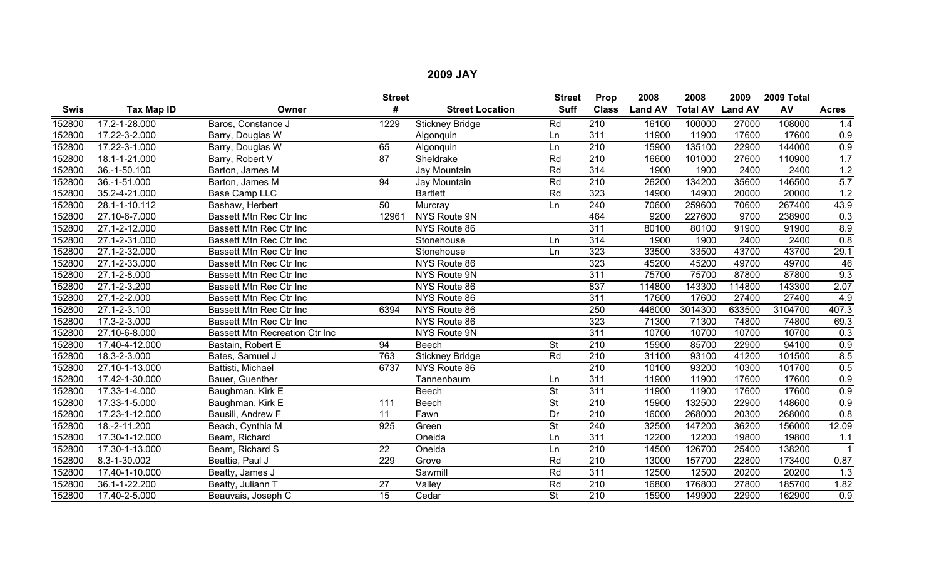|        |                |                                       | <b>Street</b>   |                        | <b>Street</b>            | Prop             | 2008           | 2008                    | 2009   | 2009 Total |                  |
|--------|----------------|---------------------------------------|-----------------|------------------------|--------------------------|------------------|----------------|-------------------------|--------|------------|------------------|
| Swis   | Tax Map ID     | Owner                                 | #               | <b>Street Location</b> | <b>Suff</b>              | <b>Class</b>     | <b>Land AV</b> | <b>Total AV Land AV</b> |        | AV         | <b>Acres</b>     |
| 152800 | 17.2-1-28.000  | Baros, Constance J                    | 1229            | Stickney Bridge        | Rd                       | $\overline{210}$ | 16100          | 100000                  | 27000  | 108000     | 1.4              |
| 152800 | 17.22-3-2.000  | Barry, Douglas W                      |                 | Algonquin              | Ln                       | 311              | 11900          | 11900                   | 17600  | 17600      | 0.9              |
| 152800 | 17.22-3-1.000  | Barry, Douglas W                      | 65              | Algonquin              | Ln                       | $\overline{210}$ | 15900          | 135100                  | 22900  | 144000     | 0.9              |
| 152800 | 18.1-1-21.000  | Barry, Robert V                       | $\overline{87}$ | Sheldrake              | Rd                       | $\overline{210}$ | 16600          | 101000                  | 27600  | 110900     | 1.7              |
| 152800 | 36.-1-50.100   | Barton, James M                       |                 | Jay Mountain           | Rd                       | 314              | 1900           | 1900                    | 2400   | 2400       | 1.2              |
| 152800 | 36.-1-51.000   | Barton, James M                       | 94              | Jay Mountain           | Rd                       | $\overline{210}$ | 26200          | 134200                  | 35600  | 146500     | 5.7              |
| 152800 | 35.2-4-21.000  | <b>Base Camp LLC</b>                  |                 | <b>Bartlett</b>        | Rd                       | 323              | 14900          | 14900                   | 20000  | 20000      | 1.2              |
| 152800 | 28.1-1-10.112  | Bashaw, Herbert                       | 50              | Murcray                | Ln                       | 240              | 70600          | 259600                  | 70600  | 267400     | 43.9             |
| 152800 | 27.10-6-7.000  | <b>Bassett Mtn Rec Ctr Inc</b>        | 12961           | NYS Route 9N           |                          | 464              | 9200           | 227600                  | 9700   | 238900     | 0.3              |
| 152800 | 27.1-2-12.000  | Bassett Mtn Rec Ctr Inc               |                 | NYS Route 86           |                          | 311              | 80100          | 80100                   | 91900  | 91900      | 8.9              |
| 152800 | 27.1-2-31.000  | <b>Bassett Mtn Rec Ctr Inc</b>        |                 | Stonehouse             | Ln                       | 314              | 1900           | 1900                    | 2400   | 2400       | 0.8              |
| 152800 | 27.1-2-32.000  | <b>Bassett Mtn Rec Ctr Inc</b>        |                 | Stonehouse             | Ln                       | 323              | 33500          | 33500                   | 43700  | 43700      | 29.1             |
| 152800 | 27.1-2-33.000  | Bassett Mtn Rec Ctr Inc               |                 | NYS Route 86           |                          | 323              | 45200          | 45200                   | 49700  | 49700      | 46               |
| 152800 | 27.1-2-8.000   | Bassett Mtn Rec Ctr Inc               |                 | NYS Route 9N           |                          | 311              | 75700          | 75700                   | 87800  | 87800      | 9.3              |
| 152800 | 27.1-2-3.200   | Bassett Mtn Rec Ctr Inc               |                 | NYS Route 86           |                          | 837              | 114800         | 143300                  | 114800 | 143300     | 2.07             |
| 152800 | 27.1-2-2.000   | Bassett Mtn Rec Ctr Inc               |                 | NYS Route 86           |                          | 311              | 17600          | 17600                   | 27400  | 27400      | 4.9              |
| 152800 | 27.1-2-3.100   | Bassett Mtn Rec Ctr Inc               | 6394            | NYS Route 86           |                          | 250              | 446000         | 3014300                 | 633500 | 3104700    | 407.3            |
| 152800 | 17.3-2-3.000   | Bassett Mtn Rec Ctr Inc               |                 | NYS Route 86           |                          | 323              | 71300          | 71300                   | 74800  | 74800      | 69.3             |
| 152800 | 27.10-6-8.000  | <b>Bassett Mtn Recreation Ctr Inc</b> |                 | <b>NYS Route 9N</b>    |                          | 311              | 10700          | 10700                   | 10700  | 10700      | 0.3              |
| 152800 | 17.40-4-12.000 | Bastain, Robert E                     | 94              | <b>Beech</b>           | <b>St</b>                | 210              | 15900          | 85700                   | 22900  | 94100      | 0.9              |
| 152800 | 18.3-2-3.000   | Bates, Samuel J                       | 763             | <b>Stickney Bridge</b> | Rd                       | 210              | 31100          | 93100                   | 41200  | 101500     | 8.5              |
| 152800 | 27.10-1-13.000 | Battisti, Michael                     | 6737            | NYS Route 86           |                          | 210              | 10100          | 93200                   | 10300  | 101700     | 0.5              |
| 152800 | 17.42-1-30.000 | Bauer, Guenther                       |                 | Tannenbaum             | Ln                       | $\overline{311}$ | 11900          | 11900                   | 17600  | 17600      | 0.9              |
| 152800 | 17.33-1-4.000  | Baughman, Kirk E                      |                 | <b>Beech</b>           | <b>St</b>                | $\overline{311}$ | 11900          | 11900                   | 17600  | 17600      | 0.9              |
| 152800 | 17.33-1-5.000  | Baughman, Kirk E                      | 111             | Beech                  | <b>St</b>                | $\overline{210}$ | 15900          | 132500                  | 22900  | 148600     | 0.9              |
| 152800 | 17.23-1-12.000 | Bausili, Andrew F                     | $\overline{11}$ | Fawn                   | Dr                       | 210              | 16000          | 268000                  | 20300  | 268000     | 0.8              |
| 152800 | 18.-2-11.200   | Beach, Cynthia M                      | 925             | Green                  | <b>St</b>                | 240              | 32500          | 147200                  | 36200  | 156000     | 12.09            |
| 152800 | 17.30-1-12.000 | Beam, Richard                         |                 | Oneida                 | Ln                       | $\overline{311}$ | 12200          | 12200                   | 19800  | 19800      | 1.1              |
| 152800 | 17.30-1-13.000 | Beam, Richard S                       | $\overline{22}$ | Oneida                 | Ln                       | $\overline{210}$ | 14500          | 126700                  | 25400  | 138200     |                  |
| 152800 | 8.3-1-30.002   | Beattie, Paul J                       | 229             | Grove                  | Rd                       | 210              | 13000          | 157700                  | 22800  | 173400     | 0.87             |
| 152800 | 17.40-1-10.000 | Beatty, James J                       |                 | Sawmill                | Rd                       | 311              | 12500          | 12500                   | 20200  | 20200      | 1.3              |
| 152800 | 36.1-1-22.200  | Beatty, Juliann T                     | 27              | Valley                 | Rd                       | 210              | 16800          | 176800                  | 27800  | 185700     | 1.82             |
| 152800 | 17.40-2-5.000  | Beauvais, Joseph C                    | $\overline{15}$ | Cedar                  | $\overline{\mathsf{St}}$ | $\overline{210}$ | 15900          | 149900                  | 22900  | 162900     | $\overline{0.9}$ |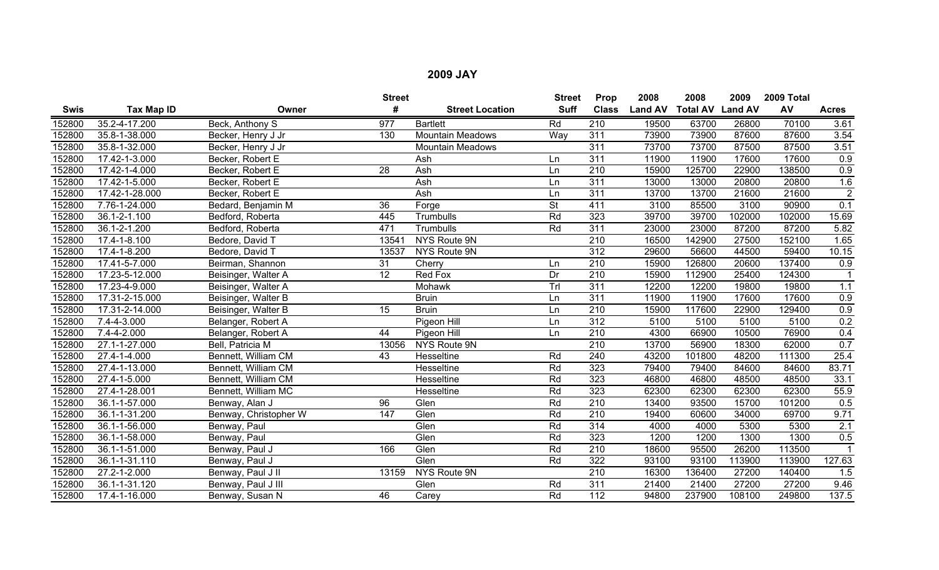|        |                    |                       | <b>Street</b>    |                         | <b>Street</b> | Prop             | 2008           | 2008            | 2009           | 2009 Total |                |
|--------|--------------------|-----------------------|------------------|-------------------------|---------------|------------------|----------------|-----------------|----------------|------------|----------------|
| Swis   | Tax Map ID         | Owner                 | #                | <b>Street Location</b>  | <b>Suff</b>   | <b>Class</b>     | <b>Land AV</b> | <b>Total AV</b> | <b>Land AV</b> | AV         | <b>Acres</b>   |
| 152800 | 35.2-4-17.200      | Beck, Anthony S       | $\overline{977}$ | <b>Bartlett</b>         | Rd            | $\overline{210}$ | 19500          | 63700           | 26800          | 70100      | 3.61           |
| 152800 | 35.8-1-38.000      | Becker, Henry J Jr    | 130              | <b>Mountain Meadows</b> | Way           | 311              | 73900          | 73900           | 87600          | 87600      | 3.54           |
| 152800 | 35.8-1-32.000      | Becker, Henry J Jr    |                  | <b>Mountain Meadows</b> |               | 311              | 73700          | 73700           | 87500          | 87500      | 3.51           |
| 152800 | 17.42-1-3.000      | Becker, Robert E      |                  | Ash                     | Ln            | $\overline{311}$ | 11900          | 11900           | 17600          | 17600      | 0.9            |
| 152800 | 17.42-1-4.000      | Becker, Robert E      | 28               | Ash                     | Ln            | $\overline{210}$ | 15900          | 125700          | 22900          | 138500     | 0.9            |
| 152800 | 17.42-1-5.000      | Becker, Robert E      |                  | Ash                     | Ln            | 311              | 13000          | 13000           | 20800          | 20800      | 1.6            |
| 152800 | 17.42-1-28.000     | Becker, Robert E      |                  | Ash                     | Ln            | 311              | 13700          | 13700           | 21600          | 21600      | $\overline{2}$ |
| 152800 | 7.76-1-24.000      | Bedard, Benjamin M    | 36               | Forge                   | <b>St</b>     | 411              | 3100           | 85500           | 3100           | 90900      | 0.1            |
| 152800 | 36.1-2-1.100       | Bedford, Roberta      | 445              | Trumbulls               | Rd            | 323              | 39700          | 39700           | 102000         | 102000     | 15.69          |
| 152800 | 36.1-2-1.200       | Bedford, Roberta      | 471              | Trumbulls               | Rd            | 311              | 23000          | 23000           | 87200          | 87200      | 5.82           |
| 152800 | $17.4 - 1 - 8.100$ | Bedore, David T       | 13541            | NYS Route 9N            |               | $\overline{210}$ | 16500          | 142900          | 27500          | 152100     | 1.65           |
| 152800 | 17.4-1-8.200       | Bedore, David T       | 13537            | NYS Route 9N            |               | 312              | 29600          | 56600           | 44500          | 59400      | 10.15          |
| 152800 | 17.41-5-7.000      | Beirman, Shannon      | $\overline{31}$  | Cherry                  | Ln            | 210              | 15900          | 126800          | 20600          | 137400     | 0.9            |
| 152800 | 17.23-5-12.000     | Beisinger, Walter A   | $\overline{12}$  | Red Fox                 | Dr            | 210              | 15900          | 112900          | 25400          | 124300     |                |
| 152800 | 17.23-4-9.000      | Beisinger, Walter A   |                  | Mohawk                  | Trl           | 311              | 12200          | 12200           | 19800          | 19800      | 1.1            |
| 152800 | 17.31-2-15.000     | Beisinger, Walter B   |                  | <b>Bruin</b>            | Ln            | 311              | 11900          | 11900           | 17600          | 17600      | 0.9            |
| 152800 | 17.31-2-14.000     | Beisinger, Walter B   | $\overline{15}$  | <b>Bruin</b>            | Ln            | 210              | 15900          | 117600          | 22900          | 129400     | 0.9            |
| 152800 | 7.4-4-3.000        | Belanger, Robert A    |                  | Pigeon Hill             | Ln            | 312              | 5100           | 5100            | 5100           | 5100       | 0.2            |
| 152800 | 7.4-4-2.000        | Belanger, Robert A    | 44               | Pigeon Hill             | Ln            | 210              | 4300           | 66900           | 10500          | 76900      | 0.4            |
| 152800 | 27.1-1-27.000      | Bell, Patricia M      | 13056            | NYS Route 9N            |               | $\overline{210}$ | 13700          | 56900           | 18300          | 62000      | 0.7            |
| 152800 | 27.4-1-4.000       | Bennett, William CM   | 43               | Hesseltine              | Rd            | 240              | 43200          | 101800          | 48200          | 111300     | 25.4           |
| 152800 | 27.4-1-13.000      | Bennett, William CM   |                  | Hesseltine              | Rd            | 323              | 79400          | 79400           | 84600          | 84600      | 83.71          |
| 152800 | 27.4-1-5.000       | Bennett, William CM   |                  | Hesseltine              | Rd            | 323              | 46800          | 46800           | 48500          | 48500      | 33.1           |
| 152800 | 27.4-1-28.001      | Bennett, William MC   |                  | Hesseltine              | Rd            | 323              | 62300          | 62300           | 62300          | 62300      | 55.9           |
| 152800 | 36.1-1-57.000      | Benway, Alan J        | $\overline{96}$  | Glen                    | Rd            | $\overline{210}$ | 13400          | 93500           | 15700          | 101200     | 0.5            |
| 152800 | 36.1-1-31.200      | Benway, Christopher W | $\overline{147}$ | Glen                    | Rd            | 210              | 19400          | 60600           | 34000          | 69700      | 9.71           |
| 152800 | 36.1-1-56.000      | Benway, Paul          |                  | Glen                    | Rd            | 314              | 4000           | 4000            | 5300           | 5300       | 2.1            |
| 152800 | 36.1-1-58.000      | Benway, Paul          |                  | Glen                    | Rd            | 323              | 1200           | 1200            | 1300           | 1300       | 0.5            |
| 152800 | 36.1-1-51.000      | Benway, Paul J        | 166              | Glen                    | Rd            | 210              | 18600          | 95500           | 26200          | 113500     |                |
| 152800 | 36.1-1-31.110      | Benway, Paul J        |                  | Glen                    | Rd            | 322              | 93100          | 93100           | 113900         | 113900     | 127.63         |
| 152800 | 27.2-1-2.000       | Benway, Paul J II     | 13159            | NYS Route 9N            |               | 210              | 16300          | 136400          | 27200          | 140400     | 1.5            |
| 152800 | 36.1-1-31.120      | Benway, Paul J III    |                  | Glen                    | Rd            | 311              | 21400          | 21400           | 27200          | 27200      | 9.46           |
| 152800 | 17.4-1-16.000      | Benway, Susan N       | 46               | Carey                   | Rd            | $\overline{112}$ | 94800          | 237900          | 108100         | 249800     | 137.5          |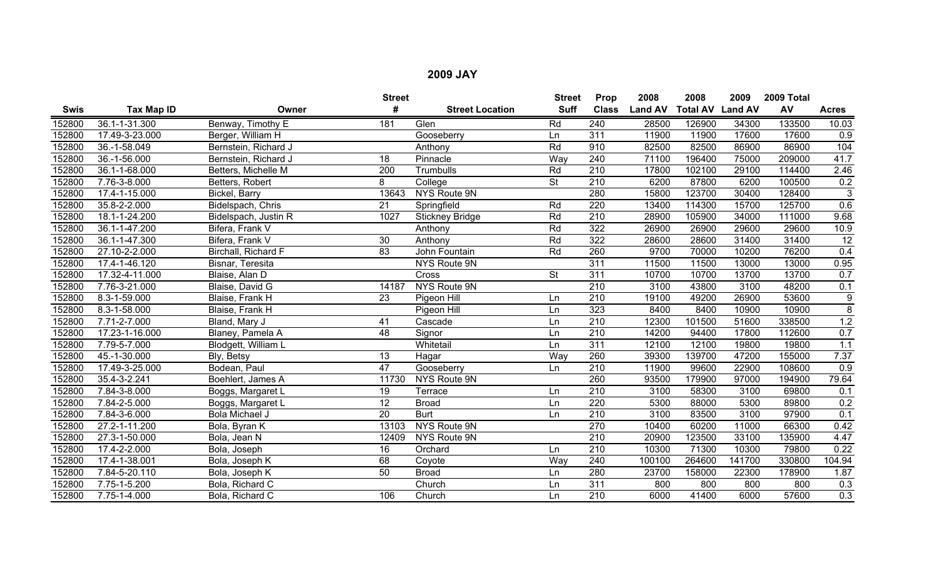|             |                    |                      | <b>Street</b>   |                        | <b>Street</b>            | Prop             | 2008           | 2008                    | 2009   | 2009 Total |                  |
|-------------|--------------------|----------------------|-----------------|------------------------|--------------------------|------------------|----------------|-------------------------|--------|------------|------------------|
| <b>Swis</b> | Tax Map ID         | Owner                | #               | <b>Street Location</b> | <b>Suff</b>              | <b>Class</b>     | <b>Land AV</b> | <b>Total AV Land AV</b> |        | AV         | <b>Acres</b>     |
| 152800      | 36.1-1-31.300      | Benway, Timothy E    | 181             | Glen                   | Rd                       | 240              | 28500          | 126900                  | 34300  | 133500     | 10.03            |
| 152800      | 17.49-3-23.000     | Berger, William H    |                 | Gooseberry             | Ln                       | 311              | 11900          | 11900                   | 17600  | 17600      | 0.9              |
| 152800      | 36.-1-58.049       | Bernstein, Richard J |                 | Anthony                | Rd                       | 910              | 82500          | 82500                   | 86900  | 86900      | 104              |
| 152800      | 36.-1-56.000       | Bernstein, Richard J | 18              | Pinnacle               | Way                      | 240              | 71100          | 196400                  | 75000  | 209000     | 41.7             |
| 152800      | 36.1-1-68.000      | Betters, Michelle M  | 200             | Trumbulls              | Rd                       | $\overline{210}$ | 17800          | 102100                  | 29100  | 114400     | 2.46             |
| 152800      | 7.76-3-8.000       | Betters, Robert      | 8               | College                | $\overline{\mathsf{St}}$ | $\overline{210}$ | 6200           | 87800                   | 6200   | 100500     | 0.2              |
| 152800      | 17.4-1-15.000      | Bickel, Barry        | 13643           | NYS Route 9N           |                          | 280              | 15800          | 123700                  | 30400  | 128400     | $\overline{3}$   |
| 152800      | 35.8-2-2.000       | Bidelspach, Chris    | 21              | Springfield            | Rd                       | 220              | 13400          | 114300                  | 15700  | 125700     | 0.6              |
| 152800      | 18.1-1-24.200      | Bidelspach, Justin R | 1027            | <b>Stickney Bridge</b> | Rd                       | 210              | 28900          | 105900                  | 34000  | 111000     | 9.68             |
| 152800      | 36.1-1-47.200      | Bifera, Frank V      |                 | Anthony                | Rd                       | 322              | 26900          | 26900                   | 29600  | 29600      | 10.9             |
| 152800      | 36.1-1-47.300      | Bifera, Frank V      | 30              | Anthony                | Rd                       | 322              | 28600          | 28600                   | 31400  | 31400      | $\overline{12}$  |
| 152800      | 27.10-2-2.000      | Birchall, Richard F  | $\overline{83}$ | John Fountain          | Rd                       | 260              | 9700           | 70000                   | 10200  | 76200      | 0.4              |
| 152800      | 17.4-1-46.120      | Bisnar, Teresita     |                 | NYS Route 9N           |                          | $\overline{311}$ | 11500          | 11500                   | 13000  | 13000      | 0.95             |
| 152800      | 17.32-4-11.000     | Blaise, Alan D       |                 | Cross                  | $\overline{\mathsf{St}}$ | 311              | 10700          | 10700                   | 13700  | 13700      | 0.7              |
| 152800      | 7.76-3-21.000      | Blaise, David G      | 14187           | NYS Route 9N           |                          | $\overline{210}$ | 3100           | 43800                   | 3100   | 48200      | 0.1              |
| 152800      | 8.3-1-59.000       | Blaise, Frank H      | 23              | Pigeon Hill            | Ln                       | 210              | 19100          | 49200                   | 26900  | 53600      | $\boldsymbol{9}$ |
| 152800      | 8.3-1-58.000       | Blaise, Frank H      |                 | Pigeon Hill            | Ln                       | 323              | 8400           | 8400                    | 10900  | 10900      | $\overline{8}$   |
| 152800      | 7.71-2-7.000       | Bland, Mary J        | 41              | Cascade                | Ln                       | $\overline{210}$ | 12300          | 101500                  | 51600  | 338500     | 1.2              |
| 152800      | 17.23-1-16.000     | Blaney, Pamela A     | 48              | Signor                 | Ln                       | 210              | 14200          | 94400                   | 17800  | 112600     | 0.7              |
| 152800      | 7.79-5-7.000       | Blodgett, William L  |                 | Whitetail              | Ln                       | 311              | 12100          | 12100                   | 19800  | 19800      | 1.1              |
| 152800      | 45.-1-30.000       | Bly, Betsy           | 13              | Hagar                  | Way                      | 260              | 39300          | 139700                  | 47200  | 155000     | 7.37             |
| 152800      | 17.49-3-25.000     | Bodean, Paul         | 47              | Gooseberry             | Ln                       | $\overline{210}$ | 11900          | 99600                   | 22900  | 108600     | $\overline{0.9}$ |
| 152800      | $35.4 - 3 - 2.241$ | Boehlert, James A    | 11730           | <b>NYS Route 9N</b>    |                          | 260              | 93500          | 179900                  | 97000  | 194900     | 79.64            |
| 152800      | $7.84 - 3 - 8.000$ | Boggs, Margaret L    | 19              | Terrace                | Ln                       | 210              | 3100           | 58300                   | 3100   | 69800      | 0.1              |
| 152800      | 7.84-2-5.000       | Boggs, Margaret L    | $\overline{12}$ | <b>Broad</b>           | Ln                       | 220              | 5300           | 88000                   | 5300   | 89800      | 0.2              |
| 152800      | 7.84-3-6.000       | Bola Michael J       | $\overline{20}$ | <b>Burt</b>            | Ln                       | $\overline{210}$ | 3100           | 83500                   | 3100   | 97900      | 0.1              |
| 152800      | 27.2-1-11.200      | Bola, Byran K        | 13103           | NYS Route 9N           |                          | 270              | 10400          | 60200                   | 11000  | 66300      | 0.42             |
| 152800      | 27.3-1-50.000      | Bola, Jean N         | 12409           | NYS Route 9N           |                          | $\overline{210}$ | 20900          | 123500                  | 33100  | 135900     | 4.47             |
| 152800      | 17.4-2-2.000       | Bola, Joseph         | 16              | Orchard                | Ln                       | 210              | 10300          | 71300                   | 10300  | 79800      | 0.22             |
| 152800      | 17.4-1-38.001      | Bola, Joseph K       | 68              | Coyote                 | Way                      | 240              | 100100         | 264600                  | 141700 | 330800     | 104.94           |
| 152800      | 7.84-5-20.110      | Bola, Joseph K       | 50              | <b>Broad</b>           | Ln                       | 280              | 23700          | 158000                  | 22300  | 178900     | 1.87             |
| 152800      | 7.75-1-5.200       | Bola, Richard C      |                 | Church                 | Ln                       | 311              | 800            | 800                     | 800    | 800        | 0.3              |
| 152800      | 7.75-1-4.000       | Bola, Richard C      | 106             | Church                 | Ln                       | 210              | 6000           | 41400                   | 6000   | 57600      | 0.3              |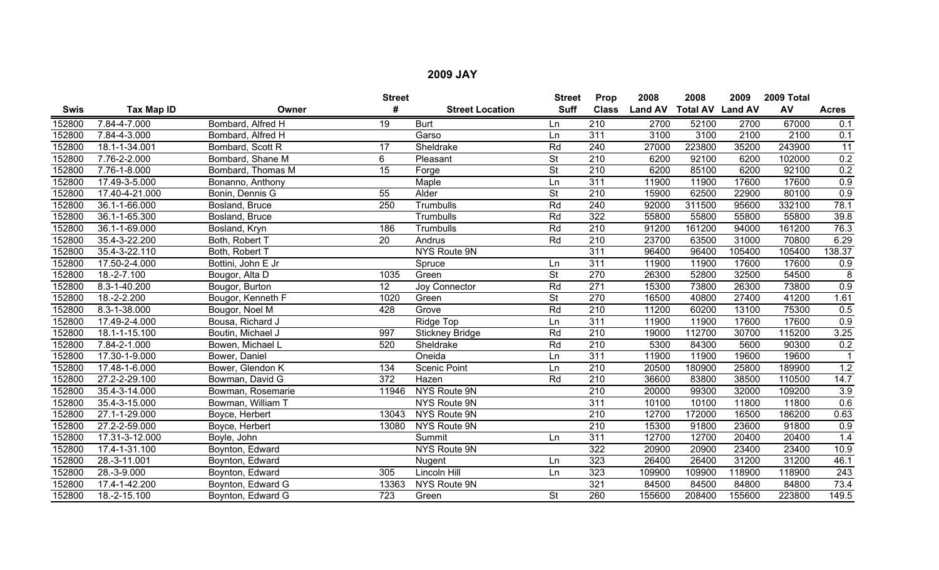|             |                   |                    | <b>Street</b>    |                        | <b>Street</b>            | Prop             | 2008           | 2008                    | 2009   | 2009 Total |              |
|-------------|-------------------|--------------------|------------------|------------------------|--------------------------|------------------|----------------|-------------------------|--------|------------|--------------|
| <b>Swis</b> | <b>Tax Map ID</b> | Owner              | #                | <b>Street Location</b> | <b>Suff</b>              | <b>Class</b>     | <b>Land AV</b> | <b>Total AV Land AV</b> |        | AV         | <b>Acres</b> |
| 152800      | 7.84-4-7.000      | Bombard, Alfred H  | $\overline{19}$  | <b>Burt</b>            | Ln                       | $\overline{210}$ | 2700           | 52100                   | 2700   | 67000      | 0.1          |
| 152800      | 7.84-4-3.000      | Bombard, Alfred H  |                  | Garso                  | Ln                       | 311              | 3100           | 3100                    | 2100   | 2100       | 0.1          |
| 152800      | 18.1-1-34.001     | Bombard, Scott R   | 17               | Sheldrake              | Rd                       | 240              | 27000          | 223800                  | 35200  | 243900     | 11           |
| 152800      | 7.76-2-2.000      | Bombard, Shane M   | 6                | Pleasant               | $\overline{\mathsf{St}}$ | $\overline{210}$ | 6200           | 92100                   | 6200   | 102000     | 0.2          |
| 152800      | 7.76-1-8.000      | Bombard, Thomas M  | 15               | Forge                  | $\overline{\mathsf{St}}$ | $\overline{210}$ | 6200           | 85100                   | 6200   | 92100      | 0.2          |
| 152800      | 17.49-3-5.000     | Bonanno, Anthony   |                  | Maple                  | Ln                       | 311              | 11900          | 11900                   | 17600  | 17600      | 0.9          |
| 152800      | 17.40-4-21.000    | Bonin, Dennis G    | 55               | Alder                  | $\overline{\mathsf{St}}$ | $\overline{210}$ | 15900          | 62500                   | 22900  | 80100      | 0.9          |
| 152800      | 36.1-1-66.000     | Bosland, Bruce     | $\overline{250}$ | Trumbulls              | Rd                       | 240              | 92000          | 311500                  | 95600  | 332100     | 78.1         |
| 152800      | 36.1-1-65.300     | Bosland, Bruce     |                  | Trumbulls              | Rd                       | 322              | 55800          | 55800                   | 55800  | 55800      | 39.8         |
| 152800      | 36.1-1-69.000     | Bosland, Kryn      | 186              | Trumbulls              | Rd                       | 210              | 91200          | 161200                  | 94000  | 161200     | 76.3         |
| 152800      | 35.4-3-22.200     | Both, Robert T     | $\overline{20}$  | Andrus                 | Rd                       | $\overline{210}$ | 23700          | 63500                   | 31000  | 70800      | 6.29         |
| 152800      | 35.4-3-22.110     | Both, Robert T     |                  | NYS Route 9N           |                          | 311              | 96400          | 96400                   | 105400 | 105400     | 138.37       |
| 152800      | 17.50-2-4.000     | Bottini, John E Jr |                  | Spruce                 | Ln                       | 311              | 11900          | 11900                   | 17600  | 17600      | 0.9          |
| 152800      | 18.-2-7.100       | Bougor, Alta D     | 1035             | Green                  | $\overline{\mathsf{St}}$ | 270              | 26300          | 52800                   | 32500  | 54500      | 8            |
| 152800      | 8.3-1-40.200      | Bougor, Burton     | $\overline{12}$  | <b>Joy Connector</b>   | Rd                       | 271              | 15300          | 73800                   | 26300  | 73800      | 0.9          |
| 152800      | 18.-2-2.200       | Bougor, Kenneth F  | 1020             | Green                  | <b>St</b>                | 270              | 16500          | 40800                   | 27400  | 41200      | 1.61         |
| 152800      | 8.3-1-38.000      | Bougor, Noel M     | 428              | Grove                  | Rd                       | $\overline{210}$ | 11200          | 60200                   | 13100  | 75300      | 0.5          |
| 152800      | 17.49-2-4.000     | Bousa, Richard J   |                  | Ridge Top              | Ln                       | 311              | 11900          | 11900                   | 17600  | 17600      | 0.9          |
| 152800      | 18.1-1-15.100     | Boutin, Michael J  | 997              | <b>Stickney Bridge</b> | Rd                       | 210              | 19000          | 112700                  | 30700  | 115200     | 3.25         |
| 152800      | 7.84-2-1.000      | Bowen, Michael L   | 520              | Sheldrake              | Rd                       | 210              | 5300           | 84300                   | 5600   | 90300      | 0.2          |
| 152800      | 17.30-1-9.000     | Bower, Daniel      |                  | Oneida                 | Ln                       | 311              | 11900          | 11900                   | 19600  | 19600      | -1           |
| 152800      | 17.48-1-6.000     | Bower, Glendon K   | 134              | <b>Scenic Point</b>    | Ln                       | 210              | 20500          | 180900                  | 25800  | 189900     | 1.2          |
| 152800      | 27.2-2-29.100     | Bowman, David G    | 372              | Hazen                  | Rd                       | 210              | 36600          | 83800                   | 38500  | 110500     | 14.7         |
| 152800      | 35.4-3-14.000     | Bowman, Rosemarie  | 11946            | NYS Route 9N           |                          | 210              | 20000          | 99300                   | 32000  | 109200     | 3.9          |
| 152800      | 35.4-3-15.000     | Bowman, William T  |                  | NYS Route 9N           |                          | 311              | 10100          | 10100                   | 11800  | 11800      | 0.6          |
| 152800      | 27.1-1-29.000     | Boyce, Herbert     | 13043            | NYS Route 9N           |                          | 210              | 12700          | 172000                  | 16500  | 186200     | 0.63         |
| 152800      | 27.2-2-59.000     | Boyce, Herbert     | 13080            | NYS Route 9N           |                          | 210              | 15300          | 91800                   | 23600  | 91800      | 0.9          |
| 152800      | 17.31-3-12.000    | Boyle, John        |                  | Summit                 | Ln                       | 311              | 12700          | 12700                   | 20400  | 20400      | 1.4          |
| 152800      | 17.4-1-31.100     | Boynton, Edward    |                  | NYS Route 9N           |                          | 322              | 20900          | 20900                   | 23400  | 23400      | 10.9         |
| 152800      | 28.-3-11.001      | Boynton, Edward    |                  | Nugent                 | Ln                       | 323              | 26400          | 26400                   | 31200  | 31200      | 46.1         |
| 152800      | 28.-3-9.000       | Boynton, Edward    | 305              | Lincoln Hill           | Ln                       | 323              | 109900         | 109900                  | 118900 | 118900     | 243          |
| 152800      | 17.4-1-42.200     | Boynton, Edward G  | 13363            | NYS Route 9N           |                          | 321              | 84500          | 84500                   | 84800  | 84800      | 73.4         |
| 152800      | 18.-2-15.100      | Boynton, Edward G  | 723              | Green                  | $\overline{\mathsf{St}}$ | 260              | 155600         | 208400                  | 155600 | 223800     | 149.5        |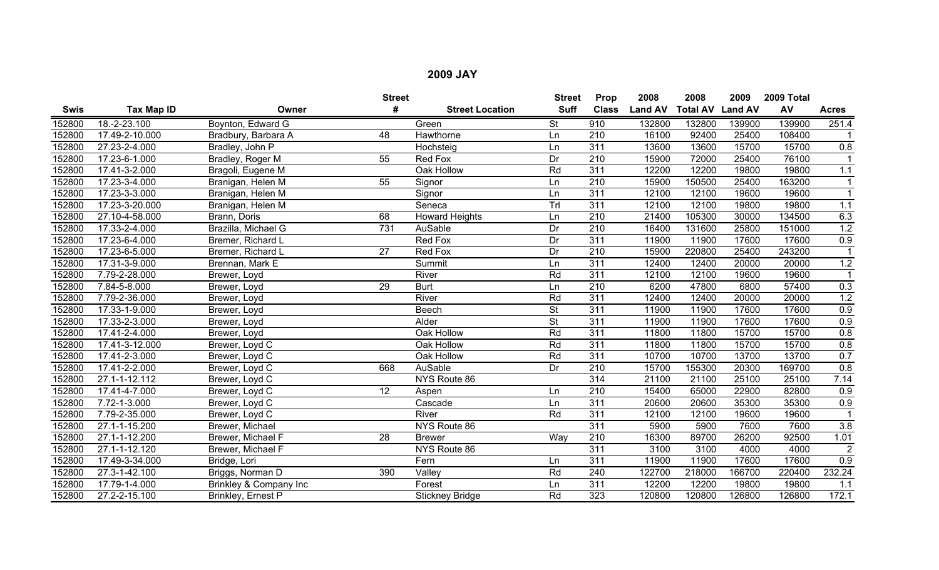|             |                             |                        | <b>Street</b>   |                        | <b>Street</b>            | Prop             | 2008           | 2008            | 2009           | 2009 Total |                  |
|-------------|-----------------------------|------------------------|-----------------|------------------------|--------------------------|------------------|----------------|-----------------|----------------|------------|------------------|
| <b>Swis</b> | <b>Tax Map ID</b>           | Owner                  | #               | <b>Street Location</b> | <b>Suff</b>              | <b>Class</b>     | <b>Land AV</b> | <b>Total AV</b> | <b>Land AV</b> | AV         | <b>Acres</b>     |
| 152800      | 18.-2-23.100                | Boynton, Edward G      |                 | Green                  | <b>St</b>                | 910              | 132800         | 132800          | 139900         | 139900     | 251.4            |
| 152800      | 17.49-2-10.000              | Bradbury, Barbara A    | 48              | Hawthorne              | Ln                       | 210              | 16100          | 92400           | 25400          | 108400     |                  |
| 152800      | 27.23-2-4.000               | Bradley, John P        |                 | Hochsteig              | Ln                       | $\overline{311}$ | 13600          | 13600           | 15700          | 15700      | 0.8              |
| 152800      | 17.23-6-1.000               | Bradley, Roger M       | 55              | <b>Red Fox</b>         | Dr                       | 210              | 15900          | 72000           | 25400          | 76100      |                  |
| 152800      | 17.41-3-2.000               | Bragoli, Eugene M      |                 | Oak Hollow             | Rd                       | 311              | 12200          | 12200           | 19800          | 19800      | 1.1              |
| 152800      | 17.23-3-4.000               | Branigan, Helen M      | 55              | Signor                 | Ln                       | 210              | 15900          | 150500          | 25400          | 163200     | -1               |
| 152800      | 17.23-3-3.000               | Branigan, Helen M      |                 | Signor                 | Ln                       | $\overline{311}$ | 12100          | 12100           | 19600          | 19600      | $\overline{1}$   |
| 152800      | 17.23-3-20.000              | Branigan, Helen M      |                 | Seneca                 | Trl                      | 311              | 12100          | 12100           | 19800          | 19800      | 1.1              |
| 152800      | 27.10-4-58.000              | Brann, Doris           | 68              | <b>Howard Heights</b>  | Ln                       | 210              | 21400          | 105300          | 30000          | 134500     | 6.3              |
| 152800      | 17.33-2-4.000               | Brazilla, Michael G    | 731             | <b>AuSable</b>         | $\overline{Dr}$          | $\overline{210}$ | 16400          | 131600          | 25800          | 151000     | 1.2              |
| 152800      | 17.23-6-4.000               | Bremer, Richard L      |                 | <b>Red Fox</b>         | Dr                       | $\overline{311}$ | 11900          | 11900           | 17600          | 17600      | 0.9              |
| 152800      | 17.23-6-5.000               | Bremer, Richard L      | 27              | <b>Red Fox</b>         | Dr                       | $\overline{210}$ | 15900          | 220800          | 25400          | 243200     |                  |
| 152800      | 17.31-3-9.000               | Brennan, Mark E        |                 | Summit                 | Ln                       | 311              | 12400          | 12400           | 20000          | 20000      | 1.2              |
| 152800      | 7.79-2-28.000               | Brewer, Loyd           |                 | River                  | Rd                       | 311              | 12100          | 12100           | 19600          | 19600      |                  |
| 152800      | 7.84-5-8.000                | Brewer, Loyd           | $\overline{29}$ | <b>Burt</b>            | Ln                       | $\overline{210}$ | 6200           | 47800           | 6800           | 57400      | 0.3              |
| 152800      | 7.79-2-36.000               | Brewer, Loyd           |                 | River                  | Rd                       | 311              | 12400          | 12400           | 20000          | 20000      | 1.2              |
| 152800      | 17.33-1-9.000               | Brewer, Loyd           |                 | <b>Beech</b>           | $\overline{\mathsf{St}}$ | $\overline{311}$ | 11900          | 11900           | 17600          | 17600      | 0.9              |
| 152800      | 17.33-2-3.000               | Brewer, Loyd           |                 | Alder                  | $\overline{\mathsf{St}}$ | $\overline{311}$ | 11900          | 11900           | 17600          | 17600      | 0.9              |
| 152800      | 17.41-2-4.000               | Brewer, Loyd           |                 | Oak Hollow             | Rd                       | 311              | 11800          | 11800           | 15700          | 15700      | 0.8              |
| 152800      | 17.41-3-12.000              | Brewer, Loyd C         |                 | Oak Hollow             | Rd                       | $\overline{311}$ | 11800          | 11800           | 15700          | 15700      | 0.8              |
| 152800      | 17.41-2-3.000               | Brewer, Loyd C         |                 | Oak Hollow             | Rd                       | $\overline{311}$ | 10700          | 10700           | 13700          | 13700      | 0.7              |
| 152800      | 17.41-2-2.000               | Brewer, Loyd C         | 668             | AuSable                | Dr                       | $\overline{210}$ | 15700          | 155300          | 20300          | 169700     | 0.8              |
| 152800      | 27.1-1-12.112               | Brewer, Loyd C         |                 | NYS Route 86           |                          | 314              | 21100          | 21100           | 25100          | 25100      | 7.14             |
| 152800      | 17.41-4-7.000               | Brewer, Loyd C         | $\overline{12}$ | Aspen                  | Ln                       | 210              | 15400          | 65000           | 22900          | 82800      | 0.9              |
| 152800      | 7.72-1-3.000                | Brewer, Loyd C         |                 | Cascade                | Ln                       | $\overline{311}$ | 20600          | 20600           | 35300          | 35300      | 0.9              |
| 152800      | 7.79-2-35.000               | Brewer, Loyd C         |                 | River                  | Rd                       | $\overline{311}$ | 12100          | 12100           | 19600          | 19600      |                  |
| 152800      | 27.1-1-15.200               | Brewer, Michael        |                 | NYS Route 86           |                          | 311              | 5900           | 5900            | 7600           | 7600       | 3.8              |
| 152800      | 27.1-1-12.200               | Brewer, Michael F      | 28              | <b>Brewer</b>          | Way                      | 210              | 16300          | 89700           | 26200          | 92500      | 1.01             |
| 152800      | 27.1-1-12.120               | Brewer, Michael F      |                 | NYS Route 86           |                          | 311              | 3100           | 3100            | 4000           | 4000       | $\overline{2}$   |
| 152800      | 17.49-3-34.000              | Bridge, Lori           |                 | Fern                   | Ln                       | $\overline{311}$ | 11900          | 11900           | 17600          | 17600      | $\overline{0.9}$ |
| 152800      | 27.3-1-42.100               | Briggs, Norman D       | 390             | Valley                 | Rd                       | 240              | 122700         | 218000          | 166700         | 220400     | 232.24           |
| 152800      | $\overline{17.79}$ -1-4.000 | Brinkley & Company Inc |                 | Forest                 | Ln                       | 311              | 12200          | 12200           | 19800          | 19800      | 1.1              |
| 152800      | 27.2-2-15.100               | Brinkley, Ernest P     |                 | <b>Stickney Bridge</b> | Rd                       | 323              | 120800         | 120800          | 126800         | 126800     | 172.1            |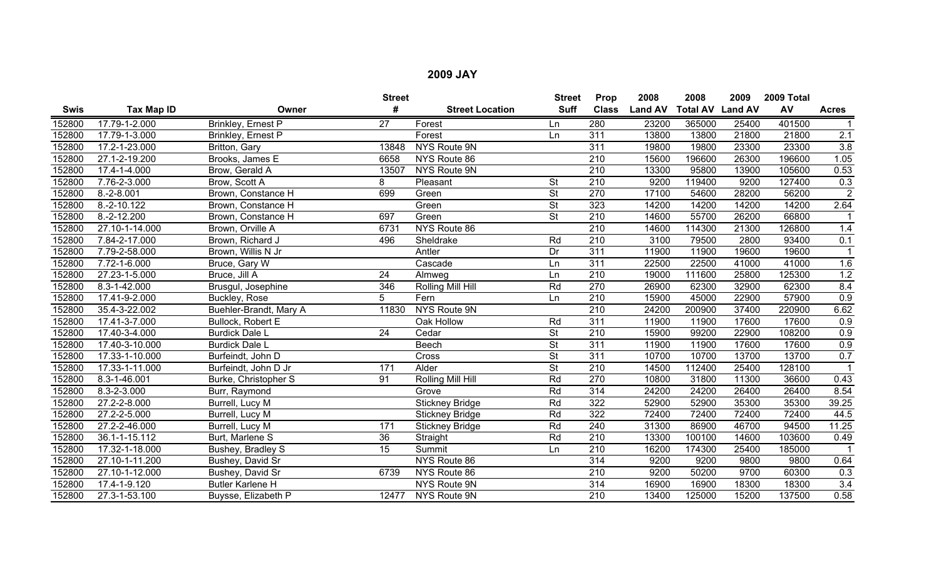|             |                |                         | <b>Street</b>   |                        | <b>Street</b>            | Prop             | 2008           | 2008                    | 2009  | 2009 Total |                  |
|-------------|----------------|-------------------------|-----------------|------------------------|--------------------------|------------------|----------------|-------------------------|-------|------------|------------------|
| <b>Swis</b> | Tax Map ID     | Owner                   | #               | <b>Street Location</b> | <b>Suff</b>              | <b>Class</b>     | <b>Land AV</b> | <b>Total AV Land AV</b> |       | AV         | <b>Acres</b>     |
| 152800      | 17.79-1-2.000  | Brinkley, Ernest P      | $\overline{27}$ | Forest                 | Ln                       | 280              | 23200          | 365000                  | 25400 | 401500     |                  |
| 152800      | 17.79-1-3.000  | Brinkley, Ernest P      |                 | Forest                 | Ln                       | 311              | 13800          | 13800                   | 21800 | 21800      | 2.1              |
| 152800      | 17.2-1-23.000  | Britton, Gary           | 13848           | NYS Route 9N           |                          | 311              | 19800          | 19800                   | 23300 | 23300      | 3.8              |
| 152800      | 27.1-2-19.200  | Brooks, James E         | 6658            | NYS Route 86           |                          | 210              | 15600          | 196600                  | 26300 | 196600     | 1.05             |
| 152800      | 17.4-1-4.000   | Brow, Gerald A          | 13507           | <b>NYS Route 9N</b>    |                          | $\overline{210}$ | 13300          | 95800                   | 13900 | 105600     | 0.53             |
| 152800      | 7.76-2-3.000   | Brow, Scott A           | 8               | Pleasant               | <b>St</b>                | $\overline{210}$ | 9200           | 119400                  | 9200  | 127400     | 0.3              |
| 152800      | $8.-2-8.001$   | Brown, Constance H      | 699             | Green                  | $\overline{\mathsf{St}}$ | 270              | 17100          | 54600                   | 28200 | 56200      | $\overline{2}$   |
| 152800      | 8.-2-10.122    | Brown, Constance H      |                 | Green                  | <b>St</b>                | 323              | 14200          | 14200                   | 14200 | 14200      | 2.64             |
| 152800      | $8.-2-12.200$  | Brown, Constance H      | 697             | Green                  | <b>St</b>                | 210              | 14600          | 55700                   | 26200 | 66800      |                  |
| 152800      | 27.10-1-14.000 | Brown, Orville A        | 6731            | NYS Route 86           |                          | $\overline{210}$ | 14600          | 114300                  | 21300 | 126800     | 1.4              |
| 152800      | 7.84-2-17.000  | Brown, Richard J        | 496             | Sheldrake              | Rd                       | $\overline{210}$ | 3100           | 79500                   | 2800  | 93400      | 0.1              |
| 152800      | 7.79-2-58.000  | Brown, Willis N Jr      |                 | Antler                 | Dr                       | 311              | 11900          | 11900                   | 19600 | 19600      |                  |
| 152800      | 7.72-1-6.000   | Bruce, Gary W           |                 | Cascade                | Ln                       | 311              | 22500          | 22500                   | 41000 | 41000      | 1.6              |
| 152800      | 27.23-1-5.000  | Bruce, Jill A           | $\overline{24}$ | Almweg                 | Ln                       | $\overline{210}$ | 19000          | 111600                  | 25800 | 125300     | 1.2              |
| 152800      | 8.3-1-42.000   | Brusgul, Josephine      | 346             | Rolling Mill Hill      | Rd                       | 270              | 26900          | 62300                   | 32900 | 62300      | 8.4              |
| 152800      | 17.41-9-2.000  | Buckley, Rose           | 5               | Fern                   | Ln                       | 210              | 15900          | 45000                   | 22900 | 57900      | $\overline{0.9}$ |
| 152800      | 35.4-3-22.002  | Buehler-Brandt, Mary A  | 11830           | NYS Route 9N           |                          | $\overline{210}$ | 24200          | 200900                  | 37400 | 220900     | 6.62             |
| 152800      | 17.41-3-7.000  | Bullock, Robert E       |                 | Oak Hollow             | Rd                       | 311              | 11900          | 11900                   | 17600 | 17600      | 0.9              |
| 152800      | 17.40-3-4.000  | <b>Burdick Dale L</b>   | 24              | Cedar                  | <b>St</b>                | 210              | 15900          | 99200                   | 22900 | 108200     | $\overline{0.9}$ |
| 152800      | 17.40-3-10.000 | <b>Burdick Dale L</b>   |                 | <b>Beech</b>           | <b>St</b>                | 311              | 11900          | 11900                   | 17600 | 17600      | 0.9              |
| 152800      | 17.33-1-10.000 | Burfeindt, John D       |                 | Cross                  | $\overline{\mathsf{St}}$ | 311              | 10700          | 10700                   | 13700 | 13700      | 0.7              |
| 152800      | 17.33-1-11.000 | Burfeindt, John D Jr    | 171             | Alder                  | $\overline{\mathsf{St}}$ | $\overline{210}$ | 14500          | 112400                  | 25400 | 128100     |                  |
| 152800      | 8.3-1-46.001   | Burke, Christopher S    | 91              | Rolling Mill Hill      | Rd                       | 270              | 10800          | 31800                   | 11300 | 36600      | 0.43             |
| 152800      | 8.3-2-3.000    | Burr, Raymond           |                 | Grove                  | Rd                       | 314              | 24200          | 24200                   | 26400 | 26400      | 8.54             |
| 152800      | 27.2-2-8.000   | Burrell, Lucy M         |                 | <b>Stickney Bridge</b> | Rd                       | 322              | 52900          | 52900                   | 35300 | 35300      | 39.25            |
| 152800      | 27.2-2-5.000   | Burrell, Lucy M         |                 | <b>Stickney Bridge</b> | Rd                       | 322              | 72400          | 72400                   | 72400 | 72400      | 44.5             |
| 152800      | 27.2-2-46.000  | Burrell, Lucy M         | 171             | <b>Stickney Bridge</b> | Rd                       | 240              | 31300          | 86900                   | 46700 | 94500      | 11.25            |
| 152800      | 36.1-1-15.112  | Burt, Marlene S         | 36              | Straight               | Rd                       | $\overline{210}$ | 13300          | 100100                  | 14600 | 103600     | 0.49             |
| 152800      | 17.32-1-18.000 | Bushey, Bradley S       | 15              | Summit                 | Ln                       | 210              | 16200          | 174300                  | 25400 | 185000     |                  |
| 152800      | 27.10-1-11.200 | Bushey, David Sr        |                 | NYS Route 86           |                          | 314              | 9200           | 9200                    | 9800  | 9800       | 0.64             |
| 152800      | 27.10-1-12.000 | Bushey, David Sr        | 6739            | NYS Route 86           |                          | 210              | 9200           | 50200                   | 9700  | 60300      | 0.3              |
| 152800      | 17.4-1-9.120   | <b>Butler Karlene H</b> |                 | NYS Route 9N           |                          | 314              | 16900          | 16900                   | 18300 | 18300      | 3.4              |
| 152800      | 27.3-1-53.100  | Buysse, Elizabeth P     | 12477           | NYS Route 9N           |                          | 210              | 13400          | 125000                  | 15200 | 137500     | 0.58             |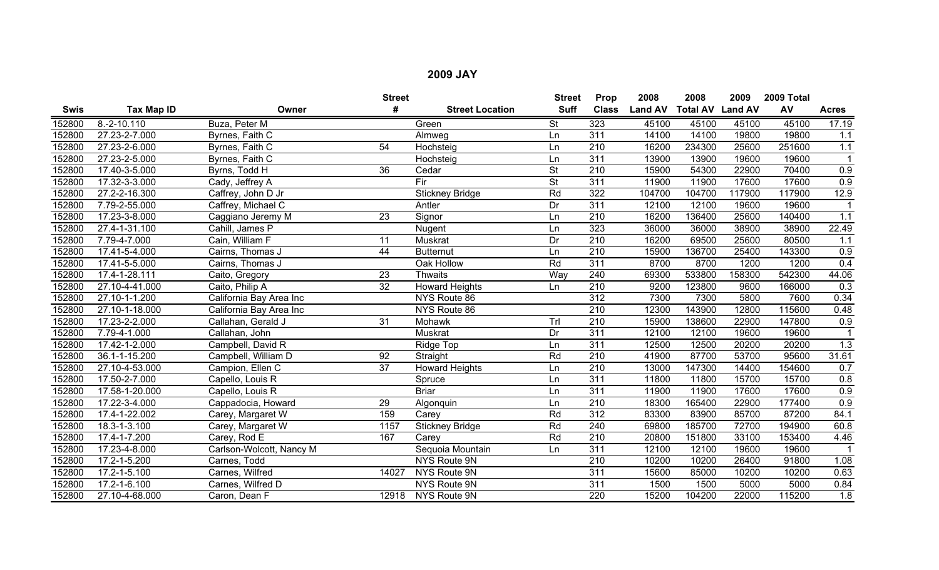|        |                    |                          | <b>Street</b>   |                        | <b>Street</b>   | Prop             | 2008           | 2008                    | 2009   | 2009 Total |                  |
|--------|--------------------|--------------------------|-----------------|------------------------|-----------------|------------------|----------------|-------------------------|--------|------------|------------------|
| Swis   | Tax Map ID         | Owner                    | #               | <b>Street Location</b> | <b>Suff</b>     | <b>Class</b>     | <b>Land AV</b> | <b>Total AV Land AV</b> |        | AV         | <b>Acres</b>     |
| 152800 | $8.-2-10.110$      | Buza, Peter M            |                 | Green                  | <b>St</b>       | 323              | 45100          | 45100                   | 45100  | 45100      | 17.19            |
| 152800 | 27.23-2-7.000      | Byrnes, Faith C          |                 | Almweg                 | Ln              | 311              | 14100          | 14100                   | 19800  | 19800      | 1.1              |
| 152800 | 27.23-2-6.000      | Byrnes, Faith C          | 54              | Hochsteig              | Ln              | $\overline{210}$ | 16200          | 234300                  | 25600  | 251600     | 1.1              |
| 152800 | 27.23-2-5.000      | Byrnes, Faith C          |                 | Hochsteig              | Ln              | 311              | 13900          | 13900                   | 19600  | 19600      |                  |
| 152800 | 17.40-3-5.000      | Byrns, Todd H            | 36              | Cedar                  | <b>St</b>       | $\overline{210}$ | 15900          | 54300                   | 22900  | 70400      | 0.9              |
| 152800 | 17.32-3-3.000      | Cady, Jeffrey A          |                 | Fir                    | <b>St</b>       | $\overline{311}$ | 11900          | 11900                   | 17600  | 17600      | $\overline{0.9}$ |
| 152800 | 27.2-2-16.300      | Caffrey, John D Jr       |                 | <b>Stickney Bridge</b> | Rd              | 322              | 104700         | 104700                  | 117900 | 117900     | 12.9             |
| 152800 | 7.79-2-55.000      | Caffrey, Michael C       |                 | Antler                 | $\overline{Dr}$ | 311              | 12100          | 12100                   | 19600  | 19600      | $\mathbf{1}$     |
| 152800 | 17.23-3-8.000      | Caggiano Jeremy M        | 23              | Signor                 | Ln              | 210              | 16200          | 136400                  | 25600  | 140400     | 1.1              |
| 152800 | 27.4-1-31.100      | Cahill, James P          |                 | Nugent                 | Ln              | 323              | 36000          | 36000                   | 38900  | 38900      | 22.49            |
| 152800 | 7.79-4-7.000       | Cain, William F          | 11              | Muskrat                | Dr              | 210              | 16200          | 69500                   | 25600  | 80500      | 1.1              |
| 152800 | 17.41-5-4.000      | Cairns, Thomas J         | $\overline{44}$ | <b>Butternut</b>       | Ln              | 210              | 15900          | 136700                  | 25400  | 143300     | 0.9              |
| 152800 | 17.41-5-5.000      | Cairns, Thomas J         |                 | Oak Hollow             | Rd              | 311              | 8700           | 8700                    | 1200   | 1200       | 0.4              |
| 152800 | 17.4-1-28.111      | Caito, Gregory           | 23              | <b>Thwaits</b>         | Way             | 240              | 69300          | 533800                  | 158300 | 542300     | 44.06            |
| 152800 | 27.10-4-41.000     | Caito, Philip A          | $\overline{32}$ | <b>Howard Heights</b>  | Ln              | $\overline{210}$ | 9200           | 123800                  | 9600   | 166000     | 0.3              |
| 152800 | 27.10-1-1.200      | California Bay Area Inc  |                 | NYS Route 86           |                 | 312              | 7300           | 7300                    | 5800   | 7600       | 0.34             |
| 152800 | 27.10-1-18.000     | California Bay Area Inc  |                 | NYS Route 86           |                 | $\overline{210}$ | 12300          | 143900                  | 12800  | 115600     | 0.48             |
| 152800 | 17.23-2-2.000      | Callahan, Gerald J       | $\overline{31}$ | Mohawk                 | Tr              | 210              | 15900          | 138600                  | 22900  | 147800     | 0.9              |
| 152800 | 7.79-4-1.000       | Callahan, John           |                 | Muskrat                | Dr              | $\overline{311}$ | 12100          | 12100                   | 19600  | 19600      |                  |
| 152800 | 17.42-1-2.000      | Campbell, David R        |                 | Ridge Top              | Ln              | 311              | 12500          | 12500                   | 20200  | 20200      | $\overline{1.3}$ |
| 152800 | 36.1-1-15.200      | Campbell, William D      | 92              | Straight               | Rd              | $\overline{210}$ | 41900          | 87700                   | 53700  | 95600      | 31.61            |
| 152800 | 27.10-4-53.000     | Campion, Ellen C         | $\overline{37}$ | <b>Howard Heights</b>  | Ln              | 210              | 13000          | 147300                  | 14400  | 154600     | 0.7              |
| 152800 | 17.50-2-7.000      | Capello, Louis R         |                 | Spruce                 | Ln              | $\overline{311}$ | 11800          | 11800                   | 15700  | 15700      | 0.8              |
| 152800 | 17.58-1-20.000     | Capello, Louis R         |                 | <b>Briar</b>           | Ln              | 311              | 11900          | 11900                   | 17600  | 17600      | 0.9              |
| 152800 | 17.22-3-4.000      | Cappadocia, Howard       | $\overline{29}$ | Algonquin              | Ln              | $\overline{210}$ | 18300          | 165400                  | 22900  | 177400     | 0.9              |
| 152800 | 17.4-1-22.002      | Carey, Margaret W        | 159             | Carey                  | Rd              | $\overline{312}$ | 83300          | 83900                   | 85700  | 87200      | 84.1             |
| 152800 | 18.3-1-3.100       | Carey, Margaret W        | 1157            | <b>Stickney Bridge</b> | Rd              | 240              | 69800          | 185700                  | 72700  | 194900     | 60.8             |
| 152800 | 17.4-1-7.200       | Carey, Rod E             | 167             | Carey                  | Rd              | $\overline{210}$ | 20800          | 151800                  | 33100  | 153400     | 4.46             |
| 152800 | 17.23-4-8.000      | Carlson-Wolcott, Nancy M |                 | Sequoia Mountain       | Ln              | 311              | 12100          | 12100                   | 19600  | 19600      |                  |
| 152800 | 17.2-1-5.200       | Carnes, Todd             |                 | NYS Route 9N           |                 | 210              | 10200          | 10200                   | 26400  | 91800      | 1.08             |
| 152800 | $17.2 - 1 - 5.100$ | Carnes, Wilfred          | 14027           | NYS Route 9N           |                 | 311              | 15600          | 85000                   | 10200  | 10200      | 0.63             |
| 152800 | 17.2-1-6.100       | Carnes, Wilfred D        |                 | NYS Route 9N           |                 | 311              | 1500           | 1500                    | 5000   | 5000       | 0.84             |
| 152800 | 27.10-4-68.000     | Caron, Dean F            | 12918           | NYS Route 9N           |                 | 220              | 15200          | 104200                  | 22000  | 115200     | 1.8              |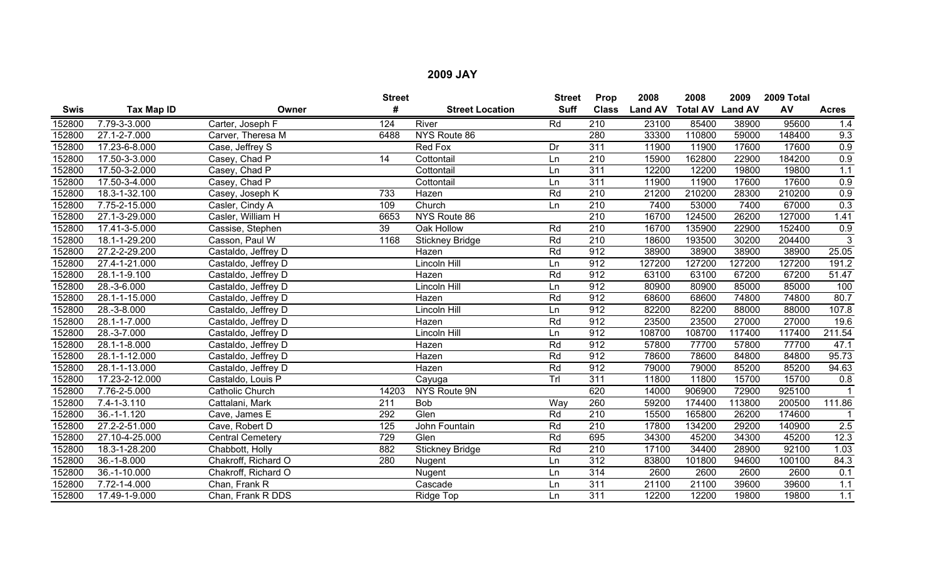|             |                   |                         | <b>Street</b>   |                        | <b>Street</b> | Prop             | 2008           | 2008                    | 2009   | 2009 Total |                |
|-------------|-------------------|-------------------------|-----------------|------------------------|---------------|------------------|----------------|-------------------------|--------|------------|----------------|
| <b>Swis</b> | <b>Tax Map ID</b> | Owner                   | #               | <b>Street Location</b> | <b>Suff</b>   | <b>Class</b>     | <b>Land AV</b> | <b>Total AV Land AV</b> |        | AV         | <b>Acres</b>   |
| 152800      | 7.79-3-3.000      | Carter, Joseph F        | 124             | River                  | Rd            | 210              | 23100          | 85400                   | 38900  | 95600      | 1.4            |
| 152800      | 27.1-2-7.000      | Carver, Theresa M       | 6488            | NYS Route 86           |               | 280              | 33300          | 110800                  | 59000  | 148400     | 9.3            |
| 152800      | 17.23-6-8.000     | Case, Jeffrey S         |                 | Red Fox                | Dr            | $\overline{311}$ | 11900          | 11900                   | 17600  | 17600      | 0.9            |
| 152800      | 17.50-3-3.000     | Casey, Chad P           | 14              | Cottontail             | Ln            | 210              | 15900          | 162800                  | 22900  | 184200     | 0.9            |
| 152800      | 17.50-3-2.000     | Casey, Chad P           |                 | Cottontail             | Ln            | 311              | 12200          | 12200                   | 19800  | 19800      | 1.1            |
| 152800      | 17.50-3-4.000     | Casey, Chad P           |                 | Cottontail             | Ln            | $\overline{311}$ | 11900          | 11900                   | 17600  | 17600      | 0.9            |
| 152800      | 18.3-1-32.100     | Casey, Joseph K         | 733             | Hazen                  | Rd            | $\overline{210}$ | 21200          | 210200                  | 28300  | 210200     | 0.9            |
| 152800      | 7.75-2-15.000     | Casler, Cindy A         | 109             | Church                 | Ln            | 210              | 7400           | 53000                   | 7400   | 67000      | 0.3            |
| 152800      | 27.1-3-29.000     | Casler, William H       | 6653            | NYS Route 86           |               | 210              | 16700          | 124500                  | 26200  | 127000     | 1.41           |
| 152800      | 17.41-3-5.000     | Cassise, Stephen        | $\overline{39}$ | Oak Hollow             | Rd            | $\overline{210}$ | 16700          | 135900                  | 22900  | 152400     | 0.9            |
| 152800      | 18.1-1-29.200     | Casson, Paul W          | 1168            | <b>Stickney Bridge</b> | Rd            | $\overline{210}$ | 18600          | 193500                  | 30200  | 204400     | $\overline{3}$ |
| 152800      | 27.2-2-29.200     | Castaldo, Jeffrey D     |                 | Hazen                  | Rd            | 912              | 38900          | 38900                   | 38900  | 38900      | 25.05          |
| 152800      | 27.4-1-21.000     | Castaldo, Jeffrey D     |                 | Lincoln Hill           | Ln            | 912              | 127200         | 127200                  | 127200 | 127200     | 191.2          |
| 152800      | 28.1-1-9.100      | Castaldo, Jeffrey D     |                 | Hazen                  | Rd            | 912              | 63100          | 63100                   | 67200  | 67200      | 51.47          |
| 152800      | 28.-3-6.000       | Castaldo, Jeffrey D     |                 | Lincoln Hill           | Ln            | 912              | 80900          | 80900                   | 85000  | 85000      | 100            |
| 152800      | 28.1-1-15.000     | Castaldo, Jeffrey D     |                 | Hazen                  | Rd            | 912              | 68600          | 68600                   | 74800  | 74800      | 80.7           |
| 152800      | 28.-3-8.000       | Castaldo, Jeffrey D     |                 | Lincoln Hill           | Ln            | 912              | 82200          | 82200                   | 88000  | 88000      | 107.8          |
| 152800      | 28.1-1-7.000      | Castaldo, Jeffrey D     |                 | Hazen                  | Rd            | 912              | 23500          | 23500                   | 27000  | 27000      | 19.6           |
| 152800      | 28.-3-7.000       | Castaldo, Jeffrey D     |                 | Lincoln Hill           | Ln            | 912              | 108700         | 108700                  | 117400 | 117400     | 211.54         |
| 152800      | 28.1-1-8.000      | Castaldo, Jeffrey D     |                 | Hazen                  | Rd            | 912              | 57800          | 77700                   | 57800  | 77700      | 47.1           |
| 152800      | 28.1-1-12.000     | Castaldo, Jeffrey D     |                 | Hazen                  | Rd            | 912              | 78600          | 78600                   | 84800  | 84800      | 95.73          |
| 152800      | 28.1-1-13.000     | Castaldo, Jeffrey D     |                 | Hazen                  | Rd            | 912              | 79000          | 79000                   | 85200  | 85200      | 94.63          |
| 152800      | 17.23-2-12.000    | Castaldo, Louis P       |                 | Cayuga                 | Trl           | 311              | 11800          | 11800                   | 15700  | 15700      | 0.8            |
| 152800      | 7.76-2-5.000      | <b>Catholic Church</b>  | 14203           | NYS Route 9N           |               | 620              | 14000          | 906900                  | 72900  | 925100     |                |
| 152800      | $7.4 - 1 - 3.110$ | Cattalani, Mark         | 211             | Bob                    | Way           | 260              | 59200          | 174400                  | 113800 | 200500     | 111.86         |
| 152800      | $36. - 1 - 1.120$ | Cave, James E           | 292             | Glen                   | Rd            | $\overline{210}$ | 15500          | 165800                  | 26200  | 174600     |                |
| 152800      | 27.2-2-51.000     | Cave, Robert D          | 125             | John Fountain          | Rd            | 210              | 17800          | 134200                  | 29200  | 140900     | 2.5            |
| 152800      | 27.10-4-25.000    | <b>Central Cemetery</b> | 729             | Glen                   | Rd            | 695              | 34300          | 45200                   | 34300  | 45200      | 12.3           |
| 152800      | 18.3-1-28.200     | Chabbott, Holly         | 882             | <b>Stickney Bridge</b> | Rd            | 210              | 17100          | 34400                   | 28900  | 92100      | 1.03           |
| 152800      | $36. - 1 - 8.000$ | Chakroff, Richard O     | 280             | Nugent                 | Ln            | $\overline{312}$ | 83800          | 101800                  | 94600  | 100100     | 84.3           |
| 152800      | 36.-1-10.000      | Chakroff, Richard O     |                 | Nugent                 | Ln            | 314              | 2600           | 2600                    | 2600   | 2600       | 0.1            |
| 152800      | 7.72-1-4.000      | Chan, Frank R           |                 | Cascade                | Ln            | 311              | 21100          | 21100                   | 39600  | 39600      | 1.1            |
| 152800      | 17.49-1-9.000     | Chan, Frank R DDS       |                 | Ridge Top              | Ln            | 311              | 12200          | 12200                   | 19800  | 19800      | 1.1            |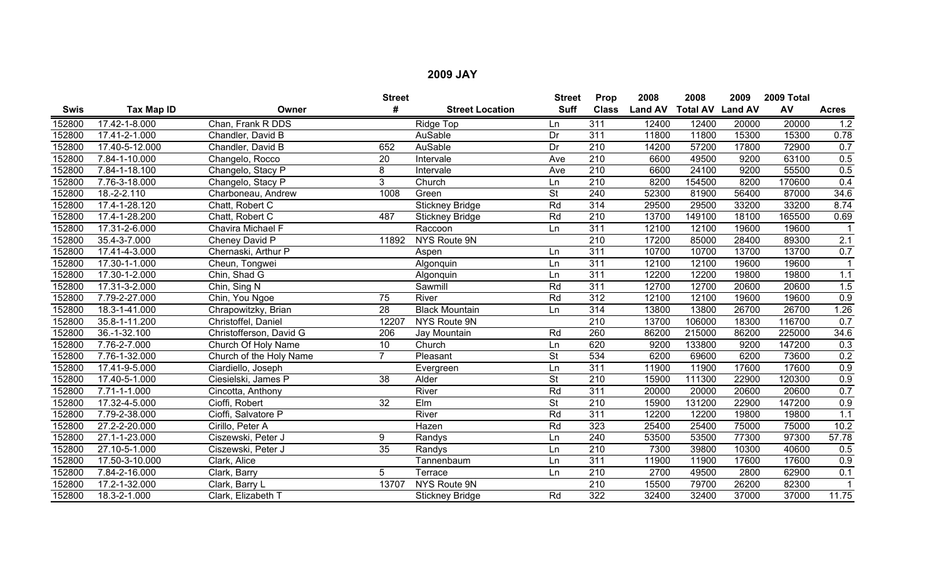|             |                |                         | <b>Street</b>   |                        | <b>Street</b>            | Prop             | 2008           | 2008                    | 2009  | 2009 Total |                  |
|-------------|----------------|-------------------------|-----------------|------------------------|--------------------------|------------------|----------------|-------------------------|-------|------------|------------------|
| <b>Swis</b> | Tax Map ID     | Owner                   | #               | <b>Street Location</b> | <b>Suff</b>              | <b>Class</b>     | <b>Land AV</b> | <b>Total AV Land AV</b> |       | AV         | <b>Acres</b>     |
| 152800      | 17.42-1-8.000  | Chan, Frank R DDS       |                 | Ridge Top              | Ln                       | 311              | 12400          | 12400                   | 20000 | 20000      | 1.2              |
| 152800      | 17.41-2-1.000  | Chandler, David B       |                 | AuSable                | Dr                       | 311              | 11800          | 11800                   | 15300 | 15300      | 0.78             |
| 152800      | 17.40-5-12.000 | Chandler, David B       | 652             | AuSable                | $\overline{Dr}$          | 210              | 14200          | 57200                   | 17800 | 72900      | 0.7              |
| 152800      | 7.84-1-10.000  | Changelo, Rocco         | 20              | Intervale              | Ave                      | 210              | 6600           | 49500                   | 9200  | 63100      | 0.5              |
| 152800      | 7.84-1-18.100  | Changelo, Stacy P       | 8               | Intervale              | Ave                      | $\overline{210}$ | 6600           | 24100                   | 9200  | 55500      | 0.5              |
| 152800      | 7.76-3-18.000  | Changelo, Stacy P       | 3               | Church                 | Ln                       | $\overline{210}$ | 8200           | 154500                  | 8200  | 170600     | 0.4              |
| 152800      | 18.-2-2.110    | Charboneau, Andrew      | 1008            | Green                  | <b>St</b>                | 240              | 52300          | 81900                   | 56400 | 87000      | 34.6             |
| 152800      | 17.4-1-28.120  | Chatt, Robert C         |                 | <b>Stickney Bridge</b> | Rd                       | 314              | 29500          | 29500                   | 33200 | 33200      | 8.74             |
| 152800      | 17.4-1-28.200  | Chatt, Robert C         | 487             | <b>Stickney Bridge</b> | Rd                       | 210              | 13700          | 149100                  | 18100 | 165500     | 0.69             |
| 152800      | 17.31-2-6.000  | Chavira Michael F       |                 | Raccoon                | Ln                       | 311              | 12100          | 12100                   | 19600 | 19600      |                  |
| 152800      | 35.4-3-7.000   | Cheney David P          | 11892           | NYS Route 9N           |                          | $\overline{210}$ | 17200          | 85000                   | 28400 | 89300      | 2.1              |
| 152800      | 17.41-4-3.000  | Chernaski, Arthur P     |                 | Aspen                  | Ln                       | 311              | 10700          | 10700                   | 13700 | 13700      | 0.7              |
| 152800      | 17.30-1-1.000  | Cheun, Tongwei          |                 | Algonquin              | Ln                       | 311              | 12100          | 12100                   | 19600 | 19600      |                  |
| 152800      | 17.30-1-2.000  | Chin, Shad G            |                 | Algonquin              | Ln                       | 311              | 12200          | 12200                   | 19800 | 19800      | 1.1              |
| 152800      | 17.31-3-2.000  | Chin, Sing N            |                 | Sawmill                | Rd                       | 311              | 12700          | 12700                   | 20600 | 20600      | 1.5              |
| 152800      | 7.79-2-27.000  | Chin, You Ngoe          | 75              | River                  | Rd                       | 312              | 12100          | 12100                   | 19600 | 19600      | 0.9              |
| 152800      | 18.3-1-41.000  | Chrapowitzky, Brian     | $\overline{28}$ | <b>Black Mountain</b>  | Ln                       | $\overline{314}$ | 13800          | 13800                   | 26700 | 26700      | 1.26             |
| 152800      | 35.8-1-11.200  | Christoffel, Daniel     | 12207           | NYS Route 9N           |                          | $\overline{210}$ | 13700          | 106000                  | 18300 | 116700     | 0.7              |
| 152800      | 36.-1-32.100   | Christofferson, David G | 206             | Jay Mountain           | Rd                       | 260              | 86200          | 215000                  | 86200 | 225000     | 34.6             |
| 152800      | 7.76-2-7.000   | Church Of Holy Name     | 10              | Church                 | Ln                       | 620              | 9200           | 133800                  | 9200  | 147200     | 0.3              |
| 152800      | 7.76-1-32.000  | Church of the Holy Name |                 | Pleasant               | <b>St</b>                | 534              | 6200           | 69600                   | 6200  | 73600      | 0.2              |
| 152800      | 17.41-9-5.000  | Ciardiello, Joseph      |                 | Evergreen              | Ln                       | 311              | 11900          | 11900                   | 17600 | 17600      | 0.9              |
| 152800      | 17.40-5-1.000  | Ciesielski, James P     | 38              | Alder                  | $\overline{\mathsf{St}}$ | 210              | 15900          | 111300                  | 22900 | 120300     | 0.9              |
| 152800      | 7.71-1-1.000   | Cincotta, Anthony       |                 | River                  | Rd                       | 311              | 20000          | 20000                   | 20600 | 20600      | 0.7              |
| 152800      | 17.32-4-5.000  | Cioffi, Robert          | $\overline{32}$ | $E$ Im                 | $\overline{\mathsf{St}}$ | $\overline{210}$ | 15900          | 131200                  | 22900 | 147200     | 0.9              |
| 152800      | 7.79-2-38.000  | Cioffi, Salvatore P     |                 | River                  | Rd                       | 311              | 12200          | 12200                   | 19800 | 19800      | 1.1              |
| 152800      | 27.2-2-20.000  | Cirillo, Peter A        |                 | Hazen                  | Rd                       | 323              | 25400          | 25400                   | 75000 | 75000      | 10.2             |
| 152800      | 27.1-1-23.000  | Ciszewski, Peter J      | 9               | Randys                 | Ln                       | 240              | 53500          | 53500                   | 77300 | 97300      | 57.78            |
| 152800      | 27.10-5-1.000  | Ciszewski, Peter J      | $\overline{35}$ | Randys                 | Ln                       | 210              | 7300           | 39800                   | 10300 | 40600      | 0.5              |
| 152800      | 17.50-3-10.000 | Clark, Alice            |                 | Tannenbaum             | Ln                       | 311              | 11900          | 11900                   | 17600 | 17600      | $\overline{0.9}$ |
| 152800      | 7.84-2-16.000  | Clark, Barry            | 5               | Terrace                | Ln                       | 210              | 2700           | 49500                   | 2800  | 62900      | 0.1              |
| 152800      | 17.2-1-32.000  | Clark, Barry L          | 13707           | <b>NYS Route 9N</b>    |                          | 210              | 15500          | 79700                   | 26200 | 82300      |                  |
| 152800      | 18.3-2-1.000   | Clark, Elizabeth T      |                 | <b>Stickney Bridge</b> | Rd                       | 322              | 32400          | 32400                   | 37000 | 37000      | 11.75            |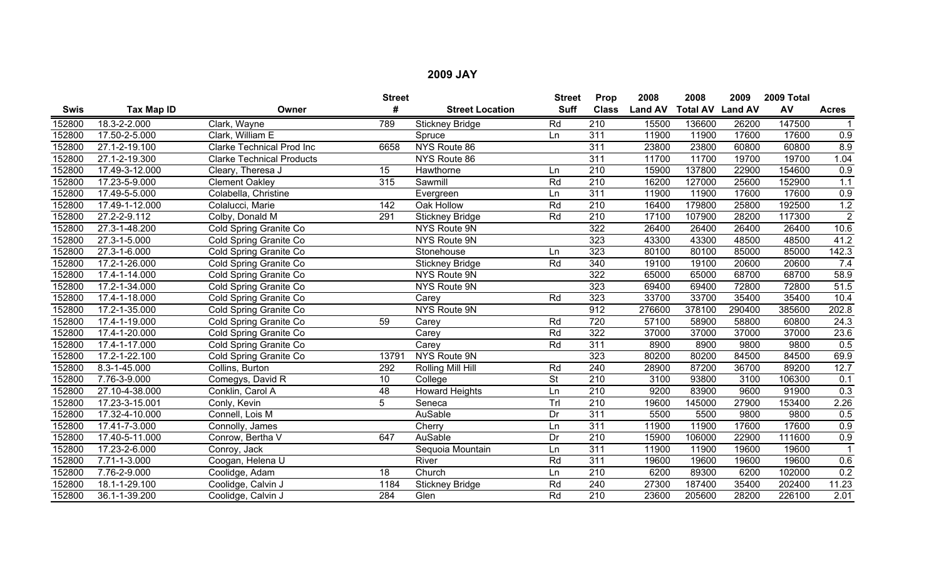|             |                   |                                  | <b>Street</b>    |                        | <b>Street</b>            | Prop             | 2008           | 2008                    | 2009   | 2009 Total |                  |
|-------------|-------------------|----------------------------------|------------------|------------------------|--------------------------|------------------|----------------|-------------------------|--------|------------|------------------|
| <b>Swis</b> | <b>Tax Map ID</b> | Owner                            | #                | <b>Street Location</b> | <b>Suff</b>              | <b>Class</b>     | <b>Land AV</b> | <b>Total AV Land AV</b> |        | AV         | <b>Acres</b>     |
| 152800      | 18.3-2-2.000      | Clark, Wayne                     | 789              | <b>Stickney Bridge</b> | Rd                       | 210              | 15500          | 136600                  | 26200  | 147500     |                  |
| 152800      | 17.50-2-5.000     | Clark, William E                 |                  | Spruce                 | Ln                       | $\overline{311}$ | 11900          | 11900                   | 17600  | 17600      | $\overline{0.9}$ |
| 152800      | 27.1-2-19.100     | <b>Clarke Technical Prod Inc</b> | 6658             | NYS Route 86           |                          | $\overline{311}$ | 23800          | 23800                   | 60800  | 60800      | 8.9              |
| 152800      | 27.1-2-19.300     | <b>Clarke Technical Products</b> |                  | NYS Route 86           |                          | $\overline{311}$ | 11700          | 11700                   | 19700  | 19700      | 1.04             |
| 152800      | 17.49-3-12.000    | Cleary, Theresa J                | 15               | Hawthorne              | Ln                       | $\overline{210}$ | 15900          | 137800                  | 22900  | 154600     | 0.9              |
| 152800      | 17.23-5-9.000     | <b>Clement Oakley</b>            | 315              | Sawmill                | Rd                       | $\overline{210}$ | 16200          | 127000                  | 25600  | 152900     | 1.1              |
| 152800      | 17.49-5-5.000     | Colabella, Christine             |                  | Evergreen              | Ln                       | $\overline{311}$ | 11900          | 11900                   | 17600  | 17600      | 0.9              |
| 152800      | 17.49-1-12.000    | Colalucci, Marie                 | $\overline{142}$ | Oak Hollow             | Rd                       | $\overline{210}$ | 16400          | 179800                  | 25800  | 192500     | 1.2              |
| 152800      | 27.2-2-9.112      | Colby, Donald M                  | 291              | <b>Stickney Bridge</b> | Rd                       | 210              | 17100          | 107900                  | 28200  | 117300     | $\overline{2}$   |
| 152800      | 27.3-1-48.200     | Cold Spring Granite Co           |                  | <b>NYS Route 9N</b>    |                          | 322              | 26400          | 26400                   | 26400  | 26400      | 10.6             |
| 152800      | 27.3-1-5.000      | Cold Spring Granite Co           |                  | NYS Route 9N           |                          | 323              | 43300          | 43300                   | 48500  | 48500      | 41.2             |
| 152800      | 27.3-1-6.000      | Cold Spring Granite Co           |                  | Stonehouse             | Ln                       | 323              | 80100          | 80100                   | 85000  | 85000      | 142.3            |
| 152800      | 17.2-1-26.000     | Cold Spring Granite Co           |                  | <b>Stickney Bridge</b> | Rd                       | 340              | 19100          | 19100                   | 20600  | 20600      | 7.4              |
| 152800      | 17.4-1-14.000     | Cold Spring Granite Co           |                  | NYS Route 9N           |                          | 322              | 65000          | 65000                   | 68700  | 68700      | 58.9             |
| 152800      | 17.2-1-34.000     | Cold Spring Granite Co           |                  | NYS Route 9N           |                          | 323              | 69400          | 69400                   | 72800  | 72800      | 51.5             |
| 152800      | 17.4-1-18.000     | Cold Spring Granite Co           |                  | Carey                  | Rd                       | 323              | 33700          | 33700                   | 35400  | 35400      | 10.4             |
| 152800      | 17.2-1-35.000     | Cold Spring Granite Co           |                  | NYS Route 9N           |                          | 912              | 276600         | 378100                  | 290400 | 385600     | 202.8            |
| 152800      | 17.4-1-19.000     | Cold Spring Granite Co           | 59               | Carey                  | Rd                       | 720              | 57100          | 58900                   | 58800  | 60800      | 24.3             |
| 152800      | 17.4-1-20.000     | Cold Spring Granite Co           |                  | Carey                  | Rd                       | 322              | 37000          | 37000                   | 37000  | 37000      | 23.6             |
| 152800      | 17.4-1-17.000     | Cold Spring Granite Co           |                  | Carey                  | Rd                       | $\overline{311}$ | 8900           | 8900                    | 9800   | 9800       | 0.5              |
| 152800      | 17.2-1-22.100     | Cold Spring Granite Co           | 13791            | NYS Route 9N           |                          | 323              | 80200          | 80200                   | 84500  | 84500      | 69.9             |
| 152800      | 8.3-1-45.000      | Collins, Burton                  | 292              | Rolling Mill Hill      | Rd                       | 240              | 28900          | 87200                   | 36700  | 89200      | 12.7             |
| 152800      | 7.76-3-9.000      | Comegys, David R                 | 10               | College                | $\overline{\mathsf{St}}$ | 210              | 3100           | 93800                   | 3100   | 106300     | 0.1              |
| 152800      | 27.10-4-38.000    | Conklin, Carol A                 | $\overline{48}$  | <b>Howard Heights</b>  | Ln                       | $\overline{210}$ | 9200           | 83900                   | 9600   | 91900      | 0.3              |
| 152800      | 17.23-3-15.001    | Conly, Kevin                     | 5                | Seneca                 | Trl                      | 210              | 19600          | 145000                  | 27900  | 153400     | 2.26             |
| 152800      | 17.32-4-10.000    | Connell, Lois M                  |                  | <b>AuSable</b>         | Dr                       | 311              | 5500           | 5500                    | 9800   | 9800       | 0.5              |
| 152800      | 17.41-7-3.000     | Connolly, James                  |                  | Cherry                 | Ln                       | 311              | 11900          | 11900                   | 17600  | 17600      | 0.9              |
| 152800      | 17.40-5-11.000    | Conrow, Bertha V                 | 647              | AuSable                | Dr                       | 210              | 15900          | 106000                  | 22900  | 111600     | 0.9              |
| 152800      | 17.23-2-6.000     | Conroy, Jack                     |                  | Sequoia Mountain       | Ln                       | 311              | 11900          | 11900                   | 19600  | 19600      |                  |
| 152800      | 7.71-1-3.000      | Coogan, Helena U                 |                  | River                  | Rd                       | 311              | 19600          | 19600                   | 19600  | 19600      | 0.6              |
| 152800      | 7.76-2-9.000      | Coolidge, Adam                   | 18               | Church                 | Ln                       | 210              | 6200           | 89300                   | 6200   | 102000     | 0.2              |
| 152800      | 18.1-1-29.100     | Coolidge, Calvin J               | 1184             | <b>Stickney Bridge</b> | Rd                       | 240              | 27300          | 187400                  | 35400  | 202400     | 11.23            |
| 152800      | 36.1-1-39.200     | Coolidge, Calvin J               | 284              | Glen                   | Rd                       | 210              | 23600          | 205600                  | 28200  | 226100     | 2.01             |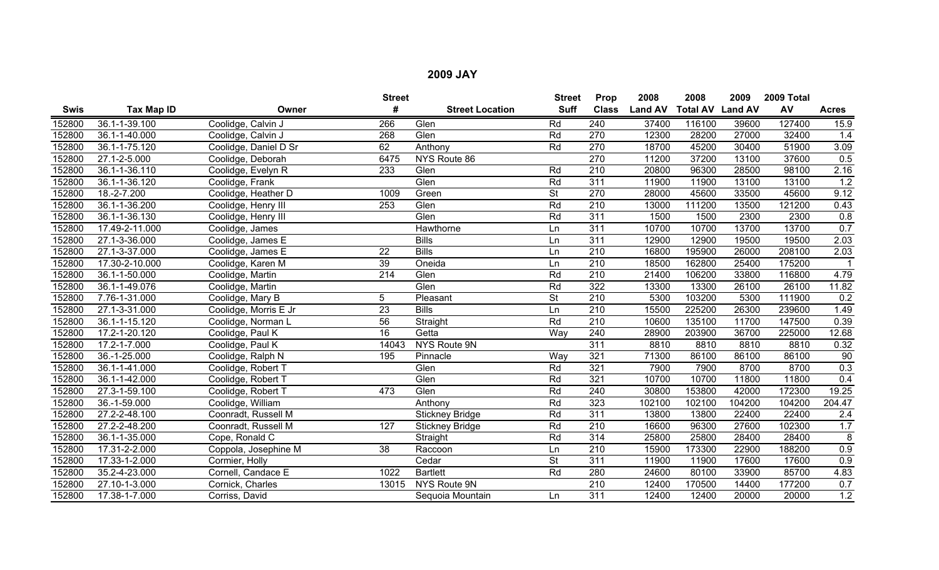|             |                            |                       | <b>Street</b>    |                        | <b>Street</b> | Prop             | 2008           | 2008                    | 2009   | 2009 Total |                 |
|-------------|----------------------------|-----------------------|------------------|------------------------|---------------|------------------|----------------|-------------------------|--------|------------|-----------------|
| <b>Swis</b> | Tax Map ID                 | Owner                 | #                | <b>Street Location</b> | <b>Suff</b>   | <b>Class</b>     | <b>Land AV</b> | <b>Total AV Land AV</b> |        | AV         | <b>Acres</b>    |
| 152800      | 36.1-1-39.100              | Coolidge, Calvin J    | 266              | Glen                   | Rd            | 240              | 37400          | 116100                  | 39600  | 127400     | 15.9            |
| 152800      | 36.1-1-40.000              | Coolidge, Calvin J    | 268              | Glen                   | Rd            | 270              | 12300          | 28200                   | 27000  | 32400      | 1.4             |
| 152800      | 36.1-1-75.120              | Coolidge, Daniel D Sr | 62               | Anthony                | Rd            | $\overline{270}$ | 18700          | 45200                   | 30400  | 51900      | 3.09            |
| 152800      | 27.1-2-5.000               | Coolidge, Deborah     | 6475             | NYS Route 86           |               | 270              | 11200          | 37200                   | 13100  | 37600      | 0.5             |
| 152800      | 36.1-1-36.110              | Coolidge, Evelyn R    | 233              | Glen                   | Rd            | $\overline{210}$ | 20800          | 96300                   | 28500  | 98100      | 2.16            |
| 152800      | 36.1-1-36.120              | Coolidge, Frank       |                  | Glen                   | Rd            | 311              | 11900          | 11900                   | 13100  | 13100      | 1.2             |
| 152800      | 18.-2-7.200                | Coolidge, Heather D   | 1009             | Green                  | <b>St</b>     | 270              | 28000          | 45600                   | 33500  | 45600      | 9.12            |
| 152800      | 36.1-1-36.200              | Coolidge, Henry III   | 253              | Glen                   | Rd            | 210              | 13000          | 111200                  | 13500  | 121200     | 0.43            |
| 152800      | 36.1-1-36.130              | Coolidge, Henry III   |                  | Glen                   | Rd            | 311              | 1500           | 1500                    | 2300   | 2300       | 0.8             |
| 152800      | 17.49-2-11.000             | Coolidge, James       |                  | Hawthorne              | Ln            | 311              | 10700          | 10700                   | 13700  | 13700      | 0.7             |
| 152800      | 27.1-3-36.000              | Coolidge, James E     |                  | <b>Bills</b>           | Ln            | 311              | 12900          | 12900                   | 19500  | 19500      | 2.03            |
| 152800      | $27.\overline{1-3-37.000}$ | Coolidge, James E     | 22               | <b>Bills</b>           | Ln            | $\overline{210}$ | 16800          | 195900                  | 26000  | 208100     | 2.03            |
| 152800      | 17.30-2-10.000             | Coolidge, Karen M     | $\overline{39}$  | Oneida                 | Ln            | 210              | 18500          | 162800                  | 25400  | 175200     |                 |
| 152800      | 36.1-1-50.000              | Coolidge, Martin      | $\overline{214}$ | Glen                   | Rd            | $\overline{210}$ | 21400          | 106200                  | 33800  | 116800     | 4.79            |
| 152800      | 36.1-1-49.076              | Coolidge, Martin      |                  | Glen                   | Rd            | 322              | 13300          | 13300                   | 26100  | 26100      | 11.82           |
| 152800      | 7.76-1-31.000              | Coolidge, Mary B      | 5                | Pleasant               | St            | 210              | 5300           | 103200                  | 5300   | 111900     | 0.2             |
| 152800      | 27.1-3-31.000              | Coolidge, Morris E Jr | $\overline{23}$  | <b>Bills</b>           | Ln            | $\overline{210}$ | 15500          | 225200                  | 26300  | 239600     | 1.49            |
| 152800      | 36.1-1-15.120              | Coolidge, Norman L    | $\overline{56}$  | Straight               | Rd            | $\overline{210}$ | 10600          | 135100                  | 11700  | 147500     | 0.39            |
| 152800      | 17.2-1-20.120              | Coolidge, Paul K      | 16               | Getta                  | Way           | 240              | 28900          | 203900                  | 36700  | 225000     | 12.68           |
| 152800      | 17.2-1-7.000               | Coolidge, Paul K      | 14043            | <b>NYS Route 9N</b>    |               | 311              | 8810           | 8810                    | 8810   | 8810       | 0.32            |
| 152800      | 36.-1-25.000               | Coolidge, Ralph N     | 195              | Pinnacle               | Way           | 321              | 71300          | 86100                   | 86100  | 86100      | $\overline{90}$ |
| 152800      | 36.1-1-41.000              | Coolidge, Robert T    |                  | Glen                   | Rd            | 321              | 7900           | 7900                    | 8700   | 8700       | 0.3             |
| 152800      | 36.1-1-42.000              | Coolidge, Robert T    |                  | Glen                   | Rd            | 321              | 10700          | 10700                   | 11800  | 11800      | 0.4             |
| 152800      | 27.3-1-59.100              | Coolidge, Robert T    | 473              | Glen                   | Rd            | 240              | 30800          | 153800                  | 42000  | 172300     | 19.25           |
| 152800      | 36.-1-59.000               | Coolidge, William     |                  | Anthony                | Rd            | 323              | 102100         | 102100                  | 104200 | 104200     | 204.47          |
| 152800      | 27.2-2-48.100              | Coonradt, Russell M   |                  | <b>Stickney Bridge</b> | Rd            | 311              | 13800          | 13800                   | 22400  | 22400      | 2.4             |
| 152800      | 27.2-2-48.200              | Coonradt, Russell M   | 127              | <b>Stickney Bridge</b> | Rd            | 210              | 16600          | 96300                   | 27600  | 102300     | 1.7             |
| 152800      | 36.1-1-35.000              | Cope, Ronald C        |                  | Straight               | Rd            | 314              | 25800          | 25800                   | 28400  | 28400      | 8               |
| 152800      | 17.31-2-2.000              | Coppola, Josephine M  | $\overline{38}$  | Raccoon                | Ln            | 210              | 15900          | 173300                  | 22900  | 188200     | 0.9             |
| 152800      | 17.33-1-2.000              | Cormier, Holly        |                  | Cedar                  | <b>St</b>     | 311              | 11900          | 11900                   | 17600  | 17600      | 0.9             |
| 152800      | 35.2-4-23.000              | Cornell, Candace E    | 1022             | <b>Bartlett</b>        | Rd            | 280              | 24600          | 80100                   | 33900  | 85700      | 4.83            |
| 152800      | 27.10-1-3.000              | Cornick, Charles      | 13015            | NYS Route 9N           |               | 210              | 12400          | 170500                  | 14400  | 177200     | 0.7             |
| 152800      | 17.38-1-7.000              | Corriss, David        |                  | Sequoia Mountain       | Ln            | 311              | 12400          | 12400                   | 20000  | 20000      | 1.2             |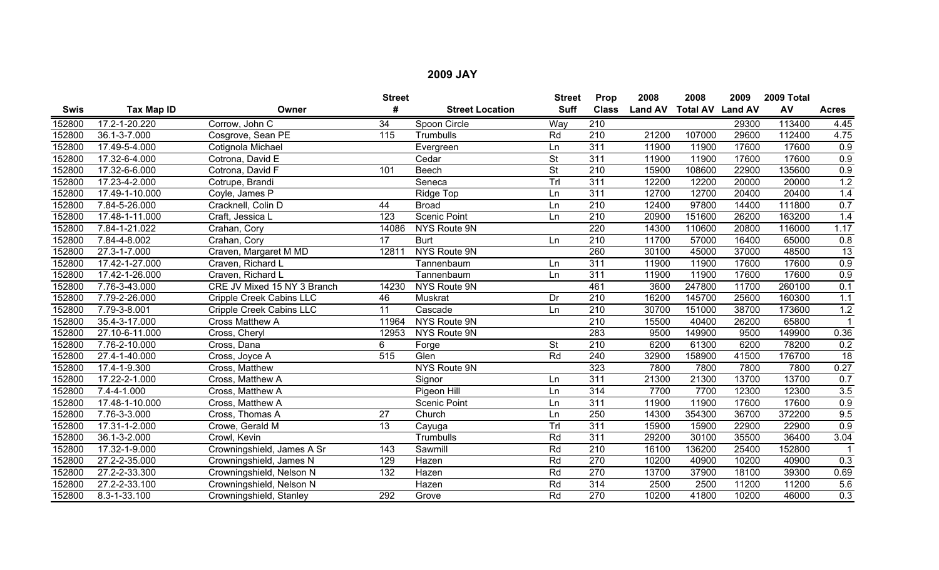|             |                |                             | <b>Street</b>    |                        | <b>Street</b> | Prop             | 2008           | 2008                    | 2009  | 2009 Total |                  |
|-------------|----------------|-----------------------------|------------------|------------------------|---------------|------------------|----------------|-------------------------|-------|------------|------------------|
| <b>Swis</b> | Tax Map ID     | Owner                       |                  | <b>Street Location</b> | <b>Suff</b>   | <b>Class</b>     | <b>Land AV</b> | <b>Total AV Land AV</b> |       | AV         | <b>Acres</b>     |
| 152800      | 17.2-1-20.220  | Corrow, John C              | 34               | Spoon Circle           | Way           | 210              |                |                         | 29300 | 113400     | 4.45             |
| 152800      | 36.1-3-7.000   | Cosgrove, Sean PE           | 115              | Trumbulls              | Rd            | $\overline{210}$ | 21200          | 107000                  | 29600 | 112400     | 4.75             |
| 152800      | 17.49-5-4.000  | Cotignola Michael           |                  | Evergreen              | Ln            | 311              | 11900          | 11900                   | 17600 | 17600      | 0.9              |
| 152800      | 17.32-6-4.000  | Cotrona, David E            |                  | Cedar                  | <b>St</b>     | $\overline{311}$ | 11900          | 11900                   | 17600 | 17600      | 0.9              |
| 152800      | 17.32-6-6.000  | Cotrona, David F            | 101              | Beech                  | <b>St</b>     | 210              | 15900          | 108600                  | 22900 | 135600     | 0.9              |
| 152800      | 17.23-4-2.000  | Cotrupe, Brandi             |                  | Seneca                 | TrI           | 311              | 12200          | 12200                   | 20000 | 20000      | 1.2              |
| 152800      | 17.49-1-10.000 | Coyle, James P              |                  | Ridge Top              | Ln            | 311              | 12700          | 12700                   | 20400 | 20400      | 1.4              |
| 152800      | 7.84-5-26.000  | Cracknell, Colin D          | 44               | <b>Broad</b>           | Ln            | 210              | 12400          | 97800                   | 14400 | 111800     | 0.7              |
| 152800      | 17.48-1-11.000 | Craft, Jessica L            | 123              | <b>Scenic Point</b>    | Ln            | 210              | 20900          | 151600                  | 26200 | 163200     | 1.4              |
| 152800      | 7.84-1-21.022  | Crahan, Cory                | 14086            | NYS Route 9N           |               | 220              | 14300          | 110600                  | 20800 | 116000     | 1.17             |
| 152800      | 7.84-4-8.002   | Crahan, Cory                | $\overline{17}$  | <b>Burt</b>            | Ln            | $\overline{210}$ | 11700          | 57000                   | 16400 | 65000      | 0.8              |
| 152800      | 27.3-1-7.000   | Craven, Margaret M MD       | 12811            | NYS Route 9N           |               | 260              | 30100          | 45000                   | 37000 | 48500      | 13               |
| 152800      | 17.42-1-27.000 | Craven, Richard L           |                  | Tannenbaum             | Ln            | 311              | 11900          | 11900                   | 17600 | 17600      | 0.9              |
| 152800      | 17.42-1-26.000 | Craven, Richard L           |                  | Tannenbaum             | Ln            | 311              | 11900          | 11900                   | 17600 | 17600      | 0.9              |
| 152800      | 7.76-3-43.000  | CRE JV Mixed 15 NY 3 Branch | 14230            | NYS Route 9N           |               | 461              | 3600           | 247800                  | 11700 | 260100     | 0.1              |
| 152800      | 7.79-2-26.000  | Cripple Creek Cabins LLC    | 46               | Muskrat                | Dr            | 210              | 16200          | 145700                  | 25600 | 160300     | 1.1              |
| 152800      | 7.79-3-8.001   | Cripple Creek Cabins LLC    | $\overline{11}$  | Cascade                | Ln            | $\overline{210}$ | 30700          | 151000                  | 38700 | 173600     | 1.2              |
| 152800      | 35.4-3-17.000  | Cross Matthew A             | 11964            | NYS Route 9N           |               | $\overline{210}$ | 15500          | 40400                   | 26200 | 65800      |                  |
| 152800      | 27.10-6-11.000 | Cross, Cheryl               | 12953            | <b>NYS Route 9N</b>    |               | 283              | 9500           | 149900                  | 9500  | 149900     | 0.36             |
| 152800      | 7.76-2-10.000  | Cross, Dana                 | 6                | Forge                  | <b>St</b>     | $\overline{210}$ | 6200           | 61300                   | 6200  | 78200      | 0.2              |
| 152800      | 27.4-1-40.000  | Cross, Joyce A              | $\overline{515}$ | Glen                   | Rd            | 240              | 32900          | 158900                  | 41500 | 176700     | $\overline{18}$  |
| 152800      | 17.4-1-9.300   | Cross, Matthew              |                  | NYS Route 9N           |               | 323              | 7800           | 7800                    | 7800  | 7800       | 0.27             |
| 152800      | 17.22-2-1.000  | Cross, Matthew A            |                  | Signor                 | Ln            | $\overline{311}$ | 21300          | 21300                   | 13700 | 13700      | 0.7              |
| 152800      | 7.4-4-1.000    | Cross, Matthew A            |                  | Pigeon Hill            | Ln            | 314              | 7700           | 7700                    | 12300 | 12300      | 3.5              |
| 152800      | 17.48-1-10.000 | Cross, Matthew A            |                  | <b>Scenic Point</b>    | Ln            | 311              | 11900          | 11900                   | 17600 | 17600      | 0.9              |
| 152800      | 7.76-3-3.000   | Cross, Thomas A             | $\overline{27}$  | Church                 | Ln            | 250              | 14300          | 354300                  | 36700 | 372200     | 9.5              |
| 152800      | 17.31-1-2.000  | Crowe, Gerald M             | 13               | Cayuga                 | Trl           | 311              | 15900          | 15900                   | 22900 | 22900      | 0.9              |
| 152800      | 36.1-3-2.000   | Crowl, Kevin                |                  | Trumbulls              | Rd            | 311              | 29200          | 30100                   | 35500 | 36400      | 3.04             |
| 152800      | 17.32-1-9.000  | Crowningshield, James A Sr  | 143              | Sawmill                | Rd            | $\overline{210}$ | 16100          | 136200                  | 25400 | 152800     |                  |
| 152800      | 27.2-2-35.000  | Crowningshield, James N     | 129              | Hazen                  | Rd            | 270              | 10200          | 40900                   | 10200 | 40900      | $\overline{0.3}$ |
| 152800      | 27.2-2-33.300  | Crowningshield, Nelson N    | 132              | Hazen                  | Rd            | 270              | 13700          | 37900                   | 18100 | 39300      | 0.69             |
| 152800      | 27.2-2-33.100  | Crowningshield, Nelson N    |                  | Hazen                  | Rd            | 314              | 2500           | 2500                    | 11200 | 11200      | 5.6              |
| 152800      | 8.3-1-33.100   | Crowningshield, Stanley     | 292              | Grove                  | Rd            | $\overline{270}$ | 10200          | 41800                   | 10200 | 46000      | 0.3              |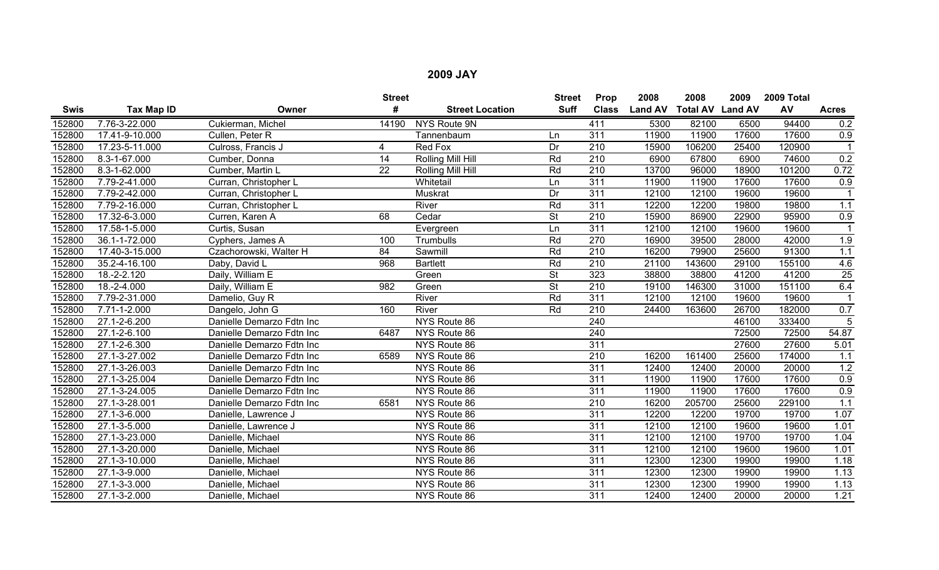|             |                     |                           | <b>Street</b> |                        | <b>Street</b>            | Prop             | 2008           | 2008                    | 2009  | 2009 Total |                 |
|-------------|---------------------|---------------------------|---------------|------------------------|--------------------------|------------------|----------------|-------------------------|-------|------------|-----------------|
| <b>Swis</b> | Tax Map ID          | Owner                     | #             | <b>Street Location</b> | <b>Suff</b>              | <b>Class</b>     | <b>Land AV</b> | <b>Total AV Land AV</b> |       | AV         | <b>Acres</b>    |
| 152800      | 7.76-3-22.000       | Cukierman, Michel         | 14190         | <b>NYS Route 9N</b>    |                          | 411              | 5300           | 82100                   | 6500  | 94400      | 0.2             |
| 152800      | 17.41-9-10.000      | Cullen, Peter R           |               | Tannenbaum             | Ln                       | 311              | 11900          | 11900                   | 17600 | 17600      | 0.9             |
| 152800      | 17.23-5-11.000      | Culross, Francis J        | 4             | Red Fox                | $\overline{Dr}$          | $\overline{210}$ | 15900          | 106200                  | 25400 | 120900     |                 |
| 152800      | 8.3-1-67.000        | Cumber, Donna             | 14            | Rolling Mill Hill      | Rd                       | 210              | 6900           | 67800                   | 6900  | 74600      | 0.2             |
| 152800      | 8.3-1-62.000        | Cumber, Martin L          | 22            | Rolling Mill Hill      | Rd                       | $\overline{210}$ | 13700          | 96000                   | 18900 | 101200     | 0.72            |
| 152800      | 7.79-2-41.000       | Curran, Christopher L     |               | Whitetail              | Ln                       | 311              | 11900          | 11900                   | 17600 | 17600      | 0.9             |
| 152800      | 7.79-2-42.000       | Curran, Christopher L     |               | Muskrat                | Dr                       | 311              | 12100          | 12100                   | 19600 | 19600      |                 |
| 152800      | 7.79-2-16.000       | Curran, Christopher L     |               | River                  | Rd                       | 311              | 12200          | 12200                   | 19800 | 19800      | 1.1             |
| 152800      | 17.32-6-3.000       | Curren, Karen A           | 68            | Cedar                  | <b>St</b>                | 210              | 15900          | 86900                   | 22900 | 95900      | 0.9             |
| 152800      | 17.58-1-5.000       | Curtis, Susan             |               | Evergreen              | Ln                       | 311              | 12100          | 12100                   | 19600 | 19600      |                 |
| 152800      | 36.1-1-72.000       | Cyphers, James A          | 100           | Trumbulls              | Rd                       | 270              | 16900          | 39500                   | 28000 | 42000      | 1.9             |
| 152800      | 17.40-3-15.000      | Czachorowski, Walter H    | 84            | Sawmill                | Rd                       | $\overline{210}$ | 16200          | 79900                   | 25600 | 91300      | 1.1             |
| 152800      | 35.2-4-16.100       | Daby, David L             | 968           | <b>Bartlett</b>        | Rd                       | $\overline{210}$ | 21100          | 143600                  | 29100 | 155100     | 4.6             |
| 152800      | 18.-2-2.120         | Daily, William E          |               | Green                  | $\overline{\mathsf{St}}$ | 323              | 38800          | 38800                   | 41200 | 41200      | $\overline{25}$ |
| 152800      | $18.-2-4.000$       | Daily, William E          | 982           | Green                  | $\overline{\mathsf{St}}$ | 210              | 19100          | 146300                  | 31000 | 151100     | 6.4             |
| 152800      | 7.79-2-31.000       | Damelio, Guy R            |               | River                  | Rd                       | 311              | 12100          | 12100                   | 19600 | 19600      |                 |
| 152800      | 7.71-1-2.000        | Dangelo, John G           | 160           | River                  | Rd                       | 210              | 24400          | 163600                  | 26700 | 182000     | 0.7             |
| 152800      | 27.1-2-6.200        | Danielle Demarzo Fdtn Inc |               | NYS Route 86           |                          | 240              |                |                         | 46100 | 333400     | 5               |
| 152800      | 27.1-2-6.100        | Danielle Demarzo Fdtn Inc | 6487          | NYS Route 86           |                          | 240              |                |                         | 72500 | 72500      | 54.87           |
| 152800      | 27.1-2-6.300        | Danielle Demarzo Fdtn Inc |               | NYS Route 86           |                          | 311              |                |                         | 27600 | 27600      | 5.01            |
| 152800      | 27.1-3-27.002       | Danielle Demarzo Fdtn Inc | 6589          | NYS Route 86           |                          | $\overline{210}$ | 16200          | 161400                  | 25600 | 174000     | 1.1             |
| 152800      | 27.1-3-26.003       | Danielle Demarzo Fdtn Inc |               | NYS Route 86           |                          | 311              | 12400          | 12400                   | 20000 | 20000      | 1.2             |
| 152800      | $27.1 - 3 - 25.004$ | Danielle Demarzo Fdtn Inc |               | NYS Route 86           |                          | 311              | 11900          | 11900                   | 17600 | 17600      | 0.9             |
| 152800      | 27.1-3-24.005       | Danielle Demarzo Fdtn Inc |               | NYS Route 86           |                          | 311              | 11900          | 11900                   | 17600 | 17600      | 0.9             |
| 152800      | 27.1-3-28.001       | Danielle Demarzo Fdtn Inc | 6581          | NYS Route 86           |                          | 210              | 16200          | 205700                  | 25600 | 229100     | 1.1             |
| 152800      | 27.1-3-6.000        | Danielle, Lawrence J      |               | NYS Route 86           |                          | 311              | 12200          | 12200                   | 19700 | 19700      | 1.07            |
| 152800      | 27.1-3-5.000        | Danielle, Lawrence J      |               | NYS Route 86           |                          | 311              | 12100          | 12100                   | 19600 | 19600      | 1.01            |
| 152800      | 27.1-3-23.000       | Danielle, Michael         |               | NYS Route 86           |                          | 311              | 12100          | 12100                   | 19700 | 19700      | 1.04            |
| 152800      | 27.1-3-20.000       | Danielle, Michael         |               | NYS Route 86           |                          | 311              | 12100          | 12100                   | 19600 | 19600      | 1.01            |
| 152800      | 27.1-3-10.000       | Danielle, Michael         |               | NYS Route 86           |                          | 311              | 12300          | 12300                   | 19900 | 19900      | 1.18            |
| 152800      | 27.1-3-9.000        | Danielle, Michael         |               | NYS Route 86           |                          | 311              | 12300          | 12300                   | 19900 | 19900      | 1.13            |
| 152800      | 27.1-3-3.000        | Danielle, Michael         |               | NYS Route 86           |                          | 311              | 12300          | 12300                   | 19900 | 19900      | 1.13            |
| 152800      | 27.1-3-2.000        | Danielle, Michael         |               | NYS Route 86           |                          | 311              | 12400          | 12400                   | 20000 | 20000      | 1.21            |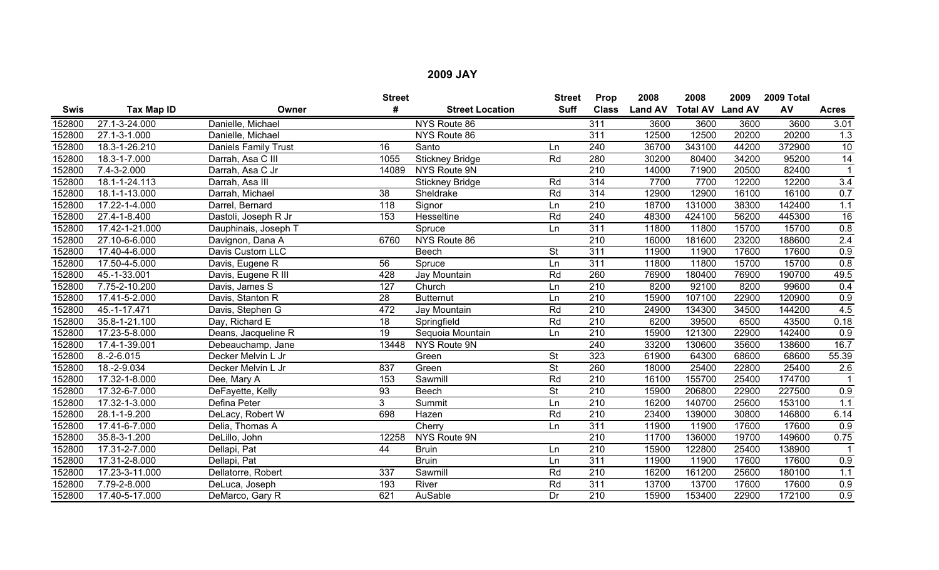|             |                |                      | <b>Street</b>   |                        | <b>Street</b>            | Prop             | 2008           | 2008                    | 2009  | 2009 Total |                  |
|-------------|----------------|----------------------|-----------------|------------------------|--------------------------|------------------|----------------|-------------------------|-------|------------|------------------|
| <b>Swis</b> | Tax Map ID     | Owner                | #               | <b>Street Location</b> | <b>Suff</b>              | <b>Class</b>     | <b>Land AV</b> | <b>Total AV Land AV</b> |       | AV         | <b>Acres</b>     |
| 152800      | 27.1-3-24.000  | Danielle, Michael    |                 | NYS Route 86           |                          | 311              | 3600           | 3600                    | 3600  | 3600       | 3.01             |
| 152800      | 27.1-3-1.000   | Danielle, Michael    |                 | NYS Route 86           |                          | 311              | 12500          | 12500                   | 20200 | 20200      | 1.3              |
| 152800      | 18.3-1-26.210  | Daniels Family Trust | 16              | Santo                  | Ln                       | 240              | 36700          | 343100                  | 44200 | 372900     | $\overline{10}$  |
| 152800      | 18.3-1-7.000   | Darrah, Asa C III    | 1055            | <b>Stickney Bridge</b> | Rd                       | 280              | 30200          | 80400                   | 34200 | 95200      | $\overline{14}$  |
| 152800      | 7.4-3-2.000    | Darrah, Asa C Jr     | 14089           | NYS Route 9N           |                          | $\overline{210}$ | 14000          | 71900                   | 20500 | 82400      |                  |
| 152800      | 18.1-1-24.113  | Darrah, Asa III      |                 | <b>Stickney Bridge</b> | Rd                       | 314              | 7700           | 7700                    | 12200 | 12200      | 3.4              |
| 152800      | 18.1-1-13.000  | Darrah, Michael      | 38              | Sheldrake              | Rd                       | 314              | 12900          | 12900                   | 16100 | 16100      | 0.7              |
| 152800      | 17.22-1-4.000  | Darrel, Bernard      | 118             | Signor                 | Ln                       | 210              | 18700          | 131000                  | 38300 | 142400     | 1.1              |
| 152800      | 27.4-1-8.400   | Dastoli, Joseph R Jr | 153             | Hesseltine             | Rd                       | 240              | 48300          | 424100                  | 56200 | 445300     | 16               |
| 152800      | 17.42-1-21.000 | Dauphinais, Joseph T |                 | Spruce                 | Ln                       | 311              | 11800          | 11800                   | 15700 | 15700      | 0.8              |
| 152800      | 27.10-6-6.000  | Davignon, Dana A     | 6760            | NYS Route 86           |                          | $\overline{210}$ | 16000          | 181600                  | 23200 | 188600     | 2.4              |
| 152800      | 17.40-4-6.000  | Davis Custom LLC     |                 | <b>Beech</b>           | <b>St</b>                | 311              | 11900          | 11900                   | 17600 | 17600      | 0.9              |
| 152800      | 17.50-4-5.000  | Davis, Eugene R      | 56              | Spruce                 | Ln                       | 311              | 11800          | 11800                   | 15700 | 15700      | 0.8              |
| 152800      | 45.-1-33.001   | Davis, Eugene R III  | 428             | Jay Mountain           | Rd                       | 260              | 76900          | 180400                  | 76900 | 190700     | 49.5             |
| 152800      | 7.75-2-10.200  | Davis, James S       | 127             | Church                 | Ln                       | $\overline{210}$ | 8200           | 92100                   | 8200  | 99600      | 0.4              |
| 152800      | 17.41-5-2.000  | Davis, Stanton R     | 28              | <b>Butternut</b>       | Ln                       | 210              | 15900          | 107100                  | 22900 | 120900     | 0.9              |
| 152800      | 45.-1-17.471   | Davis, Stephen G     | 472             | Jay Mountain           | Rd                       | $\overline{210}$ | 24900          | 134300                  | 34500 | 144200     | 4.5              |
| 152800      | 35.8-1-21.100  | Day, Richard E       | $\overline{18}$ | Springfield            | Rd                       | $\overline{210}$ | 6200           | 39500                   | 6500  | 43500      | 0.18             |
| 152800      | 17.23-5-8.000  | Deans, Jacqueline R  | 19              | Sequoia Mountain       | Ln                       | 210              | 15900          | 121300                  | 22900 | 142400     | $\overline{0.9}$ |
| 152800      | 17.4-1-39.001  | Debeauchamp, Jane    | 13448           | NYS Route 9N           |                          | 240              | 33200          | 130600                  | 35600 | 138600     | 16.7             |
| 152800      | $8.-2-6.015$   | Decker Melvin L Jr   |                 | Green                  | <b>St</b>                | 323              | 61900          | 64300                   | 68600 | 68600      | 55.39            |
| 152800      | 18.-2-9.034    | Decker Melvin L Jr   | 837             | Green                  | $\overline{\mathsf{St}}$ | 260              | 18000          | 25400                   | 22800 | 25400      | 2.6              |
| 152800      | 17.32-1-8.000  | Dee, Mary A          | 153             | Sawmill                | Rd                       | 210              | 16100          | 155700                  | 25400 | 174700     | $\mathbf{1}$     |
| 152800      | 17.32-6-7.000  | DeFayette, Kelly     | 93              | Beech                  | <b>St</b>                | 210              | 15900          | 206800                  | 22900 | 227500     | 0.9              |
| 152800      | 17.32-1-3.000  | Defina Peter         | 3 <sup>1</sup>  | Summit                 | Ln                       | $\overline{210}$ | 16200          | 140700                  | 25600 | 153100     | 1.1              |
| 152800      | 28.1-1-9.200   | DeLacy, Robert W     | 698             | Hazen                  | Rd                       | $\overline{210}$ | 23400          | 139000                  | 30800 | 146800     | 6.14             |
| 152800      | 17.41-6-7.000  | Delia, Thomas A      |                 | Cherry                 | Ln                       | 311              | 11900          | 11900                   | 17600 | 17600      | 0.9              |
| 152800      | 35.8-3-1.200   | DeLillo, John        | 12258           | NYS Route 9N           |                          | $\overline{210}$ | 11700          | 136000                  | 19700 | 149600     | 0.75             |
| 152800      | 17.31-2-7.000  | Dellapi, Pat         | 44              | <b>Bruin</b>           | Ln                       | 210              | 15900          | 122800                  | 25400 | 138900     |                  |
| 152800      | 17.31-2-8.000  | Dellapi, Pat         |                 | <b>Bruin</b>           | Ln                       | 311              | 11900          | 11900                   | 17600 | 17600      | 0.9              |
| 152800      | 17.23-3-11.000 | Dellatorre, Robert   | 337             | Sawmill                | Rd                       | $\overline{210}$ | 16200          | 161200                  | 25600 | 180100     | 1.1              |
| 152800      | 7.79-2-8.000   | DeLuca, Joseph       | 193             | River                  | Rd                       | 311              | 13700          | 13700                   | 17600 | 17600      | 0.9              |
| 152800      | 17.40-5-17.000 | DeMarco, Gary R      | 621             | AuSable                | Dr                       | 210              | 15900          | 153400                  | 22900 | 172100     | 0.9              |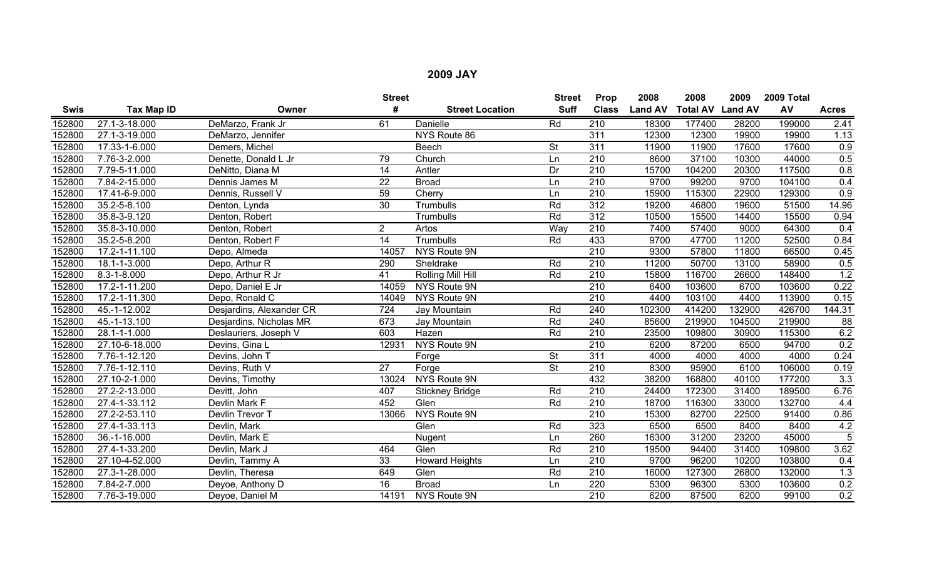|        |                   |                          | <b>Street</b>   |                        | <b>Street</b>            | Prop             | 2008           | 2008                    | 2009   | 2009 Total |                  |
|--------|-------------------|--------------------------|-----------------|------------------------|--------------------------|------------------|----------------|-------------------------|--------|------------|------------------|
| Swis   | Tax Map ID        | Owner                    | #               | <b>Street Location</b> | <b>Suff</b>              | <b>Class</b>     | <b>Land AV</b> | <b>Total AV Land AV</b> |        | AV         | <b>Acres</b>     |
| 152800 | 27.1-3-18.000     | DeMarzo, Frank Jr        | 61              | Danielle               | Rd                       | $\overline{210}$ | 18300          | 177400                  | 28200  | 199000     | 2.41             |
| 152800 | 27.1-3-19.000     | DeMarzo, Jennifer        |                 | NYS Route 86           |                          | 311              | 12300          | 12300                   | 19900  | 19900      | 1.13             |
| 152800 | 17.33-1-6.000     | Demers, Michel           |                 | Beech                  | <b>St</b>                | 311              | 11900          | 11900                   | 17600  | 17600      | 0.9              |
| 152800 | 7.76-3-2.000      | Denette, Donald L Jr     | 79              | Church                 | Ln                       | $\overline{210}$ | 8600           | 37100                   | 10300  | 44000      | 0.5              |
| 152800 | 7.79-5-11.000     | DeNitto, Diana M         | 14              | Antler                 | Dr                       | $\overline{210}$ | 15700          | 104200                  | 20300  | 117500     | 0.8              |
| 152800 | 7.84-2-15.000     | Dennis James M           | $\overline{22}$ | <b>Broad</b>           | Ln                       | $\overline{210}$ | 9700           | 99200                   | 9700   | 104100     | 0.4              |
| 152800 | 17.41-6-9.000     | Dennis, Russell V        | 59              | Cherry                 | Ln                       | $\overline{210}$ | 15900          | 115300                  | 22900  | 129300     | 0.9              |
| 152800 | 35.2-5-8.100      | Denton, Lynda            | $\overline{30}$ | Trumbulls              | Rd                       | 312              | 19200          | 46800                   | 19600  | 51500      | 14.96            |
| 152800 | 35.8-3-9.120      | Denton, Robert           |                 | Trumbulls              | Rd                       | 312              | 10500          | 15500                   | 14400  | 15500      | 0.94             |
| 152800 | 35.8-3-10.000     | Denton, Robert           | $2^{\circ}$     | Artos                  | Way                      | 210              | 7400           | 57400                   | 9000   | 64300      | 0.4              |
| 152800 | 35.2-5-8.200      | Denton, Robert F         | 14              | <b>Trumbulls</b>       | Rd                       | 433              | 9700           | 47700                   | 11200  | 52500      | 0.84             |
| 152800 | 17.2-1-11.100     | Depo, Almeda             | 14057           | NYS Route 9N           |                          | 210              | 9300           | 57800                   | 11800  | 66500      | 0.45             |
| 152800 | 18.1-1-3.000      | Depo, Arthur R           | 290             | Sheldrake              | Rd                       | 210              | 11200          | 50700                   | 13100  | 58900      | 0.5              |
| 152800 | $8.3 - 1 - 8.000$ | Depo, Arthur R Jr        | $\overline{41}$ | Rolling Mill Hill      | Rd                       | 210              | 15800          | 116700                  | 26600  | 148400     | 1.2              |
| 152800 | 17.2-1-11.200     | Depo, Daniel E Jr        | 14059           | NYS Route 9N           |                          | 210              | 6400           | 103600                  | 6700   | 103600     | 0.22             |
| 152800 | 17.2-1-11.300     | Depo, Ronald C           | 14049           | NYS Route 9N           |                          | 210              | 4400           | 103100                  | 4400   | 113900     | 0.15             |
| 152800 | 45.-1-12.002      | Desjardins, Alexander CR | 724             | Jay Mountain           | Rd                       | 240              | 102300         | 414200                  | 132900 | 426700     | 144.31           |
| 152800 | 45.-1-13.100      | Desjardins, Nicholas MR  | 673             | Jay Mountain           | Rd                       | 240              | 85600          | 219900                  | 104500 | 219900     | $\overline{88}$  |
| 152800 | 28.1-1-1.000      | Deslauriers, Joseph V    | 603             | Hazen                  | Rd                       | 210              | 23500          | 109800                  | 30900  | 115300     | 6.2              |
| 152800 | 27.10-6-18.000    | Devins, Gina L           | 12931           | NYS Route 9N           |                          | $\overline{210}$ | 6200           | 87200                   | 6500   | 94700      | 0.2              |
| 152800 | 7.76-1-12.120     | Devins, John T           |                 | Forge                  | $\overline{\mathsf{St}}$ | 311              | 4000           | 4000                    | 4000   | 4000       | 0.24             |
| 152800 | 7.76-1-12.110     | Devins, Ruth V           | $\overline{27}$ | Forge                  | $\overline{\mathsf{St}}$ | 210              | 8300           | 95900                   | 6100   | 106000     | 0.19             |
| 152800 | 27.10-2-1.000     | Devins, Timothy          | 13024           | NYS Route 9N           |                          | 432              | 38200          | 168800                  | 40100  | 177200     | $\overline{3.3}$ |
| 152800 | 27.2-2-13.000     | Devitt, John             | 407             | <b>Stickney Bridge</b> | Rd                       | $\overline{210}$ | 24400          | 172300                  | 31400  | 189500     | 6.76             |
| 152800 | 27.4-1-33.112     | Devlin Mark F            | 452             | Glen                   | Rd                       | $\overline{210}$ | 18700          | 116300                  | 33000  | 132700     | 4.4              |
| 152800 | 27.2-2-53.110     | Devlin Trevor T          | 13066           | NYS Route 9N           |                          | 210              | 15300          | 82700                   | 22500  | 91400      | 0.86             |
| 152800 | 27.4-1-33.113     | Devlin, Mark             |                 | Glen                   | Rd                       | 323              | 6500           | 6500                    | 8400   | 8400       | 4.2              |
| 152800 | 36.-1-16.000      | Devlin, Mark E           |                 | Nugent                 | Ln                       | 260              | 16300          | 31200                   | 23200  | 45000      | $\overline{5}$   |
| 152800 | 27.4-1-33.200     | Devlin, Mark J           | 464             | Glen                   | Rd                       | 210              | 19500          | 94400                   | 31400  | 109800     | 3.62             |
| 152800 | 27.10-4-52.000    | Devlin, Tammy A          | 33              | <b>Howard Heights</b>  | Ln                       | 210              | 9700           | 96200                   | 10200  | 103800     | 0.4              |
| 152800 | 27.3-1-28.000     | Devlin, Theresa          | 649             | Glen                   | Rd                       | 210              | 16000          | 127300                  | 26800  | 132000     | 1.3              |
| 152800 | 7.84-2-7.000      | Deyoe, Anthony D         | 16              | <b>Broad</b>           | Ln                       | 220              | 5300           | 96300                   | 5300   | 103600     | 0.2              |
| 152800 | 7.76-3-19.000     | Deyoe, Daniel M          | 14191           | NYS Route 9N           |                          | $\overline{210}$ | 6200           | 87500                   | 6200   | 99100      | 0.2              |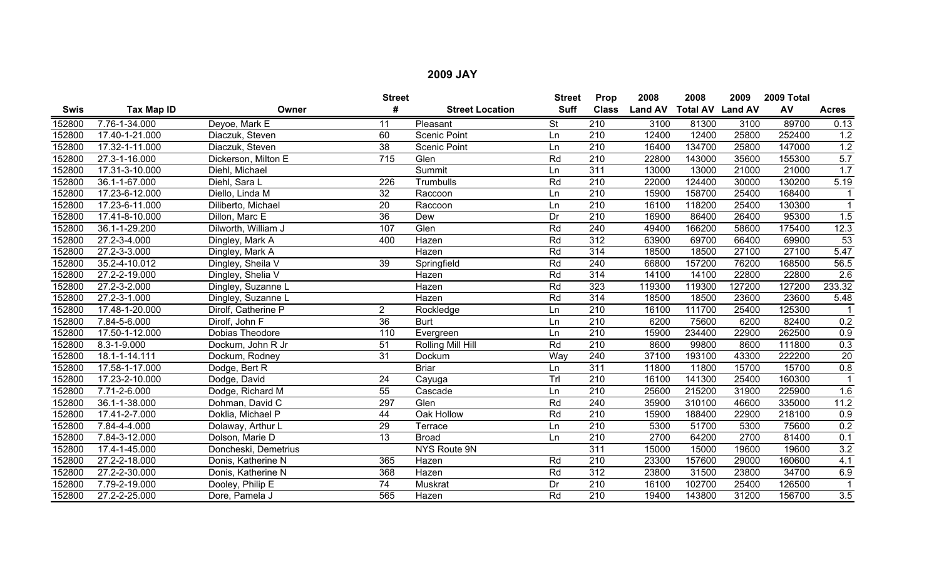|        |                |                      | <b>Street</b>   |                        | <b>Street</b> | Prop             | 2008           | 2008                    | 2009   | 2009 Total |                      |
|--------|----------------|----------------------|-----------------|------------------------|---------------|------------------|----------------|-------------------------|--------|------------|----------------------|
| Swis   | Tax Map ID     | Owner                | #               | <b>Street Location</b> | <b>Suff</b>   | <b>Class</b>     | <b>Land AV</b> | <b>Total AV Land AV</b> |        | AV         | <b>Acres</b>         |
| 152800 | 7.76-1-34.000  | Deyoe, Mark E        | 11              | Pleasant               | <b>St</b>     | $\overline{210}$ | 3100           | 81300                   | 3100   | 89700      | 0.13                 |
| 152800 | 17.40-1-21.000 | Diaczuk, Steven      | 60              | <b>Scenic Point</b>    | Ln            | 210              | 12400          | 12400                   | 25800  | 252400     | 1.2                  |
| 152800 | 17.32-1-11.000 | Diaczuk, Steven      | $\overline{38}$ | <b>Scenic Point</b>    | Ln            | $\overline{210}$ | 16400          | 134700                  | 25800  | 147000     | 1.2                  |
| 152800 | 27.3-1-16.000  | Dickerson, Milton E  | 715             | Glen                   | Rd            | $\overline{210}$ | 22800          | 143000                  | 35600  | 155300     | 5.7                  |
| 152800 | 17.31-3-10.000 | Diehl, Michael       |                 | Summit                 | Ln            | 311              | 13000          | 13000                   | 21000  | 21000      | 1.7                  |
| 152800 | 36.1-1-67.000  | Diehl, Sara L        | 226             | Trumbulls              | Rd            | $\overline{210}$ | 22000          | 124400                  | 30000  | 130200     | 5.19                 |
| 152800 | 17.23-6-12.000 | Diello, Linda M      | $\overline{32}$ | Raccoon                | Ln            | $\overline{210}$ | 15900          | 158700                  | 25400  | 168400     | -1                   |
| 152800 | 17.23-6-11.000 | Diliberto, Michael   | $\overline{20}$ | Raccoon                | Ln            | $\overline{210}$ | 16100          | 118200                  | 25400  | 130300     | $\blacktriangleleft$ |
| 152800 | 17.41-8-10.000 | Dillon, Marc E       | 36              | Dew                    | Dr            | 210              | 16900          | 86400                   | 26400  | 95300      | 1.5                  |
| 152800 | 36.1-1-29.200  | Dilworth, William J  | 107             | Glen                   | Rd            | 240              | 49400          | 166200                  | 58600  | 175400     | 12.3                 |
| 152800 | 27.2-3-4.000   | Dingley, Mark A      | 400             | Hazen                  | Rd            | 312              | 63900          | 69700                   | 66400  | 69900      | 53                   |
| 152800 | 27.2-3-3.000   | Dingley, Mark A      |                 | Hazen                  | Rd            | $\overline{314}$ | 18500          | 18500                   | 27100  | 27100      | 5.47                 |
| 152800 | 35.2-4-10.012  | Dingley, Sheila V    | $\overline{39}$ | Springfield            | Rd            | 240              | 66800          | 157200                  | 76200  | 168500     | 56.5                 |
| 152800 | 27.2-2-19.000  | Dingley, Shelia V    |                 | Hazen                  | Rd            | 314              | 14100          | 14100                   | 22800  | 22800      | 2.6                  |
| 152800 | 27.2-3-2.000   | Dingley, Suzanne L   |                 | Hazen                  | Rd            | 323              | 119300         | 119300                  | 127200 | 127200     | 233.32               |
| 152800 | 27.2-3-1.000   | Dingley, Suzanne L   |                 | Hazen                  | Rd            | 314              | 18500          | 18500                   | 23600  | 23600      | 5.48                 |
| 152800 | 17.48-1-20.000 | Dirolf, Catherine P  | $\overline{2}$  | Rockledge              | Ln            | 210              | 16100          | 111700                  | 25400  | 125300     |                      |
| 152800 | 7.84-5-6.000   | Dirolf, John F       | 36              | <b>Burt</b>            | Ln            | 210              | 6200           | 75600                   | 6200   | 82400      | 0.2                  |
| 152800 | 17.50-1-12.000 | Dobias Theodore      | 110             | Evergreen              | Ln            | 210              | 15900          | 234400                  | 22900  | 262500     | $\overline{0.9}$     |
| 152800 | 8.3-1-9.000    | Dockum, John R Jr    | 51              | Rolling Mill Hill      | Rd            | $\overline{210}$ | 8600           | 99800                   | 8600   | 111800     | 0.3                  |
| 152800 | 18.1-1-14.111  | Dockum, Rodney       | $\overline{31}$ | Dockum                 | Way           | 240              | 37100          | 193100                  | 43300  | 222200     | $\overline{20}$      |
| 152800 | 17.58-1-17.000 | Dodge, Bert R        |                 | <b>Briar</b>           | Ln            | 311              | 11800          | 11800                   | 15700  | 15700      | 0.8                  |
| 152800 | 17.23-2-10.000 | Dodge, David         | 24              | Cayuga                 | Trl           | 210              | 16100          | 141300                  | 25400  | 160300     | -1                   |
| 152800 | 7.71-2-6.000   | Dodge, Richard M     | 55              | Cascade                | Ln            | 210              | 25600          | 215200                  | 31900  | 225900     | 1.6                  |
| 152800 | 36.1-1-38.000  | Dohman, David C      | 297             | Glen                   | Rd            | 240              | 35900          | 310100                  | 46600  | 335000     | 11.2                 |
| 152800 | 17.41-2-7.000  | Doklia, Michael P    | $\overline{44}$ | Oak Hollow             | Rd            | 210              | 15900          | 188400                  | 22900  | 218100     | 0.9                  |
| 152800 | 7.84-4-4.000   | Dolaway, Arthur L    | 29              | Terrace                | Ln            | 210              | 5300           | 51700                   | 5300   | 75600      | 0.2                  |
| 152800 | 7.84-3-12.000  | Dolson, Marie D      | 13              | <b>Broad</b>           | Ln            | $\overline{210}$ | 2700           | 64200                   | 2700   | 81400      | 0.1                  |
| 152800 | 17.4-1-45.000  | Doncheski, Demetrius |                 | NYS Route 9N           |               | 311              | 15000          | 15000                   | 19600  | 19600      | 3.2                  |
| 152800 | 27.2-2-18.000  | Donis, Katherine N   | 365             | Hazen                  | Rd            | 210              | 23300          | 157600                  | 29000  | 160600     | 4.1                  |
| 152800 | 27.2-2-30.000  | Donis, Katherine N   | 368             | Hazen                  | Rd            | 312              | 23800          | 31500                   | 23800  | 34700      | 6.9                  |
| 152800 | 7.79-2-19.000  | Dooley, Philip E     | 74              | Muskrat                | Dr            | 210              | 16100          | 102700                  | 25400  | 126500     |                      |
| 152800 | 27.2-2-25.000  | Dore, Pamela J       | 565             | Hazen                  | Rd            | 210              | 19400          | 143800                  | 31200  | 156700     | 3.5                  |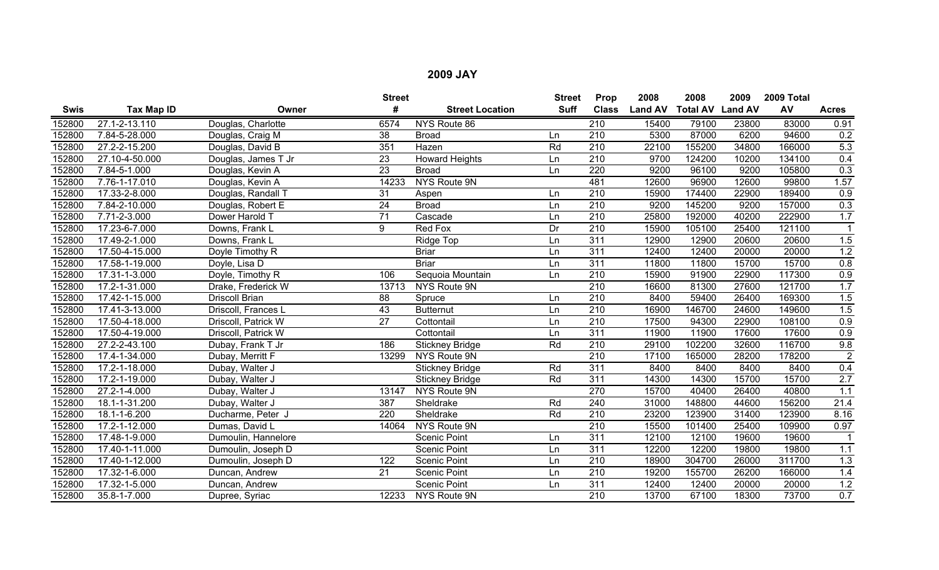|             |                             |                     | <b>Street</b>     |                        | <b>Street</b> | Prop             | 2008           | 2008                    | 2009  | 2009 Total |                  |
|-------------|-----------------------------|---------------------|-------------------|------------------------|---------------|------------------|----------------|-------------------------|-------|------------|------------------|
| <b>Swis</b> | Tax Map ID                  | Owner               | #                 | <b>Street Location</b> | <b>Suff</b>   | <b>Class</b>     | <b>Land AV</b> | <b>Total AV Land AV</b> |       | AV         | <b>Acres</b>     |
| 152800      | 27.1-2-13.110               | Douglas, Charlotte  | $657\overline{4}$ | NYS Route 86           |               | 210              | 15400          | 79100                   | 23800 | 83000      | 0.91             |
| 152800      | 7.84-5-28.000               | Douglas, Craig M    | 38                | <b>Broad</b>           | Ln            | 210              | 5300           | 87000                   | 6200  | 94600      | 0.2              |
| 152800      | 27.2-2-15.200               | Douglas, David B    | 351               | Hazen                  | Rd            | $\overline{210}$ | 22100          | 155200                  | 34800 | 166000     | 5.3              |
| 152800      | 27.10-4-50.000              | Douglas, James T Jr | 23                | <b>Howard Heights</b>  | Ln            | 210              | 9700           | 124200                  | 10200 | 134100     | 0.4              |
| 152800      | 7.84-5-1.000                | Douglas, Kevin A    | $\overline{23}$   | <b>Broad</b>           | Ln            | 220              | 9200           | 96100                   | 9200  | 105800     | 0.3              |
| 152800      | $7.76 - 1 - 17.010$         | Douglas, Kevin A    | 14233             | NYS Route 9N           |               | 481              | 12600          | 96900                   | 12600 | 99800      | 1.57             |
| 152800      | 17.33-2-8.000               | Douglas, Randall T  | 31                | Aspen                  | Ln            | $\overline{210}$ | 15900          | 174400                  | 22900 | 189400     | 0.9              |
| 152800      | 7.84-2-10.000               | Douglas, Robert E   | 24                | <b>Broad</b>           | Ln            | 210              | 9200           | 145200                  | 9200  | 157000     | 0.3              |
| 152800      | 7.71-2-3.000                | Dower Harold T      | 71                | Cascade                | Ln            | 210              | 25800          | 192000                  | 40200 | 222900     | 1.7              |
| 152800      | 17.23-6-7.000               | Downs, Frank L      | 9                 | <b>Red Fox</b>         | Dr            | $\overline{210}$ | 15900          | 105100                  | 25400 | 121100     |                  |
| 152800      | 17.49-2-1.000               | Downs, Frank L      |                   | Ridge Top              | Ln            | 311              | 12900          | 12900                   | 20600 | 20600      | 1.5              |
| 152800      | 17.50-4-15.000              | Doyle Timothy R     |                   | <b>Briar</b>           | Ln            | 311              | 12400          | 12400                   | 20000 | 20000      | 1.2              |
| 152800      | 17.58-1-19.000              | Doyle, Lisa D       |                   | <b>Briar</b>           | Ln            | 311              | 11800          | 11800                   | 15700 | 15700      | 0.8              |
| 152800      | 17.31-1-3.000               | Doyle, Timothy R    | 106               | Sequoia Mountain       | Ln            | $\overline{210}$ | 15900          | 91900                   | 22900 | 117300     | 0.9              |
| 152800      | 17.2-1-31.000               | Drake, Frederick W  | 13713             | NYS Route 9N           |               | $\overline{210}$ | 16600          | 81300                   | 27600 | 121700     | 1.7              |
| 152800      | 17.42-1-15.000              | Driscoll Brian      | 88                | Spruce                 | Ln            | 210              | 8400           | 59400                   | 26400 | 169300     | 1.5              |
| 152800      | 17.41-3-13.000              | Driscoll, Frances L | 43                | <b>Butternut</b>       | Ln            | $\overline{210}$ | 16900          | 146700                  | 24600 | 149600     | 1.5              |
| 152800      | 17.50-4-18.000              | Driscoll, Patrick W | $\overline{27}$   | Cottontail             | Ln            | $\overline{210}$ | 17500          | 94300                   | 22900 | 108100     | 0.9              |
| 152800      | 17.50-4-19.000              | Driscoll, Patrick W |                   | Cottontail             | Ln            | 311              | 11900          | 11900                   | 17600 | 17600      | $\overline{0.9}$ |
| 152800      | 27.2-2-43.100               | Dubay, Frank T Jr   | 186               | <b>Stickney Bridge</b> | Rd            | 210              | 29100          | 102200                  | 32600 | 116700     | 9.8              |
| 152800      | 17.4-1-34.000               | Dubay, Merritt F    | 13299             | NYS Route 9N           |               | $\overline{210}$ | 17100          | 165000                  | 28200 | 178200     | $\overline{2}$   |
| 152800      | 17.2-1-18.000               | Dubay, Walter J     |                   | <b>Stickney Bridge</b> | Rd            | 311              | 8400           | 8400                    | 8400  | 8400       | 0.4              |
| 152800      | 17.2-1-19.000               | Dubay, Walter J     |                   | <b>Stickney Bridge</b> | Rd            | 311              | 14300          | 14300                   | 15700 | 15700      | 2.7              |
| 152800      | 27.2-1-4.000                | Dubay, Walter J     | 13147             | NYS Route 9N           |               | 270              | 15700          | 40400                   | 26400 | 40800      | 1.1              |
| 152800      | 18.1-1-31.200               | Dubay, Walter J     | 387               | Sheldrake              | Rd            | 240              | 31000          | 148800                  | 44600 | 156200     | 21.4             |
| 152800      | $18.1 - 1 - 6.200$          | Ducharme, Peter J   | 220               | Sheldrake              | Rd            | 210              | 23200          | 123900                  | 31400 | 123900     | 8.16             |
| 152800      | 17.2-1-12.000               | Dumas, David L      | 14064             | NYS Route 9N           |               | 210              | 15500          | 101400                  | 25400 | 109900     | 0.97             |
| 152800      | 17.48-1-9.000               | Dumoulin, Hannelore |                   | <b>Scenic Point</b>    | Ln            | 311              | 12100          | 12100                   | 19600 | 19600      |                  |
| 152800      | 17.40-1-11.000              | Dumoulin, Joseph D  |                   | <b>Scenic Point</b>    | Ln            | 311              | 12200          | 12200                   | 19800 | 19800      | 1.1              |
| 152800      | 17.40-1-12.000              | Dumoulin, Joseph D  | 122               | <b>Scenic Point</b>    | Ln            | 210              | 18900          | 304700                  | 26000 | 311700     | 1.3              |
| 152800      | 17.32-1-6.000               | Duncan, Andrew      | 21                | <b>Scenic Point</b>    | Ln            | 210              | 19200          | 155700                  | 26200 | 166000     | 1.4              |
| 152800      | $\overline{17.32}$ -1-5.000 | Duncan, Andrew      |                   | Scenic Point           | Ln            | 311              | 12400          | 12400                   | 20000 | 20000      | 1.2              |
| 152800      | 35.8-1-7.000                | Dupree, Syriac      | 12233             | NYS Route 9N           |               | 210              | 13700          | 67100                   | 18300 | 73700      | 0.7              |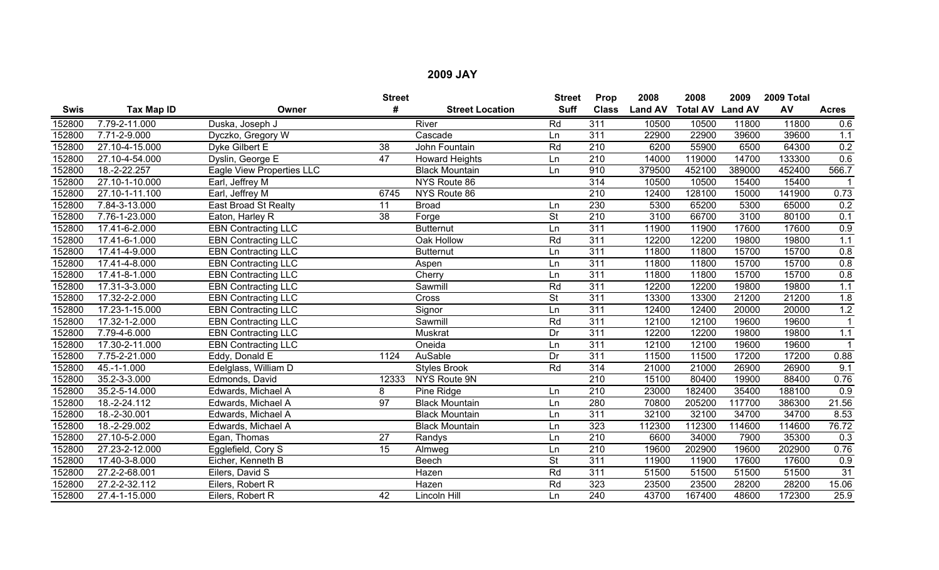|        |                |                            | <b>Street</b>   |                        | <b>Street</b> | Prop             | 2008           | 2008                    | 2009   | 2009 Total |              |
|--------|----------------|----------------------------|-----------------|------------------------|---------------|------------------|----------------|-------------------------|--------|------------|--------------|
| Swis   | Tax Map ID     | Owner                      | #               | <b>Street Location</b> | <b>Suff</b>   | <b>Class</b>     | <b>Land AV</b> | <b>Total AV Land AV</b> |        | AV         | <b>Acres</b> |
| 152800 | 7.79-2-11.000  | Duska, Joseph J            |                 | River                  | Rd            | 311              | 10500          | 10500                   | 11800  | 11800      | 0.6          |
| 152800 | 7.71-2-9.000   | Dyczko, Gregory W          |                 | Cascade                | Ln            | $\overline{311}$ | 22900          | 22900                   | 39600  | 39600      | 1.1          |
| 152800 | 27.10-4-15.000 | Dyke Gilbert E             | $\overline{38}$ | John Fountain          | Rd            | 210              | 6200           | 55900                   | 6500   | 64300      | 0.2          |
| 152800 | 27.10-4-54.000 | Dyslin, George E           | 47              | <b>Howard Heights</b>  | Ln            | 210              | 14000          | 119000                  | 14700  | 133300     | 0.6          |
| 152800 | 18.-2-22.257   | Eagle View Properties LLC  |                 | <b>Black Mountain</b>  | Ln            | 910              | 379500         | 452100                  | 389000 | 452400     | 566.7        |
| 152800 | 27.10-1-10.000 | Earl, Jeffrey M            |                 | NYS Route 86           |               | 314              | 10500          | 10500                   | 15400  | 15400      |              |
| 152800 | 27.10-1-11.100 | Earl, Jeffrey M            | 6745            | NYS Route 86           |               | $\overline{210}$ | 12400          | 128100                  | 15000  | 141900     | 0.73         |
| 152800 | 7.84-3-13.000  | East Broad St Realty       | 11              | <b>Broad</b>           | Ln            | 230              | 5300           | 65200                   | 5300   | 65000      | 0.2          |
| 152800 | 7.76-1-23.000  | Eaton, Harley R            | 38              | Forge                  | <b>St</b>     | 210              | 3100           | 66700                   | 3100   | 80100      | 0.1          |
| 152800 | 17.41-6-2.000  | <b>EBN Contracting LLC</b> |                 | <b>Butternut</b>       | Ln            | 311              | 11900          | 11900                   | 17600  | 17600      | 0.9          |
| 152800 | 17.41-6-1.000  | <b>EBN Contracting LLC</b> |                 | Oak Hollow             | Rd            | $\overline{311}$ | 12200          | 12200                   | 19800  | 19800      | 1.1          |
| 152800 | 17.41-4-9.000  | <b>EBN Contracting LLC</b> |                 | <b>Butternut</b>       | Ln            | 311              | 11800          | 11800                   | 15700  | 15700      | 0.8          |
| 152800 | 17.41-4-8.000  | <b>EBN Contracting LLC</b> |                 | Aspen                  | Ln            | 311              | 11800          | 11800                   | 15700  | 15700      | 0.8          |
| 152800 | 17.41-8-1.000  | <b>EBN Contracting LLC</b> |                 | Cherry                 | Ln            | 311              | 11800          | 11800                   | 15700  | 15700      | 0.8          |
| 152800 | 17.31-3-3.000  | <b>EBN</b> Contracting LLC |                 | Sawmill                | Rd            | $\overline{311}$ | 12200          | 12200                   | 19800  | 19800      | 1.1          |
| 152800 | 17.32-2-2.000  | <b>EBN Contracting LLC</b> |                 | Cross                  | St            | 311              | 13300          | 13300                   | 21200  | 21200      | 1.8          |
| 152800 | 17.23-1-15.000 | <b>EBN</b> Contracting LLC |                 | Signor                 | Ln            | 311              | 12400          | 12400                   | 20000  | 20000      | 1.2          |
| 152800 | 17.32-1-2.000  | <b>EBN Contracting LLC</b> |                 | Sawmill                | Rd            | $\overline{311}$ | 12100          | 12100                   | 19600  | 19600      |              |
| 152800 | 7.79-4-6.000   | <b>EBN</b> Contracting LLC |                 | Muskrat                | Dr            | $\overline{311}$ | 12200          | 12200                   | 19800  | 19800      | 1.1          |
| 152800 | 17.30-2-11.000 | <b>EBN Contracting LLC</b> |                 | Oneida                 | Ln            | 311              | 12100          | 12100                   | 19600  | 19600      |              |
| 152800 | 7.75-2-21.000  | Eddy, Donald E             | 1124            | AuSable                | Dr            | 311              | 11500          | 11500                   | 17200  | 17200      | 0.88         |
| 152800 | 45.-1-1.000    | Edelglass, William D       |                 | <b>Styles Brook</b>    | Rd            | 314              | 21000          | 21000                   | 26900  | 26900      | 9.1          |
| 152800 | 35.2-3-3.000   | Edmonds, David             | 12333           | NYS Route 9N           |               | 210              | 15100          | 80400                   | 19900  | 88400      | 0.76         |
| 152800 | 35.2-5-14.000  | Edwards, Michael A         | 8               | Pine Ridge             | Ln            | 210              | 23000          | 182400                  | 35400  | 188100     | 0.9          |
| 152800 | 18.-2-24.112   | Edwards, Michael A         | 97              | <b>Black Mountain</b>  | Ln            | 280              | 70800          | 205200                  | 117700 | 386300     | 21.56        |
| 152800 | 18.-2-30.001   | Edwards, Michael A         |                 | <b>Black Mountain</b>  | Ln            | 311              | 32100          | 32100                   | 34700  | 34700      | 8.53         |
| 152800 | 18.-2-29.002   | Edwards, Michael A         |                 | <b>Black Mountain</b>  | Ln            | 323              | 112300         | 112300                  | 114600 | 114600     | 76.72        |
| 152800 | 27.10-5-2.000  | Egan, Thomas               | $\overline{27}$ | Randys                 | Ln            | 210              | 6600           | 34000                   | 7900   | 35300      | 0.3          |
| 152800 | 27.23-2-12.000 | Egglefield, Cory S         | 15              | Almweg                 | Ln            | 210              | 19600          | 202900                  | 19600  | 202900     | 0.76         |
| 152800 | 17.40-3-8.000  | Eicher, Kenneth B          |                 | Beech                  | <b>St</b>     | $\overline{311}$ | 11900          | 11900                   | 17600  | 17600      | 0.9          |
| 152800 | 27.2-2-68.001  | Eilers, David S            |                 | Hazen                  | Rd            | $\overline{311}$ | 51500          | 51500                   | 51500  | 51500      | 31           |
| 152800 | 27.2-2-32.112  | Eilers, Robert R           |                 | Hazen                  | Rd            | 323              | 23500          | 23500                   | 28200  | 28200      | 15.06        |
| 152800 | 27.4-1-15.000  | Eilers, Robert R           | 42              | Lincoln Hill           | Ln            | 240              | 43700          | 167400                  | 48600  | 172300     | 25.9         |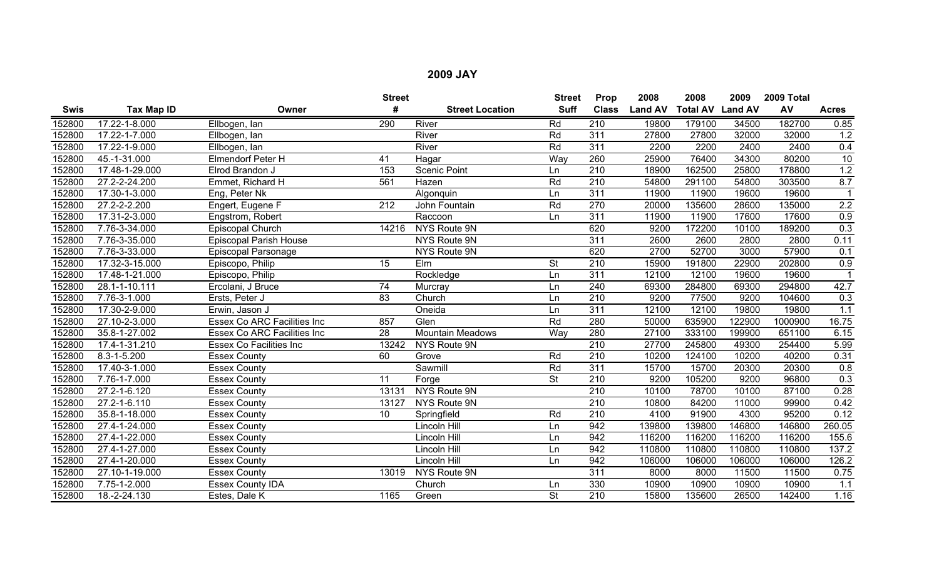|             |                |                                    | <b>Street</b> |                         | <b>Street</b>            | Prop             | 2008           | 2008                    | 2009   | 2009 Total |                 |
|-------------|----------------|------------------------------------|---------------|-------------------------|--------------------------|------------------|----------------|-------------------------|--------|------------|-----------------|
| <b>Swis</b> | Tax Map ID     | Owner                              | #             | <b>Street Location</b>  | <b>Suff</b>              | <b>Class</b>     | <b>Land AV</b> | <b>Total AV Land AV</b> |        | AV         | <b>Acres</b>    |
| 152800      | 17.22-1-8.000  | Ellbogen, lan                      | 290           | River                   | Rd                       | 210              | 19800          | 179100                  | 34500  | 182700     | 0.85            |
| 152800      | 17.22-1-7.000  | Ellbogen, lan                      |               | River                   | Rd                       | 311              | 27800          | 27800                   | 32000  | 32000      | 1.2             |
| 152800      | 17.22-1-9.000  | Ellbogen, lan                      |               | River                   | Rd                       | 311              | 2200           | 2200                    | 2400   | 2400       | 0.4             |
| 152800      | 45.-1-31.000   | <b>Elmendorf Peter H</b>           | 41            | Hagar                   | Way                      | 260              | 25900          | 76400                   | 34300  | 80200      | $\overline{10}$ |
| 152800      | 17.48-1-29.000 | Elrod Brandon J                    | 153           | <b>Scenic Point</b>     | Ln                       | $\overline{210}$ | 18900          | 162500                  | 25800  | 178800     | 1.2             |
| 152800      | 27.2-2-24.200  | Emmet, Richard H                   | 561           | Hazen                   | Rd                       | $\overline{210}$ | 54800          | 291100                  | 54800  | 303500     | 8.7             |
| 152800      | 17.30-1-3.000  | Eng, Peter Nk                      |               | Algonquin               | Ln                       | 311              | 11900          | 11900                   | 19600  | 19600      | -1              |
| 152800      | 27.2-2-2.200   | Engert, Eugene F                   | 212           | John Fountain           | Rd                       | 270              | 20000          | 135600                  | 28600  | 135000     | 2.2             |
| 152800      | 17.31-2-3.000  | Engstrom, Robert                   |               | Raccoon                 | Ln                       | 311              | 11900          | 11900                   | 17600  | 17600      | 0.9             |
| 152800      | 7.76-3-34.000  | Episcopal Church                   | 14216         | NYS Route 9N            |                          | 620              | 9200           | 172200                  | 10100  | 189200     | 0.3             |
| 152800      | 7.76-3-35.000  | <b>Episcopal Parish House</b>      |               | NYS Route 9N            |                          | 311              | 2600           | 2600                    | 2800   | 2800       | 0.11            |
| 152800      | 7.76-3-33.000  | Episcopal Parsonage                |               | NYS Route 9N            |                          | 620              | 2700           | 52700                   | 3000   | 57900      | 0.1             |
| 152800      | 17.32-3-15.000 | Episcopo, Philip                   | 15            | Elm                     | <b>St</b>                | $\overline{210}$ | 15900          | 191800                  | 22900  | 202800     | 0.9             |
| 152800      | 17.48-1-21.000 | Episcopo, Philip                   |               | Rockledge               | Ln                       | 311              | 12100          | 12100                   | 19600  | 19600      |                 |
| 152800      | 28.1-1-10.111  | Ercolani, J Bruce                  | 74            | Murcray                 | Ln                       | 240              | 69300          | 284800                  | 69300  | 294800     | 42.7            |
| 152800      | 7.76-3-1.000   | Ersts, Peter J                     | 83            | Church                  | Ln                       | 210              | 9200           | 77500                   | 9200   | 104600     | 0.3             |
| 152800      | 17.30-2-9.000  | Erwin, Jason J                     |               | Oneida                  | Ln                       | $\overline{311}$ | 12100          | 12100                   | 19800  | 19800      | 1.1             |
| 152800      | 27.10-2-3.000  | <b>Essex Co ARC Facilities Inc</b> | 857           | Glen                    | Rd                       | 280              | 50000          | 635900                  | 122900 | 1000900    | 16.75           |
| 152800      | 35.8-1-27.002  | <b>Essex Co ARC Facilities Inc</b> | 28            | <b>Mountain Meadows</b> | Way                      | 280              | 27100          | 333100                  | 199900 | 651100     | 6.15            |
| 152800      | 17.4-1-31.210  | <b>Essex Co Facilities Inc</b>     | 13242         | NYS Route 9N            |                          | $\overline{210}$ | 27700          | 245800                  | 49300  | 254400     | 5.99            |
| 152800      | 8.3-1-5.200    | <b>Essex County</b>                | 60            | Grove                   | Rd                       | $\overline{210}$ | 10200          | 124100                  | 10200  | 40200      | 0.31            |
| 152800      | 17.40-3-1.000  | <b>Essex County</b>                |               | Sawmill                 | Rd                       | 311              | 15700          | 15700                   | 20300  | 20300      | 0.8             |
| 152800      | 7.76-1-7.000   | <b>Essex County</b>                | 11            | Forge                   | $\overline{\mathsf{St}}$ | 210              | 9200           | 105200                  | 9200   | 96800      | 0.3             |
| 152800      | 27.2-1-6.120   | <b>Essex County</b>                | 13131         | NYS Route 9N            |                          | 210              | 10100          | 78700                   | 10100  | 87100      | 0.28            |
| 152800      | 27.2-1-6.110   | <b>Essex County</b>                | 13127         | NYS Route 9N            |                          | $\overline{210}$ | 10800          | 84200                   | 11000  | 99900      | 0.42            |
| 152800      | 35.8-1-18.000  | <b>Essex County</b>                | 10            | Springfield             | Rd                       | $\overline{210}$ | 4100           | 91900                   | 4300   | 95200      | 0.12            |
| 152800      | 27.4-1-24.000  | <b>Essex County</b>                |               | Lincoln Hill            | Ln                       | 942              | 139800         | 139800                  | 146800 | 146800     | 260.05          |
| 152800      | 27.4-1-22.000  | <b>Essex County</b>                |               | Lincoln Hill            | Ln                       | 942              | 116200         | 116200                  | 116200 | 116200     | 155.6           |
| 152800      | 27.4-1-27.000  | <b>Essex County</b>                |               | Lincoln Hill            | Ln                       | 942              | 110800         | 110800                  | 110800 | 110800     | 137.2           |
| 152800      | 27.4-1-20.000  | <b>Essex County</b>                |               | Lincoln Hill            | Ln                       | 942              | 106000         | 106000                  | 106000 | 106000     | 126.2           |
| 152800      | 27.10-1-19.000 | <b>Essex County</b>                | 13019         | NYS Route 9N            |                          | $\overline{311}$ | 8000           | 8000                    | 11500  | 11500      | 0.75            |
| 152800      | 7.75-1-2.000   | <b>Essex County IDA</b>            |               | Church                  | Ln                       | 330              | 10900          | 10900                   | 10900  | 10900      | 1.1             |
| 152800      | 18.-2-24.130   | Estes, Dale K                      | 1165          | Green                   | $\overline{\mathsf{St}}$ | $\overline{210}$ | 15800          | 135600                  | 26500  | 142400     | 1.16            |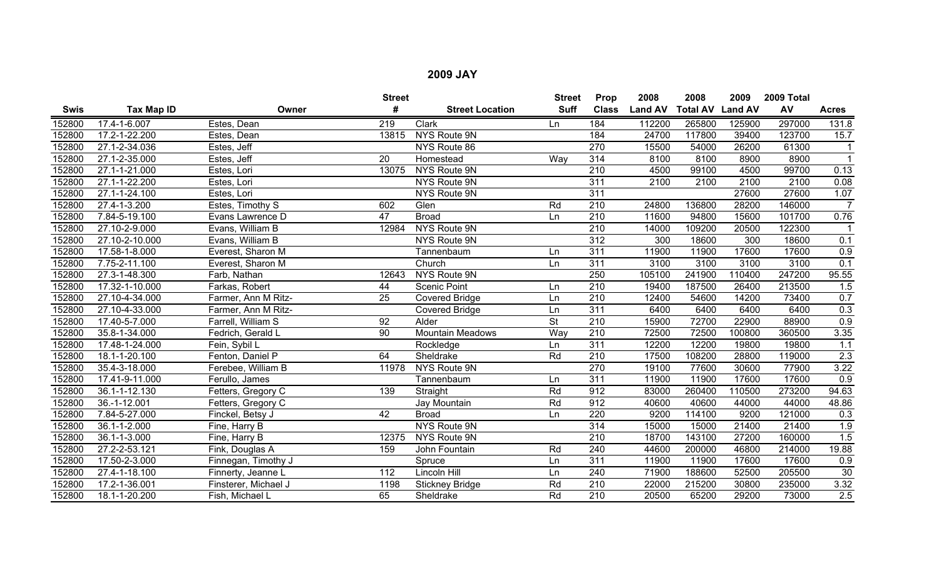|        |                |                      | <b>Street</b>    |                         | <b>Street</b>            | Prop             | 2008           | 2008                    | 2009   | 2009 Total |                  |
|--------|----------------|----------------------|------------------|-------------------------|--------------------------|------------------|----------------|-------------------------|--------|------------|------------------|
| Swis   | Tax Map ID     | Owner                | #                | <b>Street Location</b>  | <b>Suff</b>              | <b>Class</b>     | <b>Land AV</b> | <b>Total AV Land AV</b> |        | AV         | <b>Acres</b>     |
| 152800 | 17.4-1-6.007   | Estes, Dean          | $\overline{219}$ | Clark                   | Ln                       | 184              | 112200         | 265800                  | 125900 | 297000     | 131.8            |
| 152800 | 17.2-1-22.200  | Estes, Dean          | 13815            | NYS Route 9N            |                          | 184              | 24700          | 117800                  | 39400  | 123700     | 15.7             |
| 152800 | 27.1-2-34.036  | Estes, Jeff          |                  | NYS Route 86            |                          | 270              | 15500          | 54000                   | 26200  | 61300      |                  |
| 152800 | 27.1-2-35.000  | Estes, Jeff          | 20               | Homestead               | Way                      | 314              | 8100           | 8100                    | 8900   | 8900       | $\mathbf{1}$     |
| 152800 | 27.1-1-21.000  | Estes, Lori          | 13075            | NYS Route 9N            |                          | $\overline{210}$ | 4500           | 99100                   | 4500   | 99700      | 0.13             |
| 152800 | 27.1-1-22.200  | Estes, Lori          |                  | NYS Route 9N            |                          | 311              | 2100           | 2100                    | 2100   | 2100       | 0.08             |
| 152800 | 27.1-1-24.100  | Estes, Lori          |                  | NYS Route 9N            |                          | 311              |                |                         | 27600  | 27600      | 1.07             |
| 152800 | 27.4-1-3.200   | Estes, Timothy S     | 602              | Glen                    | Rd                       | $\overline{210}$ | 24800          | 136800                  | 28200  | 146000     | $\overline{7}$   |
| 152800 | 7.84-5-19.100  | Evans Lawrence D     | 47               | <b>Broad</b>            | Ln                       | 210              | 11600          | 94800                   | 15600  | 101700     | 0.76             |
| 152800 | 27.10-2-9.000  | Evans, William B     | 12984            | NYS Route 9N            |                          | 210              | 14000          | 109200                  | 20500  | 122300     |                  |
| 152800 | 27.10-2-10.000 | Evans, William B     |                  | NYS Route 9N            |                          | 312              | 300            | 18600                   | 300    | 18600      | 0.1              |
| 152800 | 17.58-1-8.000  | Everest, Sharon M    |                  | Tannenbaum              | Ln                       | 311              | 11900          | 11900                   | 17600  | 17600      | 0.9              |
| 152800 | 7.75-2-11.100  | Everest, Sharon M    |                  | Church                  | Ln                       | 311              | 3100           | 3100                    | 3100   | 3100       | 0.1              |
| 152800 | 27.3-1-48.300  | Farb, Nathan         | 12643            | NYS Route 9N            |                          | 250              | 105100         | 241900                  | 110400 | 247200     | 95.55            |
| 152800 | 17.32-1-10.000 | Farkas, Robert       | 44               | <b>Scenic Point</b>     | Ln                       | 210              | 19400          | 187500                  | 26400  | 213500     | 1.5              |
| 152800 | 27.10-4-34.000 | Farmer, Ann M Ritz-  | 25               | <b>Covered Bridge</b>   | Ln                       | 210              | 12400          | 54600                   | 14200  | 73400      | 0.7              |
| 152800 | 27.10-4-33.000 | Farmer, Ann M Ritz-  |                  | <b>Covered Bridge</b>   | Ln                       | 311              | 6400           | 6400                    | 6400   | 6400       | 0.3              |
| 152800 | 17.40-5-7.000  | Farrell, William S   | 92               | Alder                   | $\overline{\mathsf{St}}$ | 210              | 15900          | 72700                   | 22900  | 88900      | 0.9              |
| 152800 | 35.8-1-34.000  | Fedrich, Gerald L    | 90               | <b>Mountain Meadows</b> | Way                      | 210              | 72500          | 72500                   | 100800 | 360500     | 3.35             |
| 152800 | 17.48-1-24.000 | Fein, Sybil L        |                  | Rockledge               | Ln                       | 311              | 12200          | 12200                   | 19800  | 19800      | 1.1              |
| 152800 | 18.1-1-20.100  | Fenton, Daniel P     | 64               | Sheldrake               | Rd                       | 210              | 17500          | 108200                  | 28800  | 119000     | 2.3              |
| 152800 | 35.4-3-18.000  | Ferebee, William B   | 11978            | NYS Route 9N            |                          | 270              | 19100          | 77600                   | 30600  | 77900      | 3.22             |
| 152800 | 17.41-9-11.000 | Ferullo, James       |                  | Tannenbaum              | Ln                       | 311              | 11900          | 11900                   | 17600  | 17600      | $\overline{0.9}$ |
| 152800 | 36.1-1-12.130  | Fetters, Gregory C   | 139              | Straight                | Rd                       | 912              | 83000          | 260400                  | 110500 | 273200     | 94.63            |
| 152800 | 36.-1-12.001   | Fetters, Gregory C   |                  | Jay Mountain            | Rd                       | 912              | 40600          | 40600                   | 44000  | 44000      | 48.86            |
| 152800 | 7.84-5-27.000  | Finckel, Betsy J     | 42               | <b>Broad</b>            | Ln                       | 220              | 9200           | 114100                  | 9200   | 121000     | 0.3              |
| 152800 | 36.1-1-2.000   | Fine, Harry B        |                  | NYS Route 9N            |                          | 314              | 15000          | 15000                   | 21400  | 21400      | 1.9              |
| 152800 | 36.1-1-3.000   | Fine, Harry B        | 12375            | NYS Route 9N            |                          | $\overline{210}$ | 18700          | 143100                  | 27200  | 160000     | 1.5              |
| 152800 | 27.2-2-53.121  | Fink, Douglas A      | 159              | John Fountain           | Rd                       | 240              | 44600          | 200000                  | 46800  | 214000     | 19.88            |
| 152800 | 17.50-2-3.000  | Finnegan, Timothy J  |                  | Spruce                  | Ln                       | 311              | 11900          | 11900                   | 17600  | 17600      | 0.9              |
| 152800 | 27.4-1-18.100  | Finnerty, Jeanne L   | 112              | Lincoln Hill            | Ln                       | 240              | 71900          | 188600                  | 52500  | 205500     | 30               |
| 152800 | 17.2-1-36.001  | Finsterer, Michael J | 1198             | <b>Stickney Bridge</b>  | Rd                       | 210              | 22000          | 215200                  | 30800  | 235000     | 3.32             |
| 152800 | 18.1-1-20.200  | Fish, Michael L      | 65               | Sheldrake               | Rd                       | $\overline{210}$ | 20500          | 65200                   | 29200  | 73000      | 2.5              |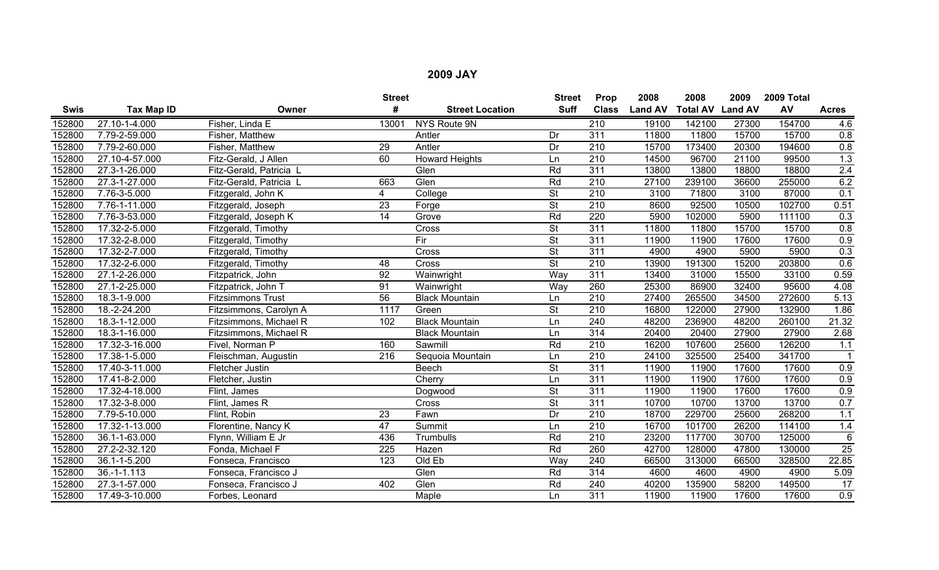|             |                   |                          | <b>Street</b>   |                        | <b>Street</b>            | Prop             | 2008           | 2008                    | 2009  | 2009 Total |                  |
|-------------|-------------------|--------------------------|-----------------|------------------------|--------------------------|------------------|----------------|-------------------------|-------|------------|------------------|
| <b>Swis</b> | <b>Tax Map ID</b> | Owner                    | #               | <b>Street Location</b> | <b>Suff</b>              | <b>Class</b>     | <b>Land AV</b> | <b>Total AV Land AV</b> |       | AV         | <b>Acres</b>     |
| 152800      | 27.10-1-4.000     | Fisher, Linda E          | 13001           | NYS Route 9N           |                          | 210              | 19100          | 142100                  | 27300 | 154700     | 4.6              |
| 152800      | 7.79-2-59.000     | Fisher, Matthew          |                 | Antler                 | Dr                       | $\overline{311}$ | 11800          | 11800                   | 15700 | 15700      | 0.8              |
| 152800      | 7.79-2-60.000     | Fisher, Matthew          | 29              | Antler                 | Dr                       | 210              | 15700          | 173400                  | 20300 | 194600     | 0.8              |
| 152800      | 27.10-4-57.000    | Fitz-Gerald, J Allen     | 60              | <b>Howard Heights</b>  | Ln                       | $\overline{210}$ | 14500          | 96700                   | 21100 | 99500      | $\overline{1.3}$ |
| 152800      | 27.3-1-26.000     | Fitz-Gerald, Patricia L  |                 | Glen                   | Rd                       | $\overline{311}$ | 13800          | 13800                   | 18800 | 18800      | 2.4              |
| 152800      | 27.3-1-27.000     | Fitz-Gerald, Patricia L  | 663             | Glen                   | Rd                       | 210              | 27100          | 239100                  | 36600 | 255000     | 6.2              |
| 152800      | 7.76-3-5.000      | Fitzgerald, John K       | 4               | College                | $\overline{\mathsf{St}}$ | 210              | 3100           | 71800                   | 3100  | 87000      | 0.1              |
| 152800      | 7.76-1-11.000     | Fitzgerald, Joseph       | 23              | Forge                  | $\overline{\mathsf{St}}$ | $\overline{210}$ | 8600           | 92500                   | 10500 | 102700     | 0.51             |
| 152800      | 7.76-3-53.000     | Fitzgerald, Joseph K     | $\overline{14}$ | Grove                  | Rd                       | 220              | 5900           | 102000                  | 5900  | 111100     | 0.3              |
| 152800      | 17.32-2-5.000     | Fitzgerald, Timothy      |                 | Cross                  | $\overline{\mathsf{St}}$ | $\overline{311}$ | 11800          | 11800                   | 15700 | 15700      | 0.8              |
| 152800      | 17.32-2-8.000     | Fitzgerald, Timothy      |                 | Fir                    | $\overline{\mathsf{St}}$ | $\overline{311}$ | 11900          | 11900                   | 17600 | 17600      | 0.9              |
| 152800      | 17.32-2-7.000     | Fitzgerald, Timothy      |                 | Cross                  | $\overline{\mathsf{St}}$ | 311              | 4900           | 4900                    | 5900  | 5900       | 0.3              |
| 152800      | 17.32-2-6.000     | Fitzgerald, Timothy      | 48              | Cross                  | $\overline{\mathsf{St}}$ | $\overline{210}$ | 13900          | 191300                  | 15200 | 203800     | 0.6              |
| 152800      | 27.1-2-26.000     | Fitzpatrick, John        | 92              | Wainwright             | Way                      | 311              | 13400          | 31000                   | 15500 | 33100      | 0.59             |
| 152800      | 27.1-2-25.000     | Fitzpatrick, John T      | 91              | Wainwright             | Way                      | 260              | 25300          | 86900                   | 32400 | 95600      | 4.08             |
| 152800      | 18.3-1-9.000      | <b>Fitzsimmons Trust</b> | 56              | <b>Black Mountain</b>  | Ln                       | 210              | 27400          | 265500                  | 34500 | 272600     | 5.13             |
| 152800      | 18.-2-24.200      | Fitzsimmons, Carolyn A   | 1117            | Green                  | <b>St</b>                | 210              | 16800          | 122000                  | 27900 | 132900     | 1.86             |
| 152800      | 18.3-1-12.000     | Fitzsimmons, Michael R   | 102             | <b>Black Mountain</b>  | Ln                       | 240              | 48200          | 236900                  | 48200 | 260100     | 21.32            |
| 152800      | 18.3-1-16.000     | Fitzsimmons, Michael R   |                 | <b>Black Mountain</b>  | Ln                       | 314              | 20400          | 20400                   | 27900 | 27900      | 2.68             |
| 152800      | 17.32-3-16.000    | Fivel, Norman P          | 160             | Sawmill                | Rd                       | 210              | 16200          | 107600                  | 25600 | 126200     | 1.1              |
| 152800      | 17.38-1-5.000     | Fleischman, Augustin     | 216             | Sequoia Mountain       | Ln                       | 210              | 24100          | 325500                  | 25400 | 341700     |                  |
| 152800      | 17.40-3-11.000    | Fletcher Justin          |                 | <b>Beech</b>           | St                       | 311              | 11900          | 11900                   | 17600 | 17600      | 0.9              |
| 152800      | 17.41-8-2.000     | Fletcher, Justin         |                 | Cherry                 | Ln                       | 311              | 11900          | 11900                   | 17600 | 17600      | $\overline{0.9}$ |
| 152800      | 17.32-4-18.000    | Flint, James             |                 | Dogwood                | $\overline{\mathsf{St}}$ | 311              | 11900          | 11900                   | 17600 | 17600      | 0.9              |
| 152800      | 17.32-3-8.000     | Flint, James R           |                 | Cross                  | St                       | 311              | 10700          | 10700                   | 13700 | 13700      | 0.7              |
| 152800      | 7.79-5-10.000     | Flint, Robin             | $\overline{23}$ | Fawn                   | Dr                       | $\overline{210}$ | 18700          | 229700                  | 25600 | 268200     | 1.1              |
| 152800      | 17.32-1-13.000    | Florentine, Nancy K      | 47              | Summit                 | Ln                       | 210              | 16700          | 101700                  | 26200 | 114100     | 1.4              |
| 152800      | 36.1-1-63.000     | Flynn, William E Jr      | 436             | Trumbulls              | Rd                       | $\overline{210}$ | 23200          | 117700                  | 30700 | 125000     | $\overline{6}$   |
| 152800      | 27.2-2-32.120     | Fonda, Michael F         | 225             | Hazen                  | Rd                       | 260              | 42700          | 128000                  | 47800 | 130000     | 25               |
| 152800      | 36.1-1-5.200      | Fonseca, Francisco       | 123             | Old Eb                 | Way                      | 240              | 66500          | 313000                  | 66500 | 328500     | 22.85            |
| 152800      | $36. - 1 - 1.113$ | Fonseca, Francisco J     |                 | Glen                   | Rd                       | 314              | 4600           | 4600                    | 4900  | 4900       | 5.09             |
| 152800      | 27.3-1-57.000     | Fonseca, Francisco J     | 402             | Glen                   | Rd                       | 240              | 40200          | 135900                  | 58200 | 149500     | $\overline{17}$  |
| 152800      | 17.49-3-10.000    | Forbes, Leonard          |                 | Maple                  | Ln                       | 311              | 11900          | 11900                   | 17600 | 17600      | 0.9              |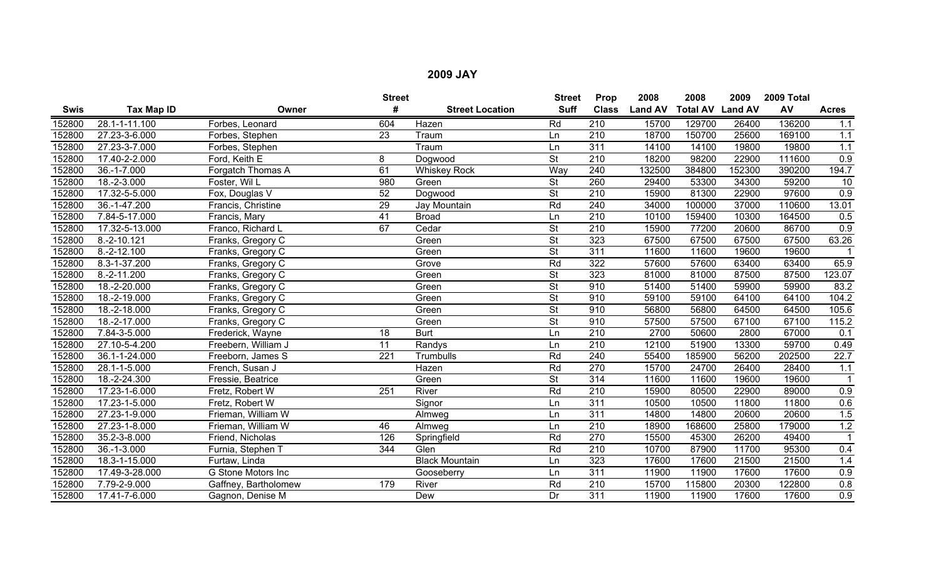|             |                            |                      | <b>Street</b>    |                        | <b>Street</b>            | Prop             | 2008           | 2008                    | 2009   | 2009 Total |                  |
|-------------|----------------------------|----------------------|------------------|------------------------|--------------------------|------------------|----------------|-------------------------|--------|------------|------------------|
| <b>Swis</b> | <b>Tax Map ID</b>          | Owner                | #                | <b>Street Location</b> | <b>Suff</b>              | <b>Class</b>     | <b>Land AV</b> | <b>Total AV Land AV</b> |        | AV         | <b>Acres</b>     |
| 152800      | 28.1-1-11.100              | Forbes, Leonard      | 604              | Hazen                  | Rd                       | 210              | 15700          | 129700                  | 26400  | 136200     | 1.1              |
| 152800      | 27.23-3-6.000              | Forbes, Stephen      | $\overline{23}$  | Traum                  | Ln                       | 210              | 18700          | 150700                  | 25600  | 169100     | 1.1              |
| 152800      | 27.23-3-7.000              | Forbes, Stephen      |                  | Traum                  | Ln                       | $\overline{311}$ | 14100          | 14100                   | 19800  | 19800      | 1.1              |
| 152800      | 17.40-2-2.000              | Ford, Keith E        | 8                | Dogwood                | <b>St</b>                | $\overline{210}$ | 18200          | 98200                   | 22900  | 111600     | $\overline{0.9}$ |
| 152800      | 36.-1-7.000                | Forgatch Thomas A    | 61               | <b>Whiskey Rock</b>    | Way                      | 240              | 132500         | 384800                  | 152300 | 390200     | 194.7            |
| 152800      | 18.-2-3.000                | Foster, Wil L        | 980              | Green                  | $\overline{\mathsf{St}}$ | 260              | 29400          | 53300                   | 34300  | 59200      | 10               |
| 152800      | 17.32-5-5.000              | Fox, Douglas V       | 52               | Dogwood                | $\overline{\mathsf{St}}$ | $\overline{210}$ | 15900          | 81300                   | 22900  | 97600      | 0.9              |
| 152800      | 36.-1-47.200               | Francis, Christine   | $\overline{29}$  | Jay Mountain           | Rd                       | 240              | 34000          | 100000                  | 37000  | 110600     | 13.01            |
| 152800      | 7.84-5-17.000              | Francis, Mary        | 41               | <b>Broad</b>           | Ln                       | 210              | 10100          | 159400                  | 10300  | 164500     | 0.5              |
| 152800      | 17.32-5-13.000             | Franco, Richard L    | 67               | Cedar                  | $\overline{\mathsf{St}}$ | $\overline{210}$ | 15900          | 77200                   | 20600  | 86700      | $\overline{0.9}$ |
| 152800      | $8.-2-10.121$              | Franks, Gregory C    |                  | Green                  | $\overline{\mathsf{St}}$ | 323              | 67500          | 67500                   | 67500  | 67500      | 63.26            |
| 152800      | $8.-2-12.100$              | Franks, Gregory C    |                  | Green                  | $\overline{\mathsf{St}}$ | 311              | 11600          | 11600                   | 19600  | 19600      |                  |
| 152800      | 8.3-1-37.200               | Franks, Gregory C    |                  | Grove                  | Rd                       | 322              | 57600          | 57600                   | 63400  | 63400      | 65.9             |
| 152800      | 8.-2-11.200                | Franks, Gregory C    |                  | Green                  | $\overline{\mathsf{St}}$ | 323              | 81000          | 81000                   | 87500  | 87500      | 123.07           |
| 152800      | 18.-2-20.000               | Franks, Gregory C    |                  | Green                  | $\overline{\mathsf{St}}$ | 910              | 51400          | 51400                   | 59900  | 59900      | 83.2             |
| 152800      | 18.-2-19.000               | Franks, Gregory C    |                  | Green                  | <b>St</b>                | 910              | 59100          | 59100                   | 64100  | 64100      | 104.2            |
| 152800      | 18.-2-18.000               | Franks, Gregory C    |                  | Green                  | $\overline{\mathsf{St}}$ | 910              | 56800          | 56800                   | 64500  | 64500      | 105.6            |
| 152800      | $18.-2-17.000$             | Franks, Gregory C    |                  | Green                  | $\overline{\mathsf{St}}$ | 910              | 57500          | 57500                   | 67100  | 67100      | 115.2            |
| 152800      | 7.84-3-5.000               | Frederick, Wayne     | 18               | <b>Burt</b>            | Ln                       | 210              | 2700           | 50600                   | 2800   | 67000      | 0.1              |
| 152800      | 27.10-5-4.200              | Freebern, William J  | 11               | Randys                 | Ln                       | $\overline{210}$ | 12100          | 51900                   | 13300  | 59700      | 0.49             |
| 152800      | 36.1-1-24.000              | Freeborn, James S    | 221              | Trumbulls              | Rd                       | 240              | 55400          | 185900                  | 56200  | 202500     | 22.7             |
| 152800      | 28.1-1-5.000               | French, Susan J      |                  | Hazen                  | Rd                       | 270              | 15700          | 24700                   | 26400  | 28400      | 1.1              |
| 152800      | 18.-2-24.300               | Fressie, Beatrice    |                  | Green                  | $\overline{\mathsf{St}}$ | $\overline{314}$ | 11600          | 11600                   | 19600  | 19600      | -1               |
| 152800      | 17.23-1-6.000              | Fretz, Robert W      | $\overline{251}$ | River                  | Rd                       | $\overline{210}$ | 15900          | 80500                   | 22900  | 89000      | 0.9              |
| 152800      | 17.23-1-5.000              | Fretz, Robert W      |                  | Signor                 | Ln                       | 311              | 10500          | 10500                   | 11800  | 11800      | 0.6              |
| 152800      | $\overline{27.23-1-9.000}$ | Frieman, William W   |                  | Almweg                 | Ln                       | 311              | 14800          | 14800                   | 20600  | 20600      | 1.5              |
| 152800      | 27.23-1-8.000              | Frieman, William W   | 46               | Almweg                 | Ln                       | 210              | 18900          | 168600                  | 25800  | 179000     | 1.2              |
| 152800      | 35.2-3-8.000               | Friend, Nicholas     | 126              | Springfield            | Rd                       | 270              | 15500          | 45300                   | 26200  | 49400      |                  |
| 152800      | 36.-1-3.000                | Furnia, Stephen T    | 344              | Glen                   | Rd                       | $\overline{210}$ | 10700          | 87900                   | 11700  | 95300      | 0.4              |
| 152800      | 18.3-1-15.000              | Furtaw, Linda        |                  | <b>Black Mountain</b>  | Ln                       | 323              | 17600          | 17600                   | 21500  | 21500      | 1.4              |
| 152800      | 17.49-3-28.000             | G Stone Motors Inc   |                  | Gooseberry             | Ln                       | 311              | 11900          | 11900                   | 17600  | 17600      | 0.9              |
| 152800      | 7.79-2-9.000               | Gaffney, Bartholomew | 179              | River                  | Rd                       | 210              | 15700          | 115800                  | 20300  | 122800     | 0.8              |
| 152800      | 17.41-7-6.000              | Gagnon, Denise M     |                  | Dew                    | Dr                       | 311              | 11900          | 11900                   | 17600  | 17600      | $\overline{0.9}$ |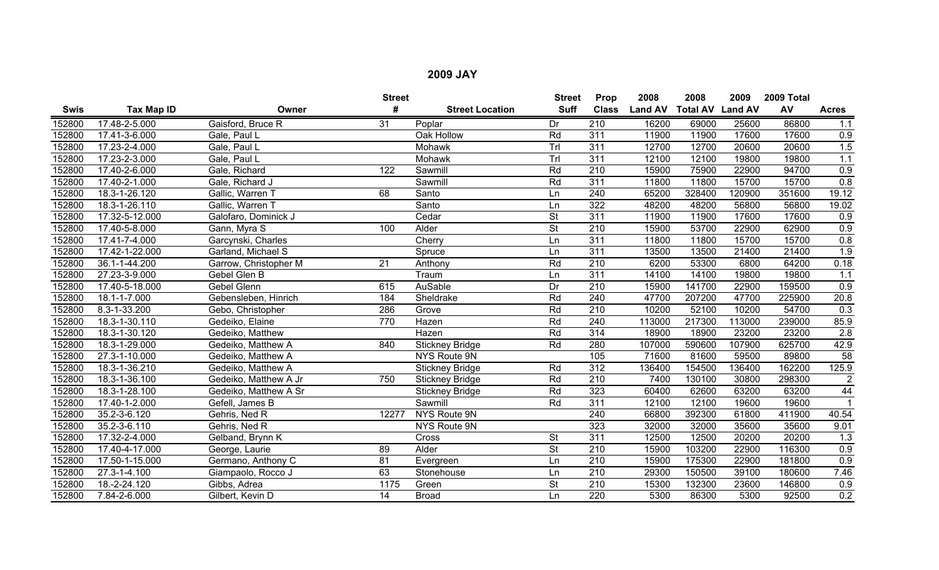|             |                |                       | <b>Street</b>   |                        | <b>Street</b>            | Prop             | 2008           | 2008            | 2009           | 2009 Total |                 |
|-------------|----------------|-----------------------|-----------------|------------------------|--------------------------|------------------|----------------|-----------------|----------------|------------|-----------------|
| <b>Swis</b> | Tax Map ID     | Owner                 | #               | <b>Street Location</b> | <b>Suff</b>              | <b>Class</b>     | <b>Land AV</b> | <b>Total AV</b> | <b>Land AV</b> | AV         | <b>Acres</b>    |
| 152800      | 17.48-2-5.000  | Gaisford, Bruce R     | $\overline{31}$ | Poplar                 | Dr                       | $\overline{210}$ | 16200          | 69000           | 25600          | 86800      | 1.1             |
| 152800      | 17.41-3-6.000  | Gale, Paul L          |                 | Oak Hollow             | Rd                       | 311              | 11900          | 11900           | 17600          | 17600      | 0.9             |
| 152800      | 17.23-2-4.000  | Gale, Paul L          |                 | Mohawk                 | TrI                      | $\overline{311}$ | 12700          | 12700           | 20600          | 20600      | 1.5             |
| 152800      | 17.23-2-3.000  | Gale, Paul L          |                 | Mohawk                 | TrI                      | $\overline{311}$ | 12100          | 12100           | 19800          | 19800      | 1.1             |
| 152800      | 17.40-2-6.000  | Gale, Richard         | 122             | Sawmill                | Rd                       | $\overline{210}$ | 15900          | 75900           | 22900          | 94700      | 0.9             |
| 152800      | 17.40-2-1.000  | Gale, Richard J       |                 | Sawmill                | Rd                       | 311              | 11800          | 11800           | 15700          | 15700      | 0.8             |
| 152800      | 18.3-1-26.120  | Gallic, Warren T      | 68              | Santo                  | Ln                       | 240              | 65200          | 328400          | 120900         | 351600     | 19.12           |
| 152800      | 18.3-1-26.110  | Gallic, Warren T      |                 | Santo                  | Ln                       | $\overline{322}$ | 48200          | 48200           | 56800          | 56800      | 19.02           |
| 152800      | 17.32-5-12.000 | Galofaro, Dominick J  |                 | Cedar                  | <b>St</b>                | 311              | 11900          | 11900           | 17600          | 17600      | 0.9             |
| 152800      | 17.40-5-8.000  | Gann, Myra S          | 100             | Alder                  | $\overline{\mathsf{St}}$ | 210              | 15900          | 53700           | 22900          | 62900      | 0.9             |
| 152800      | 17.41-7-4.000  | Garcynski, Charles    |                 | Cherry                 | Ln                       | 311              | 11800          | 11800           | 15700          | 15700      | 0.8             |
| 152800      | 17.42-1-22.000 | Garland, Michael S    |                 | Spruce                 | Ln                       | 311              | 13500          | 13500           | 21400          | 21400      | 1.9             |
| 152800      | 36.1-1-44.200  | Garrow, Christopher M | $\overline{21}$ | Anthony                | Rd                       | $\overline{210}$ | 6200           | 53300           | 6800           | 64200      | 0.18            |
| 152800      | 27.23-3-9.000  | Gebel Glen B          |                 | Traum                  | Ln                       | 311              | 14100          | 14100           | 19800          | 19800      | 1.1             |
| 152800      | 17.40-5-18.000 | <b>Gebel Glenn</b>    | 615             | <b>AuSable</b>         | Dr                       | $\overline{210}$ | 15900          | 141700          | 22900          | 159500     | 0.9             |
| 152800      | 18.1-1-7.000   | Gebensleben, Hinrich  | 184             | Sheldrake              | Rd                       | 240              | 47700          | 207200          | 47700          | 225900     | 20.8            |
| 152800      | 8.3-1-33.200   | Gebo, Christopher     | 286             | Grove                  | Rd                       | 210              | 10200          | 52100           | 10200          | 54700      | 0.3             |
| 152800      | 18.3-1-30.110  | Gedeiko, Elaine       | 770             | Hazen                  | Rd                       | 240              | 113000         | 217300          | 113000         | 239000     | 85.9            |
| 152800      | 18.3-1-30.120  | Gedeiko, Matthew      |                 | Hazen                  | Rd                       | 314              | 18900          | 18900           | 23200          | 23200      | 2.8             |
| 152800      | 18.3-1-29.000  | Gedeiko, Matthew A    | 840             | <b>Stickney Bridge</b> | Rd                       | 280              | 107000         | 590600          | 107900         | 625700     | 42.9            |
| 152800      | 27.3-1-10.000  | Gedeiko, Matthew A    |                 | NYS Route 9N           |                          | 105              | 71600          | 81600           | 59500          | 89800      | $\overline{58}$ |
| 152800      | 18.3-1-36.210  | Gedeiko, Matthew A    |                 | <b>Stickney Bridge</b> | Rd                       | 312              | 136400         | 154500          | 136400         | 162200     | 125.9           |
| 152800      | 18.3-1-36.100  | Gedeiko, Matthew A Jr | 750             | <b>Stickney Bridge</b> | Rd                       | 210              | 7400           | 130100          | 30800          | 298300     | $\overline{2}$  |
| 152800      | 18.3-1-28.100  | Gedeiko, Matthew A Sr |                 | <b>Stickney Bridge</b> | Rd                       | 323              | 60400          | 62600           | 63200          | 63200      | $\overline{44}$ |
| 152800      | 17.40-1-2.000  | Gefell, James B       |                 | Sawmill                | Rd                       | 311              | 12100          | 12100           | 19600          | 19600      |                 |
| 152800      | 35.2-3-6.120   | Gehris, Ned R         | 12277           | NYS Route 9N           |                          | 240              | 66800          | 392300          | 61800          | 411900     | 40.54           |
| 152800      | 35.2-3-6.110   | Gehris, Ned R         |                 | NYS Route 9N           |                          | 323              | 32000          | 32000           | 35600          | 35600      | 9.01            |
| 152800      | 17.32-2-4.000  | Gelband, Brynn K      |                 | Cross                  | <b>St</b>                | 311              | 12500          | 12500           | 20200          | 20200      | 1.3             |
| 152800      | 17.40-4-17.000 | George, Laurie        | 89              | Alder                  | $\overline{\mathsf{St}}$ | $\overline{210}$ | 15900          | 103200          | 22900          | 116300     | 0.9             |
| 152800      | 17.50-1-15.000 | Germano, Anthony C    | 81              | Evergreen              | Ln                       | 210              | 15900          | 175300          | 22900          | 181800     | 0.9             |
| 152800      | 27.3-1-4.100   | Giampaolo, Rocco J    | 63              | Stonehouse             | Ln                       | 210              | 29300          | 150500          | 39100          | 180600     | 7.46            |
| 152800      | 18.-2-24.120   | Gibbs, Adrea          | 1175            | Green                  | <b>St</b>                | 210              | 15300          | 132300          | 23600          | 146800     | 0.9             |
| 152800      | 7.84-2-6.000   | Gilbert, Kevin D      | 14              | <b>Broad</b>           | Ln                       | 220              | 5300           | 86300           | 5300           | 92500      | 0.2             |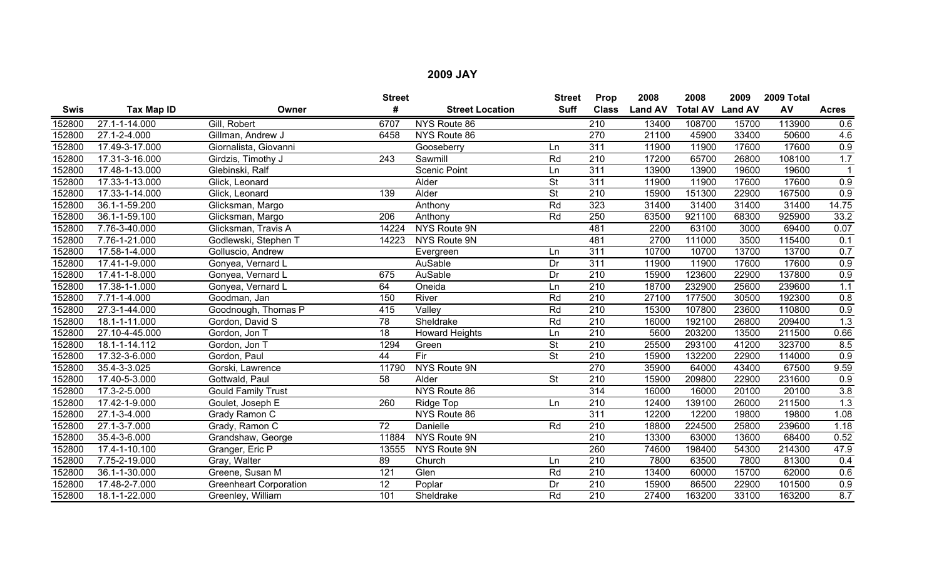|             |                   |                               | <b>Street</b>    |                        | <b>Street</b>            | Prop             | 2008           | 2008                    | 2009  | 2009 Total |                  |
|-------------|-------------------|-------------------------------|------------------|------------------------|--------------------------|------------------|----------------|-------------------------|-------|------------|------------------|
| <b>Swis</b> | <b>Tax Map ID</b> | Owner                         | #                | <b>Street Location</b> | <b>Suff</b>              | <b>Class</b>     | <b>Land AV</b> | <b>Total AV Land AV</b> |       | AV         | <b>Acres</b>     |
| 152800      | 27.1-1-14.000     | Gill, Robert                  | 6707             | NYS Route 86           |                          | $\overline{210}$ | 13400          | 108700                  | 15700 | 113900     | 0.6              |
| 152800      | 27.1-2-4.000      | Gillman, Andrew J             | 6458             | NYS Route 86           |                          | $\overline{270}$ | 21100          | 45900                   | 33400 | 50600      | 4.6              |
| 152800      | 17.49-3-17.000    | Giornalista, Giovanni         |                  | Gooseberry             | Ln                       | $\overline{311}$ | 11900          | 11900                   | 17600 | 17600      | 0.9              |
| 152800      | 17.31-3-16.000    | Girdzis, Timothy J            | $\overline{243}$ | Sawmill                | Rd                       | $\overline{210}$ | 17200          | 65700                   | 26800 | 108100     | 1.7              |
| 152800      | 17.48-1-13.000    | Glebinski, Ralf               |                  | <b>Scenic Point</b>    | Ln                       | 311              | 13900          | 13900                   | 19600 | 19600      |                  |
| 152800      | 17.33-1-13.000    | Glick, Leonard                |                  | Alder                  | <b>St</b>                | $\overline{311}$ | 11900          | 11900                   | 17600 | 17600      | $\overline{0.9}$ |
| 152800      | 17.33-1-14.000    | Glick, Leonard                | 139              | Alder                  | $\overline{St}$          | $\overline{210}$ | 15900          | 151300                  | 22900 | 167500     | 0.9              |
| 152800      | 36.1-1-59.200     | Glicksman, Margo              |                  | Anthony                | Rd                       | 323              | 31400          | 31400                   | 31400 | 31400      | 14.75            |
| 152800      | 36.1-1-59.100     | Glicksman, Margo              | 206              | Anthony                | Rd                       | 250              | 63500          | 921100                  | 68300 | 925900     | 33.2             |
| 152800      | 7.76-3-40.000     | Glicksman, Travis A           | 14224            | NYS Route 9N           |                          | 481              | 2200           | 63100                   | 3000  | 69400      | 0.07             |
| 152800      | 7.76-1-21.000     | Godlewski, Stephen T          | 14223            | NYS Route 9N           |                          | 481              | 2700           | 111000                  | 3500  | 115400     | 0.1              |
| 152800      | 17.58-1-4.000     | Golluscio, Andrew             |                  | Evergreen              | Ln                       | 311              | 10700          | 10700                   | 13700 | 13700      | 0.7              |
| 152800      | 17.41-1-9.000     | Gonyea, Vernard L             |                  | AuSable                | Dr                       | 311              | 11900          | 11900                   | 17600 | 17600      | 0.9              |
| 152800      | 17.41-1-8.000     | Gonyea, Vernard L             | 675              | AuSable                | Dr                       | $\overline{210}$ | 15900          | 123600                  | 22900 | 137800     | 0.9              |
| 152800      | 17.38-1-1.000     | Gonyea, Vernard L             | 64               | Oneida                 | Ln                       | $\overline{210}$ | 18700          | 232900                  | 25600 | 239600     | 1.1              |
| 152800      | 7.71-1-4.000      | Goodman, Jan                  | 150              | River                  | Rd                       | 210              | 27100          | 177500                  | 30500 | 192300     | 0.8              |
| 152800      | 27.3-1-44.000     | Goodnough, Thomas P           | 415              | Valley                 | Rd                       | $\overline{210}$ | 15300          | 107800                  | 23600 | 110800     | 0.9              |
| 152800      | 18.1-1-11.000     | Gordon, David S               | 78               | Sheldrake              | Rd                       | 210              | 16000          | 192100                  | 26800 | 209400     | 1.3              |
| 152800      | 27.10-4-45.000    | Gordon, Jon T                 | $\overline{18}$  | <b>Howard Heights</b>  | Ln                       | $\overline{210}$ | 5600           | 203200                  | 13500 | 211500     | 0.66             |
| 152800      | 18.1-1-14.112     | Gordon, Jon T                 | 1294             | Green                  | <b>St</b>                | $\overline{210}$ | 25500          | 293100                  | 41200 | 323700     | 8.5              |
| 152800      | 17.32-3-6.000     | Gordon, Paul                  | 44               | Fir                    | <b>St</b>                | $\overline{210}$ | 15900          | 132200                  | 22900 | 114000     | 0.9              |
| 152800      | 35.4-3-3.025      | Gorski, Lawrence              | 11790            | NYS Route 9N           |                          | 270              | 35900          | 64000                   | 43400 | 67500      | 9.59             |
| 152800      | 17.40-5-3.000     | Gottwald, Paul                | 58               | Alder                  | $\overline{\mathsf{St}}$ | $\overline{210}$ | 15900          | 209800                  | 22900 | 231600     | 0.9              |
| 152800      | 17.3-2-5.000      | <b>Gould Family Trust</b>     |                  | NYS Route 86           |                          | 314              | 16000          | 16000                   | 20100 | 20100      | 3.8              |
| 152800      | 17.42-1-9.000     | Goulet, Joseph E              | 260              | Ridge Top              | Ln                       | $\overline{210}$ | 12400          | 139100                  | 26000 | 211500     | 1.3              |
| 152800      | 27.1-3-4.000      | Grady Ramon C                 |                  | NYS Route 86           |                          | 311              | 12200          | 12200                   | 19800 | 19800      | 1.08             |
| 152800      | 27.1-3-7.000      | Grady, Ramon C                | 72               | Danielle               | Rd                       | 210              | 18800          | 224500                  | 25800 | 239600     | 1.18             |
| 152800      | 35.4-3-6.000      | Grandshaw, George             | 11884            | NYS Route 9N           |                          | $\overline{210}$ | 13300          | 63000                   | 13600 | 68400      | 0.52             |
| 152800      | 17.4-1-10.100     | Granger, Eric P               | 13555            | NYS Route 9N           |                          | 260              | 74600          | 198400                  | 54300 | 214300     | 47.9             |
| 152800      | 7.75-2-19.000     | Gray, Walter                  | 89               | Church                 | Ln                       | 210              | 7800           | 63500                   | 7800  | 81300      | 0.4              |
| 152800      | 36.1-1-30.000     | Greene, Susan M               | $\overline{121}$ | Glen                   | Rd                       | 210              | 13400          | 60000                   | 15700 | 62000      | 0.6              |
| 152800      | 17.48-2-7.000     | <b>Greenheart Corporation</b> | 12               | Poplar                 | Dr                       | 210              | 15900          | 86500                   | 22900 | 101500     | 0.9              |
| 152800      | 18.1-1-22.000     | Greenley, William             | 101              | Sheldrake              | Rd                       | $\overline{210}$ | 27400          | 163200                  | 33100 | 163200     | 8.7              |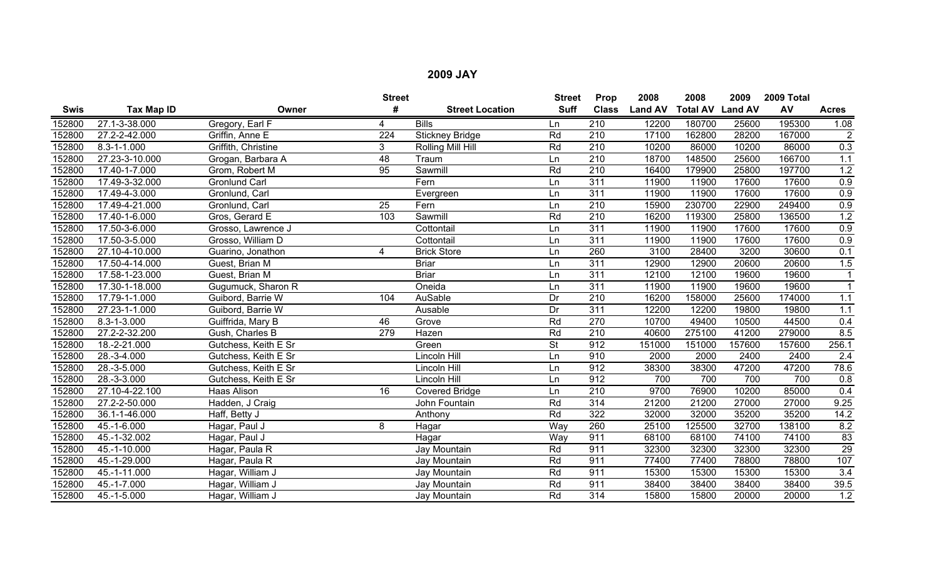|             |                   |                      | <b>Street</b>    |                        | <b>Street</b> | Prop             | 2008           | 2008                    | 2009   | 2009 Total |                 |
|-------------|-------------------|----------------------|------------------|------------------------|---------------|------------------|----------------|-------------------------|--------|------------|-----------------|
| <b>Swis</b> | Tax Map ID        | Owner                | #                | <b>Street Location</b> | <b>Suff</b>   | <b>Class</b>     | <b>Land AV</b> | <b>Total AV Land AV</b> |        | AV         | <b>Acres</b>    |
| 152800      | 27.1-3-38.000     | Gregory, Earl F      | 4                | <b>Bills</b>           | Ln            | 210              | 12200          | 180700                  | 25600  | 195300     | 1.08            |
| 152800      | 27.2-2-42.000     | Griffin, Anne E      | $\overline{224}$ | <b>Stickney Bridge</b> | Rd            | 210              | 17100          | 162800                  | 28200  | 167000     | $\overline{2}$  |
| 152800      | $8.3 - 1 - 1.000$ | Griffith, Christine  | 3                | Rolling Mill Hill      | Rd            | $\overline{210}$ | 10200          | 86000                   | 10200  | 86000      | 0.3             |
| 152800      | 27.23-3-10.000    | Grogan, Barbara A    | 48               | Traum                  | Ln            | 210              | 18700          | 148500                  | 25600  | 166700     | 1.1             |
| 152800      | 17.40-1-7.000     | Grom, Robert M       | $\overline{95}$  | Sawmill                | Rd            | $\overline{210}$ | 16400          | 179900                  | 25800  | 197700     | 1.2             |
| 152800      | 17.49-3-32.000    | <b>Gronlund Carl</b> |                  | Fern                   | Ln            | 311              | 11900          | 11900                   | 17600  | 17600      | 0.9             |
| 152800      | 17.49-4-3.000     | Gronlund, Carl       |                  | Evergreen              | Ln            | 311              | 11900          | 11900                   | 17600  | 17600      | 0.9             |
| 152800      | 17.49-4-21.000    | Gronlund, Carl       | 25               | Fern                   | Ln            | 210              | 15900          | 230700                  | 22900  | 249400     | 0.9             |
| 152800      | 17.40-1-6.000     | Gros, Gerard E       | 103              | Sawmill                | Rd            | 210              | 16200          | 119300                  | 25800  | 136500     | 1.2             |
| 152800      | 17.50-3-6.000     | Grosso, Lawrence J   |                  | Cottontail             | Ln            | 311              | 11900          | 11900                   | 17600  | 17600      | 0.9             |
| 152800      | 17.50-3-5.000     | Grosso, William D    |                  | Cottontail             | Ln            | 311              | 11900          | 11900                   | 17600  | 17600      | 0.9             |
| 152800      | 27.10-4-10.000    | Guarino, Jonathon    | 4                | <b>Brick Store</b>     | Ln            | 260              | 3100           | 28400                   | 3200   | 30600      | 0.1             |
| 152800      | 17.50-4-14.000    | Guest, Brian M       |                  | <b>Briar</b>           | Ln            | 311              | 12900          | 12900                   | 20600  | 20600      | 1.5             |
| 152800      | 17.58-1-23.000    | Guest, Brian M       |                  | <b>Briar</b>           | Ln            | 311              | 12100          | 12100                   | 19600  | 19600      | $\mathbf{1}$    |
| 152800      | 17.30-1-18.000    | Gugumuck, Sharon R   |                  | Oneida                 | Ln            | $\overline{311}$ | 11900          | 11900                   | 19600  | 19600      | $\overline{1}$  |
| 152800      | 17.79-1-1.000     | Guibord, Barrie W    | 104              | AuSable                | Dr            | 210              | 16200          | 158000                  | 25600  | 174000     | 1.1             |
| 152800      | 27.23-1-1.000     | Guibord, Barrie W    |                  | Ausable                | Dr            | $\overline{311}$ | 12200          | 12200                   | 19800  | 19800      | 1.1             |
| 152800      | $8.3 - 1 - 3.000$ | Guiffrida, Mary B    | 46               | Grove                  | Rd            | 270              | 10700          | 49400                   | 10500  | 44500      | 0.4             |
| 152800      | 27.2-2-32.200     | Gush, Charles B      | 279              | Hazen                  | Rd            | 210              | 40600          | 275100                  | 41200  | 279000     | 8.5             |
| 152800      | 18.-2-21.000      | Gutchess, Keith E Sr |                  | Green                  | <b>St</b>     | 912              | 151000         | 151000                  | 157600 | 157600     | 256.1           |
| 152800      | 28.-3-4.000       | Gutchess, Keith E Sr |                  | Lincoln Hill           | Ln            | 910              | 2000           | 2000                    | 2400   | 2400       | 2.4             |
| 152800      | 28.-3-5.000       | Gutchess, Keith E Sr |                  | Lincoln Hill           | Ln            | 912              | 38300          | 38300                   | 47200  | 47200      | 78.6            |
| 152800      | 28.-3-3.000       | Gutchess, Keith E Sr |                  | Lincoln Hill           | Ln            | 912              | 700            | 700                     | 700    | 700        | 0.8             |
| 152800      | 27.10-4-22.100    | Haas Alison          | 16               | <b>Covered Bridge</b>  | Ln            | 210              | 9700           | 76900                   | 10200  | 85000      | 0.4             |
| 152800      | 27.2-2-50.000     | Hadden, J Craig      |                  | John Fountain          | Rd            | 314              | 21200          | 21200                   | 27000  | 27000      | 9.25            |
| 152800      | 36.1-1-46.000     | Haff, Betty J        |                  | Anthony                | Rd            | 322              | 32000          | 32000                   | 35200  | 35200      | 14.2            |
| 152800      | 45.-1-6.000       | Hagar, Paul J        | 8                | Hagar                  | Way           | 260              | 25100          | 125500                  | 32700  | 138100     | 8.2             |
| 152800      | 45.-1-32.002      | Hagar, Paul J        |                  | Hagar                  | Way           | 911              | 68100          | 68100                   | 74100  | 74100      | $\overline{83}$ |
| 152800      | 45.-1-10.000      | Hagar, Paula R       |                  | Jay Mountain           | Rd            | 911              | 32300          | 32300                   | 32300  | 32300      | 29              |
| 152800      | 45.-1-29.000      | Hagar, Paula R       |                  | Jay Mountain           | Rd            | 911              | 77400          | 77400                   | 78800  | 78800      | 107             |
| 152800      | 45.-1-11.000      | Hagar, William J     |                  | Jay Mountain           | Rd            | 911              | 15300          | 15300                   | 15300  | 15300      | 3.4             |
| 152800      | 45.-1-7.000       | Hagar, William J     |                  | Jay Mountain           | Rd            | 911              | 38400          | 38400                   | 38400  | 38400      | 39.5            |
| 152800      | 45.-1-5.000       | Hagar, William J     |                  | Jay Mountain           | Rd            | 314              | 15800          | 15800                   | 20000  | 20000      | 1.2             |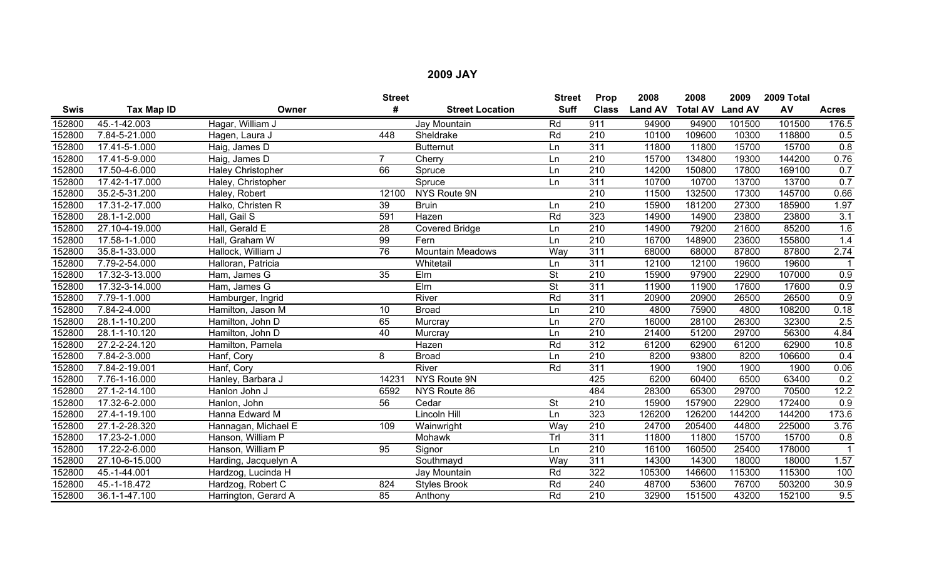|             |                   |                          | <b>Street</b>   |                         | <b>Street</b>            | Prop             | 2008           | 2008            | 2009           | 2009 Total |              |
|-------------|-------------------|--------------------------|-----------------|-------------------------|--------------------------|------------------|----------------|-----------------|----------------|------------|--------------|
| <b>Swis</b> | <b>Tax Map ID</b> | Owner                    | #               | <b>Street Location</b>  | <b>Suff</b>              | <b>Class</b>     | <b>Land AV</b> | <b>Total AV</b> | <b>Land AV</b> | AV         | <b>Acres</b> |
| 152800      | 45.-1-42.003      | Hagar, William J         |                 | Jay Mountain            | Rd                       | 911              | 94900          | 94900           | 101500         | 101500     | 176.5        |
| 152800      | 7.84-5-21.000     | Hagen, Laura J           | 448             | Sheldrake               | Rd                       | $\overline{210}$ | 10100          | 109600          | 10300          | 118800     | 0.5          |
| 152800      | 17.41-5-1.000     | Haig, James D            |                 | <b>Butternut</b>        | Ln                       | 311              | 11800          | 11800           | 15700          | 15700      | 0.8          |
| 152800      | 17.41-5-9.000     | Haig, James D            | 7               | Cherry                  | Ln                       | $\overline{210}$ | 15700          | 134800          | 19300          | 144200     | 0.76         |
| 152800      | 17.50-4-6.000     | <b>Haley Christopher</b> | 66              | Spruce                  | Ln                       | $\overline{210}$ | 14200          | 150800          | 17800          | 169100     | 0.7          |
| 152800      | 17.42-1-17.000    | Haley, Christopher       |                 | Spruce                  | Ln                       | 311              | 10700          | 10700           | 13700          | 13700      | 0.7          |
| 152800      | 35.2-5-31.200     | Haley, Robert            | 12100           | NYS Route 9N            |                          | 210              | 11500          | 132500          | 17300          | 145700     | 0.66         |
| 152800      | 17.31-2-17.000    | Halko, Christen R        | 39              | <b>Bruin</b>            | Ln                       | $\overline{210}$ | 15900          | 181200          | 27300          | 185900     | 1.97         |
| 152800      | 28.1-1-2.000      | Hall, Gail S             | 591             | Hazen                   | Rd                       | 323              | 14900          | 14900           | 23800          | 23800      | 3.1          |
| 152800      | 27.10-4-19.000    | Hall, Gerald E           | $\overline{28}$ | <b>Covered Bridge</b>   | Ln                       | 210              | 14900          | 79200           | 21600          | 85200      | 1.6          |
| 152800      | 17.58-1-1.000     | Hall, Graham W           | 99              | Fern                    | Ln                       | 210              | 16700          | 148900          | 23600          | 155800     | 1.4          |
| 152800      | 35.8-1-33.000     | Hallock, William J       | 76              | <b>Mountain Meadows</b> | Way                      | 311              | 68000          | 68000           | 87800          | 87800      | 2.74         |
| 152800      | 7.79-2-54.000     | Halloran, Patricia       |                 | Whitetail               | Ln                       | 311              | 12100          | 12100           | 19600          | 19600      |              |
| 152800      | 17.32-3-13.000    | Ham, James G             | $\overline{35}$ | Elm                     | $\overline{\mathsf{St}}$ | 210              | 15900          | 97900           | 22900          | 107000     | 0.9          |
| 152800      | 17.32-3-14.000    | Ham, James G             |                 | $E$ Im                  | $\overline{\mathsf{St}}$ | 311              | 11900          | 11900           | 17600          | 17600      | 0.9          |
| 152800      | 7.79-1-1.000      | Hamburger, Ingrid        |                 | River                   | Rd                       | 311              | 20900          | 20900           | 26500          | 26500      | 0.9          |
| 152800      | 7.84-2-4.000      | Hamilton, Jason M        | 10              | <b>Broad</b>            | Ln                       | 210              | 4800           | 75900           | 4800           | 108200     | 0.18         |
| 152800      | 28.1-1-10.200     | Hamilton, John D         | 65              | Murcray                 | Ln                       | 270              | 16000          | 28100           | 26300          | 32300      | 2.5          |
| 152800      | 28.1-1-10.120     | Hamilton, John D         | 40              | Murcray                 | Ln                       | 210              | 21400          | 51200           | 29700          | 56300      | 4.84         |
| 152800      | 27.2-2-24.120     | Hamilton, Pamela         |                 | Hazen                   | Rd                       | 312              | 61200          | 62900           | 61200          | 62900      | 10.8         |
| 152800      | 7.84-2-3.000      | Hanf, Cory               | 8               | <b>Broad</b>            | Ln                       | $\overline{210}$ | 8200           | 93800           | 8200           | 106600     | 0.4          |
| 152800      | 7.84-2-19.001     | Hanf, Cory               |                 | River                   | Rd                       | 311              | 1900           | 1900            | 1900           | 1900       | 0.06         |
| 152800      | 7.76-1-16.000     | Hanley, Barbara J        | 14231           | NYS Route 9N            |                          | 425              | 6200           | 60400           | 6500           | 63400      | 0.2          |
| 152800      | 27.1-2-14.100     | Hanlon John J            | 6592            | NYS Route 86            |                          | 484              | 28300          | 65300           | 29700          | 70500      | 12.2         |
| 152800      | 17.32-6-2.000     | Hanlon, John             | 56              | Cedar                   | $\overline{\mathsf{St}}$ | $\overline{210}$ | 15900          | 157900          | 22900          | 172400     | 0.9          |
| 152800      | 27.4-1-19.100     | Hanna Edward M           |                 | Lincoln Hill            | Ln                       | 323              | 126200         | 126200          | 144200         | 144200     | 173.6        |
| 152800      | 27.1-2-28.320     | Hannagan, Michael E      | 109             | Wainwright              | Way                      | 210              | 24700          | 205400          | 44800          | 225000     | 3.76         |
| 152800      | 17.23-2-1.000     | Hanson, William P        |                 | Mohawk                  | Trl                      | 311              | 11800          | 11800           | 15700          | 15700      | 0.8          |
| 152800      | 17.22-2-6.000     | Hanson, William P        | 95              | Signor                  | Ln                       | 210              | 16100          | 160500          | 25400          | 178000     |              |
| 152800      | 27.10-6-15.000    | Harding, Jacquelyn A     |                 | Southmayd               | Way                      | 311              | 14300          | 14300           | 18000          | 18000      | 1.57         |
| 152800      | 45.-1-44.001      | Hardzog, Lucinda H       |                 | Jay Mountain            | Rd                       | 322              | 105300         | 146600          | 115300         | 115300     | 100          |
| 152800      | 45.-1-18.472      | Hardzog, Robert C        | 824             | <b>Styles Brook</b>     | Rd                       | 240              | 48700          | 53600           | 76700          | 503200     | 30.9         |
| 152800      | 36.1-1-47.100     | Harrington, Gerard A     | 85              | Anthony                 | Rd                       | 210              | 32900          | 151500          | 43200          | 152100     | 9.5          |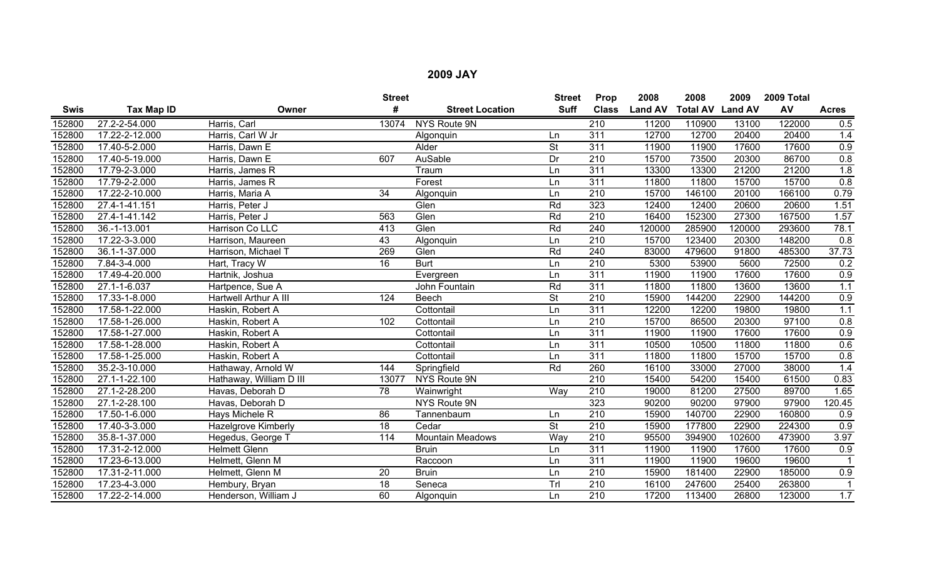|        |                |                         | <b>Street</b>   |                         | <b>Street</b>            | Prop             | 2008           | 2008                    | 2009   | 2009 Total |                  |
|--------|----------------|-------------------------|-----------------|-------------------------|--------------------------|------------------|----------------|-------------------------|--------|------------|------------------|
| Swis   | Tax Map ID     | Owner                   | #               | <b>Street Location</b>  | <b>Suff</b>              | <b>Class</b>     | <b>Land AV</b> | <b>Total AV Land AV</b> |        | AV         | <b>Acres</b>     |
| 152800 | 27.2-2-54.000  | Harris, Carl            | 13074           | NYS Route 9N            |                          | $\overline{210}$ | 11200          | 110900                  | 13100  | 122000     | 0.5              |
| 152800 | 17.22-2-12.000 | Harris, Carl W Jr       |                 | Algonquin               | Ln                       | $\overline{311}$ | 12700          | 12700                   | 20400  | 20400      | 1.4              |
| 152800 | 17.40-5-2.000  | Harris, Dawn E          |                 | Alder                   | $\overline{\mathsf{St}}$ | $\overline{311}$ | 11900          | 11900                   | 17600  | 17600      | 0.9              |
| 152800 | 17.40-5-19.000 | Harris, Dawn E          | 607             | AuSable                 | Dr                       | 210              | 15700          | 73500                   | 20300  | 86700      | 0.8              |
| 152800 | 17.79-2-3.000  | Harris, James R         |                 | Traum                   | Ln                       | 311              | 13300          | 13300                   | 21200  | 21200      | $\overline{1.8}$ |
| 152800 | 17.79-2-2.000  | Harris, James R         |                 | Forest                  | Ln                       | $\overline{311}$ | 11800          | 11800                   | 15700  | 15700      | 0.8              |
| 152800 | 17.22-2-10.000 | Harris, Maria A         | $\overline{34}$ | Algonquin               | Ln                       | $\overline{210}$ | 15700          | 146100                  | 20100  | 166100     | 0.79             |
| 152800 | 27.4-1-41.151  | Harris, Peter J         |                 | Glen                    | Rd                       | 323              | 12400          | 12400                   | 20600  | 20600      | 1.51             |
| 152800 | 27.4-1-41.142  | Harris, Peter J         | 563             | Glen                    | Rd                       | 210              | 16400          | 152300                  | 27300  | 167500     | 1.57             |
| 152800 | 36.-1-13.001   | Harrison Co LLC         | 413             | Glen                    | Rd                       | $\overline{240}$ | 120000         | 285900                  | 120000 | 293600     | 78.1             |
| 152800 | 17.22-3-3.000  | Harrison, Maureen       | 43              | Algonquin               | Ln                       | $\overline{210}$ | 15700          | 123400                  | 20300  | 148200     | 0.8              |
| 152800 | 36.1-1-37.000  | Harrison, Michael T     | 269             | Glen                    | Rd                       | 240              | 83000          | 479600                  | 91800  | 485300     | 37.73            |
| 152800 | 7.84-3-4.000   | Hart, Tracy W           | 16              | <b>Burt</b>             | Ln                       | 210              | 5300           | 53900                   | 5600   | 72500      | 0.2              |
| 152800 | 17.49-4-20.000 | Hartnik, Joshua         |                 | Evergreen               | Ln                       | 311              | 11900          | 11900                   | 17600  | 17600      | 0.9              |
| 152800 | 27.1-1-6.037   | Hartpence, Sue A        |                 | John Fountain           | Rd                       | $\overline{311}$ | 11800          | 11800                   | 13600  | 13600      | 1.1              |
| 152800 | 17.33-1-8.000  | Hartwell Arthur A III   | 124             | Beech                   | St                       | 210              | 15900          | 144200                  | 22900  | 144200     | 0.9              |
| 152800 | 17.58-1-22.000 | Haskin, Robert A        |                 | Cottontail              | Ln                       | 311              | 12200          | 12200                   | 19800  | 19800      | 1.1              |
| 152800 | 17.58-1-26.000 | Haskin, Robert A        | 102             | Cottontail              | Ln                       | 210              | 15700          | 86500                   | 20300  | 97100      | 0.8              |
| 152800 | 17.58-1-27.000 | Haskin, Robert A        |                 | Cottontail              | Ln                       | $\overline{311}$ | 11900          | 11900                   | 17600  | 17600      | 0.9              |
| 152800 | 17.58-1-28.000 | Haskin, Robert A        |                 | Cottontail              | Ln                       | 311              | 10500          | 10500                   | 11800  | 11800      | 0.6              |
| 152800 | 17.58-1-25.000 | Haskin, Robert A        |                 | Cottontail              | Ln                       | 311              | 11800          | 11800                   | 15700  | 15700      | 0.8              |
| 152800 | 35.2-3-10.000  | Hathaway, Arnold W      | 144             | Springfield             | Rd                       | 260              | 16100          | 33000                   | 27000  | 38000      | 1.4              |
| 152800 | 27.1-1-22.100  | Hathaway, William D III | 13077           | NYS Route 9N            |                          | $\overline{210}$ | 15400          | 54200                   | 15400  | 61500      | 0.83             |
| 152800 | 27.1-2-28.200  | Havas, Deborah D        | $\overline{78}$ | Wainwright              | Way                      | 210              | 19000          | 81200                   | 27500  | 89700      | 1.65             |
| 152800 | 27.1-2-28.100  | Havas, Deborah D        |                 | NYS Route 9N            |                          | 323              | 90200          | 90200                   | 97900  | 97900      | 120.45           |
| 152800 | 17.50-1-6.000  | Hays Michele R          | 86              | Tannenbaum              | Ln                       | $\overline{210}$ | 15900          | 140700                  | 22900  | 160800     | 0.9              |
| 152800 | 17.40-3-3.000  | Hazelgrove Kimberly     | 18              | Cedar                   | $\overline{\mathsf{St}}$ | 210              | 15900          | 177800                  | 22900  | 224300     | 0.9              |
| 152800 | 35.8-1-37.000  | Hegedus, George T       | 114             | <b>Mountain Meadows</b> | Way                      | $\overline{210}$ | 95500          | 394900                  | 102600 | 473900     | 3.97             |
| 152800 | 17.31-2-12.000 | <b>Helmett Glenn</b>    |                 | <b>Bruin</b>            | Ln                       | 311              | 11900          | 11900                   | 17600  | 17600      | 0.9              |
| 152800 | 17.23-6-13.000 | Helmett, Glenn M        |                 | Raccoon                 | Ln                       | 311              | 11900          | 11900                   | 19600  | 19600      |                  |
| 152800 | 17.31-2-11.000 | Helmett, Glenn M        | 20              | <b>Bruin</b>            | Ln                       | $\overline{210}$ | 15900          | 181400                  | 22900  | 185000     | 0.9              |
| 152800 | 17.23-4-3.000  | Hembury, Bryan          | 18              | Seneca                  | Trl                      | 210              | 16100          | 247600                  | 25400  | 263800     |                  |
| 152800 | 17.22-2-14.000 | Henderson, William J    | 60              | Algonquin               | Ln                       | $\overline{210}$ | 17200          | 113400                  | 26800  | 123000     | 1.7              |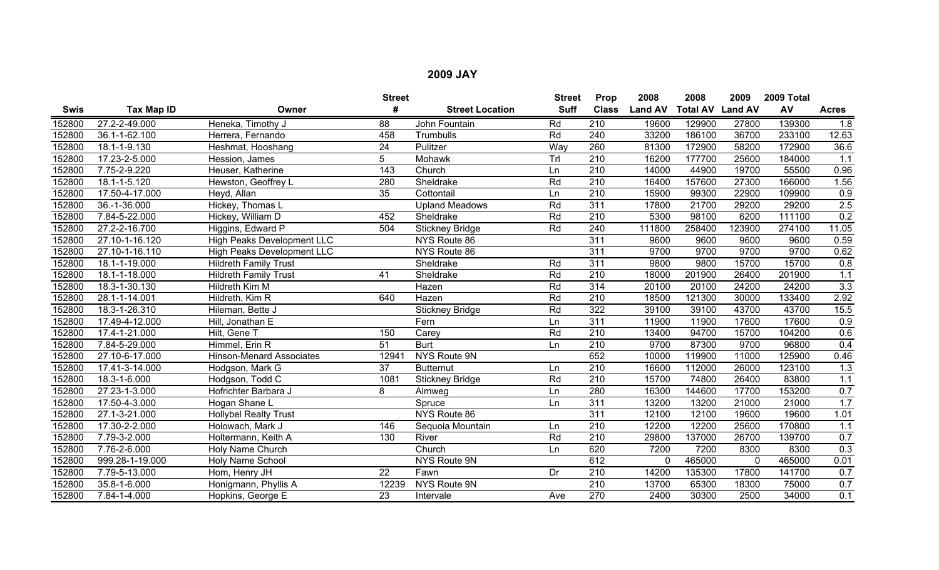|             |                 |                                 | <b>Street</b>   |                        | <b>Street</b> | Prop             | 2008           | 2008                    | 2009     | 2009 Total |                  |
|-------------|-----------------|---------------------------------|-----------------|------------------------|---------------|------------------|----------------|-------------------------|----------|------------|------------------|
| <b>Swis</b> | Tax Map ID      | Owner                           | #               | <b>Street Location</b> | <b>Suff</b>   | <b>Class</b>     | <b>Land AV</b> | <b>Total AV Land AV</b> |          | AV         | <b>Acres</b>     |
| 152800      | 27.2-2-49.000   | Heneka, Timothy J               | 88              | John Fountain          | Rd            | 210              | 19600          | 129900                  | 27800    | 139300     | 1.8              |
| 152800      | 36.1-1-62.100   | Herrera, Fernando               | 458             | Trumbulls              | Rd            | 240              | 33200          | 186100                  | 36700    | 233100     | 12.63            |
| 152800      | 18.1-1-9.130    | Heshmat, Hooshang               | $\overline{24}$ | Pulitzer               | Way           | 260              | 81300          | 172900                  | 58200    | 172900     | 36.6             |
| 152800      | 17.23-2-5.000   | Hession, James                  | 5               | Mohawk                 | Trl           | 210              | 16200          | 177700                  | 25600    | 184000     | 1.1              |
| 152800      | 7.75-2-9.220    | Heuser, Katherine               | 143             | Church                 | Ln            | $\overline{210}$ | 14000          | 44900                   | 19700    | 55500      | 0.96             |
| 152800      | 18.1-1-5.120    | Hewston, Geoffrey L             | 280             | Sheldrake              | Rd            | $\overline{210}$ | 16400          | 157600                  | 27300    | 166000     | 1.56             |
| 152800      | 17.50-4-17.000  | Heyd, Allan                     | 35              | Cottontail             | Ln            | 210              | 15900          | 99300                   | 22900    | 109900     | 0.9              |
| 152800      | 36.-1-36.000    | Hickey, Thomas L                |                 | <b>Upland Meadows</b>  | Rd            | 311              | 17800          | 21700                   | 29200    | 29200      | 2.5              |
| 152800      | 7.84-5-22.000   | Hickey, William D               | 452             | Sheldrake              | Rd            | 210              | 5300           | 98100                   | 6200     | 111100     | 0.2              |
| 152800      | 27.2-2-16.700   | Higgins, Edward P               | 504             | <b>Stickney Bridge</b> | Rd            | $\overline{240}$ | 111800         | 258400                  | 123900   | 274100     | 11.05            |
| 152800      | 27.10-1-16.120  | High Peaks Development LLC      |                 | NYS Route 86           |               | 311              | 9600           | 9600                    | 9600     | 9600       | 0.59             |
| 152800      | 27.10-1-16.110  | High Peaks Development LLC      |                 | NYS Route 86           |               | $\overline{311}$ | 9700           | 9700                    | 9700     | 9700       | 0.62             |
| 152800      | 18.1-1-19.000   | <b>Hildreth Family Trust</b>    |                 | Sheldrake              | Rd            | 311              | 9800           | 9800                    | 15700    | 15700      | 0.8              |
| 152800      | 18.1-1-18.000   | <b>Hildreth Family Trust</b>    | 41              | Sheldrake              | Rd            | $\overline{210}$ | 18000          | 201900                  | 26400    | 201900     | 1.1              |
| 152800      | 18.3-1-30.130   | Hildreth Kim M                  |                 | Hazen                  | Rd            | 314              | 20100          | 20100                   | 24200    | 24200      | 3.3              |
| 152800      | 28.1-1-14.001   | Hildreth, Kim R                 | 640             | Hazen                  | Rd            | 210              | 18500          | 121300                  | 30000    | 133400     | 2.92             |
| 152800      | 18.3-1-26.310   | Hileman, Bette J                |                 | <b>Stickney Bridge</b> | Rd            | 322              | 39100          | 39100                   | 43700    | 43700      | 15.5             |
| 152800      | 17.49-4-12.000  | Hill, Jonathan E                |                 | Fern                   | Ln            | 311              | 11900          | 11900                   | 17600    | 17600      | 0.9              |
| 152800      | 17.4-1-21.000   | Hilt, Gene T                    | 150             | Carey                  | Rd            | 210              | 13400          | 94700                   | 15700    | 104200     | 0.6              |
| 152800      | 7.84-5-29.000   | Himmel, Erin R                  | $\overline{51}$ | <b>Burt</b>            | Ln            | $\overline{210}$ | 9700           | 87300                   | 9700     | 96800      | 0.4              |
| 152800      | 27.10-6-17.000  | <b>Hinson-Menard Associates</b> | 12941           | <b>NYS Route 9N</b>    |               | 652              | 10000          | 119900                  | 11000    | 125900     | 0.46             |
| 152800      | 17.41-3-14.000  | Hodgson, Mark G                 | $\overline{37}$ | <b>Butternut</b>       | Ln            | $\overline{210}$ | 16600          | 112000                  | 26000    | 123100     | 1.3              |
| 152800      | 18.3-1-6.000    | Hodgson, Todd C                 | 1081            | <b>Stickney Bridge</b> | Rd            | $\overline{210}$ | 15700          | 74800                   | 26400    | 83800      | 1.1              |
| 152800      | 27.23-1-3.000   | Hofrichter Barbara J            | 8               | Almweg                 | Ln            | 280              | 16300          | 144600                  | 17700    | 153200     | 0.7              |
| 152800      | 17.50-4-3.000   | Hogan Shane L                   |                 | Spruce                 | Ln            | 311              | 13200          | 13200                   | 21000    | 21000      | 1.7              |
| 152800      | 27.1-3-21.000   | <b>Hollybel Realty Trust</b>    |                 | NYS Route 86           |               | 311              | 12100          | 12100                   | 19600    | 19600      | 1.01             |
| 152800      | 17.30-2-2.000   | Holowach, Mark J                | 146             | Sequoia Mountain       | Ln            | 210              | 12200          | 12200                   | 25600    | 170800     | 1.1              |
| 152800      | 7.79-3-2.000    | Holtermann, Keith A             | 130             | River                  | Rd            | 210              | 29800          | 137000                  | 26700    | 139700     | 0.7              |
| 152800      | 7.76-2-6.000    | Holy Name Church                |                 | Church                 | Ln            | 620              | 7200           | 7200                    | 8300     | 8300       | $\overline{0.3}$ |
| 152800      | 999.28-1-19.000 | Holy Name School                |                 | NYS Route 9N           |               | 612              | 0              | 465000                  | $\Omega$ | 465000     | 0.01             |
| 152800      | 7.79-5-13.000   | Hom, Henry JH                   | 22              | Fawn                   | Dr            | 210              | 14200          | 135300                  | 17800    | 141700     | 0.7              |
| 152800      | 35.8-1-6.000    | Honigmann, Phyllis A            | 12239           | NYS Route 9N           |               | 210              | 13700          | 65300                   | 18300    | 75000      | 0.7              |
| 152800      | 7.84-1-4.000    | Hopkins, George E               | $\overline{23}$ | Intervale              | Ave           | 270              | 2400           | 30300                   | 2500     | 34000      | 0.1              |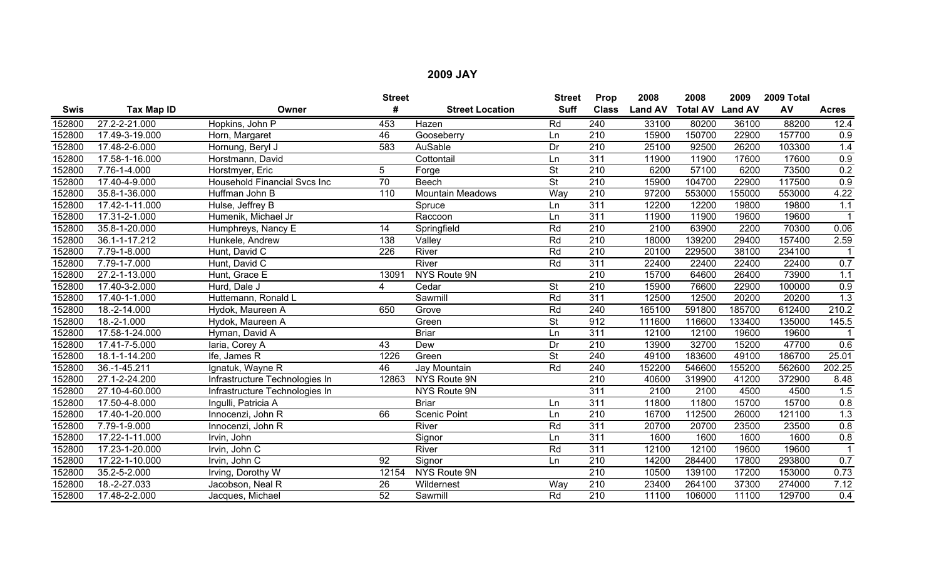|             |                   |                                     | <b>Street</b>    |                         | <b>Street</b>            | Prop             | 2008           | 2008                    | 2009   | 2009 Total |              |
|-------------|-------------------|-------------------------------------|------------------|-------------------------|--------------------------|------------------|----------------|-------------------------|--------|------------|--------------|
| <b>Swis</b> | <b>Tax Map ID</b> | Owner                               | #                | <b>Street Location</b>  | <b>Suff</b>              | <b>Class</b>     | <b>Land AV</b> | <b>Total AV Land AV</b> |        | AV         | <b>Acres</b> |
| 152800      | 27.2-2-21.000     | Hopkins, John P                     | 453              | Hazen                   | Rd                       | 240              | 33100          | 80200                   | 36100  | 88200      | 12.4         |
| 152800      | 17.49-3-19.000    | Horn, Margaret                      | 46               | Gooseberry              | Ln                       | 210              | 15900          | 150700                  | 22900  | 157700     | 0.9          |
| 152800      | 17.48-2-6.000     | Hornung, Beryl J                    | 583              | AuSable                 | $\overline{Dr}$          | $\overline{210}$ | 25100          | 92500                   | 26200  | 103300     | 1.4          |
| 152800      | 17.58-1-16.000    | Horstmann, David                    |                  | Cottontail              | Ln                       | 311              | 11900          | 11900                   | 17600  | 17600      | 0.9          |
| 152800      | 7.76-1-4.000      | Horstmyer, Eric                     | 5                | Forge                   | $\overline{\mathsf{St}}$ | 210              | 6200           | 57100                   | 6200   | 73500      | 0.2          |
| 152800      | 17.40-4-9.000     | <b>Household Financial Svcs Inc</b> | 70               | <b>Beech</b>            | $\overline{\mathsf{St}}$ | $\overline{210}$ | 15900          | 104700                  | 22900  | 117500     | 0.9          |
| 152800      | 35.8-1-36.000     | Huffman John B                      | 110              | <b>Mountain Meadows</b> | Way                      | 210              | 97200          | 553000                  | 155000 | 553000     | 4.22         |
| 152800      | 17.42-1-11.000    | Hulse, Jeffrey B                    |                  | Spruce                  | Ln                       | 311              | 12200          | 12200                   | 19800  | 19800      | 1.1          |
| 152800      | 17.31-2-1.000     | Humenik, Michael Jr                 |                  | Raccoon                 | Ln                       | 311              | 11900          | 11900                   | 19600  | 19600      |              |
| 152800      | 35.8-1-20.000     | Humphreys, Nancy E                  | $\overline{14}$  | Springfield             | Rd                       | 210              | 2100           | 63900                   | 2200   | 70300      | 0.06         |
| 152800      | 36.1-1-17.212     | Hunkele, Andrew                     | 138              | Valley                  | Rd                       | $\overline{210}$ | 18000          | 139200                  | 29400  | 157400     | 2.59         |
| 152800      | 7.79-1-8.000      | Hunt, David C                       | $\overline{226}$ | River                   | Rd                       | 210              | 20100          | 229500                  | 38100  | 234100     |              |
| 152800      | 7.79-1-7.000      | Hunt, David C                       |                  | River                   | Rd                       | 311              | 22400          | 22400                   | 22400  | 22400      | 0.7          |
| 152800      | 27.2-1-13.000     | Hunt, Grace E                       | 13091            | NYS Route 9N            |                          | $\overline{210}$ | 15700          | 64600                   | 26400  | 73900      | 1.1          |
| 152800      | 17.40-3-2.000     | Hurd, Dale J                        | 4                | Cedar                   | <b>St</b>                | 210              | 15900          | 76600                   | 22900  | 100000     | 0.9          |
| 152800      | 17.40-1-1.000     | Huttemann, Ronald L                 |                  | Sawmill                 | Rd                       | 311              | 12500          | 12500                   | 20200  | 20200      | 1.3          |
| 152800      | 18.-2-14.000      | Hydok, Maureen A                    | 650              | Grove                   | Rd                       | 240              | 165100         | 591800                  | 185700 | 612400     | 210.2        |
| 152800      | 18.-2-1.000       | Hydok, Maureen A                    |                  | Green                   | $\overline{\mathsf{St}}$ | 912              | 111600         | 116600                  | 133400 | 135000     | 145.5        |
| 152800      | 17.58-1-24.000    | Hyman, David A                      |                  | <b>Briar</b>            | Ln                       | 311              | 12100          | 12100                   | 19600  | 19600      |              |
| 152800      | 17.41-7-5.000     | laria, Corey A                      | 43               | Dew                     | Dr                       | $\overline{210}$ | 13900          | 32700                   | 15200  | 47700      | 0.6          |
| 152800      | 18.1-1-14.200     | Ife, James R                        | 1226             | Green                   | <b>St</b>                | 240              | 49100          | 183600                  | 49100  | 186700     | 25.01        |
| 152800      | 36.-1-45.211      | Ignatuk, Wayne R                    | 46               | Jay Mountain            | Rd                       | $\overline{240}$ | 152200         | 546600                  | 155200 | 562600     | 202.25       |
| 152800      | 27.1-2-24.200     | Infrastructure Technologies In      | 12863            | NYS Route 9N            |                          | $\overline{210}$ | 40600          | 319900                  | 41200  | 372900     | 8.48         |
| 152800      | 27.10-4-60.000    | Infrastructure Technologies In      |                  | NYS Route 9N            |                          | 311              | 2100           | 2100                    | 4500   | 4500       | 1.5          |
| 152800      | 17.50-4-8.000     | Ingulli, Patricia A                 |                  | <b>Briar</b>            | Ln                       | $\overline{311}$ | 11800          | 11800                   | 15700  | 15700      | 0.8          |
| 152800      | 17.40-1-20.000    | Innocenzi, John R                   | 66               | <b>Scenic Point</b>     | Ln                       | 210              | 16700          | 112500                  | 26000  | 121100     | 1.3          |
| 152800      | 7.79-1-9.000      | Innocenzi, John R                   |                  | River                   | Rd                       | $\overline{311}$ | 20700          | 20700                   | 23500  | 23500      | 0.8          |
| 152800      | 17.22-1-11.000    | Irvin, John                         |                  | Signor                  | Ln                       | 311              | 1600           | 1600                    | 1600   | 1600       | 0.8          |
| 152800      | 17.23-1-20.000    | Irvin, John C                       |                  | River                   | Rd                       | 311              | 12100          | 12100                   | 19600  | 19600      |              |
| 152800      | 17.22-1-10.000    | Irvin, John C                       | $\overline{92}$  | Signor                  | Ln                       | 210              | 14200          | 284400                  | 17800  | 293800     | 0.7          |
| 152800      | 35.2-5-2.000      | Irving, Dorothy W                   | 12154            | NYS Route 9N            |                          | 210              | 10500          | 139100                  | 17200  | 153000     | 0.73         |
| 152800      | 18.-2-27.033      | Jacobson, Neal R                    | 26               | Wildernest              | Way                      | 210              | 23400          | 264100                  | 37300  | 274000     | 7.12         |
| 152800      | 17.48-2-2.000     | Jacques, Michael                    | 52               | Sawmill                 | Rd                       | $\overline{210}$ | 11100          | 106000                  | 11100  | 129700     | 0.4          |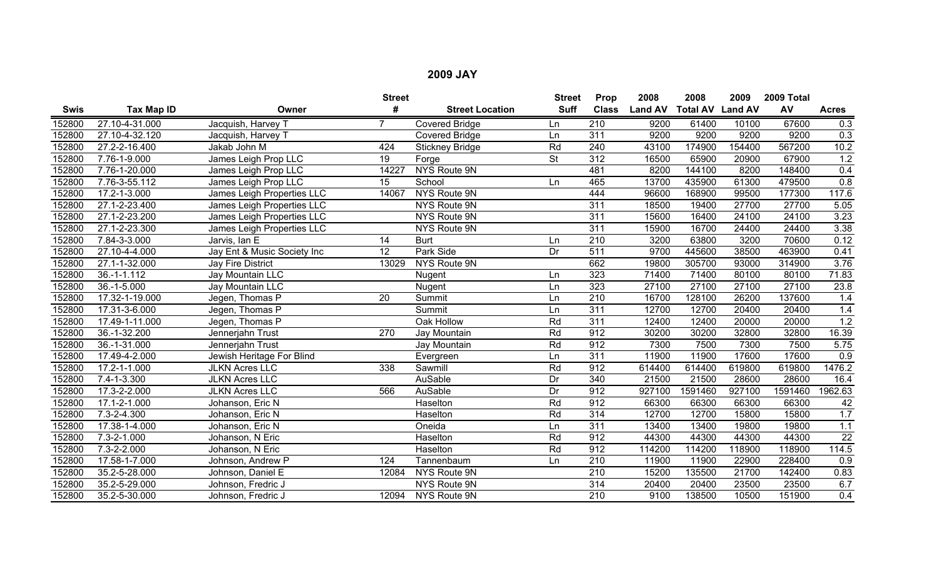|             |                   |                             | <b>Street</b> |                        | <b>Street</b> | Prop             | 2008           | 2008                    | 2009   | 2009 Total |                  |
|-------------|-------------------|-----------------------------|---------------|------------------------|---------------|------------------|----------------|-------------------------|--------|------------|------------------|
| <b>Swis</b> | Tax Map ID        | Owner                       | #             | <b>Street Location</b> | <b>Suff</b>   | <b>Class</b>     | <b>Land AV</b> | <b>Total AV Land AV</b> |        | AV         | <b>Acres</b>     |
| 152800      | 27.10-4-31.000    | Jacquish, Harvey T          |               | <b>Covered Bridge</b>  | Ln            | 210              | 9200           | 61400                   | 10100  | 67600      | 0.3              |
| 152800      | 27.10-4-32.120    | Jacquish, Harvey T          |               | <b>Covered Bridge</b>  | Ln            | 311              | 9200           | 9200                    | 9200   | 9200       | 0.3              |
| 152800      | 27.2-2-16.400     | Jakab John M                | 424           | <b>Stickney Bridge</b> | Rd            | 240              | 43100          | 174900                  | 154400 | 567200     | 10.2             |
| 152800      | 7.76-1-9.000      | James Leigh Prop LLC        | 19            | Forge                  | <b>St</b>     | 312              | 16500          | 65900                   | 20900  | 67900      | 1.2              |
| 152800      | 7.76-1-20.000     | James Leigh Prop LLC        | 14227         | <b>NYS Route 9N</b>    |               | 481              | 8200           | 144100                  | 8200   | 148400     | 0.4              |
| 152800      | 7.76-3-55.112     | James Leigh Prop LLC        | 15            | School                 | Ln            | 465              | 13700          | 435900                  | 61300  | 479500     | 0.8              |
| 152800      | 17.2-1-3.000      | James Leigh Properties LLC  | 14067         | NYS Route 9N           |               | 444              | 96600          | 168900                  | 99500  | 177300     | 117.6            |
| 152800      | 27.1-2-23.400     | James Leigh Properties LLC  |               | NYS Route 9N           |               | 311              | 18500          | 19400                   | 27700  | 27700      | 5.05             |
| 152800      | 27.1-2-23.200     | James Leigh Properties LLC  |               | NYS Route 9N           |               | 311              | 15600          | 16400                   | 24100  | 24100      | 3.23             |
| 152800      | 27.1-2-23.300     | James Leigh Properties LLC  |               | NYS Route 9N           |               | 311              | 15900          | 16700                   | 24400  | 24400      | 3.38             |
| 152800      | 7.84-3-3.000      | Jarvis, Ian E               | 14            | <b>Burt</b>            | Ln            | $\overline{210}$ | 3200           | 63800                   | 3200   | 70600      | 0.12             |
| 152800      | 27.10-4-4.000     | Jay Ent & Music Society Inc | 12            | Park Side              | Dr            | 511              | 9700           | 445600                  | 38500  | 463900     | 0.41             |
| 152800      | 27.1-1-32.000     | <b>Jay Fire District</b>    | 13029         | NYS Route 9N           |               | 662              | 19800          | 305700                  | 93000  | 314900     | 3.76             |
| 152800      | 36.-1-1.112       | Jay Mountain LLC            |               | Nugent                 | Ln            | 323              | 71400          | 71400                   | 80100  | 80100      | 71.83            |
| 152800      | $36.-1-5.000$     | Jay Mountain LLC            |               | Nugent                 | Ln            | 323              | 27100          | 27100                   | 27100  | 27100      | 23.8             |
| 152800      | 17.32-1-19.000    | Jegen, Thomas P             | 20            | Summit                 | Ln            | 210              | 16700          | 128100                  | 26200  | 137600     | 1.4              |
| 152800      | 17.31-3-6.000     | Jegen, Thomas P             |               | Summit                 | Ln            | $\overline{311}$ | 12700          | 12700                   | 20400  | 20400      | 1.4              |
| 152800      | 17.49-1-11.000    | Jegen, Thomas P             |               | Oak Hollow             | Rd            | 311              | 12400          | 12400                   | 20000  | 20000      | 1.2              |
| 152800      | 36.-1-32.200      | Jennerjahn Trust            | 270           | Jay Mountain           | Rd            | 912              | 30200          | 30200                   | 32800  | 32800      | 16.39            |
| 152800      | 36.-1-31.000      | Jennerjahn Trust            |               | Jay Mountain           | Rd            | 912              | 7300           | 7500                    | 7300   | 7500       | 5.75             |
| 152800      | 17.49-4-2.000     | Jewish Heritage For Blind   |               | Evergreen              | Ln            | 311              | 11900          | 11900                   | 17600  | 17600      | $\overline{0.9}$ |
| 152800      | 17.2-1-1.000      | <b>JLKN Acres LLC</b>       | 338           | Sawmill                | Rd            | 912              | 614400         | 614400                  | 619800 | 619800     | 1476.2           |
| 152800      | 7.4-1-3.300       | <b>JLKN Acres LLC</b>       |               | AuSable                | Dr            | 340              | 21500          | 21500                   | 28600  | 28600      | 16.4             |
| 152800      | 17.3-2-2.000      | <b>JLKN Acres LLC</b>       | 566           | AuSable                | Dr            | 912              | 927100         | 1591460                 | 927100 | 1591460    | 1962.63          |
| 152800      | 17.1-2-1.000      | Johanson, Eric N            |               | Haselton               | Rd            | 912              | 66300          | 66300                   | 66300  | 66300      | 42               |
| 152800      | $7.3 - 2 - 4.300$ | Johanson, Eric N            |               | Haselton               | Rd            | 314              | 12700          | 12700                   | 15800  | 15800      | 1.7              |
| 152800      | 17.38-1-4.000     | Johanson, Eric N            |               | Oneida                 | Ln            | 311              | 13400          | 13400                   | 19800  | 19800      | $1.1$            |
| 152800      | 7.3-2-1.000       | Johanson, N Eric            |               | Haselton               | Rd            | 912              | 44300          | 44300                   | 44300  | 44300      | $\overline{22}$  |
| 152800      | 7.3-2-2.000       | Johanson, N Eric            |               | Haselton               | Rd            | 912              | 114200         | 114200                  | 118900 | 118900     | 114.5            |
| 152800      | 17.58-1-7.000     | Johnson, Andrew P           | 124           | Tannenbaum             | Ln            | 210              | 11900          | 11900                   | 22900  | 228400     | 0.9              |
| 152800      | 35.2-5-28.000     | Johnson, Daniel E           | 12084         | NYS Route 9N           |               | 210              | 15200          | 135500                  | 21700  | 142400     | 0.83             |
| 152800      | 35.2-5-29.000     | Johnson, Fredric J          |               | NYS Route 9N           |               | 314              | 20400          | 20400                   | 23500  | 23500      | 6.7              |
| 152800      | 35.2-5-30.000     | Johnson, Fredric J          | 12094         | NYS Route 9N           |               | 210              | 9100           | 138500                  | 10500  | 151900     | 0.4              |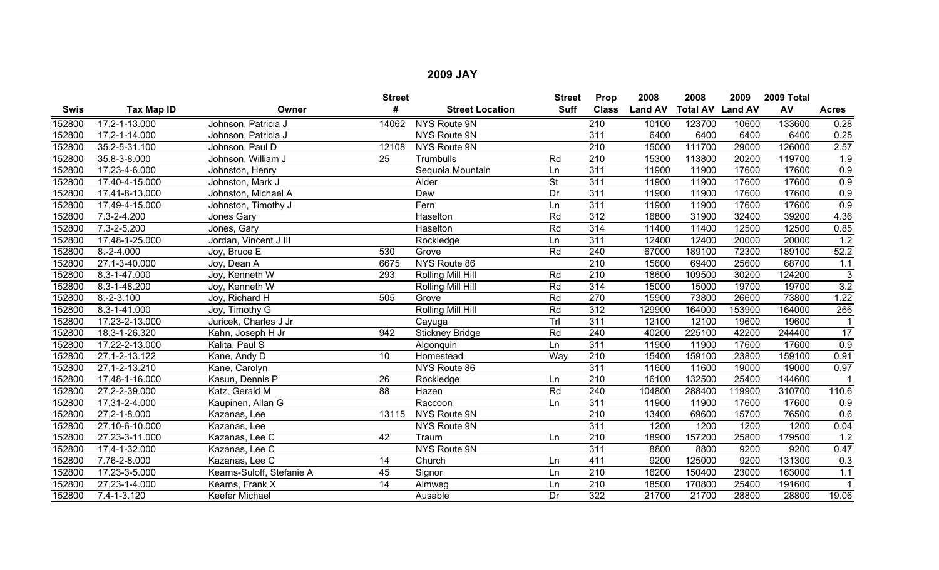|             |                |                           | <b>Street</b>   |                        | <b>Street</b> | Prop             | 2008           | 2008                    | 2009   | 2009 Total |                      |
|-------------|----------------|---------------------------|-----------------|------------------------|---------------|------------------|----------------|-------------------------|--------|------------|----------------------|
| <b>Swis</b> | Tax Map ID     | Owner                     | #               | <b>Street Location</b> | <b>Suff</b>   | <b>Class</b>     | <b>Land AV</b> | <b>Total AV Land AV</b> |        | AV         | <b>Acres</b>         |
| 152800      | 17.2-1-13.000  | Johnson, Patricia J       | 14062           | NYS Route 9N           |               | $\overline{210}$ | 10100          | 123700                  | 10600  | 133600     | 0.28                 |
| 152800      | 17.2-1-14.000  | Johnson, Patricia J       |                 | NYS Route 9N           |               | 311              | 6400           | 6400                    | 6400   | 6400       | 0.25                 |
| 152800      | 35.2-5-31.100  | Johnson, Paul D           | 12108           | NYS Route 9N           |               | 210              | 15000          | 111700                  | 29000  | 126000     | 2.57                 |
| 152800      | 35.8-3-8.000   | Johnson, William J        | 25              | Trumbulls              | Rd            | $\overline{210}$ | 15300          | 113800                  | 20200  | 119700     | 1.9                  |
| 152800      | 17.23-4-6.000  | Johnston, Henry           |                 | Sequoia Mountain       | Ln            | 311              | 11900          | 11900                   | 17600  | 17600      | 0.9                  |
| 152800      | 17.40-4-15.000 | Johnston, Mark J          |                 | Alder                  | <b>St</b>     | 311              | 11900          | 11900                   | 17600  | 17600      | 0.9                  |
| 152800      | 17.41-8-13.000 | Johnston, Michael A       |                 | Dew                    | Dr            | 311              | 11900          | 11900                   | 17600  | 17600      | 0.9                  |
| 152800      | 17.49-4-15.000 | Johnston, Timothy J       |                 | Fern                   | Ln            | 311              | 11900          | 11900                   | 17600  | 17600      | 0.9                  |
| 152800      | 7.3-2-4.200    | Jones Gary                |                 | Haselton               | Rd            | 312              | 16800          | 31900                   | 32400  | 39200      | 4.36                 |
| 152800      | 7.3-2-5.200    | Jones, Gary               |                 | Haselton               | Rd            | $\overline{314}$ | 11400          | 11400                   | 12500  | 12500      | 0.85                 |
| 152800      | 17.48-1-25.000 | Jordan, Vincent J III     |                 | Rockledge              | Ln            | 311              | 12400          | 12400                   | 20000  | 20000      | 1.2                  |
| 152800      | $8.-2-4.000$   | Joy, Bruce E              | 530             | Grove                  | Rd            | 240              | 67000          | 189100                  | 72300  | 189100     | 52.2                 |
| 152800      | 27.1-3-40.000  | Joy, Dean A               | 6675            | NYS Route 86           |               | $\overline{210}$ | 15600          | 69400                   | 25600  | 68700      | 1.1                  |
| 152800      | 8.3-1-47.000   | Joy, Kenneth W            | 293             | Rolling Mill Hill      | Rd            | $\overline{210}$ | 18600          | 109500                  | 30200  | 124200     | 3                    |
| 152800      | 8.3-1-48.200   | Joy, Kenneth W            |                 | Rolling Mill Hill      | Rd            | 314              | 15000          | 15000                   | 19700  | 19700      | 3.2                  |
| 152800      | $8.-2-3.100$   | Joy, Richard H            | 505             | Grove                  | Rd            | 270              | 15900          | 73800                   | 26600  | 73800      | 1.22                 |
| 152800      | 8.3-1-41.000   | Joy, Timothy G            |                 | Rolling Mill Hill      | Rd            | 312              | 129900         | 164000                  | 153900 | 164000     | 266                  |
| 152800      | 17.23-2-13.000 | Juricek, Charles J Jr     |                 | Cayuga                 | TrI           | 311              | 12100          | 12100                   | 19600  | 19600      |                      |
| 152800      | 18.3-1-26.320  | Kahn, Joseph H Jr         | 942             | <b>Stickney Bridge</b> | Rd            | 240              | 40200          | 225100                  | 42200  | 244400     | $\overline{17}$      |
| 152800      | 17.22-2-13.000 | Kalita, Paul S            |                 | Algonquin              | Ln            | 311              | 11900          | 11900                   | 17600  | 17600      | 0.9                  |
| 152800      | 27.1-2-13.122  | Kane, Andy D              | 10              | Homestead              | Way           | $\overline{210}$ | 15400          | 159100                  | 23800  | 159100     | 0.91                 |
| 152800      | 27.1-2-13.210  | Kane, Carolyn             |                 | NYS Route 86           |               | 311              | 11600          | 11600                   | 19000  | 19000      | 0.97                 |
| 152800      | 17.48-1-16.000 | Kasun, Dennis P           | $\overline{26}$ | Rockledge              | Ln            | $\overline{210}$ | 16100          | 132500                  | 25400  | 144600     |                      |
| 152800      | 27.2-2-39.000  | Katz, Gerald M            | 88              | Hazen                  | Rd            | 240              | 104800         | 288400                  | 119900 | 310700     | 110.6                |
| 152800      | 17.31-2-4.000  | Kaupinen, Allan G         |                 | Raccoon                | Ln            | 311              | 11900          | 11900                   | 17600  | 17600      | 0.9                  |
| 152800      | 27.2-1-8.000   | Kazanas, Lee              | 13115           | NYS Route 9N           |               | 210              | 13400          | 69600                   | 15700  | 76500      | 0.6                  |
| 152800      | 27.10-6-10.000 | Kazanas, Lee              |                 | NYS Route 9N           |               | 311              | 1200           | 1200                    | 1200   | 1200       | 0.04                 |
| 152800      | 27.23-3-11.000 | Kazanas, Lee C            | 42              | Traum                  | Ln            | 210              | 18900          | 157200                  | 25800  | 179500     | $\overline{1.2}$     |
| 152800      | 17.4-1-32.000  | Kazanas, Lee C            |                 | NYS Route 9N           |               | 311              | 8800           | 8800                    | 9200   | 9200       | 0.47                 |
| 152800      | 7.76-2-8.000   | Kazanas, Lee C            | 14              | Church                 | Ln            | 411              | 9200           | 125000                  | 9200   | 131300     | $\overline{0.3}$     |
| 152800      | 17.23-3-5.000  | Kearns-Suloff, Stefanie A | 45              | Signor                 | Ln            | 210              | 16200          | 150400                  | 23000  | 163000     | 1.1                  |
| 152800      | 27.23-1-4.000  | Kearns, Frank X           | 14              | Almweg                 | Ln            | 210              | 18500          | 170800                  | 25400  | 191600     | $\blacktriangleleft$ |
| 152800      | 7.4-1-3.120    | Keefer Michael            |                 | Ausable                | Dr            | 322              | 21700          | 21700                   | 28800  | 28800      | 19.06                |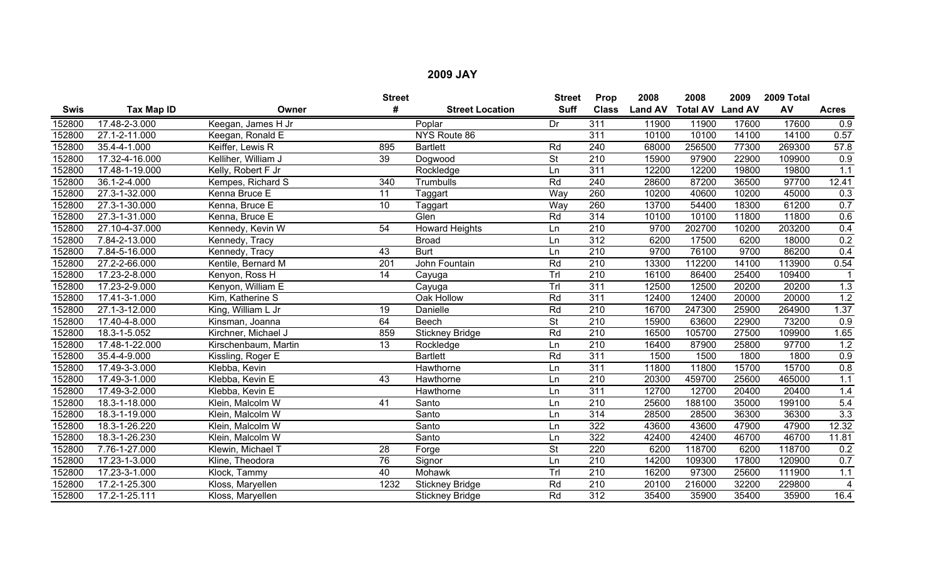|             |                |                      | <b>Street</b>   |                        | <b>Street</b>            | Prop             | 2008           | 2008            | 2009           | 2009 Total |                |
|-------------|----------------|----------------------|-----------------|------------------------|--------------------------|------------------|----------------|-----------------|----------------|------------|----------------|
| <b>Swis</b> | Tax Map ID     | Owner                | #               | <b>Street Location</b> | <b>Suff</b>              | <b>Class</b>     | <b>Land AV</b> | <b>Total AV</b> | <b>Land AV</b> | AV         | <b>Acres</b>   |
| 152800      | 17.48-2-3.000  | Keegan, James H Jr   |                 | Poplar                 | Dr                       | 311              | 11900          | 11900           | 17600          | 17600      | 0.9            |
| 152800      | 27.1-2-11.000  | Keegan, Ronald E     |                 | NYS Route 86           |                          | 311              | 10100          | 10100           | 14100          | 14100      | 0.57           |
| 152800      | 35.4-4-1.000   | Keiffer, Lewis R     | 895             | <b>Bartlett</b>        | Rd                       | 240              | 68000          | 256500          | 77300          | 269300     | 57.8           |
| 152800      | 17.32-4-16.000 | Kelliher, William J  | $\overline{39}$ | Dogwood                | $\overline{\mathsf{St}}$ | $\overline{210}$ | 15900          | 97900           | 22900          | 109900     | 0.9            |
| 152800      | 17.48-1-19.000 | Kelly, Robert F Jr   |                 | Rockledge              | Ln                       | 311              | 12200          | 12200           | 19800          | 19800      | 1.1            |
| 152800      | 36.1-2-4.000   | Kempes, Richard S    | 340             | Trumbulls              | Rd                       | 240              | 28600          | 87200           | 36500          | 97700      | 12.41          |
| 152800      | 27.3-1-32.000  | Kenna Bruce E        | 11              | Taggart                | Way                      | 260              | 10200          | 40600           | 10200          | 45000      | 0.3            |
| 152800      | 27.3-1-30.000  | Kenna, Bruce E       | 10 <sup>°</sup> | Taggart                | Way                      | 260              | 13700          | 54400           | 18300          | 61200      | 0.7            |
| 152800      | 27.3-1-31.000  | Kenna, Bruce E       |                 | Glen                   | Rd                       | 314              | 10100          | 10100           | 11800          | 11800      | 0.6            |
| 152800      | 27.10-4-37.000 | Kennedy, Kevin W     | 54              | <b>Howard Heights</b>  | Ln                       | $\overline{210}$ | 9700           | 202700          | 10200          | 203200     | 0.4            |
| 152800      | 7.84-2-13.000  | Kennedy, Tracy       |                 | <b>Broad</b>           | Ln                       | 312              | 6200           | 17500           | 6200           | 18000      | 0.2            |
| 152800      | 7.84-5-16.000  | Kennedy, Tracy       | 43              | <b>Burt</b>            | Ln                       | 210              | 9700           | 76100           | 9700           | 86200      | 0.4            |
| 152800      | 27.2-2-66.000  | Kentile, Bernard M   | 201             | John Fountain          | Rd                       | $\overline{210}$ | 13300          | 112200          | 14100          | 113900     | 0.54           |
| 152800      | 17.23-2-8.000  | Kenyon, Ross H       | 14              | Cayuga                 | Trl                      | 210              | 16100          | 86400           | 25400          | 109400     |                |
| 152800      | 17.23-2-9.000  | Kenyon, William E    |                 | Cayuga                 | Trl                      | $\overline{311}$ | 12500          | 12500           | 20200          | 20200      | 1.3            |
| 152800      | 17.41-3-1.000  | Kim, Katherine S     |                 | Oak Hollow             | Rd                       | 311              | 12400          | 12400           | 20000          | 20000      | 1.2            |
| 152800      | 27.1-3-12.000  | King, William L Jr   | $\overline{19}$ | Danielle               | Rd                       | $\overline{210}$ | 16700          | 247300          | 25900          | 264900     | 1.37           |
| 152800      | 17.40-4-8.000  | Kinsman, Joanna      | 64              | Beech                  | $\overline{\mathsf{St}}$ | $\overline{210}$ | 15900          | 63600           | 22900          | 73200      | 0.9            |
| 152800      | 18.3-1-5.052   | Kirchner, Michael J  | 859             | <b>Stickney Bridge</b> | Rd                       | 210              | 16500          | 105700          | 27500          | 109900     | 1.65           |
| 152800      | 17.48-1-22.000 | Kirschenbaum, Martin | 13              | Rockledge              | Ln                       | $\overline{210}$ | 16400          | 87900           | 25800          | 97700      | 1.2            |
| 152800      | 35.4-4-9.000   | Kissling, Roger E    |                 | <b>Bartlett</b>        | Rd                       | 311              | 1500           | 1500            | 1800           | 1800       | 0.9            |
| 152800      | 17.49-3-3.000  | Klebba, Kevin        |                 | Hawthorne              | Ln                       | 311              | 11800          | 11800           | 15700          | 15700      | 0.8            |
| 152800      | 17.49-3-1.000  | Klebba, Kevin E      | 43              | Hawthorne              | Ln                       | $\overline{210}$ | 20300          | 459700          | 25600          | 465000     | 1.1            |
| 152800      | 17.49-3-2.000  | Klebba, Kevin E      |                 | Hawthorne              | Ln                       | 311              | 12700          | 12700           | 20400          | 20400      | 1.4            |
| 152800      | 18.3-1-18.000  | Klein, Malcolm W     | 41              | Santo                  | Ln                       | $\overline{210}$ | 25600          | 188100          | 35000          | 199100     | 5.4            |
| 152800      | 18.3-1-19.000  | Klein, Malcolm W     |                 | Santo                  | Ln                       | $\overline{314}$ | 28500          | 28500           | 36300          | 36300      | 3.3            |
| 152800      | 18.3-1-26.220  | Klein, Malcolm W     |                 | Santo                  | Ln                       | 322              | 43600          | 43600           | 47900          | 47900      | 12.32          |
| 152800      | 18.3-1-26.230  | Klein, Malcolm W     |                 | Santo                  | Ln                       | 322              | 42400          | 42400           | 46700          | 46700      | 11.81          |
| 152800      | 7.76-1-27.000  | Klewin, Michael T    | $\overline{28}$ | Forge                  | $\overline{\mathsf{St}}$ | 220              | 6200           | 118700          | 6200           | 118700     | 0.2            |
| 152800      | 17.23-1-3.000  | Kline, Theodora      | 76              | Signor                 | Ln                       | 210              | 14200          | 109300          | 17800          | 120900     | 0.7            |
| 152800      | 17.23-3-1.000  | Klock, Tammy         | 40              | Mohawk                 | Trl                      | 210              | 16200          | 97300           | 25600          | 111900     | 1.1            |
| 152800      | 17.2-1-25.300  | Kloss, Maryellen     | 1232            | <b>Stickney Bridge</b> | Rd                       | 210              | 20100          | 216000          | 32200          | 229800     | $\overline{4}$ |
| 152800      | 17.2-1-25.111  | Kloss, Maryellen     |                 | Stickney Bridge        | Rd                       | $\overline{312}$ | 35400          | 35900           | 35400          | 35900      | 16.4           |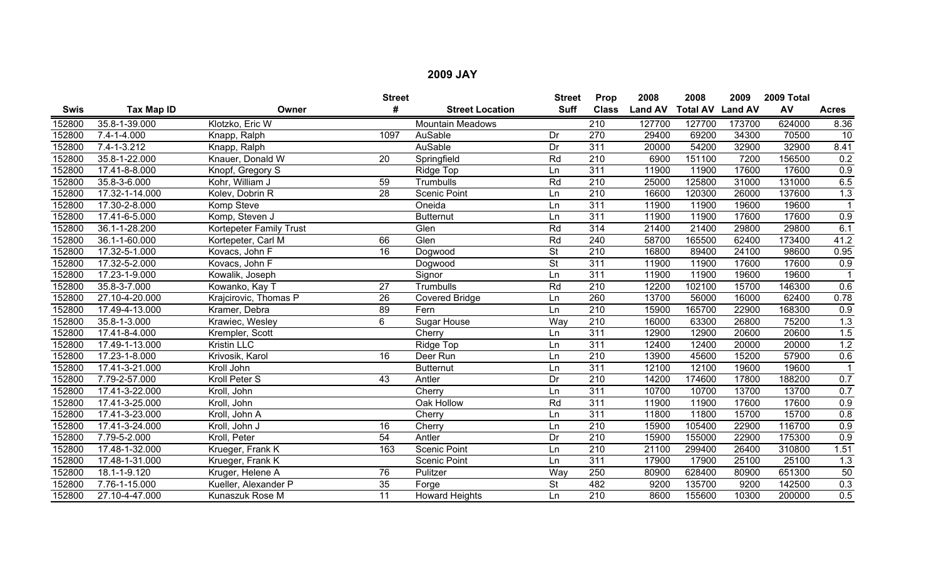|             |                   |                         | <b>Street</b>   |                         | <b>Street</b>            | Prop             | 2008           | 2008                    | 2009   | 2009 Total |                |
|-------------|-------------------|-------------------------|-----------------|-------------------------|--------------------------|------------------|----------------|-------------------------|--------|------------|----------------|
| <b>Swis</b> | Tax Map ID        | Owner                   | #               | <b>Street Location</b>  | <b>Suff</b>              | <b>Class</b>     | <b>Land AV</b> | <b>Total AV Land AV</b> |        | AV         | <b>Acres</b>   |
| 152800      | 35.8-1-39.000     | Klotzko, Eric W         |                 | <b>Mountain Meadows</b> |                          | $\overline{210}$ | 127700         | 127700                  | 173700 | 624000     | 8.36           |
| 152800      | $7.4 - 1 - 4.000$ | Knapp, Ralph            | 1097            | AuSable                 | Dr                       | 270              | 29400          | 69200                   | 34300  | 70500      | 10             |
| 152800      | $7.4 - 1 - 3.212$ | Knapp, Ralph            |                 | AuSable                 | Dr                       | $\overline{311}$ | 20000          | 54200                   | 32900  | 32900      | 8.41           |
| 152800      | 35.8-1-22.000     | Knauer, Donald W        | $\overline{20}$ | Springfield             | Rd                       | $\overline{210}$ | 6900           | 151100                  | 7200   | 156500     | 0.2            |
| 152800      | 17.41-8-8.000     | Knopf, Gregory S        |                 | Ridge Top               | Ln                       | $\overline{311}$ | 11900          | 11900                   | 17600  | 17600      | 0.9            |
| 152800      | 35.8-3-6.000      | Kohr, William J         | 59              | Trumbulls               | Rd                       | $\overline{210}$ | 25000          | 125800                  | 31000  | 131000     | 6.5            |
| 152800      | 17.32-1-14.000    | Kolev, Dobrin R         | 28              | <b>Scenic Point</b>     | Ln                       | $\overline{210}$ | 16600          | 120300                  | 26000  | 137600     | 1.3            |
| 152800      | 17.30-2-8.000     | Komp Steve              |                 | Oneida                  | Ln                       | 311              | 11900          | 11900                   | 19600  | 19600      | $\overline{1}$ |
| 152800      | 17.41-6-5.000     | Komp, Steven J          |                 | <b>Butternut</b>        | Ln                       | 311              | 11900          | 11900                   | 17600  | 17600      | 0.9            |
| 152800      | 36.1-1-28.200     | Kortepeter Family Trust |                 | Glen                    | Rd                       | $\overline{314}$ | 21400          | 21400                   | 29800  | 29800      | 6.1            |
| 152800      | 36.1-1-60.000     | Kortepeter, Carl M      | 66              | Glen                    | Rd                       | 240              | 58700          | 165500                  | 62400  | 173400     | 41.2           |
| 152800      | 17.32-5-1.000     | Kovacs, John F          | 16              | Dogwood                 | $\overline{\mathsf{St}}$ | 210              | 16800          | 89400                   | 24100  | 98600      | 0.95           |
| 152800      | 17.32-5-2.000     | Kovacs, John F          |                 | Dogwood                 | <b>St</b>                | 311              | 11900          | 11900                   | 17600  | 17600      | 0.9            |
| 152800      | 17.23-1-9.000     | Kowalik, Joseph         |                 | Signor                  | Ln                       | 311              | 11900          | 11900                   | 19600  | 19600      |                |
| 152800      | 35.8-3-7.000      | Kowanko, Kay T          | $\overline{27}$ | Trumbulls               | Rd                       | $\overline{210}$ | 12200          | 102100                  | 15700  | 146300     | 0.6            |
| 152800      | 27.10-4-20.000    | Krajcirovic, Thomas P   | 26              | <b>Covered Bridge</b>   | Ln                       | 260              | 13700          | 56000                   | 16000  | 62400      | 0.78           |
| 152800      | 17.49-4-13.000    | Kramer, Debra           | 89              | Fern                    | Ln                       | $\overline{210}$ | 15900          | 165700                  | 22900  | 168300     | 0.9            |
| 152800      | 35.8-1-3.000      | Krawiec, Wesley         | 6               | <b>Sugar House</b>      | Way                      | 210              | 16000          | 63300                   | 26800  | 75200      | 1.3            |
| 152800      | 17.41-8-4.000     | Krempler, Scott         |                 | Cherry                  | Ln                       | $\overline{311}$ | 12900          | 12900                   | 20600  | 20600      | 1.5            |
| 152800      | 17.49-1-13.000    | <b>Kristin LLC</b>      |                 | Ridge Top               | Ln                       | 311              | 12400          | 12400                   | 20000  | 20000      | 1.2            |
| 152800      | 17.23-1-8.000     | Krivosik, Karol         | 16              | Deer Run                | Ln                       | 210              | 13900          | 45600                   | 15200  | 57900      | 0.6            |
| 152800      | 17.41-3-21.000    | Kroll John              |                 | <b>Butternut</b>        | Ln                       | 311              | 12100          | 12100                   | 19600  | 19600      |                |
| 152800      | 7.79-2-57.000     | Kroll Peter S           | 43              | Antler                  | Dr                       | $\overline{210}$ | 14200          | 174600                  | 17800  | 188200     | 0.7            |
| 152800      | 17.41-3-22.000    | Kroll, John             |                 | Cherry                  | Ln                       | 311              | 10700          | 10700                   | 13700  | 13700      | 0.7            |
| 152800      | 17.41-3-25.000    | Kroll, John             |                 | Oak Hollow              | Rd                       | 311              | 11900          | 11900                   | 17600  | 17600      | 0.9            |
| 152800      | 17.41-3-23.000    | Kroll, John A           |                 | Cherry                  | Ln                       | 311              | 11800          | 11800                   | 15700  | 15700      | 0.8            |
| 152800      | 17.41-3-24.000    | Kroll, John J           | 16              | Cherry                  | Ln                       | 210              | 15900          | 105400                  | 22900  | 116700     | 0.9            |
| 152800      | 7.79-5-2.000      | Kroll, Peter            | $\overline{54}$ | Antler                  | Dr                       | $\overline{210}$ | 15900          | 155000                  | 22900  | 175300     | 0.9            |
| 152800      | 17.48-1-32.000    | Krueger, Frank K        | 163             | <b>Scenic Point</b>     | Ln                       | 210              | 21100          | 299400                  | 26400  | 310800     | 1.51           |
| 152800      | 17.48-1-31.000    | Krueger, Frank K        |                 | <b>Scenic Point</b>     | Ln                       | 311              | 17900          | 17900                   | 25100  | 25100      | 1.3            |
| 152800      | 18.1-1-9.120      | Kruger, Helene A        | 76              | Pulitzer                | Way                      | 250              | 80900          | 628400                  | 80900  | 651300     | 50             |
| 152800      | 7.76-1-15.000     | Kueller, Alexander P    | 35              | Forge                   | <b>St</b>                | 482              | 9200           | 135700                  | 9200   | 142500     | 0.3            |
| 152800      | 27.10-4-47.000    | Kunaszuk Rose M         | 11              | <b>Howard Heights</b>   | Ln                       | $\overline{210}$ | 8600           | 155600                  | 10300  | 200000     | 0.5            |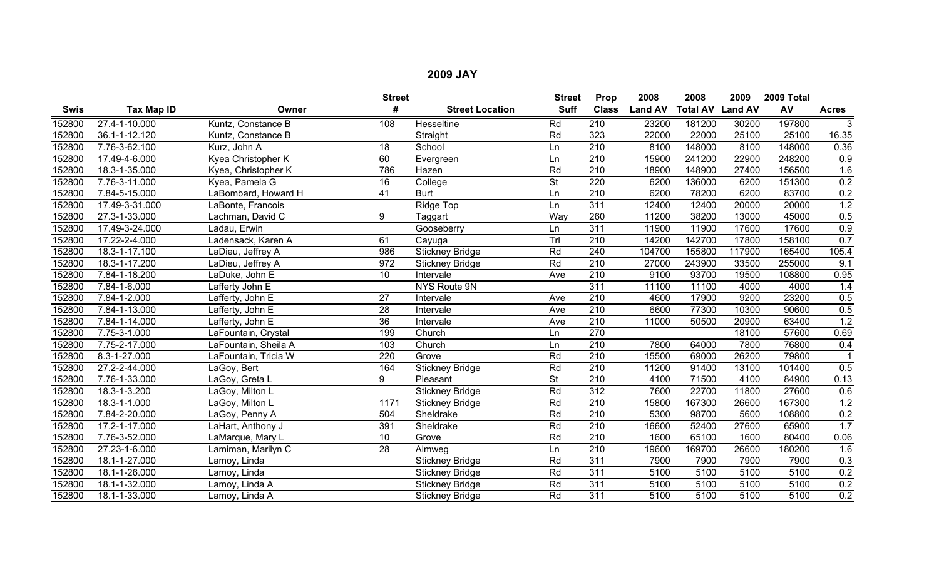|             |                             |                      | <b>Street</b>   |                        | <b>Street</b>            | Prop             | 2008           | 2008                    | 2009   | 2009 Total |                |
|-------------|-----------------------------|----------------------|-----------------|------------------------|--------------------------|------------------|----------------|-------------------------|--------|------------|----------------|
| <b>Swis</b> | Tax Map ID                  | Owner                | #               | <b>Street Location</b> | <b>Suff</b>              | <b>Class</b>     | <b>Land AV</b> | <b>Total AV Land AV</b> |        | AV         | <b>Acres</b>   |
| 152800      | 27.4-1-10.000               | Kuntz, Constance B   | 108             | Hesseltine             | Rd                       | 210              | 23200          | 181200                  | 30200  | 197800     | $\overline{3}$ |
| 152800      | 36.1-1-12.120               | Kuntz, Constance B   |                 | Straight               | Rd                       | 323              | 22000          | 22000                   | 25100  | 25100      | 16.35          |
| 152800      | 7.76-3-62.100               | Kurz, John A         | 18              | School                 | Ln                       | $\overline{210}$ | 8100           | 148000                  | 8100   | 148000     | 0.36           |
| 152800      | 17.49-4-6.000               | Kyea Christopher K   | 60              | Evergreen              | Ln                       | 210              | 15900          | 241200                  | 22900  | 248200     | 0.9            |
| 152800      | 18.3-1-35.000               | Kyea, Christopher K  | 786             | Hazen                  | Rd                       | $\overline{210}$ | 18900          | 148900                  | 27400  | 156500     | 1.6            |
| 152800      | 7.76-3-11.000               | Kyea, Pamela G       | 16              | College                | $\overline{\mathsf{St}}$ | 220              | 6200           | 136000                  | 6200   | 151300     | 0.2            |
| 152800      | 7.84-5-15.000               | LaBombard, Howard H  | 41              | <b>Burt</b>            | Ln                       | $\overline{210}$ | 6200           | 78200                   | 6200   | 83700      | 0.2            |
| 152800      | 17.49-3-31.000              | LaBonte, Francois    |                 | Ridge Top              | Ln                       | 311              | 12400          | 12400                   | 20000  | 20000      | 1.2            |
| 152800      | 27.3-1-33.000               | Lachman, David C     | 9               | Taggart                | Way                      | 260              | 11200          | 38200                   | 13000  | 45000      | 0.5            |
| 152800      | 17.49-3-24.000              | Ladau, Erwin         |                 | Gooseberry             | Ln                       | 311              | 11900          | 11900                   | 17600  | 17600      | 0.9            |
| 152800      | 17.22-2-4.000               | Ladensack, Karen A   | 61              | Cayuga                 | Trl                      | $\overline{210}$ | 14200          | 142700                  | 17800  | 158100     | 0.7            |
| 152800      | 18.3-1-17.100               | LaDieu, Jeffrey A    | 986             | <b>Stickney Bridge</b> | Rd                       | 240              | 104700         | 155800                  | 117900 | 165400     | 105.4          |
| 152800      | 18.3-1-17.200               | LaDieu, Jeffrey A    | 972             | <b>Stickney Bridge</b> | Rd                       | $\overline{210}$ | 27000          | 243900                  | 33500  | 255000     | 9.1            |
| 152800      | 7.84-1-18.200               | LaDuke, John E       | 10              | Intervale              | Ave                      | $\overline{210}$ | 9100           | 93700                   | 19500  | 108800     | 0.95           |
| 152800      | 7.84-1-6.000                | Lafferty John E      |                 | NYS Route 9N           |                          | 311              | 11100          | 11100                   | 4000   | 4000       | 1.4            |
| 152800      | 7.84-1-2.000                | Lafferty, John E     | 27              | Intervale              | Ave                      | 210              | 4600           | 17900                   | 9200   | 23200      | 0.5            |
| 152800      | 7.84-1-13.000               | Lafferty, John E     | $\overline{28}$ | Intervale              | Ave                      | $\overline{210}$ | 6600           | 77300                   | 10300  | 90600      | 0.5            |
| 152800      | 7.84-1-14.000               | Lafferty, John E     | $\overline{36}$ | Intervale              | Ave                      | $\overline{210}$ | 11000          | 50500                   | 20900  | 63400      | 1.2            |
| 152800      | 7.75-3-1.000                | LaFountain, Crystal  | 199             | Church                 | Ln                       | 270              |                |                         | 18100  | 57600      | 0.69           |
| 152800      | 7.75-2-17.000               | LaFountain, Sheila A | 103             | Church                 | Ln                       | 210              | 7800           | 64000                   | 7800   | 76800      | 0.4            |
| 152800      | 8.3-1-27.000                | LaFountain, Tricia W | 220             | Grove                  | Rd                       | $\overline{210}$ | 15500          | 69000                   | 26200  | 79800      |                |
| 152800      | $\overline{27.2}$ -2-44.000 | LaGoy, Bert          | 164             | <b>Stickney Bridge</b> | Rd                       | $\overline{210}$ | 11200          | 91400                   | 13100  | 101400     | 0.5            |
| 152800      | 7.76-1-33.000               | LaGoy, Greta L       | 9               | Pleasant               | $\overline{\mathsf{St}}$ | 210              | 4100           | 71500                   | 4100   | 84900      | 0.13           |
| 152800      | 18.3-1-3.200                | LaGoy, Milton L      |                 | <b>Stickney Bridge</b> | Rd                       | $\overline{312}$ | 7600           | 22700                   | 11800  | 27600      | 0.6            |
| 152800      | 18.3-1-1.000                | LaGoy, Milton L      | 1171            | <b>Stickney Bridge</b> | Rd                       | $\overline{210}$ | 15800          | 167300                  | 26600  | 167300     | 1.2            |
| 152800      | 7.84-2-20.000               | LaGoy, Penny A       | 504             | Sheldrake              | Rd                       | $\overline{210}$ | 5300           | 98700                   | 5600   | 108800     | 0.2            |
| 152800      | 17.2-1-17.000               | LaHart, Anthony J    | 391             | Sheldrake              | Rd                       | 210              | 16600          | 52400                   | 27600  | 65900      | 1.7            |
| 152800      | 7.76-3-52.000               | LaMarque, Mary L     | 10              | Grove                  | Rd                       | $\overline{210}$ | 1600           | 65100                   | 1600   | 80400      | 0.06           |
| 152800      | 27.23-1-6.000               | Lamiman, Marilyn C   | 28              | Almweg                 | Ln                       | 210              | 19600          | 169700                  | 26600  | 180200     | 1.6            |
| 152800      | 18.1-1-27.000               | Lamoy, Linda         |                 | <b>Stickney Bridge</b> | Rd                       | 311              | 7900           | 7900                    | 7900   | 7900       | 0.3            |
| 152800      | 18.1-1-26.000               | Lamoy, Linda         |                 | <b>Stickney Bridge</b> | Rd                       | 311              | 5100           | 5100                    | 5100   | 5100       | 0.2            |
| 152800      | 18.1-1-32.000               | Lamoy, Linda A       |                 | <b>Stickney Bridge</b> | Rd                       | 311              | 5100           | 5100                    | 5100   | 5100       | 0.2            |
| 152800      | 18.1-1-33.000               | Lamoy, Linda A       |                 | <b>Stickney Bridge</b> | Rd                       | 311              | 5100           | 5100                    | 5100   | 5100       | 0.2            |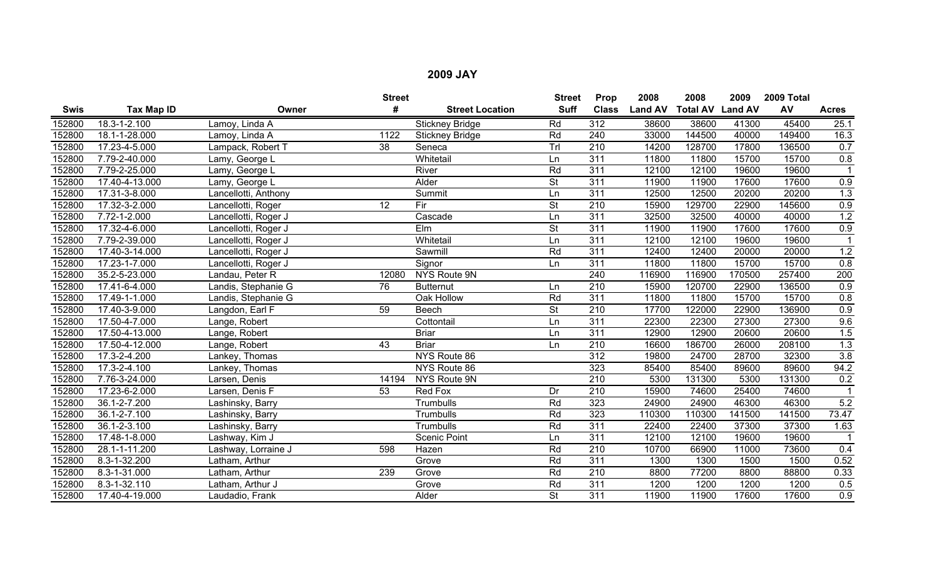|             |                |                      | <b>Street</b>   |                        | <b>Street</b>            | Prop             | 2008           | 2008            | 2009           | 2009 Total |                   |
|-------------|----------------|----------------------|-----------------|------------------------|--------------------------|------------------|----------------|-----------------|----------------|------------|-------------------|
| <b>Swis</b> | Tax Map ID     | Owner                | #               | <b>Street Location</b> | <b>Suff</b>              | <b>Class</b>     | <b>Land AV</b> | <b>Total AV</b> | <b>Land AV</b> | AV         | <b>Acres</b>      |
| 152800      | 18.3-1-2.100   | Lamoy, Linda A       |                 | <b>Stickney Bridge</b> | Rd                       | $\overline{312}$ | 38600          | 38600           | 41300          | 45400      | 25.1              |
| 152800      | 18.1-1-28.000  | Lamoy, Linda A       | 1122            | <b>Stickney Bridge</b> | Rd                       | $\overline{240}$ | 33000          | 144500          | 40000          | 149400     | $\overline{16.3}$ |
| 152800      | 17.23-4-5.000  | Lampack, Robert T    | $\overline{38}$ | Seneca                 | Trl                      | 210              | 14200          | 128700          | 17800          | 136500     | 0.7               |
| 152800      | 7.79-2-40.000  | Lamy, George L       |                 | Whitetail              | Ln                       | 311              | 11800          | 11800           | 15700          | 15700      | 0.8               |
| 152800      | 7.79-2-25.000  | Lamy, George L       |                 | River                  | Rd                       | 311              | 12100          | 12100           | 19600          | 19600      |                   |
| 152800      | 17.40-4-13.000 | Lamy, George L       |                 | Alder                  | $\overline{\mathsf{St}}$ | 311              | 11900          | 11900           | 17600          | 17600      | 0.9               |
| 152800      | 17.31-3-8.000  | Lancellotti, Anthony |                 | Summit                 | Ln                       | 311              | 12500          | 12500           | 20200          | 20200      | 1.3               |
| 152800      | 17.32-3-2.000  | Lancellotti, Roger   | 12              | Fir                    | $\overline{\mathsf{St}}$ | $\overline{210}$ | 15900          | 129700          | 22900          | 145600     | 0.9               |
| 152800      | 7.72-1-2.000   | Lancellotti, Roger J |                 | Cascade                | Ln                       | 311              | 32500          | 32500           | 40000          | 40000      | 1.2               |
| 152800      | 17.32-4-6.000  | Lancellotti, Roger J |                 | Elm                    | $\overline{\mathsf{St}}$ | 311              | 11900          | 11900           | 17600          | 17600      | 0.9               |
| 152800      | 7.79-2-39.000  | Lancellotti, Roger J |                 | Whitetail              | Ln                       | $\overline{311}$ | 12100          | 12100           | 19600          | 19600      |                   |
| 152800      | 17.40-3-14.000 | Lancellotti, Roger J |                 | Sawmill                | Rd                       | 311              | 12400          | 12400           | 20000          | 20000      | 1.2               |
| 152800      | 17.23-1-7.000  | Lancellotti, Roger J |                 | Signor                 | Ln                       | 311              | 11800          | 11800           | 15700          | 15700      | 0.8               |
| 152800      | 35.2-5-23.000  | Landau, Peter R      | 12080           | NYS Route 9N           |                          | 240              | 116900         | 116900          | 170500         | 257400     | 200               |
| 152800      | 17.41-6-4.000  | Landis, Stephanie G  | 76              | <b>Butternut</b>       | Ln                       | 210              | 15900          | 120700          | 22900          | 136500     | 0.9               |
| 152800      | 17.49-1-1.000  | Landis, Stephanie G  |                 | Oak Hollow             | Rd                       | 311              | 11800          | 11800           | 15700          | 15700      | 0.8               |
| 152800      | 17.40-3-9.000  | Langdon, Earl F      | 59              | <b>Beech</b>           | <b>St</b>                | $\overline{210}$ | 17700          | 122000          | 22900          | 136900     | 0.9               |
| 152800      | 17.50-4-7.000  | Lange, Robert        |                 | Cottontail             | Ln                       | 311              | 22300          | 22300           | 27300          | 27300      | 9.6               |
| 152800      | 17.50-4-13.000 | Lange, Robert        |                 | <b>Briar</b>           | Ln                       | 311              | 12900          | 12900           | 20600          | 20600      | 1.5               |
| 152800      | 17.50-4-12.000 | Lange, Robert        | 43              | <b>Briar</b>           | Ln                       | 210              | 16600          | 186700          | 26000          | 208100     | 1.3               |
| 152800      | 17.3-2-4.200   | Lankey, Thomas       |                 | NYS Route 86           |                          | 312              | 19800          | 24700           | 28700          | 32300      | 3.8               |
| 152800      | 17.3-2-4.100   | Lankey, Thomas       |                 | NYS Route 86           |                          | 323              | 85400          | 85400           | 89600          | 89600      | 94.2              |
| 152800      | 7.76-3-24.000  | Larsen, Denis        | 14194           | NYS Route 9N           |                          | $\overline{210}$ | 5300           | 131300          | 5300           | 131300     | 0.2               |
| 152800      | 17.23-6-2.000  | Larsen, Denis F      | 53              | <b>Red Fox</b>         | Dr                       | 210              | 15900          | 74600           | 25400          | 74600      |                   |
| 152800      | 36.1-2-7.200   | Lashinsky, Barry     |                 | Trumbulls              | Rd                       | 323              | 24900          | 24900           | 46300          | 46300      | 5.2               |
| 152800      | 36.1-2-7.100   | Lashinsky, Barry     |                 | Trumbulls              | Rd                       | 323              | 110300         | 110300          | 141500         | 141500     | 73.47             |
| 152800      | 36.1-2-3.100   | Lashinsky, Barry     |                 | Trumbulls              | Rd                       | $\overline{311}$ | 22400          | 22400           | 37300          | 37300      | 1.63              |
| 152800      | 17.48-1-8.000  | Lashway, Kim J       |                 | <b>Scenic Point</b>    | Ln                       | 311              | 12100          | 12100           | 19600          | 19600      |                   |
| 152800      | 28.1-1-11.200  | Lashway, Lorraine J  | 598             | Hazen                  | Rd                       | 210              | 10700          | 66900           | 11000          | 73600      | 0.4               |
| 152800      | 8.3-1-32.200   | Latham, Arthur       |                 | Grove                  | Rd                       | 311              | 1300           | 1300            | 1500           | 1500       | 0.52              |
| 152800      | 8.3-1-31.000   | Latham, Arthur       | 239             | Grove                  | Rd                       | $\overline{210}$ | 8800           | 77200           | 8800           | 88800      | 0.33              |
| 152800      | 8.3-1-32.110   | Latham, Arthur J     |                 | Grove                  | Rd                       | 311              | 1200           | 1200            | 1200           | 1200       | 0.5               |
| 152800      | 17.40-4-19.000 | Laudadio, Frank      |                 | Alder                  | $\overline{\mathsf{St}}$ | 311              | 11900          | 11900           | 17600          | 17600      | 0.9               |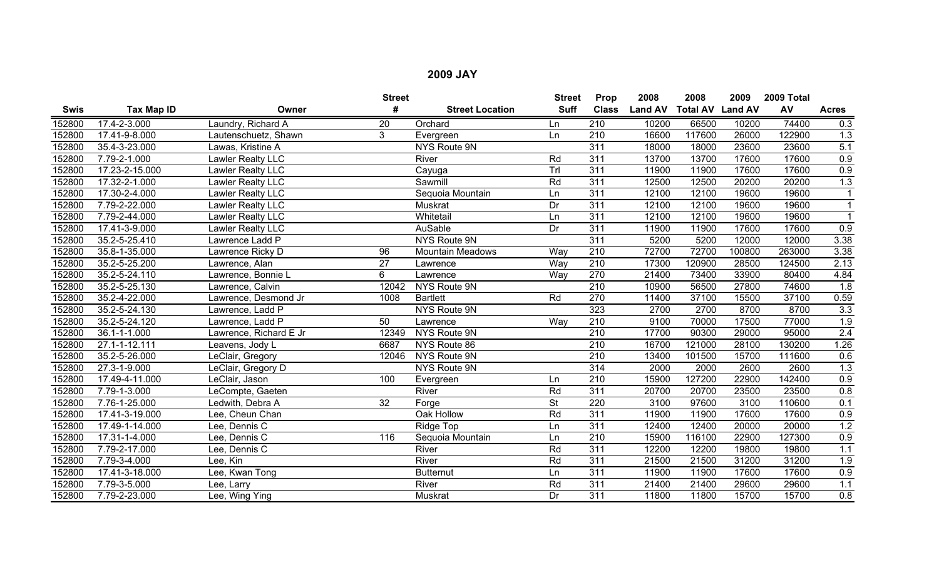|             |                   |                        | <b>Street</b>   |                         | <b>Street</b>            | Prop             | 2008           | 2008                    | 2009   | 2009 Total |                  |
|-------------|-------------------|------------------------|-----------------|-------------------------|--------------------------|------------------|----------------|-------------------------|--------|------------|------------------|
| <b>Swis</b> | <b>Tax Map ID</b> | Owner                  | #               | <b>Street Location</b>  | <b>Suff</b>              | <b>Class</b>     | <b>Land AV</b> | <b>Total AV Land AV</b> |        | AV         | <b>Acres</b>     |
| 152800      | 17.4-2-3.000      | Laundry, Richard A     | 20              | Orchard                 | Ln                       | 210              | 10200          | 66500                   | 10200  | 74400      | 0.3              |
| 152800      | 17.41-9-8.000     | Lautenschuetz, Shawn   | 3               | Evergreen               | Ln                       | 210              | 16600          | 117600                  | 26000  | 122900     | 1.3              |
| 152800      | 35.4-3-23.000     | Lawas, Kristine A      |                 | NYS Route 9N            |                          | $\overline{311}$ | 18000          | 18000                   | 23600  | 23600      | 5.1              |
| 152800      | 7.79-2-1.000      | Lawler Realty LLC      |                 | River                   | Rd                       | 311              | 13700          | 13700                   | 17600  | 17600      | 0.9              |
| 152800      | 17.23-2-15.000    | Lawler Realty LLC      |                 | Cayuga                  | Trl                      | 311              | 11900          | 11900                   | 17600  | 17600      | $\overline{0.9}$ |
| 152800      | 17.32-2-1.000     | Lawler Realty LLC      |                 | Sawmill                 | Rd                       | $\overline{311}$ | 12500          | 12500                   | 20200  | 20200      | 1.3              |
| 152800      | 17.30-2-4.000     | Lawler Realty LLC      |                 | Sequoia Mountain        | Ln                       | $\overline{311}$ | 12100          | 12100                   | 19600  | 19600      | $\mathbf{1}$     |
| 152800      | 7.79-2-22.000     | Lawler Realty LLC      |                 | Muskrat                 | Dr                       | 311              | 12100          | 12100                   | 19600  | 19600      | $\mathbf{1}$     |
| 152800      | 7.79-2-44.000     | Lawler Realty LLC      |                 | Whitetail               | Ln                       | 311              | 12100          | 12100                   | 19600  | 19600      |                  |
| 152800      | 17.41-3-9.000     | Lawler Realty LLC      |                 | <b>AuSable</b>          | Dr                       | 311              | 11900          | 11900                   | 17600  | 17600      | 0.9              |
| 152800      | 35.2-5-25.410     | Lawrence Ladd P        |                 | NYS Route 9N            |                          | $\overline{311}$ | 5200           | 5200                    | 12000  | 12000      | 3.38             |
| 152800      | 35.8-1-35.000     | Lawrence Ricky D       | 96              | <b>Mountain Meadows</b> | Way                      | 210              | 72700          | 72700                   | 100800 | 263000     | 3.38             |
| 152800      | 35.2-5-25.200     | Lawrence, Alan         | $\overline{27}$ | Lawrence                | Way                      | 210              | 17300          | 120900                  | 28500  | 124500     | 2.13             |
| 152800      | 35.2-5-24.110     | Lawrence, Bonnie L     | 6               | Lawrence                | Way                      | 270              | 21400          | 73400                   | 33900  | 80400      | 4.84             |
| 152800      | 35.2-5-25.130     | Lawrence, Calvin       | 12042           | NYS Route 9N            |                          | $\overline{210}$ | 10900          | 56500                   | 27800  | 74600      | 1.8              |
| 152800      | 35.2-4-22.000     | Lawrence, Desmond Jr   | 1008            | <b>Bartlett</b>         | Rd                       | 270              | 11400          | 37100                   | 15500  | 37100      | 0.59             |
| 152800      | 35.2-5-24.130     | Lawrence, Ladd P       |                 | <b>NYS Route 9N</b>     |                          | 323              | 2700           | 2700                    | 8700   | 8700       | $\overline{3.3}$ |
| 152800      | 35.2-5-24.120     | Lawrence, Ladd P       | 50              | Lawrence                | Way                      | $\overline{210}$ | 9100           | 70000                   | 17500  | 77000      | 1.9              |
| 152800      | 36.1-1-1.000      | Lawrence, Richard E Jr | 12349           | NYS Route 9N            |                          | 210              | 17700          | 90300                   | 29000  | 95000      | 2.4              |
| 152800      | 27.1-1-12.111     | Leavens, Jody L        | 6687            | NYS Route 86            |                          | 210              | 16700          | 121000                  | 28100  | 130200     | 1.26             |
| 152800      | 35.2-5-26.000     | LeClair, Gregory       | 12046           | NYS Route 9N            |                          | $\overline{210}$ | 13400          | 101500                  | 15700  | 111600     | 0.6              |
| 152800      | 27.3-1-9.000      | LeClair, Gregory D     |                 | NYS Route 9N            |                          | 314              | 2000           | 2000                    | 2600   | 2600       | 1.3              |
| 152800      | 17.49-4-11.000    | LeClair, Jason         | 100             | Evergreen               | Ln                       | 210              | 15900          | 127200                  | 22900  | 142400     | 0.9              |
| 152800      | 7.79-1-3.000      | LeCompte, Gaeten       |                 | River                   | Rd                       | $\overline{311}$ | 20700          | 20700                   | 23500  | 23500      | 0.8              |
| 152800      | 7.76-1-25.000     | Ledwith, Debra A       | $\overline{32}$ | Forge                   | $\overline{\mathsf{St}}$ | 220              | 3100           | 97600                   | 3100   | 110600     | 0.1              |
| 152800      | 17.41-3-19.000    | Lee, Cheun Chan        |                 | Oak Hollow              | Rd                       | 311              | 11900          | 11900                   | 17600  | 17600      | 0.9              |
| 152800      | 17.49-1-14.000    | Lee, Dennis C          |                 | Ridge Top               | Ln                       | 311              | 12400          | 12400                   | 20000  | 20000      | 1.2              |
| 152800      | 17.31-1-4.000     | Lee, Dennis C          | 116             | Sequoia Mountain        | Ln                       | $\overline{210}$ | 15900          | 116100                  | 22900  | 127300     | 0.9              |
| 152800      | 7.79-2-17.000     | Lee, Dennis C          |                 | River                   | Rd                       | $\overline{311}$ | 12200          | 12200                   | 19800  | 19800      | 1.1              |
| 152800      | 7.79-3-4.000      | Lee, Kin               |                 | River                   | Rd                       | $\overline{311}$ | 21500          | 21500                   | 31200  | 31200      | 1.9              |
| 152800      | 17.41-3-18.000    | Lee, Kwan Tong         |                 | <b>Butternut</b>        | Ln                       | $\overline{311}$ | 11900          | 11900                   | 17600  | 17600      | 0.9              |
| 152800      | 7.79-3-5.000      | Lee, Larry             |                 | River                   | Rd                       | 311              | 21400          | 21400                   | 29600  | 29600      | 1.1              |
| 152800      | 7.79-2-23.000     | Lee, Wing Ying         |                 | Muskrat                 | Dr                       | 311              | 11800          | 11800                   | 15700  | 15700      | 0.8              |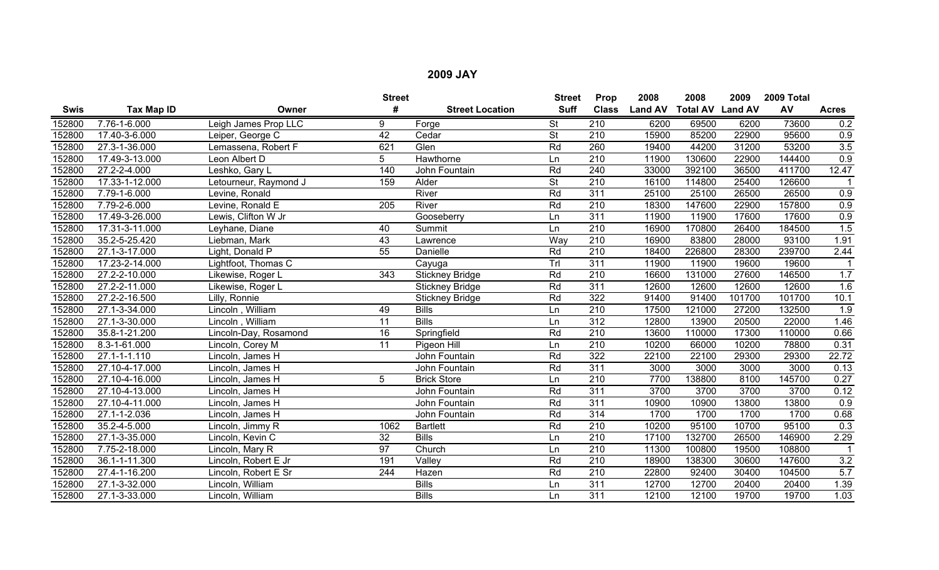|             |                |                       | <b>Street</b>   |                        | <b>Street</b>            | Prop             | 2008           | 2008                    | 2009   | 2009 Total |                   |
|-------------|----------------|-----------------------|-----------------|------------------------|--------------------------|------------------|----------------|-------------------------|--------|------------|-------------------|
| <b>Swis</b> | Tax Map ID     | Owner                 | #               | <b>Street Location</b> | <b>Suff</b>              | <b>Class</b>     | <b>Land AV</b> | <b>Total AV Land AV</b> |        | AV         | <b>Acres</b>      |
| 152800      | 7.76-1-6.000   | Leigh James Prop LLC  | 9               | Forge                  | <b>St</b>                | $\overline{210}$ | 6200           | 69500                   | 6200   | 73600      | 0.2               |
| 152800      | 17.40-3-6.000  | Leiper, George C      | $\overline{42}$ | Cedar                  | $\overline{\mathsf{St}}$ | 210              | 15900          | 85200                   | 22900  | 95600      | 0.9               |
| 152800      | 27.3-1-36.000  | Lemassena, Robert F   | 621             | Glen                   | Rd                       | 260              | 19400          | 44200                   | 31200  | 53200      | 3.5               |
| 152800      | 17.49-3-13.000 | Leon Albert D         | 5               | Hawthorne              | Ln                       | 210              | 11900          | 130600                  | 22900  | 144400     | 0.9               |
| 152800      | 27.2-2-4.000   | Leshko, Gary L        | 140             | John Fountain          | Rd                       | 240              | 33000          | 392100                  | 36500  | 411700     | 12.47             |
| 152800      | 17.33-1-12.000 | Letourneur, Raymond J | 159             | Alder                  | <b>St</b>                | $\overline{210}$ | 16100          | 114800                  | 25400  | 126600     |                   |
| 152800      | 7.79-1-6.000   | Levine, Ronald        |                 | River                  | Rd                       | 311              | 25100          | 25100                   | 26500  | 26500      | 0.9               |
| 152800      | 7.79-2-6.000   | Levine, Ronald E      | 205             | River                  | Rd                       | 210              | 18300          | 147600                  | 22900  | 157800     | 0.9               |
| 152800      | 17.49-3-26.000 | Lewis, Clifton W Jr   |                 | Gooseberry             | Ln                       | 311              | 11900          | 11900                   | 17600  | 17600      | 0.9               |
| 152800      | 17.31-3-11.000 | Leyhane, Diane        | 40              | Summit                 | Ln                       | $\overline{210}$ | 16900          | 170800                  | 26400  | 184500     | 1.5               |
| 152800      | 35.2-5-25.420  | Liebman, Mark         | 43              | Lawrence               | Way                      | $\overline{210}$ | 16900          | 83800                   | 28000  | 93100      | 1.91              |
| 152800      | 27.1-3-17.000  | Light, Donald P       | 55              | Danielle               | Rd                       | $\overline{210}$ | 18400          | 226800                  | 28300  | 239700     | 2.44              |
| 152800      | 17.23-2-14.000 | Lightfoot, Thomas C   |                 | Cayuga                 | TrI                      | 311              | 11900          | 11900                   | 19600  | 19600      |                   |
| 152800      | 27.2-2-10.000  | Likewise, Roger L     | $\frac{1}{343}$ | <b>Stickney Bridge</b> | Rd                       | $\overline{210}$ | 16600          | 131000                  | 27600  | 146500     | 1.7               |
| 152800      | 27.2-2-11.000  | Likewise, Roger L     |                 | <b>Stickney Bridge</b> | Rd                       | 311              | 12600          | 12600                   | 12600  | 12600      | 1.6               |
| 152800      | 27.2-2-16.500  | Lilly, Ronnie         |                 | <b>Stickney Bridge</b> | Rd                       | 322              | 91400          | 91400                   | 101700 | 101700     | 10.1              |
| 152800      | 27.1-3-34.000  | Lincoln, William      | 49              | <b>Bills</b>           | Ln                       | $\overline{210}$ | 17500          | 121000                  | 27200  | 132500     | 1.9               |
| 152800      | 27.1-3-30.000  | Lincoln, William      | 11              | <b>Bills</b>           | Ln                       | 312              | 12800          | 13900                   | 20500  | 22000      | 1.46              |
| 152800      | 35.8-1-21.200  | Lincoln-Day, Rosamond | 16              | Springfield            | Rd                       | 210              | 13600          | 110000                  | 17300  | 110000     | 0.66              |
| 152800      | 8.3-1-61.000   | Lincoln, Corey M      | 11              | Pigeon Hill            | Ln                       | $\overline{210}$ | 10200          | 66000                   | 10200  | 78800      | 0.31              |
| 152800      | 27.1-1-1.110   | Lincoln, James H      |                 | John Fountain          | Rd                       | 322              | 22100          | 22100                   | 29300  | 29300      | 22.72             |
| 152800      | 27.10-4-17.000 | Lincoln, James H      |                 | John Fountain          | Rd                       | 311              | 3000           | 3000                    | 3000   | 3000       | 0.13              |
| 152800      | 27.10-4-16.000 | Lincoln, James H      | 5               | <b>Brick Store</b>     | Ln                       | 210              | 7700           | 138800                  | 8100   | 145700     | $\overline{0.27}$ |
| 152800      | 27.10-4-13.000 | Lincoln, James H      |                 | John Fountain          | Rd                       | 311              | 3700           | 3700                    | 3700   | 3700       | 0.12              |
| 152800      | 27.10-4-11.000 | Lincoln, James H      |                 | John Fountain          | Rd                       | 311              | 10900          | 10900                   | 13800  | 13800      | 0.9               |
| 152800      | 27.1-1-2.036   | Lincoln, James H      |                 | John Fountain          | Rd                       | 314              | 1700           | 1700                    | 1700   | 1700       | 0.68              |
| 152800      | 35.2-4-5.000   | Lincoln, Jimmy R      | 1062            | <b>Bartlett</b>        | Rd                       | 210              | 10200          | 95100                   | 10700  | 95100      | 0.3               |
| 152800      | 27.1-3-35.000  | Lincoln, Kevin C      | 32              | <b>Bills</b>           | Ln                       | $\overline{210}$ | 17100          | 132700                  | 26500  | 146900     | 2.29              |
| 152800      | 7.75-2-18.000  | Lincoln, Mary R       | 97              | Church                 | Ln                       | 210              | 11300          | 100800                  | 19500  | 108800     |                   |
| 152800      | 36.1-1-11.300  | Lincoln, Robert E Jr  | 191             | Valley                 | Rd                       | $\overline{210}$ | 18900          | 138300                  | 30600  | 147600     | 3.2               |
| 152800      | 27.4-1-16.200  | Lincoln, Robert E Sr  | 244             | Hazen                  | Rd                       | $\overline{210}$ | 22800          | 92400                   | 30400  | 104500     | 5.7               |
| 152800      | 27.1-3-32.000  | Lincoln, William      |                 | <b>Bills</b>           | Ln                       | 311              | 12700          | 12700                   | 20400  | 20400      | 1.39              |
| 152800      | 27.1-3-33.000  | Lincoln, William      |                 | <b>Bills</b>           | Ln                       | 311              | 12100          | 12100                   | 19700  | 19700      | 1.03              |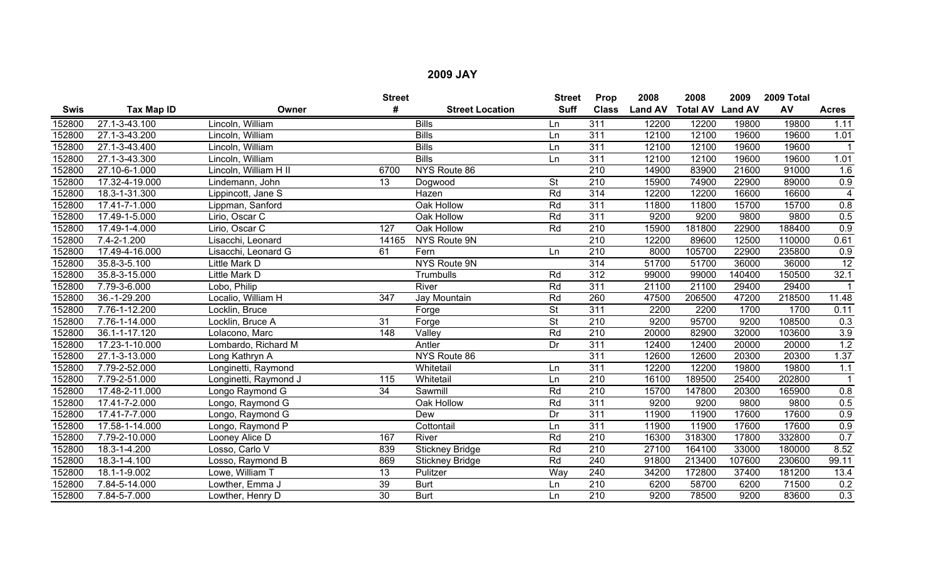|             |                |                       | <b>Street</b>   |                        | <b>Street</b>            | Prop             | 2008           | 2008            | 2009           | 2009 Total |                  |
|-------------|----------------|-----------------------|-----------------|------------------------|--------------------------|------------------|----------------|-----------------|----------------|------------|------------------|
| <b>Swis</b> | Tax Map ID     | Owner                 | #               | <b>Street Location</b> | <b>Suff</b>              | <b>Class</b>     | <b>Land AV</b> | <b>Total AV</b> | <b>Land AV</b> | AV         | <b>Acres</b>     |
| 152800      | 27.1-3-43.100  | Lincoln, William      |                 | <b>Bills</b>           | Ln                       | 311              | 12200          | 12200           | 19800          | 19800      | 1.11             |
| 152800      | 27.1-3-43.200  | Lincoln, William      |                 | <b>Bills</b>           | Ln                       | 311              | 12100          | 12100           | 19600          | 19600      | 1.01             |
| 152800      | 27.1-3-43.400  | Lincoln, William      |                 | <b>Bills</b>           | Ln                       | 311              | 12100          | 12100           | 19600          | 19600      |                  |
| 152800      | 27.1-3-43.300  | Lincoln, William      |                 | <b>Bills</b>           | Ln                       | $\overline{311}$ | 12100          | 12100           | 19600          | 19600      | 1.01             |
| 152800      | 27.10-6-1.000  | Lincoln, William H II | 6700            | NYS Route 86           |                          | 210              | 14900          | 83900           | 21600          | 91000      | 1.6              |
| 152800      | 17.32-4-19.000 | Lindemann, John       | 13              | Dogwood                | <b>St</b>                | $\overline{210}$ | 15900          | 74900           | 22900          | 89000      | 0.9              |
| 152800      | 18.3-1-31.300  | Lippincott, Jane S    |                 | Hazen                  | Rd                       | $\overline{314}$ | 12200          | 12200           | 16600          | 16600      | $\overline{4}$   |
| 152800      | 17.41-7-1.000  | Lippman, Sanford      |                 | Oak Hollow             | Rd                       | $\overline{311}$ | 11800          | 11800           | 15700          | 15700      | 0.8              |
| 152800      | 17.49-1-5.000  | Lirio, Oscar C        |                 | Oak Hollow             | Rd                       | 311              | 9200           | 9200            | 9800           | 9800       | 0.5              |
| 152800      | 17.49-1-4.000  | Lirio, Oscar C        | 127             | Oak Hollow             | Rd                       | $\overline{210}$ | 15900          | 181800          | 22900          | 188400     | 0.9              |
| 152800      | 7.4-2-1.200    | Lisacchi, Leonard     | 14165           | NYS Route 9N           |                          | 210              | 12200          | 89600           | 12500          | 110000     | 0.61             |
| 152800      | 17.49-4-16.000 | Lisacchi, Leonard G   | 61              | Fern                   | Ln                       | $\overline{210}$ | 8000           | 105700          | 22900          | 235800     | 0.9              |
| 152800      | 35.8-3-5.100   | Little Mark D         |                 | NYS Route 9N           |                          | $\overline{314}$ | 51700          | 51700           | 36000          | 36000      | 12               |
| 152800      | 35.8-3-15.000  | Little Mark D         |                 | Trumbulls              | Rd                       | $\overline{312}$ | 99000          | 99000           | 140400         | 150500     | 32.1             |
| 152800      | 7.79-3-6.000   | Lobo, Philip          |                 | River                  | Rd                       | 311              | 21100          | 21100           | 29400          | 29400      |                  |
| 152800      | 36.-1-29.200   | Localio, William H    | 347             | Jay Mountain           | Rd                       | 260              | 47500          | 206500          | 47200          | 218500     | 11.48            |
| 152800      | 7.76-1-12.200  | Locklin, Bruce        |                 | Forge                  | <b>St</b>                | $\overline{311}$ | 2200           | 2200            | 1700           | 1700       | 0.11             |
| 152800      | 7.76-1-14.000  | Locklin, Bruce A      | 31              | Forge                  | $\overline{\mathsf{St}}$ | $\overline{210}$ | 9200           | 95700           | 9200           | 108500     | 0.3              |
| 152800      | 36.1-1-17.120  | Lolacono, Marc        | 148             | Valley                 | Rd                       | $\overline{210}$ | 20000          | 82900           | 32000          | 103600     | $\overline{3.9}$ |
| 152800      | 17.23-1-10.000 | Lombardo, Richard M   |                 | Antler                 | Dr                       | $\overline{311}$ | 12400          | 12400           | 20000          | 20000      | 1.2              |
| 152800      | 27.1-3-13.000  | Long Kathryn A        |                 | NYS Route 86           |                          | $\overline{311}$ | 12600          | 12600           | 20300          | 20300      | 1.37             |
| 152800      | 7.79-2-52.000  | Longinetti, Raymond   |                 | Whitetail              | Ln                       | 311              | 12200          | 12200           | 19800          | 19800      | 1.1              |
| 152800      | 7.79-2-51.000  | Longinetti, Raymond J | 115             | Whitetail              | Ln                       | $\overline{210}$ | 16100          | 189500          | 25400          | 202800     |                  |
| 152800      | 17.48-2-11.000 | Longo Raymond G       | $\overline{34}$ | Sawmill                | Rd                       | $\overline{210}$ | 15700          | 147800          | 20300          | 165900     | 0.8              |
| 152800      | 17.41-7-2.000  | Longo, Raymond G      |                 | Oak Hollow             | Rd                       | 311              | 9200           | 9200            | 9800           | 9800       | 0.5              |
| 152800      | 17.41-7-7.000  | Longo, Raymond G      |                 | Dew                    | Dr                       | $\overline{311}$ | 11900          | 11900           | 17600          | 17600      | 0.9              |
| 152800      | 17.58-1-14.000 | Longo, Raymond P      |                 | Cottontail             | Ln                       | $\overline{311}$ | 11900          | 11900           | 17600          | 17600      | 0.9              |
| 152800      | 7.79-2-10.000  | Looney Alice D        | 167             | River                  | Rd                       | $\overline{210}$ | 16300          | 318300          | 17800          | 332800     | 0.7              |
| 152800      | 18.3-1-4.200   | Losso, Carlo V        | 839             | <b>Stickney Bridge</b> | Rd                       | $\overline{210}$ | 27100          | 164100          | 33000          | 180000     | 8.52             |
| 152800      | 18.3-1-4.100   | Losso, Raymond B      | 869             | <b>Stickney Bridge</b> | Rd                       | 240              | 91800          | 213400          | 107600         | 230600     | 99.11            |
| 152800      | 18.1-1-9.002   | Lowe, William T       | 13              | Pulitzer               | Wav                      | 240              | 34200          | 172800          | 37400          | 181200     | 13.4             |
| 152800      | 7.84-5-14.000  | Lowther, Emma J       | $\overline{39}$ | <b>Burt</b>            | Ln                       | 210              | 6200           | 58700           | 6200           | 71500      | 0.2              |
| 152800      | 7.84-5-7.000   | Lowther, Henry D      | $\overline{30}$ | <b>Burt</b>            | Ln                       | $\overline{210}$ | 9200           | 78500           | 9200           | 83600      | 0.3              |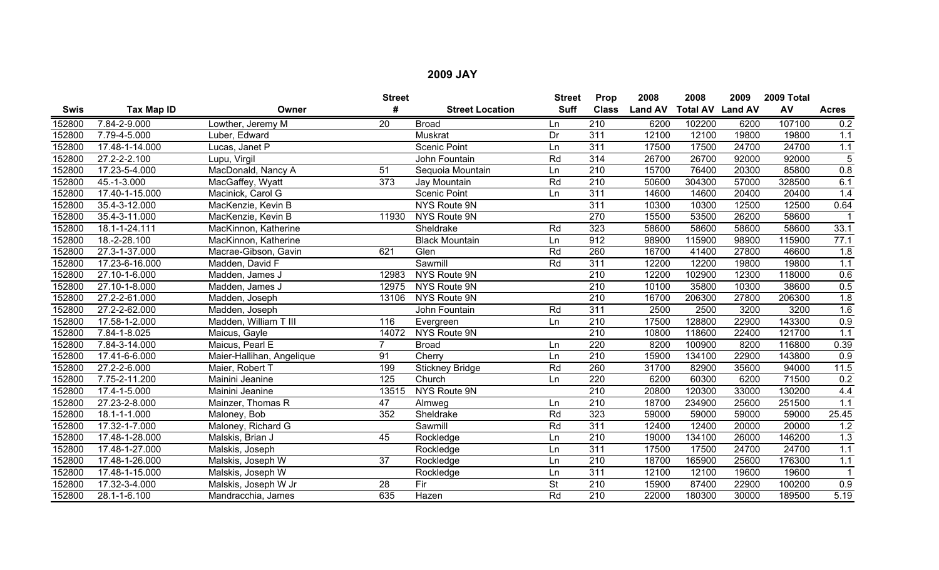|        |                |                           | <b>Street</b>   |                        | <b>Street</b> | Prop             | 2008           | 2008                    | 2009  | 2009 Total |                  |
|--------|----------------|---------------------------|-----------------|------------------------|---------------|------------------|----------------|-------------------------|-------|------------|------------------|
| Swis   | Tax Map ID     | Owner                     | #               | <b>Street Location</b> | <b>Suff</b>   | <b>Class</b>     | <b>Land AV</b> | <b>Total AV Land AV</b> |       | AV         | <b>Acres</b>     |
| 152800 | 7.84-2-9.000   | Lowther, Jeremy M         | $\overline{20}$ | <b>Broad</b>           | Ln            | $\overline{210}$ | 6200           | 102200                  | 6200  | 107100     | 0.2              |
| 152800 | 7.79-4-5.000   | Luber, Edward             |                 | Muskrat                | Dr            | $\overline{311}$ | 12100          | 12100                   | 19800 | 19800      | 1.1              |
| 152800 | 17.48-1-14.000 | Lucas, Janet P            |                 | <b>Scenic Point</b>    | Ln            | $\overline{311}$ | 17500          | 17500                   | 24700 | 24700      | 1.1              |
| 152800 | 27.2-2-2.100   | Lupu, Virgil              |                 | John Fountain          | Rd            | 314              | 26700          | 26700                   | 92000 | 92000      | $\overline{5}$   |
| 152800 | 17.23-5-4.000  | MacDonald, Nancy A        | 51              | Sequoia Mountain       | Ln            | $\overline{210}$ | 15700          | 76400                   | 20300 | 85800      | 0.8              |
| 152800 | 45.-1-3.000    | MacGaffey, Wyatt          | 373             | Jay Mountain           | Rd            | $\overline{210}$ | 50600          | 304300                  | 57000 | 328500     | 6.1              |
| 152800 | 17.40-1-15.000 | Macinick, Carol G         |                 | <b>Scenic Point</b>    | Ln            | 311              | 14600          | 14600                   | 20400 | 20400      | 1.4              |
| 152800 | 35.4-3-12.000  | MacKenzie, Kevin B        |                 | NYS Route 9N           |               | 311              | 10300          | 10300                   | 12500 | 12500      | 0.64             |
| 152800 | 35.4-3-11.000  | MacKenzie, Kevin B        | 11930           | NYS Route 9N           |               | 270              | 15500          | 53500                   | 26200 | 58600      |                  |
| 152800 | 18.1-1-24.111  | MacKinnon, Katherine      |                 | Sheldrake              | Rd            | 323              | 58600          | 58600                   | 58600 | 58600      | 33.1             |
| 152800 | 18.-2-28.100   | MacKinnon, Katherine      |                 | <b>Black Mountain</b>  | Ln            | 912              | 98900          | 115900                  | 98900 | 115900     | 77.1             |
| 152800 | 27.3-1-37.000  | Macrae-Gibson, Gavin      | 621             | Glen                   | Rd            | 260              | 16700          | 41400                   | 27800 | 46600      | $\overline{1.8}$ |
| 152800 | 17.23-6-16.000 | Madden, David F           |                 | Sawmill                | Rd            | 311              | 12200          | 12200                   | 19800 | 19800      | 1.1              |
| 152800 | 27.10-1-6.000  | Madden, James J           | 12983           | NYS Route 9N           |               | $\overline{210}$ | 12200          | 102900                  | 12300 | 118000     | 0.6              |
| 152800 | 27.10-1-8.000  | Madden, James J           | 12975           | <b>NYS Route 9N</b>    |               | $\overline{210}$ | 10100          | 35800                   | 10300 | 38600      | 0.5              |
| 152800 | 27.2-2-61.000  | Madden, Joseph            | 13106           | NYS Route 9N           |               | 210              | 16700          | 206300                  | 27800 | 206300     | 1.8              |
| 152800 | 27.2-2-62.000  | Madden, Joseph            |                 | John Fountain          | Rd            | 311              | 2500           | 2500                    | 3200  | 3200       | 1.6              |
| 152800 | 17.58-1-2.000  | Madden, William T III     | 116             | Evergreen              | Ln            | 210              | 17500          | 128800                  | 22900 | 143300     | 0.9              |
| 152800 | 7.84-1-8.025   | Maicus, Gayle             | 14072           | NYS Route 9N           |               | $\overline{210}$ | 10800          | 118600                  | 22400 | 121700     | 1.1              |
| 152800 | 7.84-3-14.000  | Maicus, Pearl E           | $\overline{7}$  | <b>Broad</b>           | Ln            | 220              | 8200           | 100900                  | 8200  | 116800     | 0.39             |
| 152800 | 17.41-6-6.000  | Maier-Hallihan, Angelique | 91              | Cherry                 | Ln            | $\overline{210}$ | 15900          | 134100                  | 22900 | 143800     | 0.9              |
| 152800 | 27.2-2-6.000   | Maier, Robert T           | 199             | <b>Stickney Bridge</b> | Rd            | 260              | 31700          | 82900                   | 35600 | 94000      | 11.5             |
| 152800 | 7.75-2-11.200  | Mainini Jeanine           | 125             | Church                 | Ln            | 220              | 6200           | 60300                   | 6200  | 71500      | 0.2              |
| 152800 | 17.4-1-5.000   | Mainini Jeanine           | 13515           | NYS Route 9N           |               | $\overline{210}$ | 20800          | 120300                  | 33000 | 130200     | 4.4              |
| 152800 | 27.23-2-8.000  | Mainzer, Thomas R         | $\overline{47}$ | Almweg                 | Ln            | $\overline{210}$ | 18700          | 234900                  | 25600 | 251500     | 1.1              |
| 152800 | 18.1-1-1.000   | Maloney, Bob              | 352             | Sheldrake              | Rd            | 323              | 59000          | 59000                   | 59000 | 59000      | 25.45            |
| 152800 | 17.32-1-7.000  | Maloney, Richard G        |                 | Sawmill                | Rd            | $\overline{311}$ | 12400          | 12400                   | 20000 | 20000      | 1.2              |
| 152800 | 17.48-1-28.000 | Malskis, Brian J          | 45              | Rockledge              | Ln            | $\overline{210}$ | 19000          | 134100                  | 26000 | 146200     | 1.3              |
| 152800 | 17.48-1-27.000 | Malskis, Joseph           |                 | Rockledge              | Ln            | 311              | 17500          | 17500                   | 24700 | 24700      | 1.1              |
| 152800 | 17.48-1-26.000 | Malskis, Joseph W         | 37              | Rockledge              | Ln            | 210              | 18700          | 165900                  | 25600 | 176300     | 1.1              |
| 152800 | 17.48-1-15.000 | Malskis, Joseph W         |                 | Rockledge              | Ln            | $\overline{311}$ | 12100          | 12100                   | 19600 | 19600      | $\overline{1}$   |
| 152800 | 17.32-3-4.000  | Malskis, Joseph W Jr      | 28              | Fir                    | <b>St</b>     | 210              | 15900          | 87400                   | 22900 | 100200     | 0.9              |
| 152800 | 28.1-1-6.100   | Mandracchia, James        | 635             | Hazen                  | Rd            | 210              | 22000          | 180300                  | 30000 | 189500     | 5.19             |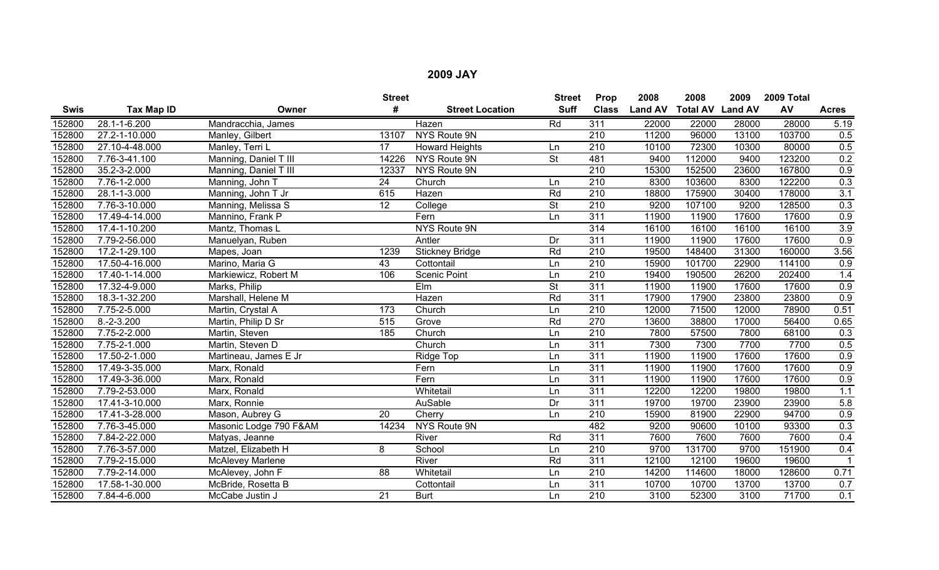|             |                |                         | <b>Street</b>    |                        | <b>Street</b>            | Prop             | 2008           | 2008                    | 2009  | 2009 Total |              |
|-------------|----------------|-------------------------|------------------|------------------------|--------------------------|------------------|----------------|-------------------------|-------|------------|--------------|
| <b>Swis</b> | Tax Map ID     | Owner                   | #                | <b>Street Location</b> | <b>Suff</b>              | <b>Class</b>     | <b>Land AV</b> | <b>Total AV Land AV</b> |       | AV         | <b>Acres</b> |
| 152800      | 28.1-1-6.200   | Mandracchia, James      |                  | Hazen                  | Rd                       | 311              | 22000          | 22000                   | 28000 | 28000      | 5.19         |
| 152800      | 27.2-1-10.000  | Manley, Gilbert         | 13107            | NYS Route 9N           |                          | $\overline{210}$ | 11200          | 96000                   | 13100 | 103700     | 0.5          |
| 152800      | 27.10-4-48.000 | Manley, Terri L         | 17               | <b>Howard Heights</b>  | Ln                       | $\overline{210}$ | 10100          | 72300                   | 10300 | 80000      | 0.5          |
| 152800      | 7.76-3-41.100  | Manning, Daniel T III   | 14226            | NYS Route 9N           | <b>St</b>                | 481              | 9400           | 112000                  | 9400  | 123200     | 0.2          |
| 152800      | 35.2-3-2.000   | Manning, Daniel T III   | 12337            | NYS Route 9N           |                          | 210              | 15300          | 152500                  | 23600 | 167800     | 0.9          |
| 152800      | 7.76-1-2.000   | Manning, John T         | 24               | Church                 | Ln                       | $\overline{210}$ | 8300           | 103600                  | 8300  | 122200     | 0.3          |
| 152800      | 28.1-1-3.000   | Manning, John T Jr      | 615              | Hazen                  | Rd                       | 210              | 18800          | 175900                  | 30400 | 178000     | 3.1          |
| 152800      | 7.76-3-10.000  | Manning, Melissa S      | 12               | College                | $\overline{\mathsf{St}}$ | $\overline{210}$ | 9200           | 107100                  | 9200  | 128500     | 0.3          |
| 152800      | 17.49-4-14.000 | Mannino, Frank P        |                  | Fern                   | Ln                       | 311              | 11900          | 11900                   | 17600 | 17600      | 0.9          |
| 152800      | 17.4-1-10.200  | Mantz, Thomas L         |                  | NYS Route 9N           |                          | 314              | 16100          | 16100                   | 16100 | 16100      | 3.9          |
| 152800      | 7.79-2-56.000  | Manuelyan, Ruben        |                  | Antler                 | Dr                       | $\overline{311}$ | 11900          | 11900                   | 17600 | 17600      | 0.9          |
| 152800      | 17.2-1-29.100  | Mapes, Joan             | 1239             | <b>Stickney Bridge</b> | Rd                       | 210              | 19500          | 148400                  | 31300 | 160000     | 3.56         |
| 152800      | 17.50-4-16.000 | Marino, Maria G         | 43               | Cottontail             | Ln                       | 210              | 15900          | 101700                  | 22900 | 114100     | 0.9          |
| 152800      | 17.40-1-14.000 | Markiewicz, Robert M    | 106              | <b>Scenic Point</b>    | Ln                       | $\overline{210}$ | 19400          | 190500                  | 26200 | 202400     | 1.4          |
| 152800      | 17.32-4-9.000  | Marks, Philip           |                  | Elm                    | $\overline{\mathsf{St}}$ | $\overline{311}$ | 11900          | 11900                   | 17600 | 17600      | 0.9          |
| 152800      | 18.3-1-32.200  | Marshall, Helene M      |                  | Hazen                  | Rd                       | 311              | 17900          | 17900                   | 23800 | 23800      | 0.9          |
| 152800      | 7.75-2-5.000   | Martin, Crystal A       | 173              | Church                 | Ln                       | 210              | 12000          | 71500                   | 12000 | 78900      | 0.51         |
| 152800      | $8.-2-3.200$   | Martin, Philip D Sr     | $\overline{515}$ | Grove                  | Rd                       | $\overline{270}$ | 13600          | 38800                   | 17000 | 56400      | 0.65         |
| 152800      | 7.75-2-2.000   | Martin, Steven          | 185              | Church                 | Ln                       | $\overline{210}$ | 7800           | 57500                   | 7800  | 68100      | 0.3          |
| 152800      | 7.75-2-1.000   | Martin, Steven D        |                  | Church                 | Ln                       | 311              | 7300           | 7300                    | 7700  | 7700       | 0.5          |
| 152800      | 17.50-2-1.000  | Martineau, James E Jr   |                  | Ridge Top              | Ln                       | 311              | 11900          | 11900                   | 17600 | 17600      | 0.9          |
| 152800      | 17.49-3-35.000 | Marx, Ronald            |                  | Fern                   | Ln                       | 311              | 11900          | 11900                   | 17600 | 17600      | 0.9          |
| 152800      | 17.49-3-36.000 | Marx, Ronald            |                  | Fern                   | Ln                       | 311              | 11900          | 11900                   | 17600 | 17600      | 0.9          |
| 152800      | 7.79-2-53.000  | Marx, Ronald            |                  | Whitetail              | Ln                       | 311              | 12200          | 12200                   | 19800 | 19800      | 1.1          |
| 152800      | 17.41-3-10.000 | Marx, Ronnie            |                  | AuSable                | Dr                       | 311              | 19700          | 19700                   | 23900 | 23900      | 5.8          |
| 152800      | 17.41-3-28.000 | Mason, Aubrey G         | $\overline{20}$  | Cherry                 | Ln                       | 210              | 15900          | 81900                   | 22900 | 94700      | 0.9          |
| 152800      | 7.76-3-45.000  | Masonic Lodge 790 F&AM  | 14234            | NYS Route 9N           |                          | 482              | 9200           | 90600                   | 10100 | 93300      | 0.3          |
| 152800      | 7.84-2-22.000  | Matyas, Jeanne          |                  | River                  | Rd                       | 311              | 7600           | 7600                    | 7600  | 7600       | 0.4          |
| 152800      | 7.76-3-57.000  | Matzel, Elizabeth H     | 8                | School                 | Ln                       | 210              | 9700           | 131700                  | 9700  | 151900     | 0.4          |
| 152800      | 7.79-2-15.000  | <b>McAlevey Marlene</b> |                  | River                  | Rd                       | 311              | 12100          | 12100                   | 19600 | 19600      |              |
| 152800      | 7.79-2-14.000  | McAlevey, John F        | 88               | Whitetail              | Ln                       | 210              | 14200          | 114600                  | 18000 | 128600     | 0.71         |
| 152800      | 17.58-1-30.000 | McBride, Rosetta B      |                  | Cottontail             | Ln                       | 311              | 10700          | 10700                   | 13700 | 13700      | 0.7          |
| 152800      | 7.84-4-6.000   | McCabe Justin J         | $\overline{21}$  | <b>Burt</b>            | Ln                       | 210              | 3100           | 52300                   | 3100  | 71700      | 0.1          |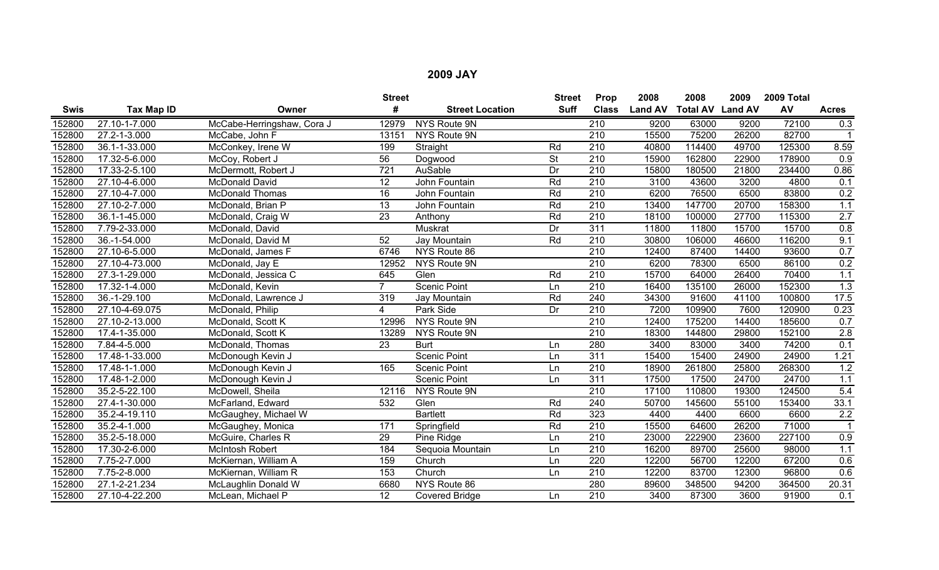|             |                            |                            | <b>Street</b>    |                        | <b>Street</b>   | Prop             | 2008           | 2008                    | 2009  | 2009 Total |              |
|-------------|----------------------------|----------------------------|------------------|------------------------|-----------------|------------------|----------------|-------------------------|-------|------------|--------------|
| <b>Swis</b> | Tax Map ID                 | Owner                      | #                | <b>Street Location</b> | <b>Suff</b>     | <b>Class</b>     | <b>Land AV</b> | <b>Total AV Land AV</b> |       | AV         | <b>Acres</b> |
| 152800      | 27.10-1-7.000              | McCabe-Herringshaw, Cora J | 12979            | <b>NYS Route 9N</b>    |                 | 210              | 9200           | 63000                   | 9200  | 72100      | 0.3          |
| 152800      | 27.2-1-3.000               | McCabe, John F             | 13151            | NYS Route 9N           |                 | 210              | 15500          | 75200                   | 26200 | 82700      |              |
| 152800      | 36.1-1-33.000              | McConkey, Irene W          | 199              | Straight               | Rd              | $\overline{210}$ | 40800          | 114400                  | 49700 | 125300     | 8.59         |
| 152800      | 17.32-5-6.000              | McCoy, Robert J            | 56               | Dogwood                | <b>St</b>       | 210              | 15900          | 162800                  | 22900 | 178900     | 0.9          |
| 152800      | 17.33-2-5.100              | McDermott, Robert J        | $\overline{721}$ | AuSable                | $\overline{Dr}$ | 210              | 15800          | 180500                  | 21800 | 234400     | 0.86         |
| 152800      | 27.10-4-6.000              | McDonald David             | $\overline{12}$  | John Fountain          | Rd              | $\overline{210}$ | 3100           | 43600                   | 3200  | 4800       | 0.1          |
| 152800      | 27.10-4-7.000              | <b>McDonald Thomas</b>     | 16               | John Fountain          | Rd              | 210              | 6200           | 76500                   | 6500  | 83800      | 0.2          |
| 152800      | 27.10-2-7.000              | McDonald, Brian P          | $\overline{13}$  | John Fountain          | Rd              | $\overline{210}$ | 13400          | 147700                  | 20700 | 158300     | 1.1          |
| 152800      | 36.1-1-45.000              | McDonald, Craig W          | $\overline{23}$  | Anthony                | Rd              | 210              | 18100          | 100000                  | 27700 | 115300     | 2.7          |
| 152800      | 7.79-2-33.000              | McDonald, David            |                  | <b>Muskrat</b>         | Dr              | 311              | 11800          | 11800                   | 15700 | 15700      | 0.8          |
| 152800      | 36.-1-54.000               | McDonald, David M          | 52               | Jay Mountain           | Rd              | 210              | 30800          | 106000                  | 46600 | 116200     | 9.1          |
| 152800      | 27.10-6-5.000              | McDonald, James F          | 6746             | NYS Route 86           |                 | $\overline{210}$ | 12400          | 87400                   | 14400 | 93600      | 0.7          |
| 152800      | 27.10-4-73.000             | McDonald, Jay E            | 12952            | NYS Route 9N           |                 | $\overline{210}$ | 6200           | 78300                   | 6500  | 86100      | 0.2          |
| 152800      | 27.3-1-29.000              | McDonald, Jessica C        | 645              | Glen                   | Rd              | 210              | 15700          | 64000                   | 26400 | 70400      | 1.1          |
| 152800      | 17.32-1-4.000              | McDonald, Kevin            |                  | <b>Scenic Point</b>    | Ln              | 210              | 16400          | 135100                  | 26000 | 152300     | 1.3          |
| 152800      | $\overline{36}$ .-1-29.100 | McDonald, Lawrence J       | 319              | Jay Mountain           | Rd              | 240              | 34300          | 91600                   | 41100 | 100800     | 17.5         |
| 152800      | 27.10-4-69.075             | McDonald, Philip           | 4                | Park Side              | Dr              | 210              | 7200           | 109900                  | 7600  | 120900     | 0.23         |
| 152800      | 27.10-2-13.000             | McDonald, Scott K          | 12996            | NYS Route 9N           |                 | $\overline{210}$ | 12400          | 175200                  | 14400 | 185600     | 0.7          |
| 152800      | 17.4-1-35.000              | McDonald, Scott K          | 13289            | NYS Route 9N           |                 | $\overline{210}$ | 18300          | 144800                  | 29800 | 152100     | 2.8          |
| 152800      | 7.84-4-5.000               | McDonald, Thomas           | $\overline{23}$  | <b>Burt</b>            | Ln              | 280              | 3400           | 83000                   | 3400  | 74200      | 0.1          |
| 152800      | 17.48-1-33.000             | McDonough Kevin J          |                  | <b>Scenic Point</b>    | Ln              | $\overline{311}$ | 15400          | 15400                   | 24900 | 24900      | 1.21         |
| 152800      | 17.48-1-1.000              | McDonough Kevin J          | 165              | <b>Scenic Point</b>    | Ln              | $\overline{210}$ | 18900          | 261800                  | 25800 | 268300     | 1.2          |
| 152800      | 17.48-1-2.000              | McDonough Kevin J          |                  | <b>Scenic Point</b>    | Ln              | 311              | 17500          | 17500                   | 24700 | 24700      | 1.1          |
| 152800      | 35.2-5-22.100              | McDowell, Sheila           | 12116            | NYS Route 9N           |                 | 210              | 17100          | 110800                  | 19300 | 124500     | 5.4          |
| 152800      | 27.4-1-30.000              | McFarland, Edward          | 532              | Glen                   | Rd              | 240              | 50700          | 145600                  | 55100 | 153400     | 33.1         |
| 152800      | 35.2-4-19.110              | McGaughey, Michael W       |                  | <b>Bartlett</b>        | Rd              | 323              | 4400           | 4400                    | 6600  | 6600       | 2.2          |
| 152800      | 35.2-4-1.000               | McGaughey, Monica          | 171              | Springfield            | Rd              | 210              | 15500          | 64600                   | 26200 | 71000      |              |
| 152800      | 35.2-5-18.000              | McGuire, Charles R         | 29               | Pine Ridge             | Ln              | 210              | 23000          | 222900                  | 23600 | 227100     | 0.9          |
| 152800      | 17.30-2-6.000              | McIntosh Robert            | 184              | Sequoia Mountain       | Ln              | 210              | 16200          | 89700                   | 25600 | 98000      | 1.1          |
| 152800      | 7.75-2-7.000               | McKiernan, William A       | 159              | Church                 | Ln              | 220              | 12200          | 56700                   | 12200 | 67200      | 0.6          |
| 152800      | 7.75-2-8.000               | McKiernan, William R       | 153              | Church                 | Ln              | 210              | 12200          | 83700                   | 12300 | 96800      | 0.6          |
| 152800      | 27.1-2-21.234              | McLaughlin Donald W        | 6680             | NYS Route 86           |                 | 280              | 89600          | 348500                  | 94200 | 364500     | 20.31        |
| 152800      | 27.10-4-22.200             | McLean, Michael P          | $\overline{12}$  | <b>Covered Bridge</b>  | Ln              | $\overline{210}$ | 3400           | 87300                   | 3600  | 91900      | 0.1          |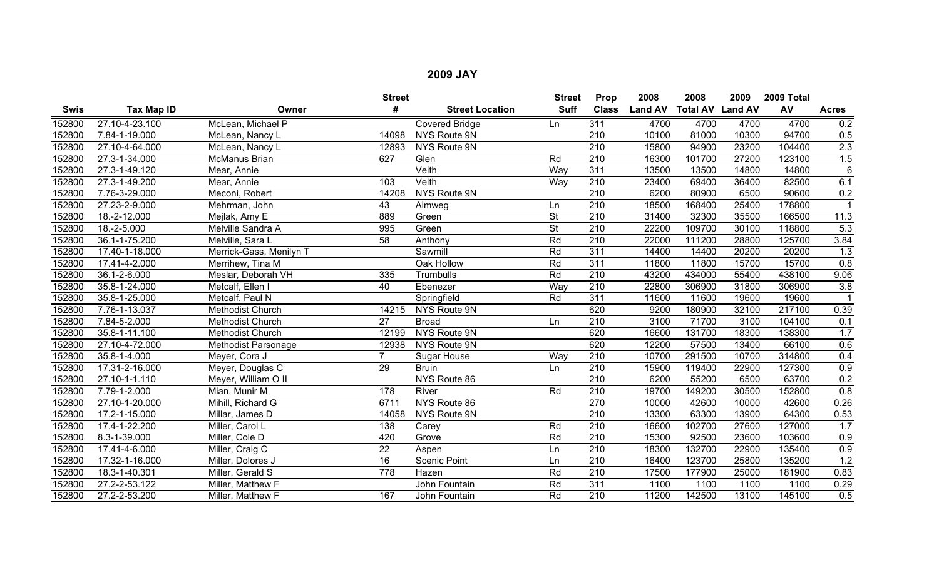|             |                   |                            | <b>Street</b>   |                        | <b>Street</b>            | Prop             | 2008           | 2008                    | 2009  | 2009 Total |                 |
|-------------|-------------------|----------------------------|-----------------|------------------------|--------------------------|------------------|----------------|-------------------------|-------|------------|-----------------|
| <b>Swis</b> | <b>Tax Map ID</b> | Owner                      | #               | <b>Street Location</b> | <b>Suff</b>              | <b>Class</b>     | <b>Land AV</b> | <b>Total AV Land AV</b> |       | AV         | <b>Acres</b>    |
| 152800      | 27.10-4-23.100    | McLean, Michael P          |                 | <b>Covered Bridge</b>  | Ln                       | 311              | 4700           | 4700                    | 4700  | 4700       | 0.2             |
| 152800      | 7.84-1-19.000     | McLean, Nancy L            | 14098           | NYS Route 9N           |                          | 210              | 10100          | 81000                   | 10300 | 94700      | 0.5             |
| 152800      | 27.10-4-64.000    | McLean, Nancy L            | 12893           | NYS Route 9N           |                          | $\overline{210}$ | 15800          | 94900                   | 23200 | 104400     | 2.3             |
| 152800      | 27.3-1-34.000     | McManus Brian              | 627             | Glen                   | Rd                       | 210              | 16300          | 101700                  | 27200 | 123100     | 1.5             |
| 152800      | 27.3-1-49.120     | Mear, Annie                |                 | Veith                  | Wav                      | 311              | 13500          | 13500                   | 14800 | 14800      | $6\phantom{1}6$ |
| 152800      | 27.3-1-49.200     | Mear, Annie                | 103             | Veith                  | Way                      | 210              | 23400          | 69400                   | 36400 | 82500      | 6.1             |
| 152800      | 7.76-3-29.000     | Meconi, Robert             | 14208           | NYS Route 9N           |                          | $\overline{210}$ | 6200           | 80900                   | 6500  | 90600      | 0.2             |
| 152800      | 27.23-2-9.000     | Mehrman, John              | 43              | Almweg                 | Ln                       | 210              | 18500          | 168400                  | 25400 | 178800     |                 |
| 152800      | 18.-2-12.000      | Mejlak, Amy E              | 889             | Green                  | <b>St</b>                | 210              | 31400          | 32300                   | 35500 | 166500     | 11.3            |
| 152800      | $18.-2-5.000$     | Melville Sandra A          | 995             | Green                  | $\overline{\mathsf{St}}$ | $\overline{210}$ | 22200          | 109700                  | 30100 | 118800     | 5.3             |
| 152800      | 36.1-1-75.200     | Melville, Sara L           | 58              | Anthony                | Rd                       | $\overline{210}$ | 22000          | 111200                  | 28800 | 125700     | 3.84            |
| 152800      | 17.40-1-18.000    | Merrick-Gass, Menilyn T    |                 | Sawmill                | Rd                       | 311              | 14400          | 14400                   | 20200 | 20200      | 1.3             |
| 152800      | 17.41-4-2.000     | Merrihew, Tina M           |                 | Oak Hollow             | Rd                       | 311              | 11800          | 11800                   | 15700 | 15700      | 0.8             |
| 152800      | 36.1-2-6.000      | Meslar, Deborah VH         | $\frac{1}{335}$ | Trumbulls              | Rd                       | $\overline{210}$ | 43200          | 434000                  | 55400 | 438100     | 9.06            |
| 152800      | 35.8-1-24.000     | Metcalf, Ellen I           | 40              | Ebenezer               | Way                      | $\overline{210}$ | 22800          | 306900                  | 31800 | 306900     | 3.8             |
| 152800      | 35.8-1-25.000     | Metcalf, Paul N            |                 | Springfield            | Rd                       | 311              | 11600          | 11600                   | 19600 | 19600      |                 |
| 152800      | 7.76-1-13.037     | <b>Methodist Church</b>    | 14215           | NYS Route 9N           |                          | 620              | 9200           | 180900                  | 32100 | 217100     | 0.39            |
| 152800      | 7.84-5-2.000      | Methodist Church           | 27              | <b>Broad</b>           | Ln                       | $\overline{210}$ | 3100           | 71700                   | 3100  | 104100     | 0.1             |
| 152800      | 35.8-1-11.100     | Methodist Church           | 12199           | NYS Route 9N           |                          | 620              | 16600          | 131700                  | 18300 | 138300     | 1.7             |
| 152800      | 27.10-4-72.000    | <b>Methodist Parsonage</b> | 12938           | NYS Route 9N           |                          | 620              | 12200          | 57500                   | 13400 | 66100      | 0.6             |
| 152800      | 35.8-1-4.000      | Meyer, Cora J              |                 | Sugar House            | Way                      | $\overline{210}$ | 10700          | 291500                  | 10700 | 314800     | 0.4             |
| 152800      | 17.31-2-16.000    | Meyer, Douglas C           | $\overline{29}$ | <b>Bruin</b>           | Ln                       | $\overline{210}$ | 15900          | 119400                  | 22900 | 127300     | 0.9             |
| 152800      | 27.10-1-1.110     | Meyer, William O II        |                 | NYS Route 86           |                          | 210              | 6200           | 55200                   | 6500  | 63700      | 0.2             |
| 152800      | 7.79-1-2.000      | Mian, Munir M              | 178             | River                  | Rd                       | 210              | 19700          | 149200                  | 30500 | 152800     | 0.8             |
| 152800      | 27.10-1-20.000    | Mihill, Richard G          | 6711            | NYS Route 86           |                          | 270              | 10000          | 42600                   | 10000 | 42600      | 0.26            |
| 152800      | 17.2-1-15.000     | Millar, James D            | 14058           | NYS Route 9N           |                          | $\overline{210}$ | 13300          | 63300                   | 13900 | 64300      | 0.53            |
| 152800      | 17.4-1-22.200     | Miller, Carol L            | 138             | Carey                  | Rd                       | 210              | 16600          | 102700                  | 27600 | 127000     | 1.7             |
| 152800      | 8.3-1-39.000      | Miller, Cole D             | 420             | Grove                  | Rd                       | $\overline{210}$ | 15300          | 92500                   | 23600 | 103600     | 0.9             |
| 152800      | 17.41-4-6.000     | Miller, Craig C            | $\overline{22}$ | Aspen                  | Ln                       | $\overline{210}$ | 18300          | 132700                  | 22900 | 135400     | 0.9             |
| 152800      | 17.32-1-16.000    | Miller, Dolores J          | 16              | <b>Scenic Point</b>    | Ln                       | $\overline{210}$ | 16400          | 123700                  | 25800 | 135200     | 1.2             |
| 152800      | 18.3-1-40.301     | Miller, Gerald S           | 778             | Hazen                  | Rd                       | $\overline{210}$ | 17500          | 177900                  | 25000 | 181900     | 0.83            |
| 152800      | 27.2-2-53.122     | Miller, Matthew F          |                 | John Fountain          | Rd                       | 311              | 1100           | 1100                    | 1100  | 1100       | 0.29            |
| 152800      | 27.2-2-53.200     | Miller, Matthew F          | 167             | John Fountain          | Rd                       | 210              | 11200          | 142500                  | 13100 | 145100     | 0.5             |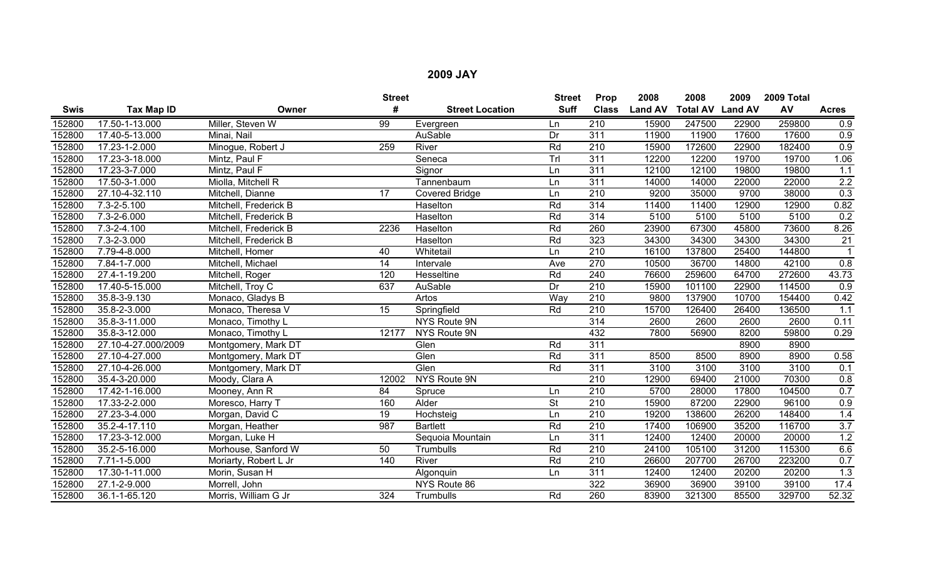|        |                     |                       | <b>Street</b>   |                        | <b>Street</b> | Prop             | 2008           | 2008                    | 2009  | 2009 Total |                  |
|--------|---------------------|-----------------------|-----------------|------------------------|---------------|------------------|----------------|-------------------------|-------|------------|------------------|
| Swis   | Tax Map ID          | Owner                 | #               | <b>Street Location</b> | <b>Suff</b>   | <b>Class</b>     | <b>Land AV</b> | <b>Total AV Land AV</b> |       | AV         | <b>Acres</b>     |
| 152800 | 17.50-1-13.000      | Miller, Steven W      | $\overline{99}$ | Evergreen              | Ln            | $\overline{210}$ | 15900          | 247500                  | 22900 | 259800     | 0.9              |
| 152800 | 17.40-5-13.000      | Minai, Nail           |                 | AuSable                | Dr            | 311              | 11900          | 11900                   | 17600 | 17600      | 0.9              |
| 152800 | 17.23-1-2.000       | Minogue, Robert J     | 259             | River                  | Rd            | $\overline{210}$ | 15900          | 172600                  | 22900 | 182400     | 0.9              |
| 152800 | 17.23-3-18.000      | Mintz, Paul F         |                 | Seneca                 | TrI           | $\overline{311}$ | 12200          | 12200                   | 19700 | 19700      | 1.06             |
| 152800 | 17.23-3-7.000       | Mintz, Paul F         |                 | Signor                 | Ln            | 311              | 12100          | 12100                   | 19800 | 19800      | 1.1              |
| 152800 | 17.50-3-1.000       | Miolla, Mitchell R    |                 | Tannenbaum             | Ln            | 311              | 14000          | 14000                   | 22000 | 22000      | 2.2              |
| 152800 | 27.10-4-32.110      | Mitchell, Dianne      | 17              | <b>Covered Bridge</b>  | Ln            | 210              | 9200           | 35000                   | 9700  | 38000      | 0.3              |
| 152800 | 7.3-2-5.100         | Mitchell, Frederick B |                 | Haselton               | Rd            | $\overline{314}$ | 11400          | 11400                   | 12900 | 12900      | 0.82             |
| 152800 | 7.3-2-6.000         | Mitchell, Frederick B |                 | Haselton               | Rd            | 314              | 5100           | 5100                    | 5100  | 5100       | 0.2              |
| 152800 | $7.3 - 2 - 4.100$   | Mitchell, Frederick B | 2236            | Haselton               | Rd            | 260              | 23900          | 67300                   | 45800 | 73600      | 8.26             |
| 152800 | $7.3 - 2 - 3.000$   | Mitchell, Frederick B |                 | Haselton               | Rd            | 323              | 34300          | 34300                   | 34300 | 34300      | $\overline{21}$  |
| 152800 | 7.79-4-8.000        | Mitchell, Homer       | 40              | Whitetail              | Ln            | $\overline{210}$ | 16100          | 137800                  | 25400 | 144800     | $\overline{1}$   |
| 152800 | 7.84-1-7.000        | Mitchell, Michael     | 14              | Intervale              | Ave           | 270              | 10500          | 36700                   | 14800 | 42100      | 0.8              |
| 152800 | 27.4-1-19.200       | Mitchell, Roger       | 120             | Hesseltine             | Rd            | 240              | 76600          | 259600                  | 64700 | 272600     | 43.73            |
| 152800 | 17.40-5-15.000      | Mitchell, Troy C      | 637             | AuSable                | Dr            | $\overline{210}$ | 15900          | 101100                  | 22900 | 114500     | 0.9              |
| 152800 | 35.8-3-9.130        | Monaco, Gladys B      |                 | Artos                  | Way           | 210              | 9800           | 137900                  | 10700 | 154400     | 0.42             |
| 152800 | 35.8-2-3.000        | Monaco, Theresa V     | $\overline{15}$ | Springfield            | Rd            | $\overline{210}$ | 15700          | 126400                  | 26400 | 136500     | 1.1              |
| 152800 | $35.8 - 3 - 11.000$ | Monaco, Timothy L     |                 | NYS Route 9N           |               | 314              | 2600           | 2600                    | 2600  | 2600       | 0.11             |
| 152800 | 35.8-3-12.000       | Monaco, Timothy L     | 12177           | NYS Route 9N           |               | 432              | 7800           | 56900                   | 8200  | 59800      | 0.29             |
| 152800 | 27.10-4-27.000/2009 | Montgomery, Mark DT   |                 | Glen                   | Rd            | 311              |                |                         | 8900  | 8900       |                  |
| 152800 | 27.10-4-27.000      | Montgomery, Mark DT   |                 | Glen                   | Rd            | 311              | 8500           | 8500                    | 8900  | 8900       | 0.58             |
| 152800 | 27.10-4-26.000      | Montgomery, Mark DT   |                 | Glen                   | Rd            | 311              | 3100           | 3100                    | 3100  | 3100       | 0.1              |
| 152800 | 35.4-3-20.000       | Moody, Clara A        | 12002           | <b>NYS Route 9N</b>    |               | 210              | 12900          | 69400                   | 21000 | 70300      | 0.8              |
| 152800 | 17.42-1-16.000      | Mooney, Ann R         | 84              | Spruce                 | Ln            | $\overline{210}$ | 5700           | 28000                   | 17800 | 104500     | 0.7              |
| 152800 | 17.33-2-2.000       | Moresco, Harry T      | 160             | Alder                  | <b>St</b>     | $\overline{210}$ | 15900          | 87200                   | 22900 | 96100      | 0.9              |
| 152800 | 27.23-3-4.000       | Morgan, David C       | $\overline{19}$ | Hochsteig              | Ln            | 210              | 19200          | 138600                  | 26200 | 148400     | 1.4              |
| 152800 | 35.2-4-17.110       | Morgan, Heather       | 987             | <b>Bartlett</b>        | Rd            | 210              | 17400          | 106900                  | 35200 | 116700     | 3.7              |
| 152800 | 17.23-3-12.000      | Morgan, Luke H        |                 | Sequoia Mountain       | Ln            | 311              | 12400          | 12400                   | 20000 | 20000      | 1.2              |
| 152800 | 35.2-5-16.000       | Morhouse, Sanford W   | 50              | Trumbulls              | Rd            | 210              | 24100          | 105100                  | 31200 | 115300     | 6.6              |
| 152800 | 7.71-1-5.000        | Moriarty, Robert L Jr | 140             | River                  | Rd            | 210              | 26600          | 207700                  | 26700 | 223200     | 0.7              |
| 152800 | 17.30-1-11.000      | Morin, Susan H        |                 | Algonquin              | Ln            | 311              | 12400          | 12400                   | 20200 | 20200      | $\overline{1.3}$ |
| 152800 | 27.1-2-9.000        | Morrell, John         |                 | NYS Route 86           |               | $\overline{322}$ | 36900          | 36900                   | 39100 | 39100      | 17.4             |
| 152800 | 36.1-1-65.120       | Morris, William G Jr  | 324             | Trumbulls              | Rd            | 260              | 83900          | 321300                  | 85500 | 329700     | 52.32            |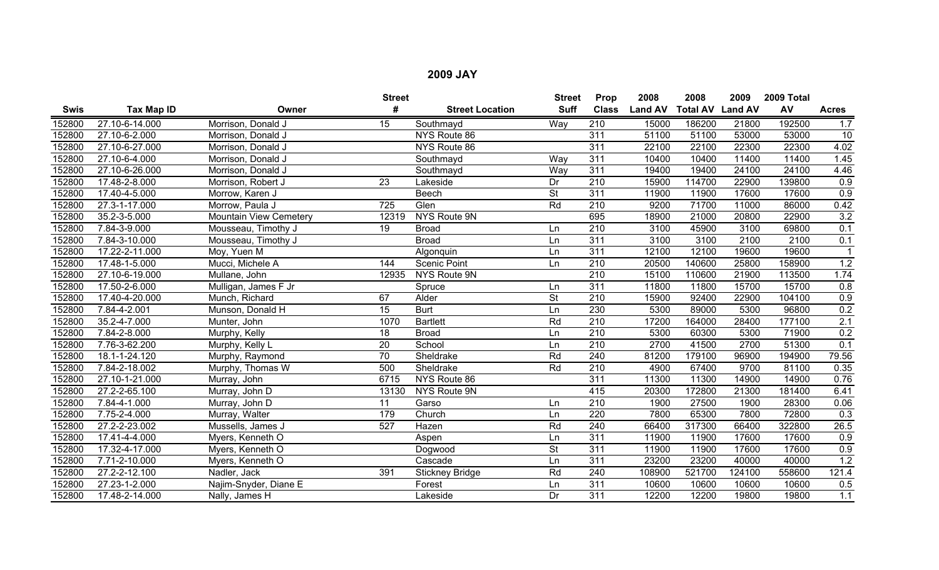|             |                |                               | <b>Street</b>   |                        | <b>Street</b>            | Prop             | 2008           | 2008                    | 2009   | 2009 Total |              |
|-------------|----------------|-------------------------------|-----------------|------------------------|--------------------------|------------------|----------------|-------------------------|--------|------------|--------------|
| <b>Swis</b> | Tax Map ID     | Owner                         | #               | <b>Street Location</b> | <b>Suff</b>              | <b>Class</b>     | <b>Land AV</b> | <b>Total AV Land AV</b> |        | AV         | <b>Acres</b> |
| 152800      | 27.10-6-14.000 | Morrison, Donald J            | 15              | Southmayd              | Way                      | 210              | 15000          | 186200                  | 21800  | 192500     | 1.7          |
| 152800      | 27.10-6-2.000  | Morrison, Donald J            |                 | NYS Route 86           |                          | 311              | 51100          | 51100                   | 53000  | 53000      | 10           |
| 152800      | 27.10-6-27.000 | Morrison, Donald J            |                 | NYS Route 86           |                          | 311              | 22100          | 22100                   | 22300  | 22300      | 4.02         |
| 152800      | 27.10-6-4.000  | Morrison, Donald J            |                 | Southmayd              | Way                      | 311              | 10400          | 10400                   | 11400  | 11400      | 1.45         |
| 152800      | 27.10-6-26.000 | Morrison, Donald J            |                 | Southmayd              | Wav                      | 311              | 19400          | 19400                   | 24100  | 24100      | 4.46         |
| 152800      | 17.48-2-8.000  | Morrison, Robert J            | $\overline{23}$ | Lakeside               | Dr                       | $\overline{210}$ | 15900          | 114700                  | 22900  | 139800     | 0.9          |
| 152800      | 17.40-4-5.000  | Morrow, Karen J               |                 | <b>Beech</b>           | $\overline{\mathsf{St}}$ | 311              | 11900          | 11900                   | 17600  | 17600      | 0.9          |
| 152800      | 27.3-1-17.000  | Morrow, Paula J               | 725             | Glen                   | Rd                       | 210              | 9200           | 71700                   | 11000  | 86000      | 0.42         |
| 152800      | 35.2-3-5.000   | <b>Mountain View Cemetery</b> | 12319           | <b>NYS Route 9N</b>    |                          | 695              | 18900          | 21000                   | 20800  | 22900      | 3.2          |
| 152800      | 7.84-3-9.000   | Mousseau, Timothy J           | $\overline{19}$ | <b>Broad</b>           | Ln                       | 210              | 3100           | 45900                   | 3100   | 69800      | 0.1          |
| 152800      | 7.84-3-10.000  | Mousseau, Timothy J           |                 | <b>Broad</b>           | Ln                       | 311              | 3100           | 3100                    | 2100   | 2100       | 0.1          |
| 152800      | 17.22-2-11.000 | Moy, Yuen M                   |                 | Algonquin              | Ln                       | 311              | 12100          | 12100                   | 19600  | 19600      |              |
| 152800      | 17.48-1-5.000  | Mucci, Michele A              | 144             | <b>Scenic Point</b>    | Ln                       | 210              | 20500          | 140600                  | 25800  | 158900     | 1.2          |
| 152800      | 27.10-6-19.000 | Mullane, John                 | 12935           | NYS Route 9N           |                          | $\overline{210}$ | 15100          | 110600                  | 21900  | 113500     | 1.74         |
| 152800      | 17.50-2-6.000  | Mulligan, James F Jr          |                 | Spruce                 | Ln                       | 311              | 11800          | 11800                   | 15700  | 15700      | 0.8          |
| 152800      | 17.40-4-20.000 | Munch, Richard                | 67              | Alder                  | <b>St</b>                | 210              | 15900          | 92400                   | 22900  | 104100     | 0.9          |
| 152800      | 7.84-4-2.001   | Munson, Donald H              | 15              | <b>Burt</b>            | Ln                       | 230              | 5300           | 89000                   | 5300   | 96800      | 0.2          |
| 152800      | 35.2-4-7.000   | Munter, John                  | 1070            | <b>Bartlett</b>        | Rd                       | $\overline{210}$ | 17200          | 164000                  | 28400  | 177100     | 2.1          |
| 152800      | 7.84-2-8.000   | Murphy, Kelly                 | 18              | <b>Broad</b>           | Ln                       | 210              | 5300           | 60300                   | 5300   | 71900      | 0.2          |
| 152800      | 7.76-3-62.200  | Murphy, Kelly L               | 20              | School                 | Ln                       | $\overline{210}$ | 2700           | 41500                   | 2700   | 51300      | 0.1          |
| 152800      | 18.1-1-24.120  | Murphy, Raymond               | 70              | Sheldrake              | Rd                       | 240              | 81200          | 179100                  | 96900  | 194900     | 79.56        |
| 152800      | 7.84-2-18.002  | Murphy, Thomas W              | 500             | Sheldrake              | Rd                       | 210              | 4900           | 67400                   | 9700   | 81100      | 0.35         |
| 152800      | 27.10-1-21.000 | Murray, John                  | 6715            | NYS Route 86           |                          | 311              | 11300          | 11300                   | 14900  | 14900      | 0.76         |
| 152800      | 27.2-2-65.100  | Murray, John D                | 13130           | NYS Route 9N           |                          | 415              | 20300          | 172800                  | 21300  | 181400     | 6.41         |
| 152800      | 7.84-4-1.000   | Murray, John D                | 11              | Garso                  | Ln                       | 210              | 1900           | 27500                   | 1900   | 28300      | 0.06         |
| 152800      | 7.75-2-4.000   | Murray, Walter                | 179             | Church                 | Ln                       | 220              | 7800           | 65300                   | 7800   | 72800      | 0.3          |
| 152800      | 27.2-2-23.002  | Mussells, James J             | 527             | Hazen                  | Rd                       | 240              | 66400          | 317300                  | 66400  | 322800     | 26.5         |
| 152800      | 17.41-4-4.000  | Myers, Kenneth O              |                 | Aspen                  | Ln                       | 311              | 11900          | 11900                   | 17600  | 17600      | 0.9          |
| 152800      | 17.32-4-17.000 | Myers, Kenneth O              |                 | Dogwood                | <b>St</b>                | 311              | 11900          | 11900                   | 17600  | 17600      | 0.9          |
| 152800      | 7.71-2-10.000  | Myers, Kenneth O              |                 | Cascade                | Ln                       | 311              | 23200          | 23200                   | 40000  | 40000      | 1.2          |
| 152800      | 27.2-2-12.100  | Nadler, Jack                  | 391             | <b>Stickney Bridge</b> | Rd                       | 240              | 108900         | 521700                  | 124100 | 558600     | 121.4        |
| 152800      | 27.23-1-2.000  | Najim-Snyder, Diane E         |                 | Forest                 | Ln                       | 311              | 10600          | 10600                   | 10600  | 10600      | 0.5          |
| 152800      | 17.48-2-14.000 | Nally, James H                |                 | Lakeside               | Dr                       | 311              | 12200          | 12200                   | 19800  | 19800      | 1.1          |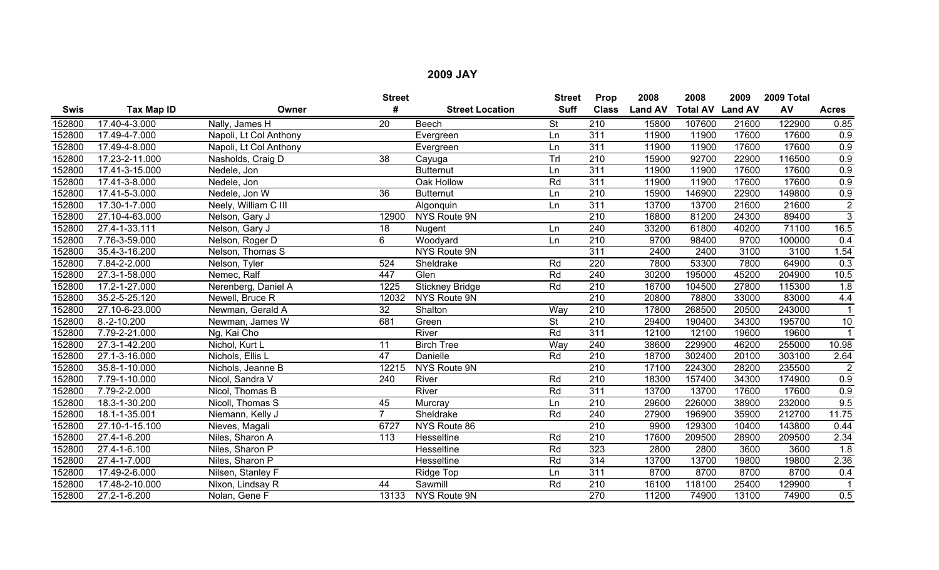|             |                     |                        | <b>Street</b>   |                        | <b>Street</b>            | Prop             | 2008           | 2008                    | 2009  | 2009 Total |                      |
|-------------|---------------------|------------------------|-----------------|------------------------|--------------------------|------------------|----------------|-------------------------|-------|------------|----------------------|
| <b>Swis</b> | <b>Tax Map ID</b>   | Owner                  | #               | <b>Street Location</b> | <b>Suff</b>              | <b>Class</b>     | <b>Land AV</b> | <b>Total AV Land AV</b> |       | AV         | <b>Acres</b>         |
| 152800      | 17.40-4-3.000       | Nally, James H         | $\overline{20}$ | Beech                  | <b>St</b>                | $\overline{210}$ | 15800          | 107600                  | 21600 | 122900     | 0.85                 |
| 152800      | 17.49-4-7.000       | Napoli, Lt Col Anthony |                 | Evergreen              | Ln                       | 311              | 11900          | 11900                   | 17600 | 17600      | 0.9                  |
| 152800      | 17.49-4-8.000       | Napoli, Lt Col Anthony |                 | Evergreen              | Ln                       | 311              | 11900          | 11900                   | 17600 | 17600      | 0.9                  |
| 152800      | 17.23-2-11.000      | Nasholds, Craig D      | 38              | Cayuga                 | Trl                      | 210              | 15900          | 92700                   | 22900 | 116500     | 0.9                  |
| 152800      | 17.41-3-15.000      | Nedele, Jon            |                 | <b>Butternut</b>       | Ln                       | 311              | 11900          | 11900                   | 17600 | 17600      | $\overline{0.9}$     |
| 152800      | 17.41-3-8.000       | Nedele, Jon            |                 | Oak Hollow             | Rd                       | 311              | 11900          | 11900                   | 17600 | 17600      | 0.9                  |
| 152800      | 17.41-5-3.000       | Nedele, Jon W          | 36              | <b>Butternut</b>       | Ln                       | $\overline{210}$ | 15900          | 146900                  | 22900 | 149800     | 0.9                  |
| 152800      | $17.30 - 1 - 7.000$ | Neely, William C III   |                 | Algonquin              | Ln                       | 311              | 13700          | 13700                   | 21600 | 21600      | $\overline{2}$       |
| 152800      | 27.10-4-63.000      | Nelson, Gary J         | 12900           | <b>NYS Route 9N</b>    |                          | 210              | 16800          | 81200                   | 24300 | 89400      | $\overline{3}$       |
| 152800      | 27.4-1-33.111       | Nelson, Gary J         | $\overline{18}$ | Nugent                 | Ln                       | 240              | 33200          | 61800                   | 40200 | 71100      | 16.5                 |
| 152800      | 7.76-3-59.000       | Nelson, Roger D        | 6               | Woodyard               | Ln                       | $\overline{210}$ | 9700           | 98400                   | 9700  | 100000     | 0.4                  |
| 152800      | 35.4-3-16.200       | Nelson, Thomas S       |                 | NYS Route 9N           |                          | 311              | 2400           | 2400                    | 3100  | 3100       | 1.54                 |
| 152800      | 7.84-2-2.000        | Nelson, Tyler          | 524             | Sheldrake              | Rd                       | 220              | 7800           | 53300                   | 7800  | 64900      | $\overline{0.3}$     |
| 152800      | 27.3-1-58.000       | Nemec, Ralf            | 447             | Glen                   | Rd                       | 240              | 30200          | 195000                  | 45200 | 204900     | 10.5                 |
| 152800      | 17.2-1-27.000       | Nerenberg, Daniel A    | 1225            | <b>Stickney Bridge</b> | Rd                       | $\overline{210}$ | 16700          | 104500                  | 27800 | 115300     | 1.8                  |
| 152800      | 35.2-5-25.120       | Newell, Bruce R        | 12032           | NYS Route 9N           |                          | 210              | 20800          | 78800                   | 33000 | 83000      | 4.4                  |
| 152800      | 27.10-6-23.000      | Newman, Gerald A       | 32              | Shalton                | Way                      | $\overline{210}$ | 17800          | 268500                  | 20500 | 243000     |                      |
| 152800      | $8.-2-10.200$       | Newman, James W        | 681             | Green                  | $\overline{\mathsf{St}}$ | $\overline{210}$ | 29400          | 190400                  | 34300 | 195700     | 10                   |
| 152800      | 7.79-2-21.000       | Ng, Kai Cho            |                 | River                  | Rd                       | 311              | 12100          | 12100                   | 19600 | 19600      | $\blacktriangleleft$ |
| 152800      | 27.3-1-42.200       | Nichol, Kurt L         | 11              | <b>Birch Tree</b>      | Way                      | 240              | 38600          | 229900                  | 46200 | 255000     | 10.98                |
| 152800      | 27.1-3-16.000       | Nichols, Ellis L       | 47              | Danielle               | Rd                       | $\overline{210}$ | 18700          | 302400                  | 20100 | 303100     | 2.64                 |
| 152800      | 35.8-1-10.000       | Nichols, Jeanne B      | 12215           | NYS Route 9N           |                          | $\overline{210}$ | 17100          | 224300                  | 28200 | 235500     | $\overline{2}$       |
| 152800      | 7.79-1-10.000       | Nicol, Sandra V        | 240             | River                  | Rd                       | 210              | 18300          | 157400                  | 34300 | 174900     | 0.9                  |
| 152800      | 7.79-2-2.000        | Nicol, Thomas B        |                 | River                  | Rd                       | 311              | 13700          | 13700                   | 17600 | 17600      | 0.9                  |
| 152800      | 18.3-1-30.200       | Nicoll, Thomas S       | 45              | Murcray                | Ln                       | $\overline{210}$ | 29600          | 226000                  | 38900 | 232000     | 9.5                  |
| 152800      | 18.1-1-35.001       | Niemann, Kelly J       | $\overline{7}$  | Sheldrake              | Rd                       | 240              | 27900          | 196900                  | 35900 | 212700     | 11.75                |
| 152800      | 27.10-1-15.100      | Nieves, Magali         | 6727            | NYS Route 86           |                          | 210              | 9900           | 129300                  | 10400 | 143800     | 0.44                 |
| 152800      | 27.4-1-6.200        | Niles, Sharon A        | 113             | Hesseltine             | Rd                       | $\overline{210}$ | 17600          | 209500                  | 28900 | 209500     | 2.34                 |
| 152800      | 27.4-1-6.100        | Niles, Sharon P        |                 | Hesseltine             | Rd                       | 323              | 2800           | 2800                    | 3600  | 3600       | 1.8                  |
| 152800      | 27.4-1-7.000        | Niles, Sharon P        |                 | Hesseltine             | Rd                       | 314              | 13700          | 13700                   | 19800 | 19800      | 2.36                 |
| 152800      | 17.49-2-6.000       | Nilsen, Stanley F      |                 | Ridge Top              | Ln                       | 311              | 8700           | 8700                    | 8700  | 8700       | 0.4                  |
| 152800      | 17.48-2-10.000      | Nixon, Lindsay R       | 44              | Sawmill                | Rd                       | 210              | 16100          | 118100                  | 25400 | 129900     |                      |
| 152800      | 27.2-1-6.200        | Nolan, Gene F          | 13133           | NYS Route 9N           |                          | 270              | 11200          | 74900                   | 13100 | 74900      | 0.5                  |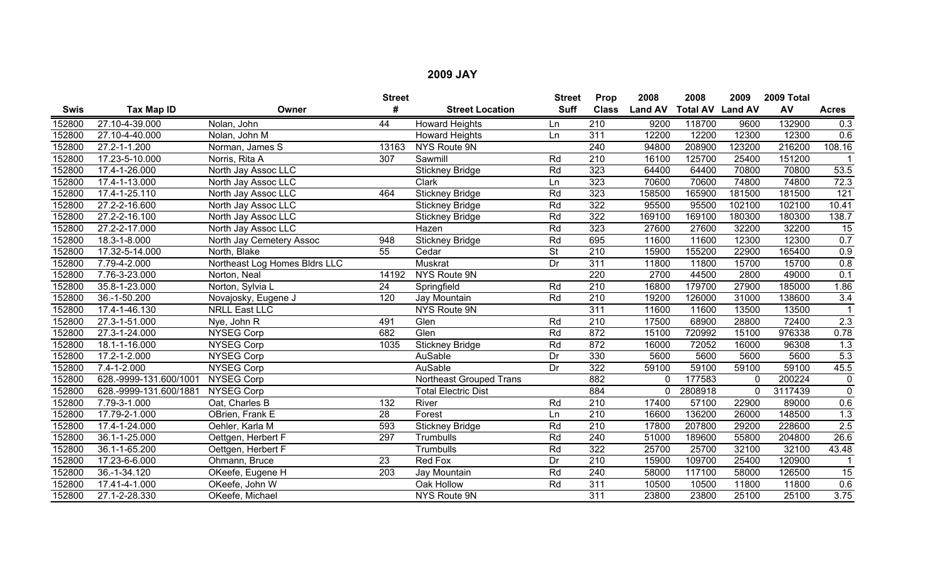|             |                             |                               | <b>Street</b>   |                                | <b>Street</b>            | Prop             | 2008           | 2008                    | 2009         | 2009 Total |                 |
|-------------|-----------------------------|-------------------------------|-----------------|--------------------------------|--------------------------|------------------|----------------|-------------------------|--------------|------------|-----------------|
| <b>Swis</b> | Tax Map ID                  | Owner                         | #               | <b>Street Location</b>         | <b>Suff</b>              | <b>Class</b>     | <b>Land AV</b> | <b>Total AV Land AV</b> |              | AV         | <b>Acres</b>    |
| 152800      | 27.10-4-39.000              | Nolan, John                   | 44              | <b>Howard Heights</b>          | Ln                       | 210              | 9200           | 118700                  | 9600         | 132900     | 0.3             |
| 152800      | 27.10-4-40.000              | Nolan, John M                 |                 | <b>Howard Heights</b>          | Ln                       | 311              | 12200          | 12200                   | 12300        | 12300      | 0.6             |
| 152800      | 27.2-1-1.200                | Norman, James S               | 13163           | NYS Route 9N                   |                          | 240              | 94800          | 208900                  | 123200       | 216200     | 108.16          |
| 152800      | 17.23-5-10.000              | Norris, Rita A                | 307             | Sawmill                        | Rd                       | 210              | 16100          | 125700                  | 25400        | 151200     |                 |
| 152800      | 17.4-1-26.000               | North Jay Assoc LLC           |                 | <b>Stickney Bridge</b>         | Rd                       | 323              | 64400          | 64400                   | 70800        | 70800      | 53.5            |
| 152800      | 17.4-1-13.000               | North Jay Assoc LLC           |                 | Clark                          | Ln                       | 323              | 70600          | 70600                   | 74800        | 74800      | 72.3            |
| 152800      | 17.4-1-25.110               | North Jay Assoc LLC           | 464             | <b>Stickney Bridge</b>         | Rd                       | 323              | 158500         | 165900                  | 181500       | 181500     | 121             |
| 152800      | 27.2-2-16.600               | North Jay Assoc LLC           |                 | <b>Stickney Bridge</b>         | Rd                       | 322              | 95500          | 95500                   | 102100       | 102100     | 10.41           |
| 152800      | 27.2-2-16.100               | North Jay Assoc LLC           |                 | <b>Stickney Bridge</b>         | Rd                       | 322              | 169100         | 169100                  | 180300       | 180300     | 138.7           |
| 152800      | 27.2-2-17.000               | North Jay Assoc LLC           |                 | Hazen                          | Rd                       | 323              | 27600          | 27600                   | 32200        | 32200      | $\overline{15}$ |
| 152800      | 18.3-1-8.000                | North Jay Cemetery Assoc      | 948             | <b>Stickney Bridge</b>         | Rd                       | 695              | 11600          | 11600                   | 12300        | 12300      | 0.7             |
| 152800      | 17.32-5-14.000              | North, Blake                  | 55              | Cedar                          | $\overline{\mathsf{St}}$ | $\overline{210}$ | 15900          | 155200                  | 22900        | 165400     | 0.9             |
| 152800      | 7.79-4-2.000                | Northeast Log Homes Bldrs LLC |                 | Muskrat                        | $\overline{Dr}$          | 311              | 11800          | 11800                   | 15700        | 15700      | 0.8             |
| 152800      | 7.76-3-23.000               | Norton, Neal                  | 14192           | NYS Route 9N                   |                          | 220              | 2700           | 44500                   | 2800         | 49000      | 0.1             |
| 152800      | 35.8-1-23.000               | Norton, Sylvia L              | 24              | Springfield                    | Rd                       | $\overline{210}$ | 16800          | 179700                  | 27900        | 185000     | 1.86            |
| 152800      | 36.-1-50.200                | Novajosky, Eugene J           | 120             | Jay Mountain                   | Rd                       | 210              | 19200          | 126000                  | 31000        | 138600     | 3.4             |
| 152800      | 17.4-1-46.130               | <b>NRLL East LLC</b>          |                 | <b>NYS Route 9N</b>            |                          | $\overline{311}$ | 11600          | 11600                   | 13500        | 13500      |                 |
| 152800      | 27.3-1-51.000               | Nye, John R                   | 491             | Glen                           | Rd                       | $\overline{210}$ | 17500          | 68900                   | 28800        | 72400      | 2.3             |
| 152800      | 27.3-1-24.000               | <b>NYSEG Corp</b>             | 682             | Glen                           | Rd                       | 872              | 15100          | 720992                  | 15100        | 976338     | 0.78            |
| 152800      | 18.1-1-16.000               | NYSEG Corp                    | 1035            | <b>Stickney Bridge</b>         | Rd                       | 872              | 16000          | 72052                   | 16000        | 96308      | 1.3             |
| 152800      | 17.2-1-2.000                | <b>NYSEG Corp</b>             |                 | AuSable                        | Dr                       | 330              | 5600           | 5600                    | 5600         | 5600       | 5.3             |
| 152800      | $7.4 - 1 - 2.000$           | <b>NYSEG Corp</b>             |                 | AuSable                        | Dr                       | 322              | 59100          | 59100                   | 59100        | 59100      | 45.5            |
| 152800      | 628.-9999-131.600/1001      | NYSEG Corp                    |                 | <b>Northeast Grouped Trans</b> |                          | 882              | $\mathbf{0}$   | 177583                  | $\mathbf{0}$ | 200224     | $\pmb{0}$       |
| 152800      | 628.-9999-131.600/1881      | <b>NYSEG Corp</b>             |                 | <b>Total Electric Dist</b>     |                          | 884              | $\Omega$       | 2808918                 | $\mathbf 0$  | 3117439    | $\overline{0}$  |
| 152800      | 7.79-3-1.000                | Oat, Charles B                | 132             | River                          | Rd                       | 210              | 17400          | 57100                   | 22900        | 89000      | 0.6             |
| 152800      | 17.79-2-1.000               | OBrien, Frank E               | $\overline{28}$ | Forest                         | Ln                       | $\overline{210}$ | 16600          | 136200                  | 26000        | 148500     | 1.3             |
| 152800      | 17.4-1-24.000               | Oehler, Karla M               | 593             | <b>Stickney Bridge</b>         | Rd                       | 210              | 17800          | 207800                  | 29200        | 228600     | 2.5             |
| 152800      | 36.1-1-25.000               | Oettgen, Herbert F            | 297             | Trumbulls                      | Rd                       | 240              | 51000          | 189600                  | 55800        | 204800     | 26.6            |
| 152800      | 36.1-1-65.200               | Oettgen, Herbert F            |                 | Trumbulls                      | Rd                       | 322              | 25700          | 25700                   | 32100        | 32100      | 43.48           |
| 152800      | 17.23-6-6.000               | Ohmann, Bruce                 | 23              | Red Fox                        | Dr                       | 210              | 15900          | 109700                  | 25400        | 120900     |                 |
| 152800      | 36.-1-34.120                | OKeefe, Eugene H              | 203             | Jay Mountain                   | Rd                       | 240              | 58000          | 117100                  | 58000        | 126500     | 15              |
| 152800      | 17.41-4-1.000               | OKeefe, John W                |                 | Oak Hollow                     | Rd                       | 311              | 10500          | 10500                   | 11800        | 11800      | 0.6             |
| 152800      | $\overline{27.1}$ -2-28.330 | OKeefe, Michael               |                 | NYS Route 9N                   |                          | 311              | 23800          | 23800                   | 25100        | 25100      | 3.75            |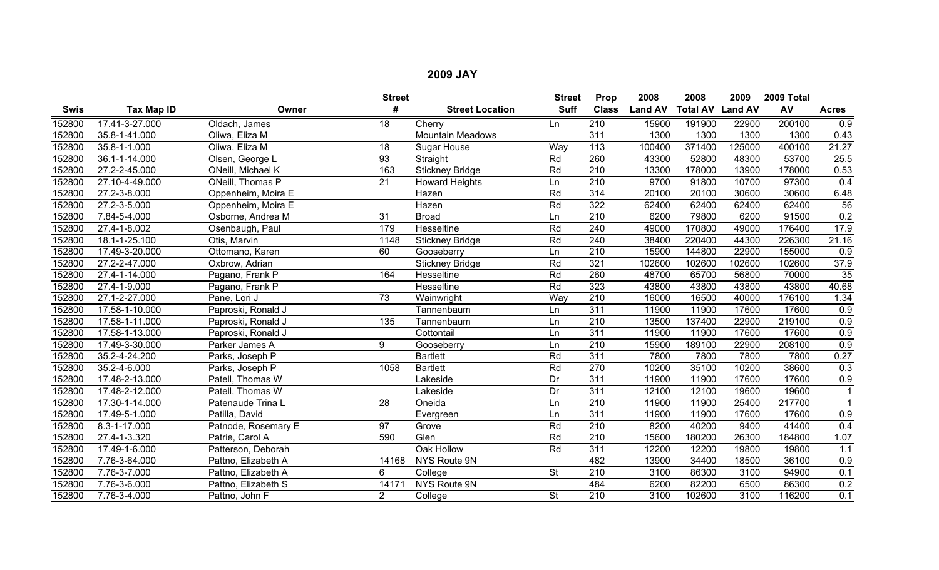|        |                |                     | <b>Street</b>   |                         | <b>Street</b>            | Prop             | 2008           | 2008                    | 2009   | 2009 Total |                  |
|--------|----------------|---------------------|-----------------|-------------------------|--------------------------|------------------|----------------|-------------------------|--------|------------|------------------|
| Swis   | Tax Map ID     | Owner               | #               | <b>Street Location</b>  | <b>Suff</b>              | <b>Class</b>     | <b>Land AV</b> | <b>Total AV Land AV</b> |        | AV         | <b>Acres</b>     |
| 152800 | 17.41-3-27.000 | Oldach, James       | 18              | Cherry                  | Ln                       | 210              | 15900          | 191900                  | 22900  | 200100     | $\overline{0.9}$ |
| 152800 | 35.8-1-41.000  | Oliwa, Eliza M      |                 | <b>Mountain Meadows</b> |                          | $\overline{311}$ | 1300           | 1300                    | 1300   | 1300       | 0.43             |
| 152800 | 35.8-1-1.000   | Oliwa, Eliza M      | 18              | <b>Sugar House</b>      | Way                      | 113              | 100400         | 371400                  | 125000 | 400100     | 21.27            |
| 152800 | 36.1-1-14.000  | Olsen, George L     | $\overline{93}$ | Straight                | Rd                       | 260              | 43300          | 52800                   | 48300  | 53700      | 25.5             |
| 152800 | 27.2-2-45.000  | ONeill, Michael K   | 163             | <b>Stickney Bridge</b>  | Rd                       | $\overline{210}$ | 13300          | 178000                  | 13900  | 178000     | 0.53             |
| 152800 | 27.10-4-49.000 | ONeill, Thomas P    | 21              | <b>Howard Heights</b>   | Ln                       | $\overline{210}$ | 9700           | 91800                   | 10700  | 97300      | 0.4              |
| 152800 | 27.2-3-8.000   | Oppenheim, Moira E  |                 | Hazen                   | Rd                       | $\overline{314}$ | 20100          | 20100                   | 30600  | 30600      | 6.48             |
| 152800 | 27.2-3-5.000   | Oppenheim, Moira E  |                 | Hazen                   | Rd                       | 322              | 62400          | 62400                   | 62400  | 62400      | 56               |
| 152800 | 7.84-5-4.000   | Osborne, Andrea M   | 31              | <b>Broad</b>            | Ln                       | 210              | 6200           | 79800                   | 6200   | 91500      | 0.2              |
| 152800 | 27.4-1-8.002   | Osenbaugh, Paul     | 179             | Hesseltine              | Rd                       | 240              | 49000          | 170800                  | 49000  | 176400     | 17.9             |
| 152800 | 18.1-1-25.100  | Otis, Marvin        | 1148            | <b>Stickney Bridge</b>  | Rd                       | 240              | 38400          | 220400                  | 44300  | 226300     | 21.16            |
| 152800 | 17.49-3-20.000 | Ottomano, Karen     | 60              | Gooseberry              | Ln                       | $\overline{210}$ | 15900          | 144800                  | 22900  | 155000     | 0.9              |
| 152800 | 27.2-2-47.000  | Oxbrow, Adrian      |                 | <b>Stickney Bridge</b>  | Rd                       | 321              | 102600         | 102600                  | 102600 | 102600     | 37.9             |
| 152800 | 27.4-1-14.000  | Pagano, Frank P     | 164             | Hesseltine              | Rd                       | 260              | 48700          | 65700                   | 56800  | 70000      | 35               |
| 152800 | 27.4-1-9.000   | Pagano, Frank P     |                 | Hesseltine              | Rd                       | 323              | 43800          | 43800                   | 43800  | 43800      | 40.68            |
| 152800 | 27.1-2-27.000  | Pane, Lori J        | 73              | Wainwright              | Way                      | 210              | 16000          | 16500                   | 40000  | 176100     | 1.34             |
| 152800 | 17.58-1-10.000 | Paproski, Ronald J  |                 | Tannenbaum              | Ln                       | $\overline{311}$ | 11900          | 11900                   | 17600  | 17600      | 0.9              |
| 152800 | 17.58-1-11.000 | Paproski, Ronald J  | 135             | Tannenbaum              | Ln                       | 210              | 13500          | 137400                  | 22900  | 219100     | 0.9              |
| 152800 | 17.58-1-13.000 | Paproski, Ronald J  |                 | Cottontail              | Ln                       | 311              | 11900          | 11900                   | 17600  | 17600      | $\overline{0.9}$ |
| 152800 | 17.49-3-30.000 | Parker James A      | 9               | Gooseberry              | Ln                       | $\overline{210}$ | 15900          | 189100                  | 22900  | 208100     | 0.9              |
| 152800 | 35.2-4-24.200  | Parks, Joseph P     |                 | <b>Bartlett</b>         | Rd                       | $\overline{311}$ | 7800           | 7800                    | 7800   | 7800       | 0.27             |
| 152800 | 35.2-4-6.000   | Parks, Joseph P     | 1058            | <b>Bartlett</b>         | Rd                       | 270              | 10200          | 35100                   | 10200  | 38600      | 0.3              |
| 152800 | 17.48-2-13.000 | Patell, Thomas W    |                 | Lakeside                | Dr                       | $\overline{311}$ | 11900          | 11900                   | 17600  | 17600      | $\overline{0.9}$ |
| 152800 | 17.48-2-12.000 | Patell, Thomas W    |                 | Lakeside                | Dr                       | $\overline{311}$ | 12100          | 12100                   | 19600  | 19600      | $\mathbf{1}$     |
| 152800 | 17.30-1-14.000 | Patenaude Trina L   | 28              | Oneida                  | Ln                       | 210              | 11900          | 11900                   | 25400  | 217700     | $\overline{1}$   |
| 152800 | 17.49-5-1.000  | Patilla, David      |                 | Evergreen               | Ln                       | 311              | 11900          | 11900                   | 17600  | 17600      | 0.9              |
| 152800 | 8.3-1-17.000   | Patnode, Rosemary E | $\overline{97}$ | Grove                   | Rd                       | 210              | 8200           | 40200                   | 9400   | 41400      | 0.4              |
| 152800 | 27.4-1-3.320   | Patrie, Carol A     | 590             | Glen                    | Rd                       | 210              | 15600          | 180200                  | 26300  | 184800     | 1.07             |
| 152800 | 17.49-1-6.000  | Patterson, Deborah  |                 | Oak Hollow              | Rd                       | $\overline{311}$ | 12200          | 12200                   | 19800  | 19800      | 1.1              |
| 152800 | 7.76-3-64.000  | Pattno, Elizabeth A | 14168           | NYS Route 9N            |                          | 482              | 13900          | 34400                   | 18500  | 36100      | 0.9              |
| 152800 | 7.76-3-7.000   | Pattno, Elizabeth A | 6               | College                 | <b>St</b>                | 210              | 3100           | 86300                   | 3100   | 94900      | 0.1              |
| 152800 | 7.76-3-6.000   | Pattno, Elizabeth S | 14171           | <b>NYS Route 9N</b>     |                          | 484              | 6200           | 82200                   | 6500   | 86300      | 0.2              |
| 152800 | 7.76-3-4.000   | Pattno, John F      | $\overline{2}$  | College                 | $\overline{\mathsf{St}}$ | $\overline{210}$ | 3100           | 102600                  | 3100   | 116200     | 0.1              |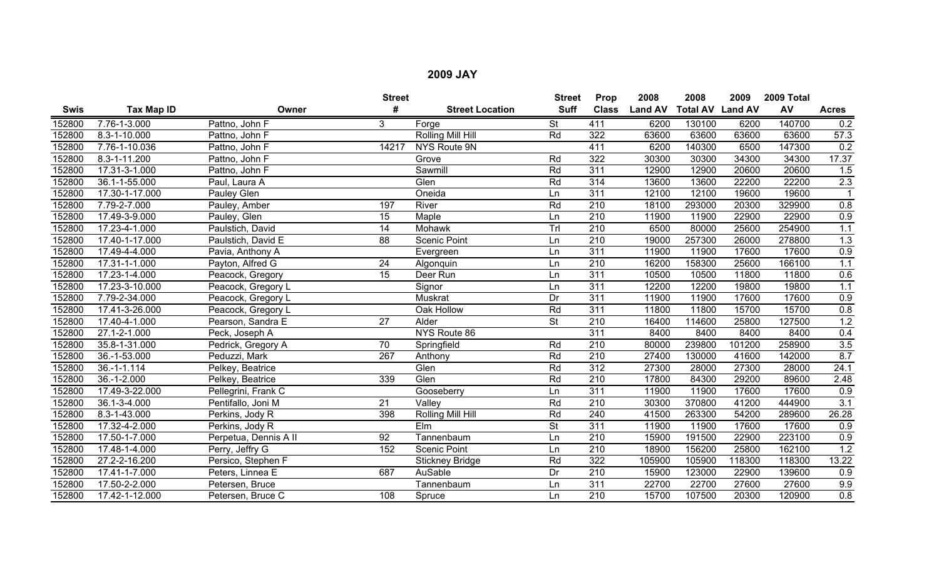|             |                    |                       | <b>Street</b>   |                        | <b>Street</b>            | Prop             | 2008           | 2008                    | 2009   | 2009 Total |                  |
|-------------|--------------------|-----------------------|-----------------|------------------------|--------------------------|------------------|----------------|-------------------------|--------|------------|------------------|
| <b>Swis</b> | Tax Map ID         | Owner                 | #               | <b>Street Location</b> | <b>Suff</b>              | <b>Class</b>     | <b>Land AV</b> | <b>Total AV Land AV</b> |        | AV         | <b>Acres</b>     |
| 152800      | 7.76-1-3.000       | Pattno, John F        | 3               | Forge                  | <b>St</b>                | 411              | 6200           | 130100                  | 6200   | 140700     | 0.2              |
| 152800      | 8.3-1-10.000       | Pattno, John F        |                 | Rolling Mill Hill      | Rd                       | 322              | 63600          | 63600                   | 63600  | 63600      | 57.3             |
| 152800      | 7.76-1-10.036      | Pattno, John F        | 14217           | NYS Route 9N           |                          | 411              | 6200           | 140300                  | 6500   | 147300     | 0.2              |
| 152800      | 8.3-1-11.200       | Pattno, John F        |                 | Grove                  | Rd                       | 322              | 30300          | 30300                   | 34300  | 34300      | 17.37            |
| 152800      | 17.31-3-1.000      | Pattno, John F        |                 | Sawmill                | Rd                       | 311              | 12900          | 12900                   | 20600  | 20600      | 1.5              |
| 152800      | 36.1-1-55.000      | Paul, Laura A         |                 | Glen                   | Rd                       | 314              | 13600          | 13600                   | 22200  | 22200      | 2.3              |
| 152800      | 17.30-1-17.000     | Pauley Glen           |                 | Oneida                 | Ln                       | 311              | 12100          | 12100                   | 19600  | 19600      | $\overline{1}$   |
| 152800      | $7.79 - 2 - 7.000$ | Pauley, Amber         | 197             | River                  | Rd                       | 210              | 18100          | 293000                  | 20300  | 329900     | 0.8              |
| 152800      | 17.49-3-9.000      | Pauley, Glen          | 15              | Maple                  | Ln                       | 210              | 11900          | 11900                   | 22900  | 22900      | 0.9              |
| 152800      | 17.23-4-1.000      | Paulstich, David      | $\overline{14}$ | <b>Mohawk</b>          | Trl                      | $\overline{210}$ | 6500           | 80000                   | 25600  | 254900     | 1.1              |
| 152800      | 17.40-1-17.000     | Paulstich, David E    | 88              | <b>Scenic Point</b>    | Ln                       | 210              | 19000          | 257300                  | 26000  | 278800     | 1.3              |
| 152800      | 17.49-4-4.000      | Pavia, Anthony A      |                 | Evergreen              | Ln                       | 311              | 11900          | 11900                   | 17600  | 17600      | 0.9              |
| 152800      | 17.31-1-1.000      | Payton, Alfred G      | $\overline{24}$ | Algonquin              | Ln                       | 210              | 16200          | 158300                  | 25600  | 166100     | 1.1              |
| 152800      | 17.23-1-4.000      | Peacock, Gregory      | 15              | Deer Run               | Ln                       | 311              | 10500          | 10500                   | 11800  | 11800      | 0.6              |
| 152800      | 17.23-3-10.000     | Peacock, Gregory L    |                 | Signor                 | Ln                       | 311              | 12200          | 12200                   | 19800  | 19800      | 1.1              |
| 152800      | 7.79-2-34.000      | Peacock, Gregory L    |                 | Muskrat                | Dr                       | 311              | 11900          | 11900                   | 17600  | 17600      | 0.9              |
| 152800      | 17.41-3-26.000     | Peacock, Gregory L    |                 | Oak Hollow             | Rd                       | $\overline{311}$ | 11800          | 11800                   | 15700  | 15700      | 0.8              |
| 152800      | 17.40-4-1.000      | Pearson, Sandra E     | $\overline{27}$ | Alder                  | $\overline{\mathsf{St}}$ | $\overline{210}$ | 16400          | 114600                  | 25800  | 127500     | 1.2              |
| 152800      | 27.1-2-1.000       | Peck, Joseph A        |                 | NYS Route 86           |                          | $\overline{311}$ | 8400           | 8400                    | 8400   | 8400       | 0.4              |
| 152800      | 35.8-1-31.000      | Pedrick, Gregory A    | 70              | Springfield            | Rd                       | 210              | 80000          | 239800                  | 101200 | 258900     | 3.5              |
| 152800      | 36.-1-53.000       | Peduzzi, Mark         | 267             | Anthony                | Rd                       | 210              | 27400          | 130000                  | 41600  | 142000     | 8.7              |
| 152800      | 36.-1-1.114        | Pelkey, Beatrice      |                 | Glen                   | Rd                       | 312              | 27300          | 28000                   | 27300  | 28000      | 24.1             |
| 152800      | $36.-1-2.000$      | Pelkey, Beatrice      | 339             | Glen                   | Rd                       | 210              | 17800          | 84300                   | 29200  | 89600      | 2.48             |
| 152800      | 17.49-3-22.000     | Pellegrini, Frank C   |                 | Gooseberry             | Ln                       | 311              | 11900          | 11900                   | 17600  | 17600      | 0.9              |
| 152800      | 36.1-3-4.000       | Pentifallo, Joni M    | 21              | Valley                 | Rd                       | 210              | 30300          | 370800                  | 41200  | 444900     | $\overline{3.1}$ |
| 152800      | 8.3-1-43.000       | Perkins, Jody R       | 398             | Rolling Mill Hill      | Rd                       | 240              | 41500          | 263300                  | 54200  | 289600     | 26.28            |
| 152800      | 17.32-4-2.000      | Perkins, Jody R       |                 | Elm                    | St                       | 311              | 11900          | 11900                   | 17600  | 17600      | 0.9              |
| 152800      | 17.50-1-7.000      | Perpetua, Dennis A II | 92              | Tannenbaum             | Ln                       | 210              | 15900          | 191500                  | 22900  | 223100     | 0.9              |
| 152800      | 17.48-1-4.000      | Perry, Jeffry G       | 152             | <b>Scenic Point</b>    | Ln                       | 210              | 18900          | 156200                  | 25800  | 162100     | 1.2              |
| 152800      | 27.2-2-16.200      | Persico, Stephen F    |                 | <b>Stickney Bridge</b> | Rd                       | 322              | 105900         | 105900                  | 118300 | 118300     | 13.22            |
| 152800      | 17.41-1-7.000      | Peters, Linnea E      | 687             | AuSable                | Dr                       | $\overline{210}$ | 15900          | 123000                  | 22900  | 139600     | 0.9              |
| 152800      | 17.50-2-2.000      | Petersen, Bruce       |                 | Tannenbaum             | Ln                       | 311              | 22700          | 22700                   | 27600  | 27600      | 9.9              |
| 152800      | 17.42-1-12.000     | Petersen, Bruce C     | 108             | Spruce                 | Ln                       | $\overline{210}$ | 15700          | 107500                  | 20300  | 120900     | 0.8              |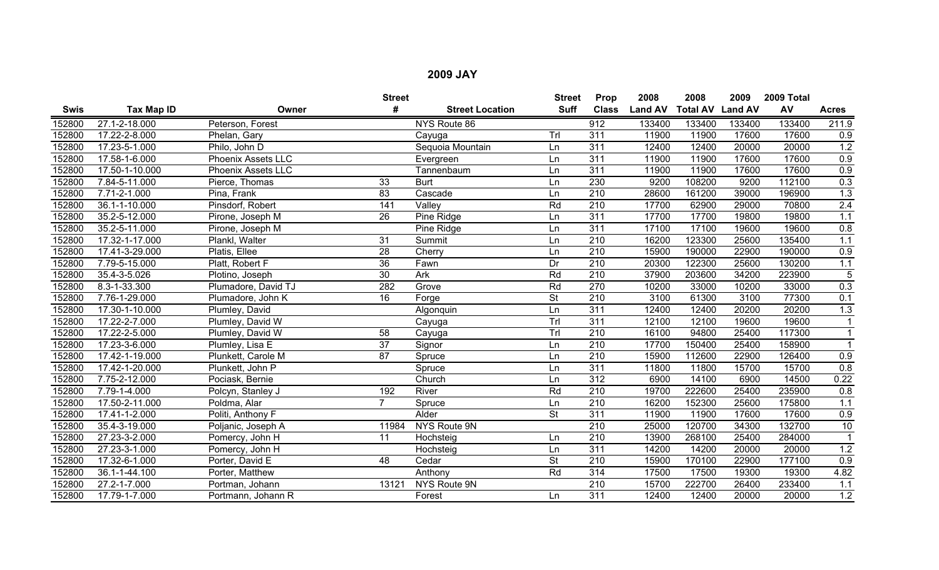|             |                    |                           | <b>Street</b>   |                        | <b>Street</b>            | Prop             | 2008           | 2008            | 2009           | 2009 Total |                      |
|-------------|--------------------|---------------------------|-----------------|------------------------|--------------------------|------------------|----------------|-----------------|----------------|------------|----------------------|
| <b>Swis</b> | Tax Map ID         | Owner                     | #               | <b>Street Location</b> | <b>Suff</b>              | <b>Class</b>     | <b>Land AV</b> | <b>Total AV</b> | <b>Land AV</b> | AV         | <b>Acres</b>         |
| 152800      | 27.1-2-18.000      | Peterson, Forest          |                 | NYS Route 86           |                          | 912              | 133400         | 133400          | 133400         | 133400     | 211.9                |
| 152800      | 17.22-2-8.000      | Phelan, Gary              |                 | Cayuga                 | Tr                       | 311              | 11900          | 11900           | 17600          | 17600      | 0.9                  |
| 152800      | 17.23-5-1.000      | Philo, John D             |                 | Sequoia Mountain       | Ln                       | 311              | 12400          | 12400           | 20000          | 20000      | 1.2                  |
| 152800      | 17.58-1-6.000      | <b>Phoenix Assets LLC</b> |                 | Evergreen              | Ln                       | 311              | 11900          | 11900           | 17600          | 17600      | 0.9                  |
| 152800      | 17.50-1-10.000     | <b>Phoenix Assets LLC</b> |                 | Tannenbaum             | Ln                       | $\overline{311}$ | 11900          | 11900           | 17600          | 17600      | $\overline{0.9}$     |
| 152800      | 7.84-5-11.000      | Pierce, Thomas            | 33              | <b>Burt</b>            | Ln                       | 230              | 9200           | 108200          | 9200           | 112100     | 0.3                  |
| 152800      | $7.71 - 2 - 1.000$ | Pina, Frank               | 83              | Cascade                | Ln                       | $\overline{210}$ | 28600          | 161200          | 39000          | 196900     | 1.3                  |
| 152800      | 36.1-1-10.000      | Pinsdorf, Robert          | 141             | Valley                 | Rd                       | 210              | 17700          | 62900           | 29000          | 70800      | 2.4                  |
| 152800      | 35.2-5-12.000      | Pirone, Joseph M          | 26              | Pine Ridge             | Ln                       | 311              | 17700          | 17700           | 19800          | 19800      | 1.1                  |
| 152800      | 35.2-5-11.000      | Pirone, Joseph M          |                 | Pine Ridge             | Ln                       | 311              | 17100          | 17100           | 19600          | 19600      | 0.8                  |
| 152800      | 17.32-1-17.000     | Plankl, Walter            | $\overline{31}$ | Summit                 | Ln                       | $\overline{210}$ | 16200          | 123300          | 25600          | 135400     | 1.1                  |
| 152800      | 17.41-3-29.000     | Platis, Ellee             | $\overline{28}$ | Cherry                 | Ln                       | $\overline{210}$ | 15900          | 190000          | 22900          | 190000     | 0.9                  |
| 152800      | 7.79-5-15.000      | Platt, Robert F           | $\overline{36}$ | Fawn                   | Dr                       | 210              | 20300          | 122300          | 25600          | 130200     | 1.1                  |
| 152800      | 35.4-3-5.026       | Plotino, Joseph           | 30              | Ark                    | Rd                       | $\overline{210}$ | 37900          | 203600          | 34200          | 223900     | $\overline{5}$       |
| 152800      | 8.3-1-33.300       | Plumadore, David TJ       | 282             | Grove                  | Rd                       | 270              | 10200          | 33000           | 10200          | 33000      | 0.3                  |
| 152800      | 7.76-1-29.000      | Plumadore, John K         | 16              | Forge                  | <b>St</b>                | 210              | 3100           | 61300           | 3100           | 77300      | 0.1                  |
| 152800      | 17.30-1-10.000     | Plumley, David            |                 | Algonquin              | Ln                       | $\overline{311}$ | 12400          | 12400           | 20200          | 20200      | 1.3                  |
| 152800      | 17.22-2-7.000      | Plumley, David W          |                 | Cayuga                 | Trl                      | 311              | 12100          | 12100           | 19600          | 19600      |                      |
| 152800      | 17.22-2-5.000      | Plumley, David W          | 58              | Cayuga                 | Trl                      | 210              | 16100          | 94800           | 25400          | 117300     | $\blacktriangleleft$ |
| 152800      | 17.23-3-6.000      | Plumley, Lisa E           | 37              | Signor                 | Ln                       | $\overline{210}$ | 17700          | 150400          | 25400          | 158900     |                      |
| 152800      | 17.42-1-19.000     | Plunkett, Carole M        | 87              | Spruce                 | Ln                       | $\overline{210}$ | 15900          | 112600          | 22900          | 126400     | 0.9                  |
| 152800      | 17.42-1-20.000     | Plunkett, John P          |                 | Spruce                 | Ln                       | 311              | 11800          | 11800           | 15700          | 15700      | 0.8                  |
| 152800      | 7.75-2-12.000      | Pociask, Bernie           |                 | Church                 | Ln                       | 312              | 6900           | 14100           | 6900           | 14500      | 0.22                 |
| 152800      | 7.79-1-4.000       | Polcyn, Stanley J         | 192             | River                  | Rd                       | 210              | 19700          | 222600          | 25400          | 235900     | 0.8                  |
| 152800      | 17.50-2-11.000     | Poldma, Alar              |                 | Spruce                 | Ln                       | $\overline{210}$ | 16200          | 152300          | 25600          | 175800     | 1.1                  |
| 152800      | 17.41-1-2.000      | Politi, Anthony F         |                 | Alder                  | $\overline{\mathsf{St}}$ | 311              | 11900          | 11900           | 17600          | 17600      | 0.9                  |
| 152800      | 35.4-3-19.000      | Poljanic, Joseph A        | 11984           | NYS Route 9N           |                          | 210              | 25000          | 120700          | 34300          | 132700     | 10                   |
| 152800      | 27.23-3-2.000      | Pomercy, John H           | 11              | Hochsteig              | Ln                       | $\overline{210}$ | 13900          | 268100          | 25400          | 284000     |                      |
| 152800      | 27.23-3-1.000      | Pomercy, John H           |                 | Hochsteig              | Ln                       | 311              | 14200          | 14200           | 20000          | 20000      | $1.2$                |
| 152800      | 17.32-6-1.000      | Porter, David E           | 48              | Cedar                  | $\overline{\mathsf{St}}$ | $\overline{210}$ | 15900          | 170100          | 22900          | 177100     | 0.9                  |
| 152800      | 36.1-1-44.100      | Porter, Matthew           |                 | Anthony                | Rd                       | $\overline{314}$ | 17500          | 17500           | 19300          | 19300      | 4.82                 |
| 152800      | 27.2-1-7.000       | Portman, Johann           | 13121           | NYS Route 9N           |                          | 210              | 15700          | 222700          | 26400          | 233400     | 1.1                  |
| 152800      | 17.79-1-7.000      | Portmann, Johann R        |                 | Forest                 | Ln                       | 311              | 12400          | 12400           | 20000          | 20000      | 1.2                  |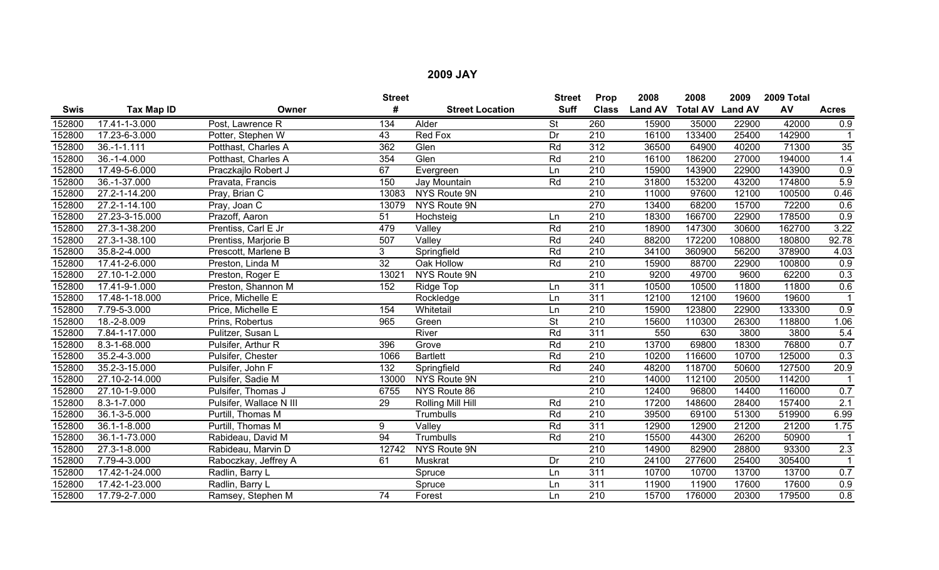|             |                   |                         | <b>Street</b>   |                        | <b>Street</b>            | Prop             | 2008           | 2008                    | 2009   | 2009 Total |                  |
|-------------|-------------------|-------------------------|-----------------|------------------------|--------------------------|------------------|----------------|-------------------------|--------|------------|------------------|
| <b>Swis</b> | <b>Tax Map ID</b> | Owner                   | #               | <b>Street Location</b> | <b>Suff</b>              | <b>Class</b>     | <b>Land AV</b> | <b>Total AV Land AV</b> |        | AV         | <b>Acres</b>     |
| 152800      | 17.41-1-3.000     | Post, Lawrence R        | 134             | Alder                  | <b>St</b>                | 260              | 15900          | 35000                   | 22900  | 42000      | 0.9              |
| 152800      | 17.23-6-3.000     | Potter, Stephen W       | 43              | Red Fox                | Dr                       | 210              | 16100          | 133400                  | 25400  | 142900     |                  |
| 152800      | $36.-1-1.111$     | Potthast, Charles A     | 362             | Glen                   | Rd                       | $\overline{312}$ | 36500          | 64900                   | 40200  | 71300      | 35               |
| 152800      | $36. - 1 - 4.000$ | Potthast, Charles A     | 354             | Glen                   | Rd                       | 210              | 16100          | 186200                  | 27000  | 194000     | 1.4              |
| 152800      | 17.49-5-6.000     | Praczkajlo Robert J     | 67              | Evergreen              | Ln                       | $\overline{210}$ | 15900          | 143900                  | 22900  | 143900     | $\overline{0.9}$ |
| 152800      | 36.-1-37.000      | Pravata, Francis        | 150             | Jay Mountain           | Rd                       | 210              | 31800          | 153200                  | 43200  | 174800     | 5.9              |
| 152800      | 27.2-1-14.200     | Pray, Brian C           | 13083           | NYS Route 9N           |                          | $\overline{210}$ | 11000          | 97600                   | 12100  | 100500     | 0.46             |
| 152800      | 27.2-1-14.100     | Pray, Joan C            | 13079           | NYS Route 9N           |                          | 270              | 13400          | 68200                   | 15700  | 72200      | 0.6              |
| 152800      | 27.23-3-15.000    | Prazoff, Aaron          | 51              | Hochsteig              | Ln                       | 210              | 18300          | 166700                  | 22900  | 178500     | 0.9              |
| 152800      | 27.3-1-38.200     | Prentiss, Carl E Jr     | 479             | Valley                 | Rd                       | $\overline{210}$ | 18900          | 147300                  | 30600  | 162700     | 3.22             |
| 152800      | 27.3-1-38.100     | Prentiss, Marjorie B    | 507             | Valley                 | Rd                       | 240              | 88200          | 172200                  | 108800 | 180800     | 92.78            |
| 152800      | 35.8-2-4.000      | Prescott, Marlene B     | 3               | Springfield            | Rd                       | $\overline{210}$ | 34100          | 360900                  | 56200  | 378900     | 4.03             |
| 152800      | 17.41-2-6.000     | Preston, Linda M        | $\overline{32}$ | Oak Hollow             | Rd                       | 210              | 15900          | 88700                   | 22900  | 100800     | 0.9              |
| 152800      | 27.10-1-2.000     | Preston, Roger E        | 13021           | NYS Route 9N           |                          | $\overline{210}$ | 9200           | 49700                   | 9600   | 62200      | 0.3              |
| 152800      | 17.41-9-1.000     | Preston, Shannon M      | 152             | Ridge Top              | Ln                       | 311              | 10500          | 10500                   | 11800  | 11800      | 0.6              |
| 152800      | 17.48-1-18.000    | Price, Michelle E       |                 | Rockledge              | Ln                       | 311              | 12100          | 12100                   | 19600  | 19600      |                  |
| 152800      | 7.79-5-3.000      | Price, Michelle E       | 154             | Whitetail              | Ln                       | $\overline{210}$ | 15900          | 123800                  | 22900  | 133300     | $\overline{0.9}$ |
| 152800      | 18.-2-8.009       | Prins, Robertus         | 965             | Green                  | $\overline{\mathsf{St}}$ | $\overline{210}$ | 15600          | 110300                  | 26300  | 118800     | 1.06             |
| 152800      | 7.84-1-17.000     | Pulitzer, Susan L       |                 | River                  | Rd                       | 311              | 550            | 630                     | 3800   | 3800       | 5.4              |
| 152800      | 8.3-1-68.000      | Pulsifer, Arthur R      | 396             | Grove                  | Rd                       | 210              | 13700          | 69800                   | 18300  | 76800      | 0.7              |
| 152800      | 35.2-4-3.000      | Pulsifer, Chester       | 1066            | <b>Bartlett</b>        | Rd                       | $\overline{210}$ | 10200          | 116600                  | 10700  | 125000     | $\overline{0.3}$ |
| 152800      | 35.2-3-15.000     | Pulsifer, John F        | 132             | Springfield            | Rd                       | 240              | 48200          | 118700                  | 50600  | 127500     | 20.9             |
| 152800      | 27.10-2-14.000    | Pulsifer, Sadie M       | 13000           | NYS Route 9N           |                          | 210              | 14000          | 112100                  | 20500  | 114200     | $\overline{1}$   |
| 152800      | 27.10-1-9.000     | Pulsifer, Thomas J      | 6755            | NYS Route 86           |                          | 210              | 12400          | 96800                   | 14400  | 116000     | 0.7              |
| 152800      | 8.3-1-7.000       | Pulsifer, Wallace N III | 29              | Rolling Mill Hill      | Rd                       | $\overline{210}$ | 17200          | 148600                  | 28400  | 157400     | 2.1              |
| 152800      | 36.1-3-5.000      | Purtill, Thomas M       |                 | Trumbulls              | Rd                       | $\overline{210}$ | 39500          | 69100                   | 51300  | 519900     | 6.99             |
| 152800      | 36.1-1-8.000      | Purtill, Thomas M       | 9               | Valley                 | Rd                       | 311              | 12900          | 12900                   | 21200  | 21200      | 1.75             |
| 152800      | 36.1-1-73.000     | Rabideau, David M       | 94              | Trumbulls              | Rd                       | $\overline{210}$ | 15500          | 44300                   | 26200  | 50900      |                  |
| 152800      | 27.3-1-8.000      | Rabideau, Marvin D      | 12742           | NYS Route 9N           |                          | $\overline{210}$ | 14900          | 82900                   | 28800  | 93300      | 2.3              |
| 152800      | 7.79-4-3.000      | Raboczkay, Jeffrey A    | 61              | Muskrat                | Dr                       | 210              | 24100          | 277600                  | 25400  | 305400     |                  |
| 152800      | 17.42-1-24.000    | Radlin, Barry L         |                 | Spruce                 | Ln                       | 311              | 10700          | 10700                   | 13700  | 13700      | 0.7              |
| 152800      | 17.42-1-23.000    | Radlin, Barry L         |                 | Spruce                 | Ln                       | 311              | 11900          | 11900                   | 17600  | 17600      | 0.9              |
| 152800      | 17.79-2-7.000     | Ramsey, Stephen M       | $\overline{74}$ | Forest                 | Ln                       | 210              | 15700          | 176000                  | 20300  | 179500     | 0.8              |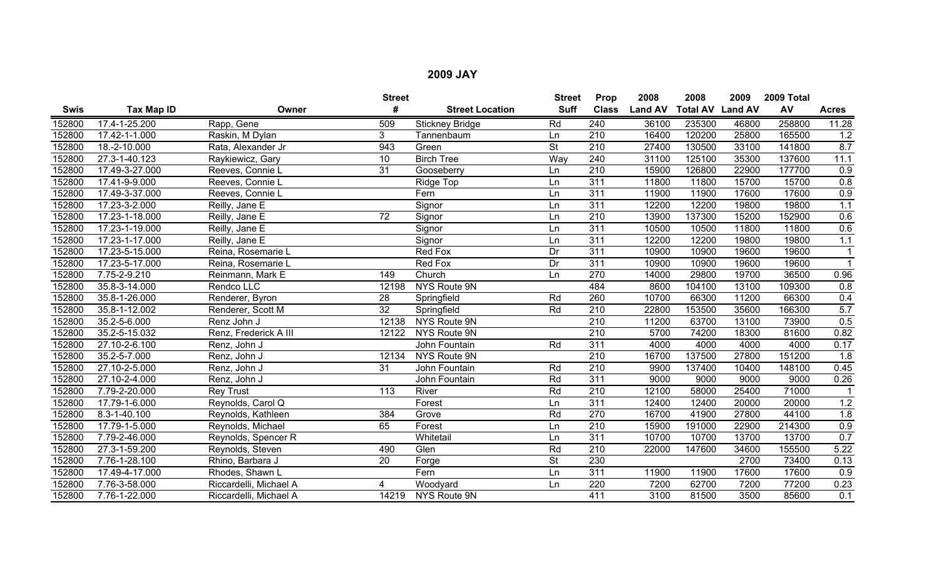|             |                    |                        | <b>Street</b>    |                        | <b>Street</b>            | Prop             | 2008           | 2008                    | 2009  | 2009 Total |              |
|-------------|--------------------|------------------------|------------------|------------------------|--------------------------|------------------|----------------|-------------------------|-------|------------|--------------|
| <b>Swis</b> | Tax Map ID         | Owner                  | #                | <b>Street Location</b> | <b>Suff</b>              | <b>Class</b>     | <b>Land AV</b> | <b>Total AV Land AV</b> |       | AV         | <b>Acres</b> |
| 152800      | 17.4-1-25.200      | Rapp, Gene             | 509              | <b>Stickney Bridge</b> | Rd                       | 240              | 36100          | 235300                  | 46800 | 258800     | 11.28        |
| 152800      | 17.42-1-1.000      | Raskin, M Dylan        | 3 <sup>1</sup>   | Tannenbaum             | Ln                       | 210              | 16400          | 120200                  | 25800 | 165500     | 1.2          |
| 152800      | 18.-2-10.000       | Rata, Alexander Jr     | 943              | Green                  | $\overline{\mathsf{St}}$ | $\overline{210}$ | 27400          | 130500                  | 33100 | 141800     | 8.7          |
| 152800      | 27.3-1-40.123      | Raykiewicz, Gary       | 10               | <b>Birch Tree</b>      | Wav                      | 240              | 31100          | 125100                  | 35300 | 137600     | 11.1         |
| 152800      | 17.49-3-27.000     | Reeves, Connie L       | $\overline{31}$  | Gooseberry             | Ln                       | 210              | 15900          | 126800                  | 22900 | 177700     | 0.9          |
| 152800      | 17.41-9-9.000      | Reeves, Connie L       |                  | Ridge Top              | Ln                       | 311              | 11800          | 11800                   | 15700 | 15700      | 0.8          |
| 152800      | 17.49-3-37.000     | Reeves, Connie L       |                  | Fern                   | Ln                       | $\overline{311}$ | 11900          | 11900                   | 17600 | 17600      | 0.9          |
| 152800      | 17.23-3-2.000      | Reilly, Jane E         |                  | Signor                 | Ln                       | 311              | 12200          | 12200                   | 19800 | 19800      | 1.1          |
| 152800      | 17.23-1-18.000     | Reilly, Jane E         | 72               | Signor                 | Ln                       | 210              | 13900          | 137300                  | 15200 | 152900     | 0.6          |
| 152800      | 17.23-1-19.000     | Reilly, Jane E         |                  | Signor                 | Ln                       | $\overline{311}$ | 10500          | 10500                   | 11800 | 11800      | 0.6          |
| 152800      | 17.23-1-17.000     | Reilly, Jane E         |                  | Signor                 | Ln                       | 311              | 12200          | 12200                   | 19800 | 19800      | 1.1          |
| 152800      | 17.23-5-15.000     | Reina, Rosemarie L     |                  | <b>Red Fox</b>         | Dr                       | 311              | 10900          | 10900                   | 19600 | 19600      |              |
| 152800      | 17.23-5-17.000     | Reina, Rosemarie L     |                  | Red Fox                | Dr                       | 311              | 10900          | 10900                   | 19600 | 19600      |              |
| 152800      | 7.75-2-9.210       | Reinmann, Mark E       | 149              | Church                 | Ln                       | 270              | 14000          | 29800                   | 19700 | 36500      | 0.96         |
| 152800      | 35.8-3-14.000      | Rendco LLC             | 12198            | NYS Route 9N           |                          | 484              | 8600           | 104100                  | 13100 | 109300     | 0.8          |
| 152800      | 35.8-1-26.000      | Renderer, Byron        | 28               | Springfield            | Rd                       | 260              | 10700          | 66300                   | 11200 | 66300      | 0.4          |
| 152800      | 35.8-1-12.002      | Renderer, Scott M      | 32               | Springfield            | Rd                       | $\overline{210}$ | 22800          | 153500                  | 35600 | 166300     | 5.7          |
| 152800      | $35.2 - 5 - 6.000$ | Renz John J            | 12138            | NYS Route 9N           |                          | $\overline{210}$ | 11200          | 63700                   | 13100 | 73900      | 0.5          |
| 152800      | 35.2-5-15.032      | Renz, Frederick A III  | 12122            | NYS Route 9N           |                          | 210              | 5700           | 74200                   | 18300 | 81600      | 0.82         |
| 152800      | 27.10-2-6.100      | Renz, John J           |                  | John Fountain          | Rd                       | 311              | 4000           | 4000                    | 4000  | 4000       | 0.17         |
| 152800      | $35.2 - 5 - 7.000$ | Renz, John J           | 12134            | NYS Route 9N           |                          | $\overline{210}$ | 16700          | 137500                  | 27800 | 151200     | 1.8          |
| 152800      | 27.10-2-5.000      | Renz, John J           | 31               | John Fountain          | Rd                       | 210              | 9900           | 137400                  | 10400 | 148100     | 0.45         |
| 152800      | 27.10-2-4.000      | Renz, John J           |                  | John Fountain          | Rd                       | $\overline{311}$ | 9000           | 9000                    | 9000  | 9000       | 0.26         |
| 152800      | 7.79-2-20.000      | <b>Rey Trust</b>       | $\overline{113}$ | River                  | Rd                       | $\overline{210}$ | 12100          | 58000                   | 25400 | 71000      | $\mathbf{1}$ |
| 152800      | 17.79-1-6.000      | Reynolds, Carol Q      |                  | Forest                 | Ln                       | 311              | 12400          | 12400                   | 20000 | 20000      | 1.2          |
| 152800      | $8.3 - 1 - 40.100$ | Reynolds, Kathleen     | 384              | Grove                  | Rd                       | $\overline{270}$ | 16700          | 41900                   | 27800 | 44100      | 1.8          |
| 152800      | 17.79-1-5.000      | Reynolds, Michael      | 65               | Forest                 | Ln                       | 210              | 15900          | 191000                  | 22900 | 214300     | 0.9          |
| 152800      | 7.79-2-46.000      | Reynolds, Spencer R    |                  | Whitetail              | Ln                       | 311              | 10700          | 10700                   | 13700 | 13700      | 0.7          |
| 152800      | 27.3-1-59.200      | Reynolds, Steven       | 490              | Glen                   | Rd                       | $\overline{210}$ | 22000          | 147600                  | 34600 | 155500     | 5.22         |
| 152800      | 7.76-1-28.100      | Rhino, Barbara J       | $\overline{20}$  | Forge                  | $\overline{\mathsf{St}}$ | 230              |                |                         | 2700  | 73400      | 0.13         |
| 152800      | 17.49-4-17.000     | Rhodes, Shawn L        |                  | Fern                   | Ln                       | 311              | 11900          | 11900                   | 17600 | 17600      | 0.9          |
| 152800      | 7.76-3-58.000      | Riccardelli, Michael A | 4                | Woodyard               | Ln                       | 220              | 7200           | 62700                   | 7200  | 77200      | 0.23         |
| 152800      | 7.76-1-22.000      | Riccardelli, Michael A | 14219            | NYS Route 9N           |                          | 411              | 3100           | 81500                   | 3500  | 85600      | 0.1          |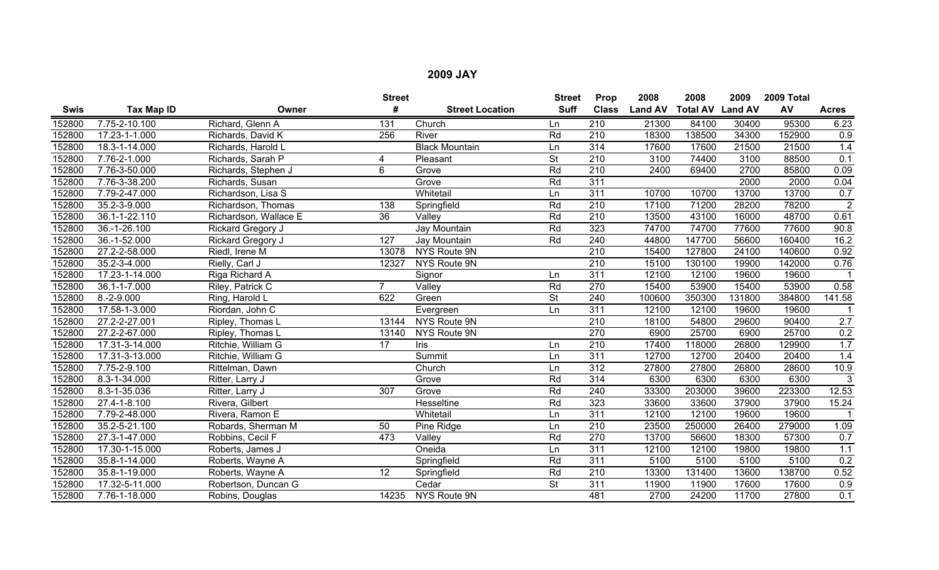|             |                |                       | <b>Street</b>  |                        | <b>Street</b> | Prop             | 2008           | 2008                    | 2009   | 2009 Total |                |
|-------------|----------------|-----------------------|----------------|------------------------|---------------|------------------|----------------|-------------------------|--------|------------|----------------|
| <b>Swis</b> | Tax Map ID     | Owner                 | #              | <b>Street Location</b> | <b>Suff</b>   | <b>Class</b>     | <b>Land AV</b> | <b>Total AV Land AV</b> |        | AV         | <b>Acres</b>   |
| 152800      | 7.75-2-10.100  | Richard, Glenn A      | 131            | Church                 | Ln            | 210              | 21300          | 84100                   | 30400  | 95300      | 6.23           |
| 152800      | 17.23-1-1.000  | Richards, David K     | 256            | River                  | Rd            | 210              | 18300          | 138500                  | 34300  | 152900     | 0.9            |
| 152800      | 18.3-1-14.000  | Richards, Harold L    |                | <b>Black Mountain</b>  | Ln            | 314              | 17600          | 17600                   | 21500  | 21500      | 1.4            |
| 152800      | 7.76-2-1.000   | Richards, Sarah P     | 4              | Pleasant               | <b>St</b>     | 210              | 3100           | 74400                   | 3100   | 88500      | 0.1            |
| 152800      | 7.76-3-50.000  | Richards, Stephen J   | 6              | Grove                  | Rd            | $\overline{210}$ | 2400           | 69400                   | 2700   | 85800      | 0.09           |
| 152800      | 7.76-3-38.200  | Richards, Susan       |                | Grove                  | Rd            | 311              |                |                         | 2000   | 2000       | 0.04           |
| 152800      | 7.79-2-47.000  | Richardson, Lisa S    |                | Whitetail              | Ln            | 311              | 10700          | 10700                   | 13700  | 13700      | 0.7            |
| 152800      | 35.2-3-9.000   | Richardson, Thomas    | 138            | Springfield            | Rd            | 210              | 17100          | 71200                   | 28200  | 78200      | $\overline{2}$ |
| 152800      | 36.1-1-22.110  | Richardson, Wallace E | 36             | Valley                 | Rd            | 210              | 13500          | 43100                   | 16000  | 48700      | 0.61           |
| 152800      | 36.-1-26.100   | Rickard Gregory J     |                | Jay Mountain           | Rd            | 323              | 74700          | 74700                   | 77600  | 77600      | 90.8           |
| 152800      | 36.-1-52.000   | Rickard Gregory J     | 127            | Jay Mountain           | Rd            | 240              | 44800          | 147700                  | 56600  | 160400     | 16.2           |
| 152800      | 27.2-2-58.000  | Riedl, Irene M        | 13078          | NYS Route 9N           |               | $\overline{210}$ | 15400          | 127800                  | 24100  | 140600     | 0.92           |
| 152800      | 35.2-3-4.000   | Rielly, Carl J        | 12327          | NYS Route 9N           |               | $\overline{210}$ | 15100          | 130100                  | 19900  | 142000     | 0.76           |
| 152800      | 17.23-1-14.000 | Riga Richard A        |                | Signor                 | Ln            | 311              | 12100          | 12100                   | 19600  | 19600      |                |
| 152800      | 36.1-1-7.000   | Riley, Patrick C      | $\overline{7}$ | Valley                 | Rd            | 270              | 15400          | 53900                   | 15400  | 53900      | 0.58           |
| 152800      | $8.-2-9.000$   | Ring, Harold L        | 622            | Green                  | <b>St</b>     | 240              | 100600         | 350300                  | 131800 | 384800     | 141.58         |
| 152800      | 17.58-1-3.000  | Riordan, John C       |                | Evergreen              | Ln            | $\overline{311}$ | 12100          | 12100                   | 19600  | 19600      |                |
| 152800      | 27.2-2-27.001  | Ripley, Thomas L      | 13144          | NYS Route 9N           |               | $\overline{210}$ | 18100          | 54800                   | 29600  | 90400      | 2.7            |
| 152800      | 27.2-2-67.000  | Ripley, Thomas L      | 13140          | NYS Route 9N           |               | 270              | 6900           | 25700                   | 6900   | 25700      | 0.2            |
| 152800      | 17.31-3-14.000 | Ritchie, William G    | 17             | Iris                   | Ln            | $\overline{210}$ | 17400          | 118000                  | 26800  | 129900     | 1.7            |
| 152800      | 17.31-3-13.000 | Ritchie, William G    |                | Summit                 | Ln            | 311              | 12700          | 12700                   | 20400  | 20400      | 1.4            |
| 152800      | 7.75-2-9.100   | Rittelman, Dawn       |                | Church                 | Ln            | 312              | 27800          | 27800                   | 26800  | 28600      | 10.9           |
| 152800      | 8.3-1-34.000   | Ritter, Larry J       |                | Grove                  | Rd            | 314              | 6300           | 6300                    | 6300   | 6300       | $\overline{3}$ |
| 152800      | 8.3-1-35.036   | Ritter, Larry J       | 307            | Grove                  | Rd            | 240              | 33300          | 203000                  | 39600  | 223300     | 12.53          |
| 152800      | 27.4-1-8.100   | Rivera, Gilbert       |                | Hesseltine             | Rd            | 323              | 33600          | 33600                   | 37900  | 37900      | 15.24          |
| 152800      | 7.79-2-48.000  | Rivera, Ramon E       |                | Whitetail              | Ln            | 311              | 12100          | 12100                   | 19600  | 19600      |                |
| 152800      | 35.2-5-21.100  | Robards, Sherman M    | 50             | Pine Ridge             | Ln            | 210              | 23500          | 250000                  | 26400  | 279000     | 1.09           |
| 152800      | 27.3-1-47.000  | Robbins, Cecil F      | 473            | Valley                 | Rd            | 270              | 13700          | 56600                   | 18300  | 57300      | 0.7            |
| 152800      | 17.30-1-15.000 | Roberts, James J      |                | Oneida                 | Ln            | 311              | 12100          | 12100                   | 19800  | 19800      | 1.1            |
| 152800      | 35.8-1-14.000  | Roberts, Wayne A      |                | Springfield            | Rd            | 311              | 5100           | 5100                    | 5100   | 5100       | 0.2            |
| 152800      | 35.8-1-19.000  | Roberts, Wayne A      | 12             | Springfield            | Rd            | 210              | 13300          | 131400                  | 13600  | 138700     | 0.52           |
| 152800      | 17.32-5-11.000 | Robertson, Duncan G   |                | Cedar                  | <b>St</b>     | 311              | 11900          | 11900                   | 17600  | 17600      | 0.9            |
| 152800      | 7.76-1-18.000  | Robins, Douglas       | 14235          | NYS Route 9N           |               | 481              | 2700           | 24200                   | 11700  | 27800      | 0.1            |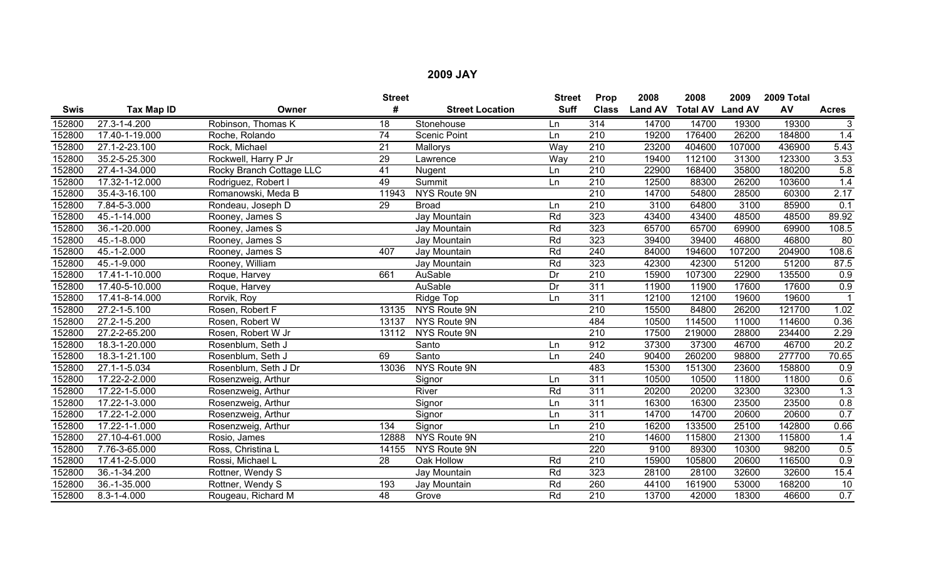|             |                             |                          | <b>Street</b>   |                        | <b>Street</b> | Prop             | 2008           | 2008                    | 2009   | 2009 Total |              |
|-------------|-----------------------------|--------------------------|-----------------|------------------------|---------------|------------------|----------------|-------------------------|--------|------------|--------------|
| <b>Swis</b> | Tax Map ID                  | Owner                    | #               | <b>Street Location</b> | <b>Suff</b>   | <b>Class</b>     | <b>Land AV</b> | <b>Total AV Land AV</b> |        | AV         | <b>Acres</b> |
| 152800      | 27.3-1-4.200                | Robinson, Thomas K       | 18              | Stonehouse             | Ln            | 314              | 14700          | 14700                   | 19300  | 19300      | 3            |
| 152800      | 17.40-1-19.000              | Roche, Rolando           | $\overline{74}$ | <b>Scenic Point</b>    | Ln            | 210              | 19200          | 176400                  | 26200  | 184800     | 1.4          |
| 152800      | 27.1-2-23.100               | Rock, Michael            | 21              | Mallorys               | Way           | 210              | 23200          | 404600                  | 107000 | 436900     | 5.43         |
| 152800      | 35.2-5-25.300               | Rockwell, Harry P Jr     | 29              | Lawrence               | Way           | 210              | 19400          | 112100                  | 31300  | 123300     | 3.53         |
| 152800      | 27.4-1-34.000               | Rocky Branch Cottage LLC | $\overline{41}$ | Nugent                 | Ln            | 210              | 22900          | 168400                  | 35800  | 180200     | 5.8          |
| 152800      | 17.32-1-12.000              | Rodriguez, Robert I      | 49              | Summit                 | Ln            | $\overline{210}$ | 12500          | 88300                   | 26200  | 103600     | 1.4          |
| 152800      | 35.4-3-16.100               | Romanowski, Meda B       | 11943           | NYS Route 9N           |               | 210              | 14700          | 54800                   | 28500  | 60300      | 2.17         |
| 152800      | 7.84-5-3.000                | Rondeau, Joseph D        | 29              | <b>Broad</b>           | Ln            | $\overline{210}$ | 3100           | 64800                   | 3100   | 85900      | 0.1          |
| 152800      | 45.-1-14.000                | Rooney, James S          |                 | Jay Mountain           | Rd            | 323              | 43400          | 43400                   | 48500  | 48500      | 89.92        |
| 152800      | 36.-1-20.000                | Rooney, James S          |                 | Jay Mountain           | Rd            | 323              | 65700          | 65700                   | 69900  | 69900      | 108.5        |
| 152800      | 45.-1-8.000                 | Rooney, James S          |                 | Jay Mountain           | Rd            | 323              | 39400          | 39400                   | 46800  | 46800      | 80           |
| 152800      | $45.-1-2.000$               | Rooney, James S          | 407             | Jay Mountain           | Rd            | 240              | 84000          | 194600                  | 107200 | 204900     | 108.6        |
| 152800      | 45.-1-9.000                 | Rooney, William          |                 | Jay Mountain           | Rd            | 323              | 42300          | 42300                   | 51200  | 51200      | 87.5         |
| 152800      | 17.41-1-10.000              | Roque, Harvey            | 661             | AuSable                | Dr            | $\overline{210}$ | 15900          | 107300                  | 22900  | 135500     | 0.9          |
| 152800      | 17.40-5-10.000              | Roque, Harvey            |                 | AuSable                | Dr            | 311              | 11900          | 11900                   | 17600  | 17600      | 0.9          |
| 152800      | 17.41-8-14.000              | Rorvik, Roy              |                 | Ridge Top              | Ln            | 311              | 12100          | 12100                   | 19600  | 19600      |              |
| 152800      | 27.2-1-5.100                | Rosen, Robert F          | 13135           | NYS Route 9N           |               | 210              | 15500          | 84800                   | 26200  | 121700     | 1.02         |
| 152800      | 27.2-1-5.200                | Rosen, Robert W          | 13137           | NYS Route 9N           |               | 484              | 10500          | 114500                  | 11000  | 114600     | 0.36         |
| 152800      | 27.2-2-65.200               | Rosen, Robert W Jr       | 13112           | NYS Route 9N           |               | $\overline{210}$ | 17500          | 219000                  | 28800  | 234400     | 2.29         |
| 152800      | 18.3-1-20.000               | Rosenblum, Seth J        |                 | Santo                  | Ln            | 912              | 37300          | 37300                   | 46700  | 46700      | 20.2         |
| 152800      | 18.3-1-21.100               | Rosenblum, Seth J        | 69              | Santo                  | Ln            | 240              | 90400          | 260200                  | 98800  | 277700     | 70.65        |
| 152800      | 27.1-1-5.034                | Rosenblum, Seth J Dr     | 13036           | NYS Route 9N           |               | 483              | 15300          | 151300                  | 23600  | 158800     | 0.9          |
| 152800      | 17.22-2-2.000               | Rosenzweig, Arthur       |                 | Signor                 | Ln            | 311              | 10500          | 10500                   | 11800  | 11800      | 0.6          |
| 152800      | 17.22-1-5.000               | Rosenzweig, Arthur       |                 | River                  | Rd            | 311              | 20200          | 20200                   | 32300  | 32300      | 1.3          |
| 152800      | $\overline{17.22}$ -1-3.000 | Rosenzweig, Arthur       |                 | Signor                 | Ln            | 311              | 16300          | 16300                   | 23500  | 23500      | 0.8          |
| 152800      | 17.22-1-2.000               | Rosenzweig, Arthur       |                 | Signor                 | Ln            | 311              | 14700          | 14700                   | 20600  | 20600      | 0.7          |
| 152800      | 17.22-1-1.000               | Rosenzweig, Arthur       | 134             | Signor                 | Ln            | 210              | 16200          | 133500                  | 25100  | 142800     | 0.66         |
| 152800      | 27.10-4-61.000              | Rosio, James             | 12888           | NYS Route 9N           |               | 210              | 14600          | 115800                  | 21300  | 115800     | 1.4          |
| 152800      | 7.76-3-65.000               | Ross, Christina L        | 14155           | NYS Route 9N           |               | 220              | 9100           | 89300                   | 10300  | 98200      | 0.5          |
| 152800      | 17.41-2-5.000               | Rossi, Michael L         | $\overline{28}$ | Oak Hollow             | Rd            | 210              | 15900          | 105800                  | 20600  | 116500     | 0.9          |
| 152800      | 36.-1-34.200                | Rottner, Wendy S         |                 | Jay Mountain           | Rd            | 323              | 28100          | 28100                   | 32600  | 32600      | 15.4         |
| 152800      | 36.-1-35.000                | Rottner, Wendy S         | 193             | Jay Mountain           | Rd            | 260              | 44100          | 161900                  | 53000  | 168200     | 10           |
| 152800      | 8.3-1-4.000                 | Rougeau, Richard M       | 48              | Grove                  | Rd            | 210              | 13700          | 42000                   | 18300  | 46600      | 0.7          |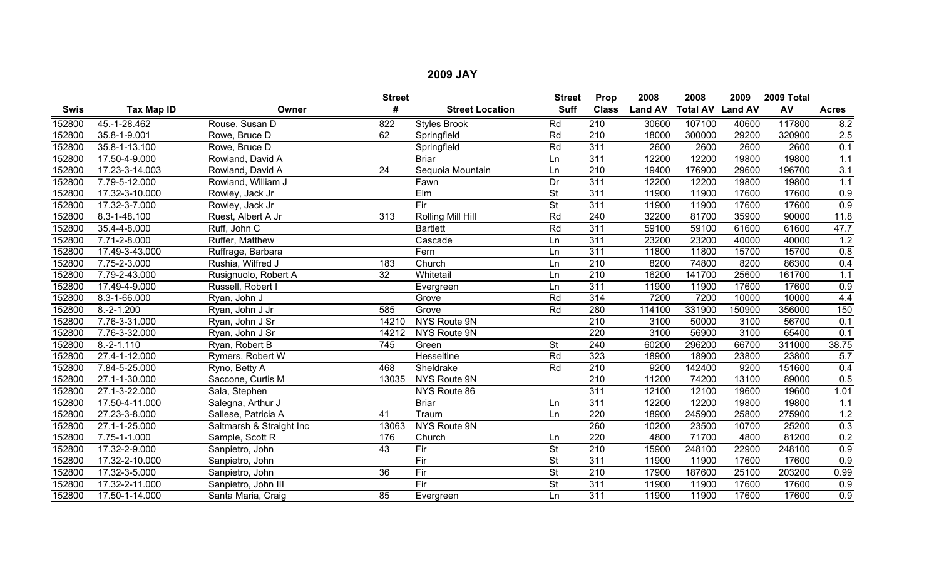|             |                |                          | <b>Street</b>   |                        | <b>Street</b>            | Prop             | 2008           | 2008                    | 2009   | 2009 Total |              |
|-------------|----------------|--------------------------|-----------------|------------------------|--------------------------|------------------|----------------|-------------------------|--------|------------|--------------|
| <b>Swis</b> | Tax Map ID     | Owner                    | #               | <b>Street Location</b> | <b>Suff</b>              | <b>Class</b>     | <b>Land AV</b> | <b>Total AV Land AV</b> |        | AV         | <b>Acres</b> |
| 152800      | 45.-1-28.462   | Rouse, Susan D           | 822             | <b>Styles Brook</b>    | Rd                       | $\overline{210}$ | 30600          | 107100                  | 40600  | 117800     | 8.2          |
| 152800      | 35.8-1-9.001   | Rowe, Bruce D            | 62              | Springfield            | Rd                       | $\overline{210}$ | 18000          | 300000                  | 29200  | 320900     | 2.5          |
| 152800      | 35.8-1-13.100  | Rowe, Bruce D            |                 | Springfield            | Rd                       | $\overline{311}$ | 2600           | 2600                    | 2600   | 2600       | 0.1          |
| 152800      | 17.50-4-9.000  | Rowland, David A         |                 | <b>Briar</b>           | Ln                       | 311              | 12200          | 12200                   | 19800  | 19800      | 1.1          |
| 152800      | 17.23-3-14.003 | Rowland, David A         | 24              | Sequoia Mountain       | Ln                       | $\overline{210}$ | 19400          | 176900                  | 29600  | 196700     | 3.1          |
| 152800      | 7.79-5-12.000  | Rowland, William J       |                 | Fawn                   | Dr                       | $\overline{311}$ | 12200          | 12200                   | 19800  | 19800      | 1.1          |
| 152800      | 17.32-3-10.000 | Rowley, Jack Jr          |                 | Elm                    | $\overline{\mathsf{St}}$ | 311              | 11900          | 11900                   | 17600  | 17600      | 0.9          |
| 152800      | 17.32-3-7.000  | Rowley, Jack Jr          |                 | Fir                    | $\overline{\mathsf{St}}$ | 311              | 11900          | 11900                   | 17600  | 17600      | 0.9          |
| 152800      | 8.3-1-48.100   | Ruest, Albert A Jr       | 313             | Rolling Mill Hill      | Rd                       | 240              | 32200          | 81700                   | 35900  | 90000      | 11.8         |
| 152800      | 35.4-4-8.000   | Ruff, John C             |                 | <b>Bartlett</b>        | Rd                       | $\overline{311}$ | 59100          | 59100                   | 61600  | 61600      | 47.7         |
| 152800      | 7.71-2-8.000   | Ruffer, Matthew          |                 | Cascade                | Ln                       | 311              | 23200          | 23200                   | 40000  | 40000      | 1.2          |
| 152800      | 17.49-3-43.000 | Ruffrage, Barbara        |                 | Fern                   | Ln                       | 311              | 11800          | 11800                   | 15700  | 15700      | 0.8          |
| 152800      | 7.75-2-3.000   | Rushia, Wilfred J        | 183             | Church                 | Ln                       | 210              | 8200           | 74800                   | 8200   | 86300      | 0.4          |
| 152800      | 7.79-2-43.000  | Rusignuolo, Robert A     | $\overline{32}$ | Whitetail              | Ln                       | $\overline{210}$ | 16200          | 141700                  | 25600  | 161700     | 1.1          |
| 152800      | 17.49-4-9.000  | Russell, Robert I        |                 | Evergreen              | Ln                       | $\overline{311}$ | 11900          | 11900                   | 17600  | 17600      | 0.9          |
| 152800      | 8.3-1-66.000   | Ryan, John J             |                 | Grove                  | Rd                       | 314              | 7200           | 7200                    | 10000  | 10000      | 4.4          |
| 152800      | $8.-2-1.200$   | Ryan, John J Jr          | 585             | Grove                  | Rd                       | 280              | 114100         | 331900                  | 150900 | 356000     | 150          |
| 152800      | 7.76-3-31.000  | Ryan, John J Sr          | 14210           | NYS Route 9N           |                          | 210              | 3100           | 50000                   | 3100   | 56700      | 0.1          |
| 152800      | 7.76-3-32.000  | Ryan, John J Sr          | 14212           | <b>NYS Route 9N</b>    |                          | $\overline{220}$ | 3100           | 56900                   | 3100   | 65400      | 0.1          |
| 152800      | $8.-2-1.110$   | Ryan, Robert B           | 745             | Green                  | <b>St</b>                | 240              | 60200          | 296200                  | 66700  | 311000     | 38.75        |
| 152800      | 27.4-1-12.000  | Rymers, Robert W         |                 | Hesseltine             | Rd                       | 323              | 18900          | 18900                   | 23800  | 23800      | 5.7          |
| 152800      | 7.84-5-25.000  | Ryno, Betty A            | 468             | Sheldrake              | Rd                       | 210              | 9200           | 142400                  | 9200   | 151600     | 0.4          |
| 152800      | 27.1-1-30.000  | Saccone, Curtis M        | 13035           | NYS Route 9N           |                          | $\overline{210}$ | 11200          | 74200                   | 13100  | 89000      | 0.5          |
| 152800      | 27.1-3-22.000  | Sala, Stephen            |                 | NYS Route 86           |                          | 311              | 12100          | 12100                   | 19600  | 19600      | 1.01         |
| 152800      | 17.50-4-11.000 | Salegna, Arthur J        |                 | <b>Briar</b>           | Ln                       | 311              | 12200          | 12200                   | 19800  | 19800      | 1.1          |
| 152800      | 27.23-3-8.000  | Sallese, Patricia A      | 41              | Traum                  | Ln                       | 220              | 18900          | 245900                  | 25800  | 275900     | 1.2          |
| 152800      | 27.1-1-25.000  | Saltmarsh & Straight Inc | 13063           | NYS Route 9N           |                          | 260              | 10200          | 23500                   | 10700  | 25200      | 0.3          |
| 152800      | 7.75-1-1.000   | Sample, Scott R          | 176             | Church                 | Ln                       | 220              | 4800           | 71700                   | 4800   | 81200      | 0.2          |
| 152800      | 17.32-2-9.000  | Sanpietro, John          | 43              | Fir                    | <b>St</b>                | 210              | 15900          | 248100                  | 22900  | 248100     | 0.9          |
| 152800      | 17.32-2-10.000 | Sanpietro, John          |                 | Fir                    | <b>St</b>                | 311              | 11900          | 11900                   | 17600  | 17600      | 0.9          |
| 152800      | 17.32-3-5.000  | Sanpietro, John          | $\overline{36}$ | Fir                    | <b>St</b>                | $\overline{210}$ | 17900          | 187600                  | 25100  | 203200     | 0.99         |
| 152800      | 17.32-2-11.000 | Sanpietro, John III      |                 | Fir                    | St                       | 311              | 11900          | 11900                   | 17600  | 17600      | 0.9          |
| 152800      | 17.50-1-14.000 | Santa Maria, Craig       | 85              | Evergreen              | Ln                       | 311              | 11900          | 11900                   | 17600  | 17600      | 0.9          |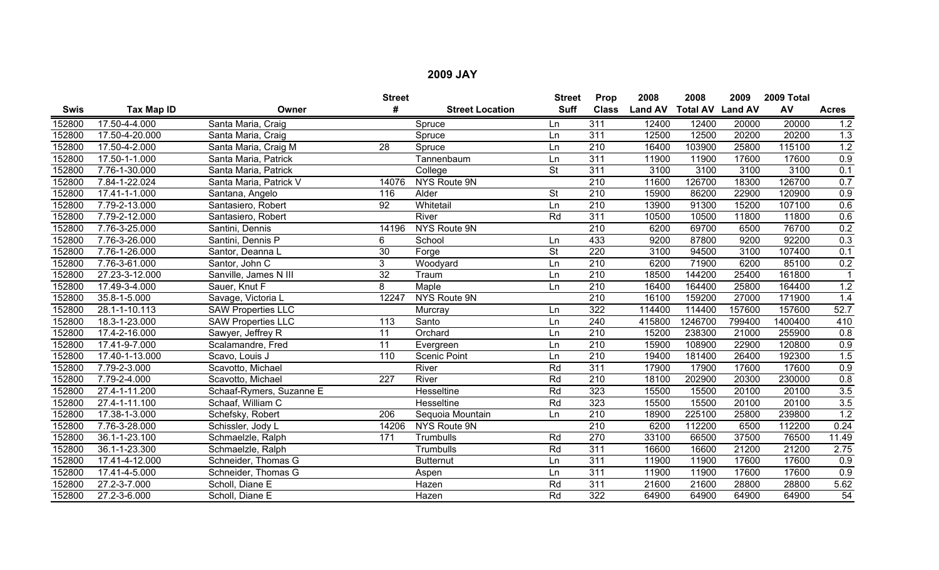|             |                   |                           | <b>Street</b>    |                        | <b>Street</b>            | Prop             | 2008           | 2008                    | 2009   | 2009 Total |                  |
|-------------|-------------------|---------------------------|------------------|------------------------|--------------------------|------------------|----------------|-------------------------|--------|------------|------------------|
| <b>Swis</b> | <b>Tax Map ID</b> | Owner                     | #                | <b>Street Location</b> | <b>Suff</b>              | <b>Class</b>     | <b>Land AV</b> | <b>Total AV Land AV</b> |        | AV         | <b>Acres</b>     |
| 152800      | 17.50-4-4.000     | Santa Maria, Craig        |                  | Spruce                 | Ln                       | 311              | 12400          | 12400                   | 20000  | 20000      | 1.2              |
| 152800      | 17.50-4-20.000    | Santa Maria, Craig        |                  | Spruce                 | Ln                       | $\overline{311}$ | 12500          | 12500                   | 20200  | 20200      | 1.3              |
| 152800      | 17.50-4-2.000     | Santa Maria, Craig M      | 28               | Spruce                 | Ln                       | $\overline{210}$ | 16400          | 103900                  | 25800  | 115100     | 1.2              |
| 152800      | 17.50-1-1.000     | Santa Maria, Patrick      |                  | Tannenbaum             | Ln                       | $\overline{311}$ | 11900          | 11900                   | 17600  | 17600      | 0.9              |
| 152800      | 7.76-1-30.000     | Santa Maria, Patrick      |                  | College                | $\overline{\mathsf{St}}$ | $\overline{311}$ | 3100           | 3100                    | 3100   | 3100       | 0.1              |
| 152800      | 7.84-1-22.024     | Santa Maria, Patrick V    | 14076            | NYS Route 9N           |                          | $\overline{210}$ | 11600          | 126700                  | 18300  | 126700     | 0.7              |
| 152800      | 17.41-1-1.000     | Santana, Angelo           | 116              | Alder                  | $\overline{\mathsf{St}}$ | $\overline{210}$ | 15900          | 86200                   | 22900  | 120900     | 0.9              |
| 152800      | 7.79-2-13.000     | Santasiero, Robert        | $\overline{92}$  | Whitetail              | Ln                       | $\overline{210}$ | 13900          | 91300                   | 15200  | 107100     | 0.6              |
| 152800      | 7.79-2-12.000     | Santasiero, Robert        |                  | River                  | Rd                       | 311              | 10500          | 10500                   | 11800  | 11800      | 0.6              |
| 152800      | 7.76-3-25.000     | Santini, Dennis           | 14196            | NYS Route 9N           |                          | $\overline{210}$ | 6200           | 69700                   | 6500   | 76700      | 0.2              |
| 152800      | 7.76-3-26.000     | Santini, Dennis P         | 6                | School                 | Ln                       | 433              | 9200           | 87800                   | 9200   | 92200      | 0.3              |
| 152800      | 7.76-1-26.000     | Santor, Deanna L          | $\overline{30}$  | Forge                  | $\overline{\mathsf{St}}$ | 220              | 3100           | 94500                   | 3100   | 107400     | 0.1              |
| 152800      | 7.76-3-61.000     | Santor, John C            | 3                | Woodyard               | Ln                       | $\overline{210}$ | 6200           | 71900                   | 6200   | 85100      | 0.2              |
| 152800      | 27.23-3-12.000    | Sanville, James N III     | $\overline{32}$  | Traum                  | Ln                       | 210              | 18500          | 144200                  | 25400  | 161800     |                  |
| 152800      | 17.49-3-4.000     | Sauer, Knut F             | 8                | Maple                  | Ln                       | $\overline{210}$ | 16400          | 164400                  | 25800  | 164400     | 1.2              |
| 152800      | 35.8-1-5.000      | Savage, Victoria L        | 12247            | NYS Route 9N           |                          | 210              | 16100          | 159200                  | 27000  | 171900     | 1.4              |
| 152800      | 28.1-1-10.113     | <b>SAW Properties LLC</b> |                  | Murcray                | Ln                       | 322              | 114400         | 114400                  | 157600 | 157600     | 52.7             |
| 152800      | 18.3-1-23.000     | <b>SAW Properties LLC</b> | 113              | Santo                  | Ln                       | 240              | 415800         | 1246700                 | 799400 | 1400400    | 410              |
| 152800      | 17.4-2-16.000     | Sawyer, Jeffrey R         | 11               | Orchard                | Ln                       | 210              | 15200          | 238300                  | 21000  | 255900     | $\overline{0.8}$ |
| 152800      | 17.41-9-7.000     | Scalamandre, Fred         | 11               | Evergreen              | Ln                       | $\overline{210}$ | 15900          | 108900                  | 22900  | 120800     | 0.9              |
| 152800      | 17.40-1-13.000    | Scavo, Louis J            | 110              | <b>Scenic Point</b>    | Ln                       | 210              | 19400          | 181400                  | 26400  | 192300     | 1.5              |
| 152800      | 7.79-2-3.000      | Scavotto, Michael         |                  | River                  | Rd                       | $\overline{311}$ | 17900          | 17900                   | 17600  | 17600      | 0.9              |
| 152800      | 7.79-2-4.000      | Scavotto, Michael         | 227              | River                  | Rd                       | 210              | 18100          | 202900                  | 20300  | 230000     | 0.8              |
| 152800      | 27.4-1-11.200     | Schaaf-Rymers, Suzanne E  |                  | Hesseltine             | Rd                       | 323              | 15500          | 15500                   | 20100  | 20100      | 3.5              |
| 152800      | 27.4-1-11.100     | Schaaf, William C         |                  | <b>Hesseltine</b>      | Rd                       | 323              | 15500          | 15500                   | 20100  | 20100      | 3.5              |
| 152800      | 17.38-1-3.000     | Schefsky, Robert          | $\overline{206}$ | Sequoia Mountain       | Ln                       | $\overline{210}$ | 18900          | 225100                  | 25800  | 239800     | 1.2              |
| 152800      | 7.76-3-28.000     | Schissler, Jody L         | 14206            | NYS Route 9N           |                          | 210              | 6200           | 112200                  | 6500   | 112200     | 0.24             |
| 152800      | 36.1-1-23.100     | Schmaelzle, Ralph         | 171              | Trumbulls              | Rd                       | 270              | 33100          | 66500                   | 37500  | 76500      | 11.49            |
| 152800      | 36.1-1-23.300     | Schmaelzle, Ralph         |                  | Trumbulls              | Rd                       | 311              | 16600          | 16600                   | 21200  | 21200      | 2.75             |
| 152800      | 17.41-4-12.000    | Schneider, Thomas G       |                  | <b>Butternut</b>       | Ln                       | 311              | 11900          | 11900                   | 17600  | 17600      | 0.9              |
| 152800      | 17.41-4-5.000     | Schneider, Thomas G       |                  | Aspen                  | Ln                       | 311              | 11900          | 11900                   | 17600  | 17600      | 0.9              |
| 152800      | 27.2-3-7.000      | Scholl, Diane E           |                  | Hazen                  | Rd                       | 311              | 21600          | 21600                   | 28800  | 28800      | 5.62             |
| 152800      | 27.2-3-6.000      | Scholl, Diane E           |                  | Hazen                  | Rd                       | 322              | 64900          | 64900                   | 64900  | 64900      | 54               |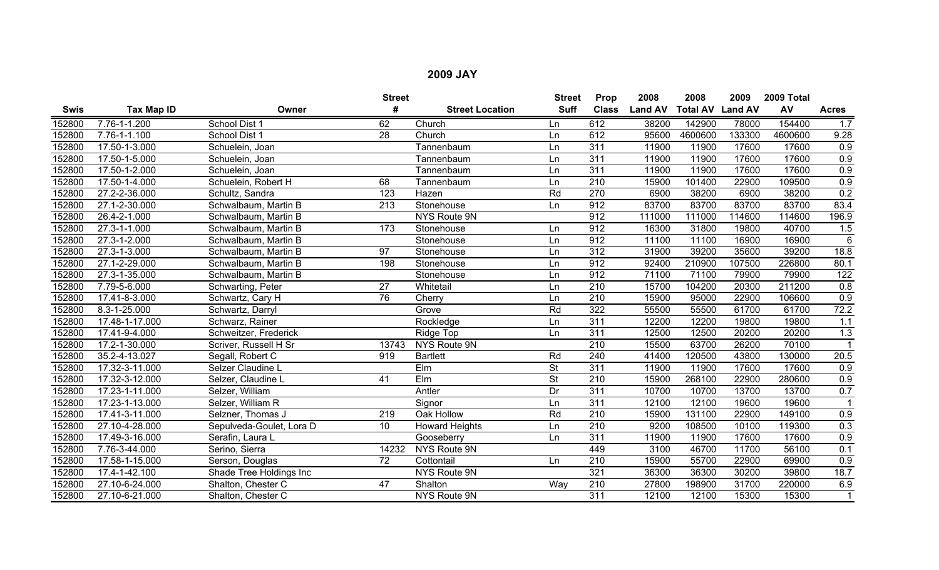|             |                    |                          | <b>Street</b>    |                        | <b>Street</b>            | Prop             | 2008           | 2008                    | 2009   | 2009 Total |                  |
|-------------|--------------------|--------------------------|------------------|------------------------|--------------------------|------------------|----------------|-------------------------|--------|------------|------------------|
| <b>Swis</b> | Tax Map ID         | Owner                    | #                | <b>Street Location</b> | <b>Suff</b>              | <b>Class</b>     | <b>Land AV</b> | <b>Total AV Land AV</b> |        | AV         | <b>Acres</b>     |
| 152800      | 7.76-1-1.200       | School Dist 1            | 62               | Church                 | Ln                       | 612              | 38200          | 142900                  | 78000  | 154400     | 1.7              |
| 152800      | $7.76 - 1 - 1.100$ | School Dist 1            | $\overline{28}$  | Church                 | Ln                       | 612              | 95600          | 4600600                 | 133300 | 4600600    | 9.28             |
| 152800      | 17.50-1-3.000      | Schuelein, Joan          |                  | Tannenbaum             | Ln                       | 311              | 11900          | 11900                   | 17600  | 17600      | 0.9              |
| 152800      | 17.50-1-5.000      | Schuelein, Joan          |                  | Tannenbaum             | Ln                       | 311              | 11900          | 11900                   | 17600  | 17600      | 0.9              |
| 152800      | 17.50-1-2.000      | Schuelein, Joan          |                  | Tannenbaum             | Ln                       | 311              | 11900          | 11900                   | 17600  | 17600      | 0.9              |
| 152800      | 17.50-1-4.000      | Schuelein, Robert H      | 68               | Tannenbaum             | Ln                       | 210              | 15900          | 101400                  | 22900  | 109500     | 0.9              |
| 152800      | 27.2-2-36.000      | Schultz, Sandra          | 123              | Hazen                  | Rd                       | 270              | 6900           | 38200                   | 6900   | 38200      | 0.2              |
| 152800      | 27.1-2-30.000      | Schwalbaum, Martin B     | 213              | Stonehouse             | Ln                       | 912              | 83700          | 83700                   | 83700  | 83700      | 83.4             |
| 152800      | 26.4-2-1.000       | Schwalbaum, Martin B     |                  | NYS Route 9N           |                          | 912              | 111000         | 111000                  | 114600 | 114600     | 196.9            |
| 152800      | 27.3-1-1.000       | Schwalbaum, Martin B     | 173              | Stonehouse             | Ln                       | 912              | 16300          | 31800                   | 19800  | 40700      | 1.5              |
| 152800      | 27.3-1-2.000       | Schwalbaum, Martin B     |                  | Stonehouse             | Ln                       | 912              | 11100          | 11100                   | 16900  | 16900      | $6\phantom{1}6$  |
| 152800      | 27.3-1-3.000       | Schwalbaum, Martin B     | $\overline{97}$  | Stonehouse             | Ln                       | 312              | 31900          | 39200                   | 35600  | 39200      | 18.8             |
| 152800      | 27.1-2-29.000      | Schwalbaum, Martin B     | 198              | Stonehouse             | Ln                       | 912              | 92400          | 210900                  | 107500 | 226800     | 80.1             |
| 152800      | 27.3-1-35.000      | Schwalbaum, Martin B     |                  | Stonehouse             | Ln                       | 912              | 71100          | 71100                   | 79900  | 79900      | $\overline{122}$ |
| 152800      | 7.79-5-6.000       | Schwarting, Peter        | $\overline{27}$  | Whitetail              | Ln                       | $\overline{210}$ | 15700          | 104200                  | 20300  | 211200     | $\overline{0.8}$ |
| 152800      | 17.41-8-3.000      | Schwartz, Cary H         | 76               | Cherry                 | Ln                       | 210              | 15900          | 95000                   | 22900  | 106600     | 0.9              |
| 152800      | 8.3-1-25.000       | Schwartz, Darryl         |                  | Grove                  | Rd                       | 322              | 55500          | 55500                   | 61700  | 61700      | 72.2             |
| 152800      | 17.48-1-17.000     | Schwarz, Rainer          |                  | Rockledge              | Ln                       | 311              | 12200          | 12200                   | 19800  | 19800      | 1.1              |
| 152800      | 17.41-9-4.000      | Schweitzer, Frederick    |                  | Ridge Top              | Ln                       | 311              | 12500          | 12500                   | 20200  | 20200      | 1.3              |
| 152800      | 17.2-1-30.000      | Scriver, Russell H Sr    | 13743            | NYS Route 9N           |                          | 210              | 15500          | 63700                   | 26200  | 70100      |                  |
| 152800      | 35.2-4-13.027      | Segall, Robert C         | 919              | <b>Bartlett</b>        | Rd                       | 240              | 41400          | 120500                  | 43800  | 130000     | 20.5             |
| 152800      | 17.32-3-11.000     | Selzer Claudine L        |                  | Elm                    | <b>St</b>                | 311              | 11900          | 11900                   | 17600  | 17600      | $\overline{0.9}$ |
| 152800      | 17.32-3-12.000     | Selzer, Claudine L       | 41               | Elm                    | $\overline{\mathsf{St}}$ | $\overline{210}$ | 15900          | 268100                  | 22900  | 280600     | 0.9              |
| 152800      | 17.23-1-11.000     | Selzer, William          |                  | Antler                 | $\overline{Dr}$          | 311              | 10700          | 10700                   | 13700  | 13700      | 0.7              |
| 152800      | 17.23-1-13.000     | Selzer, William R        |                  | Signor                 | Ln                       | 311              | 12100          | 12100                   | 19600  | 19600      |                  |
| 152800      | 17.41-3-11.000     | Selzner, Thomas J        | $\overline{219}$ | Oak Hollow             | Rd                       | $\overline{210}$ | 15900          | 131100                  | 22900  | 149100     | 0.9              |
| 152800      | 27.10-4-28.000     | Sepulveda-Goulet, Lora D | 10               | <b>Howard Heights</b>  | Ln                       | 210              | 9200           | 108500                  | 10100  | 119300     | 0.3              |
| 152800      | 17.49-3-16.000     | Serafin, Laura L         |                  | Gooseberry             | Ln                       | 311              | 11900          | 11900                   | 17600  | 17600      | 0.9              |
| 152800      | 7.76-3-44.000      | Serino, Sierra           | 14232            | NYS Route 9N           |                          | 449              | 3100           | 46700                   | 11700  | 56100      | 0.1              |
| 152800      | 17.58-1-15.000     | Serson, Douglas          | 72               | Cottontail             | Ln                       | $\overline{210}$ | 15900          | 55700                   | 22900  | 69900      | 0.9              |
| 152800      | 17.4-1-42.100      | Shade Tree Holdings Inc  |                  | NYS Route 9N           |                          | 321              | 36300          | 36300                   | 30200  | 39800      | 18.7             |
| 152800      | 27.10-6-24.000     | Shalton, Chester C       | 47               | Shalton                | Way                      | 210              | 27800          | 198900                  | 31700  | 220000     | 6.9              |
| 152800      | 27.10-6-21.000     | Shalton, Chester C       |                  | NYS Route 9N           |                          | 311              | 12100          | 12100                   | 15300  | 15300      | $\mathbf{1}$     |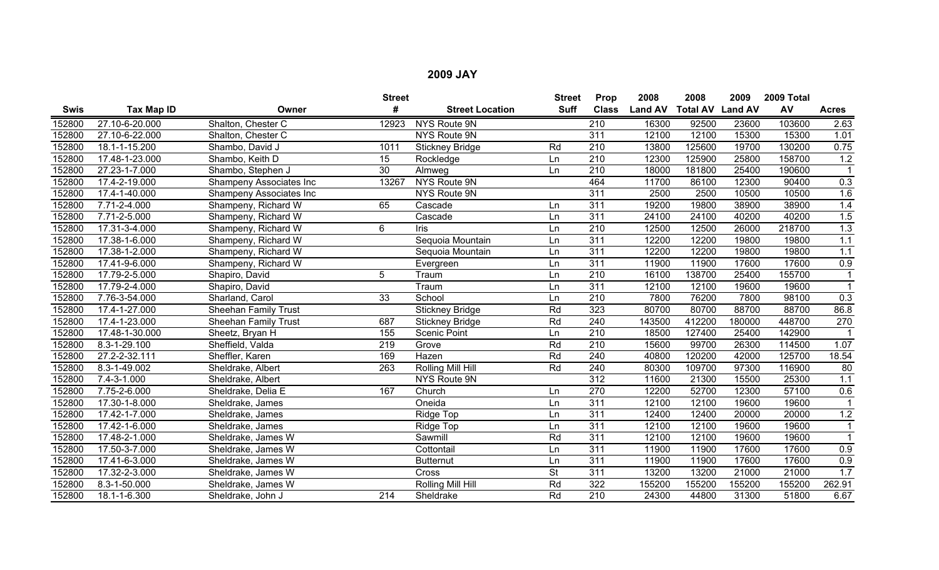|        |                |                             | <b>Street</b>   |                        | <b>Street</b>            | Prop             | 2008           | 2008                    | 2009   | 2009 Total |              |
|--------|----------------|-----------------------------|-----------------|------------------------|--------------------------|------------------|----------------|-------------------------|--------|------------|--------------|
| Swis   | Tax Map ID     | Owner                       | #               | <b>Street Location</b> | <b>Suff</b>              | <b>Class</b>     | <b>Land AV</b> | <b>Total AV Land AV</b> |        | AV         | <b>Acres</b> |
| 152800 | 27.10-6-20.000 | Shalton, Chester C          | 12923           | NYS Route 9N           |                          | 210              | 16300          | 92500                   | 23600  | 103600     | 2.63         |
| 152800 | 27.10-6-22.000 | Shalton, Chester C          |                 | NYS Route 9N           |                          | $\overline{311}$ | 12100          | 12100                   | 15300  | 15300      | 1.01         |
| 152800 | 18.1-1-15.200  | Shambo, David J             | 1011            | <b>Stickney Bridge</b> | Rd                       | 210              | 13800          | 125600                  | 19700  | 130200     | 0.75         |
| 152800 | 17.48-1-23.000 | Shambo, Keith D             | $\overline{15}$ | Rockledge              | Ln                       | 210              | 12300          | 125900                  | 25800  | 158700     | 1.2          |
| 152800 | 27.23-1-7.000  | Shambo, Stephen J           | $\overline{30}$ | Almweg                 | Ln                       | $\overline{210}$ | 18000          | 181800                  | 25400  | 190600     |              |
| 152800 | 17.4-2-19.000  | Shampeny Associates Inc     | 13267           | NYS Route 9N           |                          | 464              | 11700          | 86100                   | 12300  | 90400      | 0.3          |
| 152800 | 17.4-1-40.000  | Shampeny Associates Inc     |                 | NYS Route 9N           |                          | 311              | 2500           | 2500                    | 10500  | 10500      | 1.6          |
| 152800 | 7.71-2-4.000   | Shampeny, Richard W         | 65              | Cascade                | Ln                       | 311              | 19200          | 19800                   | 38900  | 38900      | 1.4          |
| 152800 | 7.71-2-5.000   | Shampeny, Richard W         |                 | Cascade                | Ln                       | 311              | 24100          | 24100                   | 40200  | 40200      | 1.5          |
| 152800 | 17.31-3-4.000  | Shampeny, Richard W         | 6               | Iris                   | Ln                       | $\overline{210}$ | 12500          | 12500                   | 26000  | 218700     | 1.3          |
| 152800 | 17.38-1-6.000  | Shampeny, Richard W         |                 | Sequoia Mountain       | Ln                       | 311              | 12200          | 12200                   | 19800  | 19800      | 1.1          |
| 152800 | 17.38-1-2.000  | Shampeny, Richard W         |                 | Sequoia Mountain       | Ln                       | 311              | 12200          | 12200                   | 19800  | 19800      | 1.1          |
| 152800 | 17.41-9-6.000  | Shampeny, Richard W         |                 | Evergreen              | Ln                       | 311              | 11900          | 11900                   | 17600  | 17600      | 0.9          |
| 152800 | 17.79-2-5.000  | Shapiro, David              | 5               | Traum                  | Ln                       | $\overline{210}$ | 16100          | 138700                  | 25400  | 155700     |              |
| 152800 | 17.79-2-4.000  | Shapiro, David              |                 | Traum                  | Ln                       | $\overline{311}$ | 12100          | 12100                   | 19600  | 19600      |              |
| 152800 | 7.76-3-54.000  | Sharland, Carol             | 33              | School                 | Ln                       | 210              | 7800           | 76200                   | 7800   | 98100      | 0.3          |
| 152800 | 17.4-1-27.000  | <b>Sheehan Family Trust</b> |                 | <b>Stickney Bridge</b> | Rd                       | 323              | 80700          | 80700                   | 88700  | 88700      | 86.8         |
| 152800 | 17.4-1-23.000  | <b>Sheehan Family Trust</b> | 687             | <b>Stickney Bridge</b> | Rd                       | 240              | 143500         | 412200                  | 180000 | 448700     | 270          |
| 152800 | 17.48-1-30.000 | Sheetz, Bryan H             | 155             | <b>Scenic Point</b>    | Ln                       | 210              | 18500          | 127400                  | 25400  | 142900     |              |
| 152800 | 8.3-1-29.100   | Sheffield, Valda            | 219             | Grove                  | Rd                       | 210              | 15600          | 99700                   | 26300  | 114500     | 1.07         |
| 152800 | 27.2-2-32.111  | Sheffler, Karen             | 169             | Hazen                  | Rd                       | 240              | 40800          | 120200                  | 42000  | 125700     | 18.54        |
| 152800 | 8.3-1-49.002   | Sheldrake, Albert           | 263             | Rolling Mill Hill      | Rd                       | 240              | 80300          | 109700                  | 97300  | 116900     | 80           |
| 152800 | 7.4-3-1.000    | Sheldrake, Albert           |                 | NYS Route 9N           |                          | $\overline{312}$ | 11600          | 21300                   | 15500  | 25300      | 1.1          |
| 152800 | 7.75-2-6.000   | Sheldrake, Delia E          | 167             | Church                 | Ln                       | 270              | 12200          | 52700                   | 12300  | 57100      | 0.6          |
| 152800 | 17.30-1-8.000  | Sheldrake, James            |                 | Oneida                 | Ln                       | 311              | 12100          | 12100                   | 19600  | 19600      |              |
| 152800 | 17.42-1-7.000  | Sheldrake, James            |                 | Ridge Top              | Ln                       | 311              | 12400          | 12400                   | 20000  | 20000      | 1.2          |
| 152800 | 17.42-1-6.000  | Sheldrake, James            |                 | Ridge Top              | Ln                       | 311              | 12100          | 12100                   | 19600  | 19600      |              |
| 152800 | 17.48-2-1.000  | Sheldrake, James W          |                 | Sawmill                | Rd                       | 311              | 12100          | 12100                   | 19600  | 19600      |              |
| 152800 | 17.50-3-7.000  | Sheldrake, James W          |                 | Cottontail             | Ln                       | 311              | 11900          | 11900                   | 17600  | 17600      | 0.9          |
| 152800 | 17.41-6-3.000  | Sheldrake, James W          |                 | <b>Butternut</b>       | Ln                       | 311              | 11900          | 11900                   | 17600  | 17600      | 0.9          |
| 152800 | 17.32-2-3.000  | Sheldrake, James W          |                 | Cross                  | $\overline{\mathsf{St}}$ | 311              | 13200          | 13200                   | 21000  | 21000      | 1.7          |
| 152800 | 8.3-1-50.000   | Sheldrake, James W          |                 | Rolling Mill Hill      | Rd                       | 322              | 155200         | 155200                  | 155200 | 155200     | 262.91       |
| 152800 | 18.1-1-6.300   | Sheldrake, John J           | 214             | Sheldrake              | Rd                       | $\overline{210}$ | 24300          | 44800                   | 31300  | 51800      | 6.67         |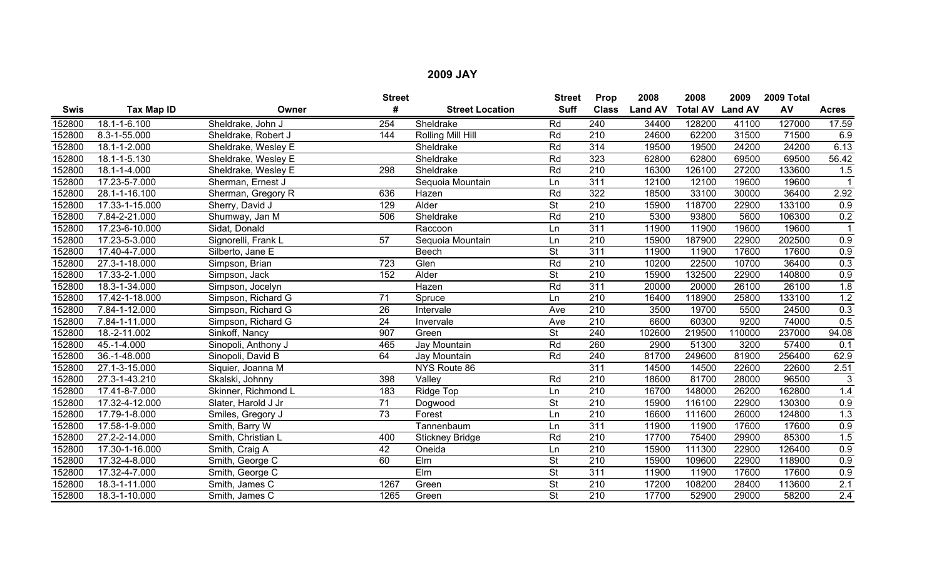|        |                    |                     | <b>Street</b>   |                          | <b>Street</b>            | Prop             | 2008           | 2008                    | 2009   | 2009 Total |              |
|--------|--------------------|---------------------|-----------------|--------------------------|--------------------------|------------------|----------------|-------------------------|--------|------------|--------------|
| Swis   | Tax Map ID         | Owner               | #               | <b>Street Location</b>   | <b>Suff</b>              | <b>Class</b>     | <b>Land AV</b> | <b>Total AV Land AV</b> |        | AV         | <b>Acres</b> |
| 152800 | 18.1-1-6.100       | Sheldrake, John J   | 254             | Sheldrake                | Rd                       | 240              | 34400          | 128200                  | 41100  | 127000     | 17.59        |
| 152800 | 8.3-1-55.000       | Sheldrake, Robert J | 144             | <b>Rolling Mill Hill</b> | Rd                       | 210              | 24600          | 62200                   | 31500  | 71500      | 6.9          |
| 152800 | 18.1-1-2.000       | Sheldrake, Wesley E |                 | Sheldrake                | Rd                       | 314              | 19500          | 19500                   | 24200  | 24200      | 6.13         |
| 152800 | $18.1 - 1 - 5.130$ | Sheldrake, Wesley E |                 | Sheldrake                | Rd                       | 323              | 62800          | 62800                   | 69500  | 69500      | 56.42        |
| 152800 | 18.1-1-4.000       | Sheldrake, Wesley E | 298             | Sheldrake                | Rd                       | $\overline{210}$ | 16300          | 126100                  | 27200  | 133600     | 1.5          |
| 152800 | 17.23-5-7.000      | Sherman, Ernest J   |                 | Sequoia Mountain         | Ln                       | $\overline{311}$ | 12100          | 12100                   | 19600  | 19600      |              |
| 152800 | 28.1-1-16.100      | Sherman, Gregory R  | 636             | Hazen                    | Rd                       | 322              | 18500          | 33100                   | 30000  | 36400      | 2.92         |
| 152800 | 17.33-1-15.000     | Sherry, David J     | 129             | Alder                    | $\overline{\mathsf{St}}$ | 210              | 15900          | 118700                  | 22900  | 133100     | 0.9          |
| 152800 | 7.84-2-21.000      | Shumway, Jan M      | 506             | Sheldrake                | Rd                       | 210              | 5300           | 93800                   | 5600   | 106300     | 0.2          |
| 152800 | 17.23-6-10.000     | Sidat, Donald       |                 | Raccoon                  | Ln                       | $\overline{311}$ | 11900          | 11900                   | 19600  | 19600      |              |
| 152800 | 17.23-5-3.000      | Signorelli, Frank L | $\overline{57}$ | Sequoia Mountain         | Ln                       | $\overline{210}$ | 15900          | 187900                  | 22900  | 202500     | 0.9          |
| 152800 | 17.40-4-7.000      | Silberto, Jane E    |                 | Beech                    | $\overline{\mathsf{St}}$ | 311              | 11900          | 11900                   | 17600  | 17600      | 0.9          |
| 152800 | 27.3-1-18.000      | Simpson, Brian      | 723             | Glen                     | Rd                       | 210              | 10200          | 22500                   | 10700  | 36400      | 0.3          |
| 152800 | 17.33-2-1.000      | Simpson, Jack       | 152             | Alder                    | $\overline{\mathsf{St}}$ | $\overline{210}$ | 15900          | 132500                  | 22900  | 140800     | 0.9          |
| 152800 | 18.3-1-34.000      | Simpson, Jocelyn    |                 | Hazen                    | Rd                       | $\overline{311}$ | 20000          | 20000                   | 26100  | 26100      | 1.8          |
| 152800 | 17.42-1-18.000     | Simpson, Richard G  | 71              | Spruce                   | Ln                       | 210              | 16400          | 118900                  | 25800  | 133100     | 1.2          |
| 152800 | 7.84-1-12.000      | Simpson, Richard G  | 26              | Intervale                | Ave                      | $\overline{210}$ | 3500           | 19700                   | 5500   | 24500      | 0.3          |
| 152800 | 7.84-1-11.000      | Simpson, Richard G  | 24              | Invervale                | Ave                      | 210              | 6600           | 60300                   | 9200   | 74000      | 0.5          |
| 152800 | 18.-2-11.002       | Sinkoff, Nancy      | 907             | Green                    | $\overline{\mathsf{St}}$ | 240              | 102600         | 219500                  | 110000 | 237000     | 94.08        |
| 152800 | 45.-1-4.000        | Sinopoli, Anthony J | 465             | Jay Mountain             | Rd                       | 260              | 2900           | 51300                   | 3200   | 57400      | 0.1          |
| 152800 | 36.-1-48.000       | Sinopoli, David B   | 64              | Jay Mountain             | Rd                       | 240              | 81700          | 249600                  | 81900  | 256400     | 62.9         |
| 152800 | 27.1-3-15.000      | Siquier, Joanna M   |                 | NYS Route 86             |                          | 311              | 14500          | 14500                   | 22600  | 22600      | 2.51         |
| 152800 | 27.3-1-43.210      | Skalski, Johnny     | 398             | Valley                   | Rd                       | 210              | 18600          | 81700                   | 28000  | 96500      | 3            |
| 152800 | 17.41-8-7.000      | Skinner, Richmond L | 183             | Ridge Top                | Ln                       | 210              | 16700          | 148000                  | 26200  | 162800     | 1.4          |
| 152800 | 17.32-4-12.000     | Slater, Harold J Jr | $\overline{71}$ | Dogwood                  | <b>St</b>                | $\overline{210}$ | 15900          | 116100                  | 22900  | 130300     | 0.9          |
| 152800 | 17.79-1-8.000      | Smiles, Gregory J   | $\overline{73}$ | Forest                   | Ln                       | 210              | 16600          | 111600                  | 26000  | 124800     | 1.3          |
| 152800 | 17.58-1-9.000      | Smith, Barry W      |                 | Tannenbaum               | Ln                       | $\overline{311}$ | 11900          | 11900                   | 17600  | 17600      | 0.9          |
| 152800 | 27.2-2-14.000      | Smith, Christian L  | 400             | <b>Stickney Bridge</b>   | Rd                       | $\overline{210}$ | 17700          | 75400                   | 29900  | 85300      | 1.5          |
| 152800 | 17.30-1-16.000     | Smith, Craig A      | 42              | Oneida                   | Ln                       | $\overline{210}$ | 15900          | 111300                  | 22900  | 126400     | 0.9          |
| 152800 | 17.32-4-8.000      | Smith, George C     | 60              | Elm                      | <b>St</b>                | 210              | 15900          | 109600                  | 22900  | 118900     | 0.9          |
| 152800 | 17.32-4-7.000      | Smith, George C     |                 | Elm                      | <b>St</b>                | $\overline{311}$ | 11900          | 11900                   | 17600  | 17600      | 0.9          |
| 152800 | 18.3-1-11.000      | Smith, James C      | 1267            | Green                    | St                       | 210              | 17200          | 108200                  | 28400  | 113600     | 2.1          |
| 152800 | 18.3-1-10.000      | Smith, James C      | 1265            | Green                    | $\overline{\mathsf{St}}$ | $\overline{210}$ | 17700          | 52900                   | 29000  | 58200      | 2.4          |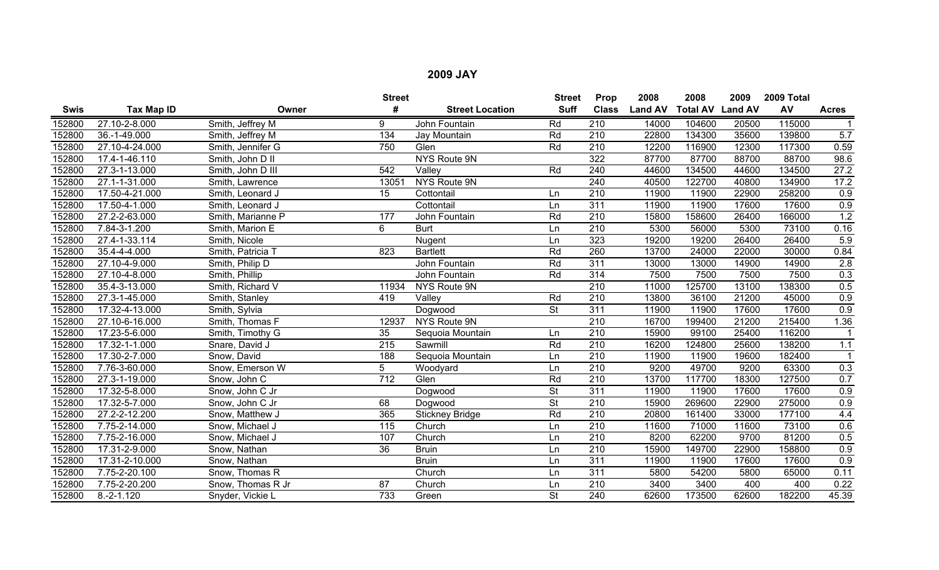|        |                |                   | <b>Street</b>   |                        | <b>Street</b>            | Prop             | 2008           | 2008                    | 2009  | 2009 Total |              |
|--------|----------------|-------------------|-----------------|------------------------|--------------------------|------------------|----------------|-------------------------|-------|------------|--------------|
| Swis   | Tax Map ID     | Owner             | #               | <b>Street Location</b> | <b>Suff</b>              | <b>Class</b>     | <b>Land AV</b> | <b>Total AV Land AV</b> |       | AV         | <b>Acres</b> |
| 152800 | 27.10-2-8.000  | Smith, Jeffrey M  | 9               | John Fountain          | Rd                       | $\overline{210}$ | 14000          | 104600                  | 20500 | 115000     |              |
| 152800 | 36.-1-49.000   | Smith, Jeffrey M  | 134             | Jay Mountain           | Rd                       | $\overline{210}$ | 22800          | 134300                  | 35600 | 139800     | 5.7          |
| 152800 | 27.10-4-24.000 | Smith, Jennifer G | 750             | Glen                   | Rd                       | $\overline{210}$ | 12200          | 116900                  | 12300 | 117300     | 0.59         |
| 152800 | 17.4-1-46.110  | Smith, John D II  |                 | NYS Route 9N           |                          | 322              | 87700          | 87700                   | 88700 | 88700      | 98.6         |
| 152800 | 27.3-1-13.000  | Smith, John D III | 542             | Valley                 | Rd                       | 240              | 44600          | 134500                  | 44600 | 134500     | 27.2         |
| 152800 | 27.1-1-31.000  | Smith, Lawrence   | 13051           | NYS Route 9N           |                          | 240              | 40500          | 122700                  | 40800 | 134900     | 17.2         |
| 152800 | 17.50-4-21.000 | Smith, Leonard J  | 15              | Cottontail             | Ln                       | $\overline{210}$ | 11900          | 11900                   | 22900 | 258200     | 0.9          |
| 152800 | 17.50-4-1.000  | Smith, Leonard J  |                 | Cottontail             | Ln                       | $\overline{311}$ | 11900          | 11900                   | 17600 | 17600      | 0.9          |
| 152800 | 27.2-2-63.000  | Smith, Marianne P | 177             | John Fountain          | Rd                       | 210              | 15800          | 158600                  | 26400 | 166000     | 1.2          |
| 152800 | 7.84-3-1.200   | Smith, Marion E   | 6               | <b>Burt</b>            | Ln                       | 210              | 5300           | 56000                   | 5300  | 73100      | 0.16         |
| 152800 | 27.4-1-33.114  | Smith, Nicole     |                 | Nugent                 | Ln                       | 323              | 19200          | 19200                   | 26400 | 26400      | 5.9          |
| 152800 | 35.4-4-4.000   | Smith, Patricia T | 823             | <b>Bartlett</b>        | Rd                       | 260              | 13700          | 24000                   | 22000 | 30000      | 0.84         |
| 152800 | 27.10-4-9.000  | Smith, Philip D   |                 | John Fountain          | Rd                       | 311              | 13000          | 13000                   | 14900 | 14900      | 2.8          |
| 152800 | 27.10-4-8.000  | Smith, Phillip    |                 | John Fountain          | Rd                       | 314              | 7500           | 7500                    | 7500  | 7500       | 0.3          |
| 152800 | 35.4-3-13.000  | Smith, Richard V  | 11934           | NYS Route 9N           |                          | 210              | 11000          | 125700                  | 13100 | 138300     | 0.5          |
| 152800 | 27.3-1-45.000  | Smith, Stanley    | 419             | Valley                 | Rd                       | 210              | 13800          | 36100                   | 21200 | 45000      | 0.9          |
| 152800 | 17.32-4-13.000 | Smith, Sylvia     |                 | Dogwood                | <b>St</b>                | 311              | 11900          | 11900                   | 17600 | 17600      | 0.9          |
| 152800 | 27.10-6-16.000 | Smith, Thomas F   | 12937           | NYS Route 9N           |                          | 210              | 16700          | 199400                  | 21200 | 215400     | 1.36         |
| 152800 | 17.23-5-6.000  | Smith, Timothy G  | 35              | Sequoia Mountain       | Ln                       | 210              | 15900          | 99100                   | 25400 | 116200     |              |
| 152800 | 17.32-1-1.000  | Snare, David J    | 215             | Sawmill                | Rd                       | $\overline{210}$ | 16200          | 124800                  | 25600 | 138200     | 1.1          |
| 152800 | 17.30-2-7.000  | Snow, David       | 188             | Sequoia Mountain       | Ln                       | 210              | 11900          | 11900                   | 19600 | 182400     |              |
| 152800 | 7.76-3-60.000  | Snow, Emerson W   | 5               | Woodyard               | Ln                       | 210              | 9200           | 49700                   | 9200  | 63300      | 0.3          |
| 152800 | 27.3-1-19.000  | Snow, John C      | 712             | Glen                   | Rd                       | 210              | 13700          | 117700                  | 18300 | 127500     | 0.7          |
| 152800 | 17.32-5-8.000  | Snow, John C Jr   |                 | Dogwood                | <b>St</b>                | $\overline{311}$ | 11900          | 11900                   | 17600 | 17600      | 0.9          |
| 152800 | 17.32-5-7.000  | Snow, John C Jr   | 68              | Dogwood                | <b>St</b>                | $\overline{210}$ | 15900          | 269600                  | 22900 | 275000     | 0.9          |
| 152800 | 27.2-2-12.200  | Snow, Matthew J   | 365             | <b>Stickney Bridge</b> | Rd                       | 210              | 20800          | 161400                  | 33000 | 177100     | 4.4          |
| 152800 | 7.75-2-14.000  | Snow, Michael J   | 115             | Church                 | Ln                       | 210              | 11600          | 71000                   | 11600 | 73100      | 0.6          |
| 152800 | 7.75-2-16.000  | Snow, Michael J   | 107             | Church                 | Ln                       | $\overline{210}$ | 8200           | 62200                   | 9700  | 81200      | 0.5          |
| 152800 | 17.31-2-9.000  | Snow, Nathan      | $\overline{36}$ | <b>Bruin</b>           | Ln                       | 210              | 15900          | 149700                  | 22900 | 158800     | 0.9          |
| 152800 | 17.31-2-10.000 | Snow, Nathan      |                 | <b>Bruin</b>           | Ln                       | 311              | 11900          | 11900                   | 17600 | 17600      | 0.9          |
| 152800 | 7.75-2-20.100  | Snow, Thomas R    |                 | Church                 | Ln                       | 311              | 5800           | 54200                   | 5800  | 65000      | 0.11         |
| 152800 | 7.75-2-20.200  | Snow, Thomas R Jr | 87              | Church                 | Ln                       | 210              | 3400           | 3400                    | 400   | 400        | 0.22         |
| 152800 | $8.-2-1.120$   | Snyder, Vickie L  | 733             | Green                  | $\overline{\mathsf{St}}$ | 240              | 62600          | 173500                  | 62600 | 182200     | 45.39        |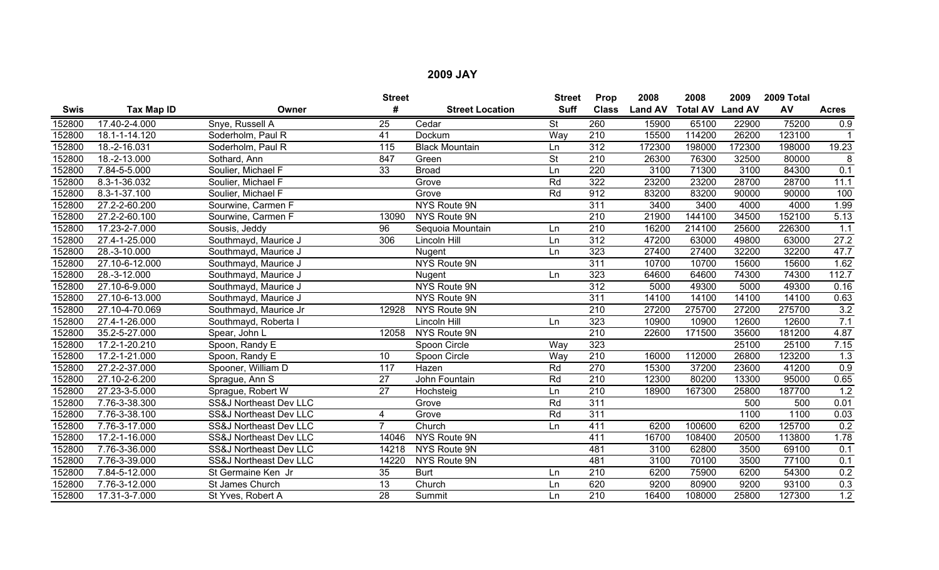|             |                |                        | <b>Street</b>   |                        | <b>Street</b> | Prop             | 2008           | 2008                    | 2009   | 2009 Total |                  |
|-------------|----------------|------------------------|-----------------|------------------------|---------------|------------------|----------------|-------------------------|--------|------------|------------------|
| <b>Swis</b> | Tax Map ID     | Owner                  | #               | <b>Street Location</b> | <b>Suff</b>   | <b>Class</b>     | <b>Land AV</b> | <b>Total AV Land AV</b> |        | AV         | <b>Acres</b>     |
| 152800      | 17.40-2-4.000  | Snye, Russell A        | 25              | Cedar                  | <b>St</b>     | 260              | 15900          | 65100                   | 22900  | 75200      | 0.9              |
| 152800      | 18.1-1-14.120  | Soderholm, Paul R      | 41              | Dockum                 | Way           | 210              | 15500          | 114200                  | 26200  | 123100     |                  |
| 152800      | 18.-2-16.031   | Soderholm, Paul R      | 115             | <b>Black Mountain</b>  | Ln            | $\overline{312}$ | 172300         | 198000                  | 172300 | 198000     | 19.23            |
| 152800      | 18.-2-13.000   | Sothard, Ann           | 847             | Green                  | <b>St</b>     | 210              | 26300          | 76300                   | 32500  | 80000      | 8                |
| 152800      | 7.84-5-5.000   | Soulier, Michael F     | 33              | <b>Broad</b>           | Ln            | 220              | 3100           | 71300                   | 3100   | 84300      | 0.1              |
| 152800      | 8.3-1-36.032   | Soulier, Michael F     |                 | Grove                  | Rd            | 322              | 23200          | 23200                   | 28700  | 28700      | 11.1             |
| 152800      | 8.3-1-37.100   | Soulier, Michael F     |                 | Grove                  | Rd            | 912              | 83200          | 83200                   | 90000  | 90000      | 100              |
| 152800      | 27.2-2-60.200  | Sourwine, Carmen F     |                 | NYS Route 9N           |               | 311              | 3400           | 3400                    | 4000   | 4000       | 1.99             |
| 152800      | 27.2-2-60.100  | Sourwine, Carmen F     | 13090           | NYS Route 9N           |               | 210              | 21900          | 144100                  | 34500  | 152100     | 5.13             |
| 152800      | 17.23-2-7.000  | Sousis, Jeddy          | $\overline{96}$ | Sequoia Mountain       | Ln            | 210              | 16200          | 214100                  | 25600  | 226300     | 1.1              |
| 152800      | 27.4-1-25.000  | Southmayd, Maurice J   | 306             | Lincoln Hill           | Ln            | 312              | 47200          | 63000                   | 49800  | 63000      | 27.2             |
| 152800      | 28.-3-10.000   | Southmayd, Maurice J   |                 | Nugent                 | Ln            | 323              | 27400          | 27400                   | 32200  | 32200      | 47.7             |
| 152800      | 27.10-6-12.000 | Southmayd, Maurice J   |                 | NYS Route 9N           |               | 311              | 10700          | 10700                   | 15600  | 15600      | 1.62             |
| 152800      | 28.-3-12.000   | Southmayd, Maurice J   |                 | Nugent                 | Ln            | 323              | 64600          | 64600                   | 74300  | 74300      | 112.7            |
| 152800      | 27.10-6-9.000  | Southmayd, Maurice J   |                 | NYS Route 9N           |               | $\overline{312}$ | 5000           | 49300                   | 5000   | 49300      | 0.16             |
| 152800      | 27.10-6-13.000 | Southmayd, Maurice J   |                 | NYS Route 9N           |               | 311              | 14100          | 14100                   | 14100  | 14100      | 0.63             |
| 152800      | 27.10-4-70.069 | Southmayd, Maurice Jr  | 12928           | NYS Route 9N           |               | 210              | 27200          | 275700                  | 27200  | 275700     | 3.2              |
| 152800      | 27.4-1-26.000  | Southmayd, Roberta     |                 | Lincoln Hill           | Ln            | 323              | 10900          | 10900                   | 12600  | 12600      | 7.1              |
| 152800      | 35.2-5-27.000  | Spear, John L          | 12058           | NYS Route 9N           |               | 210              | 22600          | 171500                  | 35600  | 181200     | 4.87             |
| 152800      | 17.2-1-20.210  | Spoon, Randy E         |                 | Spoon Circle           | Way           | 323              |                |                         | 25100  | 25100      | 7.15             |
| 152800      | 17.2-1-21.000  | Spoon, Randy E         | 10              | Spoon Circle           | Way           | $\overline{210}$ | 16000          | 112000                  | 26800  | 123200     | $\overline{1.3}$ |
| 152800      | 27.2-2-37.000  | Spooner, William D     | 117             | Hazen                  | Rd            | 270              | 15300          | 37200                   | 23600  | 41200      | 0.9              |
| 152800      | 27.10-2-6.200  | Sprague, Ann S         | 27              | John Fountain          | Rd            | 210              | 12300          | 80200                   | 13300  | 95000      | 0.65             |
| 152800      | 27.23-3-5.000  | Sprague, Robert W      | 27              | Hochsteig              | Ln            | 210              | 18900          | 167300                  | 25800  | 187700     | 1.2              |
| 152800      | 7.76-3-38.300  | SS&J Northeast Dev LLC |                 | Grove                  | Rd            | 311              |                |                         | 500    | 500        | 0.01             |
| 152800      | 7.76-3-38.100  | SS&J Northeast Dev LLC | 4               | Grove                  | Rd            | 311              |                |                         | 1100   | 1100       | 0.03             |
| 152800      | 7.76-3-17.000  | SS&J Northeast Dev LLC | $\overline{7}$  | Church                 | Ln            | 411              | 6200           | 100600                  | 6200   | 125700     | 0.2              |
| 152800      | 17.2-1-16.000  | SS&J Northeast Dev LLC | 14046           | NYS Route 9N           |               | 411              | 16700          | 108400                  | 20500  | 113800     | 1.78             |
| 152800      | 7.76-3-36.000  | SS&J Northeast Dev LLC | 14218           | NYS Route 9N           |               | 481              | 3100           | 62800                   | 3500   | 69100      | 0.1              |
| 152800      | 7.76-3-39.000  | SS&J Northeast Dev LLC | 14220           | NYS Route 9N           |               | 481              | 3100           | 70100                   | 3500   | 77100      | 0.1              |
| 152800      | 7.84-5-12.000  | St Germaine Ken Jr     | 35              | <b>Burt</b>            | Ln            | 210              | 6200           | 75900                   | 6200   | 54300      | 0.2              |
| 152800      | 7.76-3-12.000  | St James Church        | 13              | Church                 | Ln            | 620              | 9200           | 80900                   | 9200   | 93100      | 0.3              |
| 152800      | 17.31-3-7.000  | St Yves, Robert A      | $\overline{28}$ | Summit                 | Ln            | $\overline{210}$ | 16400          | 108000                  | 25800  | 127300     | 1.2              |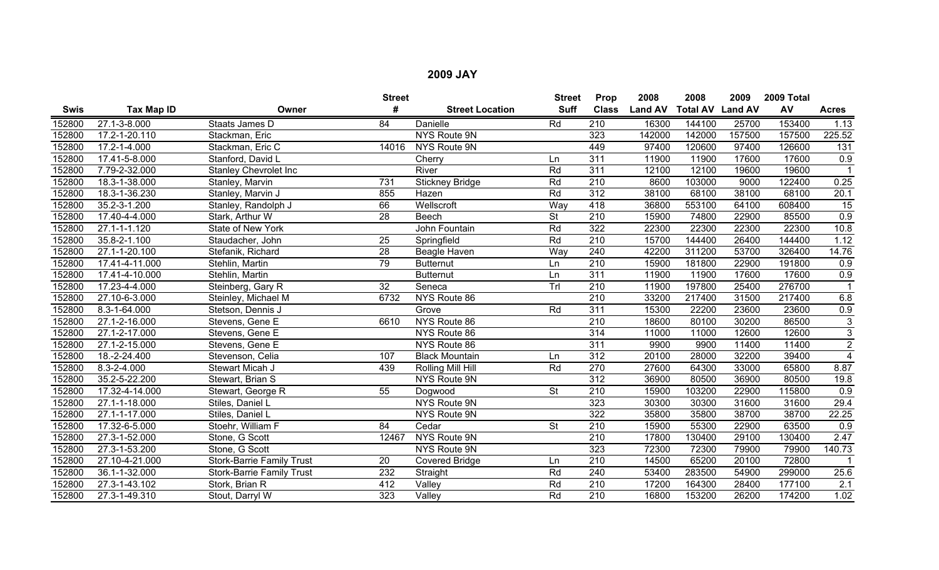|             |                     |                                  | <b>Street</b>   |                        | <b>Street</b>            | Prop             | 2008           | 2008                    | 2009   | 2009 Total |                      |
|-------------|---------------------|----------------------------------|-----------------|------------------------|--------------------------|------------------|----------------|-------------------------|--------|------------|----------------------|
| <b>Swis</b> | Tax Map ID          | Owner                            | #               | <b>Street Location</b> | <b>Suff</b>              | <b>Class</b>     | <b>Land AV</b> | <b>Total AV Land AV</b> |        | AV         | <b>Acres</b>         |
| 152800      | 27.1-3-8.000        | Staats James D                   | $\overline{84}$ | <b>Danielle</b>        | Rd                       | 210              | 16300          | 144100                  | 25700  | 153400     | 1.13                 |
| 152800      | 17.2-1-20.110       | Stackman, Eric                   |                 | NYS Route 9N           |                          | 323              | 142000         | 142000                  | 157500 | 157500     | 225.52               |
| 152800      | 17.2-1-4.000        | Stackman, Eric C                 | 14016           | NYS Route 9N           |                          | 449              | 97400          | 120600                  | 97400  | 126600     | $\overline{131}$     |
| 152800      | 17.41-5-8.000       | Stanford, David L                |                 | Cherry                 | Ln                       | 311              | 11900          | 11900                   | 17600  | 17600      | 0.9                  |
| 152800      | 7.79-2-32.000       | <b>Stanley Chevrolet Inc</b>     |                 | River                  | Rd                       | 311              | 12100          | 12100                   | 19600  | 19600      |                      |
| 152800      | 18.3-1-38.000       | Stanley, Marvin                  | 731             | <b>Stickney Bridge</b> | Rd                       | $\overline{210}$ | 8600           | 103000                  | 9000   | 122400     | 0.25                 |
| 152800      | 18.3-1-36.230       | Stanley, Marvin J                | 855             | Hazen                  | Rd                       | 312              | 38100          | 68100                   | 38100  | 68100      | 20.1                 |
| 152800      | 35.2-3-1.200        | Stanley, Randolph J              | 66              | Wellscroft             | Way                      | 418              | 36800          | 553100                  | 64100  | 608400     | 15                   |
| 152800      | 17.40-4-4.000       | Stark, Arthur W                  | 28              | Beech                  | <b>St</b>                | 210              | 15900          | 74800                   | 22900  | 85500      | 0.9                  |
| 152800      | $27.1 - 1 - 1.120$  | State of New York                |                 | John Fountain          | Rd                       | 322              | 22300          | 22300                   | 22300  | 22300      | 10.8                 |
| 152800      | 35.8-2-1.100        | Staudacher, John                 | 25              | Springfield            | Rd                       | $\overline{210}$ | 15700          | 144400                  | 26400  | 144400     | 1.12                 |
| 152800      | 27.1-1-20.100       | Stefanik, Richard                | $\overline{28}$ | Beagle Haven           | Way                      | 240              | 42200          | 311200                  | 53700  | 326400     | 14.76                |
| 152800      | 17.41-4-11.000      | Stehlin, Martin                  | 79              | <b>Butternut</b>       | Ln.                      | 210              | 15900          | 181800                  | 22900  | 191800     | 0.9                  |
| 152800      | 17.41-4-10.000      | Stehlin, Martin                  |                 | <b>Butternut</b>       | Ln                       | 311              | 11900          | 11900                   | 17600  | 17600      | 0.9                  |
| 152800      | 17.23-4-4.000       | Steinberg, Gary R                | $\overline{32}$ | Seneca                 | TrI                      | 210              | 11900          | 197800                  | 25400  | 276700     | $\blacktriangleleft$ |
| 152800      | 27.10-6-3.000       | Steinley, Michael M              | 6732            | NYS Route 86           |                          | 210              | 33200          | 217400                  | 31500  | 217400     | 6.8                  |
| 152800      | 8.3-1-64.000        | Stetson, Dennis J                |                 | Grove                  | Rd                       | 311              | 15300          | 22200                   | 23600  | 23600      | 0.9                  |
| 152800      | $27.1 - 2 - 16.000$ | Stevens, Gene E                  | 6610            | NYS Route 86           |                          | $\overline{210}$ | 18600          | 80100                   | 30200  | 86500      | $\mathfrak{S}$       |
| 152800      | 27.1-2-17.000       | Stevens, Gene E                  |                 | NYS Route 86           |                          | 314              | 11000          | 11000                   | 12600  | 12600      | $\overline{3}$       |
| 152800      | 27.1-2-15.000       | Stevens, Gene E                  |                 | NYS Route 86           |                          | 311              | 9900           | 9900                    | 11400  | 11400      | $\overline{2}$       |
| 152800      | 18.-2-24.400        | Stevenson, Celia                 | 107             | <b>Black Mountain</b>  | Ln                       | 312              | 20100          | 28000                   | 32200  | 39400      | $\overline{4}$       |
| 152800      | 8.3-2-4.000         | Stewart Micah J                  | 439             | Rolling Mill Hill      | Rd                       | $\overline{270}$ | 27600          | 64300                   | 33000  | 65800      | 8.87                 |
| 152800      | 35.2-5-22.200       | Stewart, Brian S                 |                 | <b>NYS Route 9N</b>    |                          | $\overline{312}$ | 36900          | 80500                   | 36900  | 80500      | 19.8                 |
| 152800      | 17.32-4-14.000      | Stewart, George R                | 55              | Dogwood                | St                       | $\overline{210}$ | 15900          | 103200                  | 22900  | 115800     | 0.9                  |
| 152800      | 27.1-1-18.000       | Stiles, Daniel L                 |                 | NYS Route 9N           |                          | 323              | 30300          | 30300                   | 31600  | 31600      | 29.4                 |
| 152800      | 27.1-1-17.000       | Stiles, Daniel L                 |                 | NYS Route 9N           |                          | 322              | 35800          | 35800                   | 38700  | 38700      | 22.25                |
| 152800      | 17.32-6-5.000       | Stoehr, William F                | 84              | Cedar                  | $\overline{\mathsf{St}}$ | 210              | 15900          | 55300                   | 22900  | 63500      | 0.9                  |
| 152800      | 27.3-1-52.000       | Stone, G Scott                   | 12467           | NYS Route 9N           |                          | 210              | 17800          | 130400                  | 29100  | 130400     | 2.47                 |
| 152800      | 27.3-1-53.200       | Stone, G Scott                   |                 | NYS Route 9N           |                          | 323              | 72300          | 72300                   | 79900  | 79900      | 140.73               |
| 152800      | 27.10-4-21.000      | <b>Stork-Barrie Family Trust</b> | $\overline{20}$ | <b>Covered Bridge</b>  | Ln                       | 210              | 14500          | 65200                   | 20100  | 72800      |                      |
| 152800      | 36.1-1-32.000       | <b>Stork-Barrie Family Trust</b> | 232             | Straight               | Rd                       | 240              | 53400          | 283500                  | 54900  | 299000     | 25.6                 |
| 152800      | 27.3-1-43.102       | Stork, Brian R                   | 412             | Valley                 | Rd                       | 210              | 17200          | 164300                  | 28400  | 177100     | $\overline{2.1}$     |
| 152800      | 27.3-1-49.310       | Stout, Darryl W                  | 323             | Valley                 | Rd                       | 210              | 16800          | 153200                  | 26200  | 174200     | 1.02                 |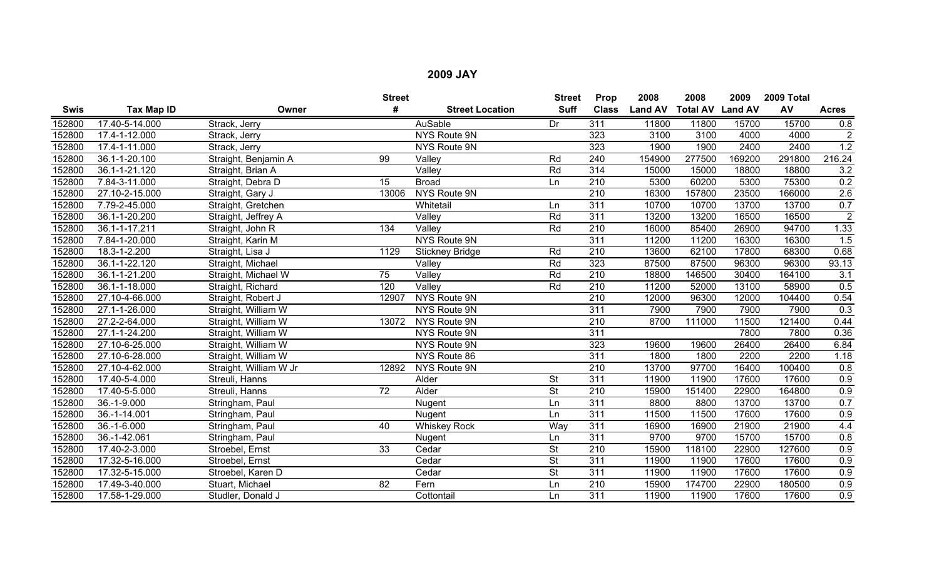|             |                    |                        | <b>Street</b>    |                        | <b>Street</b>            | Prop             | 2008           | 2008                    | 2009   | 2009 Total |                |
|-------------|--------------------|------------------------|------------------|------------------------|--------------------------|------------------|----------------|-------------------------|--------|------------|----------------|
| <b>Swis</b> | <b>Tax Map ID</b>  | Owner                  | #                | <b>Street Location</b> | <b>Suff</b>              | <b>Class</b>     | <b>Land AV</b> | <b>Total AV Land AV</b> |        | AV         | <b>Acres</b>   |
| 152800      | 17.40-5-14.000     | Strack, Jerry          |                  | AuSable                | Dr                       | 311              | 11800          | 11800                   | 15700  | 15700      | 0.8            |
| 152800      | 17.4-1-12.000      | Strack, Jerry          |                  | NYS Route 9N           |                          | 323              | 3100           | 3100                    | 4000   | 4000       | $\overline{2}$ |
| 152800      | 17.4-1-11.000      | Strack, Jerry          |                  | NYS Route 9N           |                          | 323              | 1900           | 1900                    | 2400   | 2400       | 1.2            |
| 152800      | 36.1-1-20.100      | Straight, Benjamin A   | 99               | Valley                 | Rd                       | 240              | 154900         | 277500                  | 169200 | 291800     | 216.24         |
| 152800      | 36.1-1-21.120      | Straight, Brian A      |                  | Valley                 | Rd                       | $\overline{314}$ | 15000          | 15000                   | 18800  | 18800      | 3.2            |
| 152800      | 7.84-3-11.000      | Straight, Debra D      | 15               | <b>Broad</b>           | Ln                       | 210              | 5300           | 60200                   | 5300   | 75300      | 0.2            |
| 152800      | 27.10-2-15.000     | Straight, Gary J       | 13006            | NYS Route 9N           |                          | $\overline{210}$ | 16300          | 157800                  | 23500  | 166000     | 2.6            |
| 152800      | 7.79-2-45.000      | Straight, Gretchen     |                  | Whitetail              | Ln                       | 311              | 10700          | 10700                   | 13700  | 13700      | 0.7            |
| 152800      | 36.1-1-20.200      | Straight, Jeffrey A    |                  | Valley                 | Rd                       | 311              | 13200          | 13200                   | 16500  | 16500      | $\overline{2}$ |
| 152800      | 36.1-1-17.211      | Straight, John R       | $\overline{134}$ | Valley                 | Rd                       | 210              | 16000          | 85400                   | 26900  | 94700      | 1.33           |
| 152800      | 7.84-1-20.000      | Straight, Karin M      |                  | NYS Route 9N           |                          | 311              | 11200          | 11200                   | 16300  | 16300      | 1.5            |
| 152800      | 18.3-1-2.200       | Straight, Lisa J       | 1129             | <b>Stickney Bridge</b> | Rd                       | $\overline{210}$ | 13600          | 62100                   | 17800  | 68300      | 0.68           |
| 152800      | 36.1-1-22.120      | Straight, Michael      |                  | Valley                 | Rd                       | 323              | 87500          | 87500                   | 96300  | 96300      | 93.13          |
| 152800      | 36.1-1-21.200      | Straight, Michael W    | 75               | Valley                 | Rd                       | 210              | 18800          | 146500                  | 30400  | 164100     | 3.1            |
| 152800      | 36.1-1-18.000      | Straight, Richard      | 120              | Valley                 | Rd                       | 210              | 11200          | 52000                   | 13100  | 58900      | 0.5            |
| 152800      | 27.10-4-66.000     | Straight, Robert J     | 12907            | NYS Route 9N           |                          | 210              | 12000          | 96300                   | 12000  | 104400     | 0.54           |
| 152800      | 27.1-1-26.000      | Straight, William W    |                  | NYS Route 9N           |                          | 311              | 7900           | 7900                    | 7900   | 7900       | 0.3            |
| 152800      | 27.2-2-64.000      | Straight, William W    | 13072            | NYS Route 9N           |                          | 210              | 8700           | 111000                  | 11500  | 121400     | 0.44           |
| 152800      | 27.1-1-24.200      | Straight, William W    |                  | NYS Route 9N           |                          | 311              |                |                         | 7800   | 7800       | 0.36           |
| 152800      | 27.10-6-25.000     | Straight, William W    |                  | NYS Route 9N           |                          | 323              | 19600          | 19600                   | 26400  | 26400      | 6.84           |
| 152800      | 27.10-6-28.000     | Straight, William W    |                  | NYS Route 86           |                          | 311              | 1800           | 1800                    | 2200   | 2200       | 1.18           |
| 152800      | 27.10-4-62.000     | Straight, William W Jr | 12892            | NYS Route 9N           |                          | 210              | 13700          | 97700                   | 16400  | 100400     | 0.8            |
| 152800      | 17.40-5-4.000      | Streuli, Hanns         |                  | Alder                  | <b>St</b>                | $\overline{311}$ | 11900          | 11900                   | 17600  | 17600      | 0.9            |
| 152800      | 17.40-5-5.000      | Streuli, Hanns         | $\overline{72}$  | Alder                  | <b>St</b>                | 210              | 15900          | 151400                  | 22900  | 164800     | 0.9            |
| 152800      | 36.-1-9.000        | Stringham, Paul        |                  | Nugent                 | Ln                       | 311              | 8800           | 8800                    | 13700  | 13700      | 0.7            |
| 152800      | $36. - 1 - 14.001$ | Stringham, Paul        |                  | Nugent                 | Ln                       | 311              | 11500          | 11500                   | 17600  | 17600      | 0.9            |
| 152800      | 36.-1-6.000        | Stringham, Paul        | 40               | <b>Whiskey Rock</b>    | Way                      | 311              | 16900          | 16900                   | 21900  | 21900      | 4.4            |
| 152800      | 36.-1-42.061       | Stringham, Paul        |                  | Nugent                 | Ln                       | 311              | 9700           | 9700                    | 15700  | 15700      | 0.8            |
| 152800      | 17.40-2-3.000      | Stroebel, Ernst        | 33               | Cedar                  | <b>St</b>                | 210              | 15900          | 118100                  | 22900  | 127600     | 0.9            |
| 152800      | 17.32-5-16.000     | Stroebel, Ernst        |                  | Cedar                  | $\overline{\mathsf{St}}$ | 311              | 11900          | 11900                   | 17600  | 17600      | 0.9            |
| 152800      | 17.32-5-15.000     | Stroebel, Karen D      |                  | Cedar                  | $\overline{\mathsf{St}}$ | 311              | 11900          | 11900                   | 17600  | 17600      | 0.9            |
| 152800      | 17.49-3-40.000     | Stuart, Michael        | 82               | Fern                   | Ln                       | 210              | 15900          | 174700                  | 22900  | 180500     | 0.9            |
| 152800      | 17.58-1-29.000     | Studler, Donald J      |                  | Cottontail             | Ln                       | 311              | 11900          | 11900                   | 17600  | 17600      | 0.9            |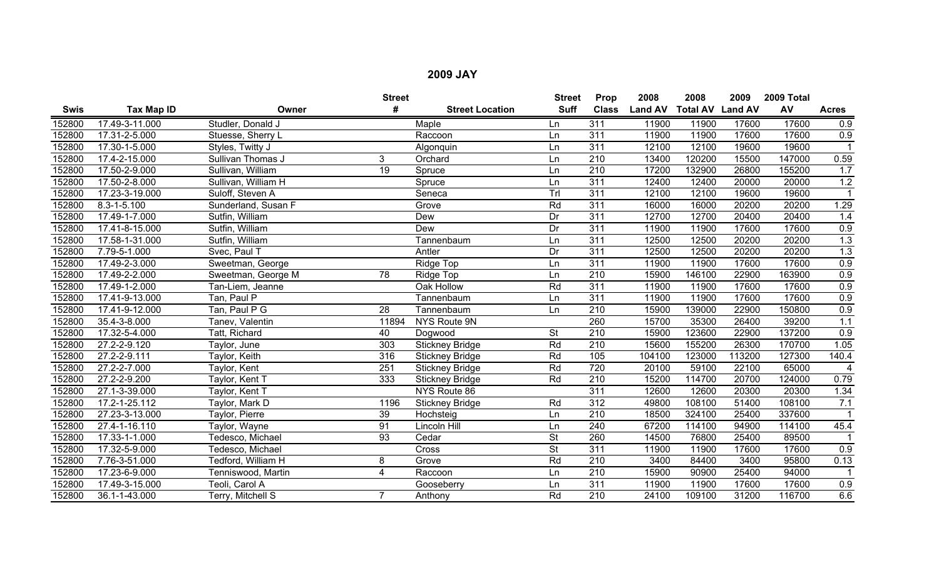|             |                   |                     | <b>Street</b>    |                        | <b>Street</b>            | Prop             | 2008           | 2008                    | 2009   | 2009 Total |                  |
|-------------|-------------------|---------------------|------------------|------------------------|--------------------------|------------------|----------------|-------------------------|--------|------------|------------------|
| <b>Swis</b> | Tax Map ID        | Owner               | #                | <b>Street Location</b> | <b>Suff</b>              | <b>Class</b>     | <b>Land AV</b> | <b>Total AV Land AV</b> |        | AV         | <b>Acres</b>     |
| 152800      | 17.49-3-11.000    | Studler, Donald J   |                  | Maple                  | Ln                       | 311              | 11900          | 11900                   | 17600  | 17600      | 0.9              |
| 152800      | 17.31-2-5.000     | Stuesse, Sherry L   |                  | Raccoon                | Ln                       | 311              | 11900          | 11900                   | 17600  | 17600      | 0.9              |
| 152800      | 17.30-1-5.000     | Styles, Twitty J    |                  | Algonquin              | Ln                       | 311              | 12100          | 12100                   | 19600  | 19600      |                  |
| 152800      | 17.4-2-15.000     | Sullivan Thomas J   | 3                | Orchard                | Ln                       | $\overline{210}$ | 13400          | 120200                  | 15500  | 147000     | 0.59             |
| 152800      | 17.50-2-9.000     | Sullivan, William   | 19               | Spruce                 | Ln                       | $\overline{210}$ | 17200          | 132900                  | 26800  | 155200     | 1.7              |
| 152800      | 17.50-2-8.000     | Sullivan, William H |                  | Spruce                 | Ln                       | 311              | 12400          | 12400                   | 20000  | 20000      | 1.2              |
| 152800      | 17.23-3-19.000    | Suloff, Steven A    |                  | Seneca                 | Trl                      | 311              | 12100          | 12100                   | 19600  | 19600      | -1               |
| 152800      | $8.3 - 1 - 5.100$ | Sunderland, Susan F |                  | Grove                  | Rd                       | $\overline{311}$ | 16000          | 16000                   | 20200  | 20200      | 1.29             |
| 152800      | 17.49-1-7.000     | Sutfin, William     |                  | Dew                    | Dr                       | 311              | 12700          | 12700                   | 20400  | 20400      | 1.4              |
| 152800      | 17.41-8-15.000    | Sutfin, William     |                  | Dew                    | $\overline{Dr}$          | 311              | 11900          | 11900                   | 17600  | 17600      | 0.9              |
| 152800      | 17.58-1-31.000    | Sutfin, William     |                  | Tannenbaum             | Ln                       | 311              | 12500          | 12500                   | 20200  | 20200      | 1.3              |
| 152800      | 7.79-5-1.000      | Svec, Paul T        |                  | Antler                 | $\overline{Dr}$          | $\overline{311}$ | 12500          | 12500                   | 20200  | 20200      | 1.3              |
| 152800      | 17.49-2-3.000     | Sweetman, George    |                  | Ridge Top              | Ln                       | 311              | 11900          | 11900                   | 17600  | 17600      | 0.9              |
| 152800      | 17.49-2-2.000     | Sweetman, George M  | $\overline{78}$  | Ridge Top              | Ln                       | 210              | 15900          | 146100                  | 22900  | 163900     | 0.9              |
| 152800      | 17.49-1-2.000     | Tan-Liem, Jeanne    |                  | Oak Hollow             | Rd                       | 311              | 11900          | 11900                   | 17600  | 17600      | 0.9              |
| 152800      | 17.41-9-13.000    | Tan, Paul P         |                  | Tannenbaum             | Ln                       | 311              | 11900          | 11900                   | 17600  | 17600      | 0.9              |
| 152800      | 17.41-9-12.000    | Tan, Paul P G       | $\overline{28}$  | Tannenbaum             | Ln                       | 210              | 15900          | 139000                  | 22900  | 150800     | 0.9              |
| 152800      | 35.4-3-8.000      | Tanev, Valentin     | 11894            | NYS Route 9N           |                          | 260              | 15700          | 35300                   | 26400  | 39200      | 1.1              |
| 152800      | 17.32-5-4.000     | Tatt, Richard       | 40               | Dogwood                | $\overline{\mathsf{St}}$ | 210              | 15900          | 123600                  | 22900  | 137200     | $\overline{0.9}$ |
| 152800      | 27.2-2-9.120      | Taylor, June        | 303              | <b>Stickney Bridge</b> | Rd                       | $\overline{210}$ | 15600          | 155200                  | 26300  | 170700     | 1.05             |
| 152800      | 27.2-2-9.111      | Taylor, Keith       | 316              | <b>Stickney Bridge</b> | Rd                       | 105              | 104100         | 123000                  | 113200 | 127300     | 140.4            |
| 152800      | 27.2-2-7.000      | Taylor, Kent        | $\overline{251}$ | <b>Stickney Bridge</b> | Rd                       | 720              | 20100          | 59100                   | 22100  | 65000      | $\overline{4}$   |
| 152800      | 27.2-2-9.200      | Taylor, Kent T      | 333              | <b>Stickney Bridge</b> | Rd                       | 210              | 15200          | 114700                  | 20700  | 124000     | 0.79             |
| 152800      | 27.1-3-39.000     | Taylor, Kent T      |                  | NYS Route 86           |                          | 311              | 12600          | 12600                   | 20300  | 20300      | 1.34             |
| 152800      | 17.2-1-25.112     | Taylor, Mark D      | 1196             | <b>Stickney Bridge</b> | Rd                       | 312              | 49800          | 108100                  | 51400  | 108100     | 7.1              |
| 152800      | 27.23-3-13.000    | Taylor, Pierre      | 39               | Hochsteig              | Ln                       | 210              | 18500          | 324100                  | 25400  | 337600     |                  |
| 152800      | 27.4-1-16.110     | Taylor, Wayne       | 91               | Lincoln Hill           | Ln                       | 240              | 67200          | 114100                  | 94900  | 114100     | 45.4             |
| 152800      | 17.33-1-1.000     | Tedesco, Michael    | $\overline{93}$  | Cedar                  | <b>St</b>                | 260              | 14500          | 76800                   | 25400  | 89500      |                  |
| 152800      | 17.32-5-9.000     | Tedesco, Michael    |                  | Cross                  | $\overline{\mathsf{St}}$ | $\overline{311}$ | 11900          | 11900                   | 17600  | 17600      | 0.9              |
| 152800      | 7.76-3-51.000     | Tedford, William H  | 8                | Grove                  | Rd                       | 210              | 3400           | 84400                   | 3400   | 95800      | 0.13             |
| 152800      | 17.23-6-9.000     | Tenniswood, Martin  | 4                | Raccoon                | Ln                       | 210              | 15900          | 90900                   | 25400  | 94000      | $\overline{1}$   |
| 152800      | 17.49-3-15.000    | Teoli, Carol A      |                  | Gooseberry             | Ln                       | 311              | 11900          | 11900                   | 17600  | 17600      | 0.9              |
| 152800      | 36.1-1-43.000     | Terry, Mitchell S   |                  | Anthony                | Rd                       | 210              | 24100          | 109100                  | 31200  | 116700     | 6.6              |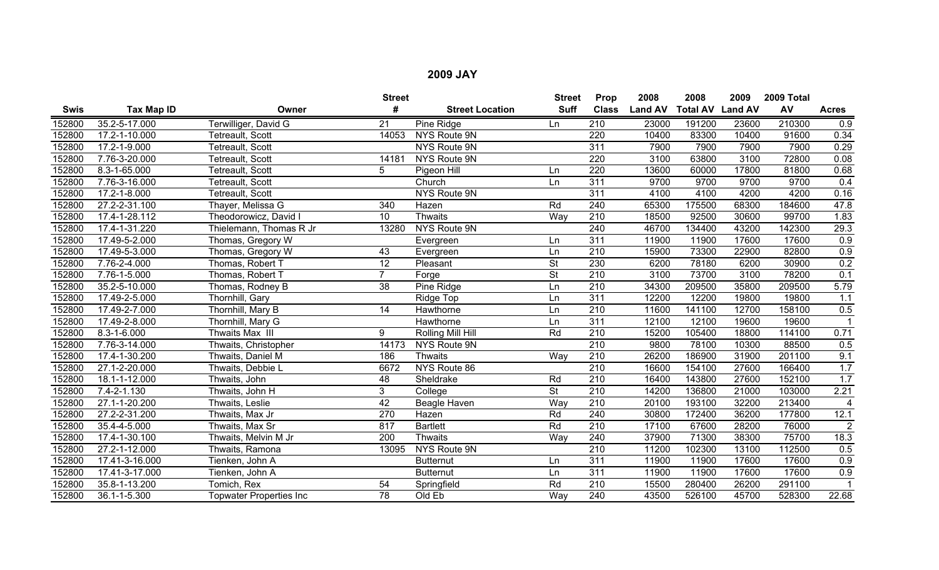|             |                |                                | <b>Street</b>    |                        | <b>Street</b>            | Prop             | 2008           | 2008                    | 2009  | 2009 Total |                        |
|-------------|----------------|--------------------------------|------------------|------------------------|--------------------------|------------------|----------------|-------------------------|-------|------------|------------------------|
| <b>Swis</b> | Tax Map ID     | Owner                          | #                | <b>Street Location</b> | <b>Suff</b>              | <b>Class</b>     | <b>Land AV</b> | <b>Total AV Land AV</b> |       | AV         | <b>Acres</b>           |
| 152800      | 35.2-5-17.000  | Terwilliger, David G           | 21               | Pine Ridge             | Ln                       | 210              | 23000          | 191200                  | 23600 | 210300     | 0.9                    |
| 152800      | 17.2-1-10.000  | Tetreault, Scott               | 14053            | NYS Route 9N           |                          | 220              | 10400          | 83300                   | 10400 | 91600      | 0.34                   |
| 152800      | 17.2-1-9.000   | Tetreault, Scott               |                  | NYS Route 9N           |                          | $\overline{311}$ | 7900           | 7900                    | 7900  | 7900       | 0.29                   |
| 152800      | 7.76-3-20.000  | Tetreault, Scott               | 14181            | NYS Route 9N           |                          | 220              | 3100           | 63800                   | 3100  | 72800      | 0.08                   |
| 152800      | 8.3-1-65.000   | Tetreault, Scott               | 5                | Pigeon Hill            | Ln                       | 220              | 13600          | 60000                   | 17800 | 81800      | 0.68                   |
| 152800      | 7.76-3-16.000  | Tetreault, Scott               |                  | Church                 | Ln                       | 311              | 9700           | 9700                    | 9700  | 9700       | 0.4                    |
| 152800      | 17.2-1-8.000   | Tetreault, Scott               |                  | <b>NYS Route 9N</b>    |                          | 311              | 4100           | 4100                    | 4200  | 4200       | 0.16                   |
| 152800      | 27.2-2-31.100  | Thayer, Melissa G              | 340              | Hazen                  | Rd                       | $\overline{240}$ | 65300          | 175500                  | 68300 | 184600     | 47.8                   |
| 152800      | 17.4-1-28.112  | Theodorowicz, David I          | 10               | <b>Thwaits</b>         | Way                      | 210              | 18500          | 92500                   | 30600 | 99700      | 1.83                   |
| 152800      | 17.4-1-31.220  | Thielemann, Thomas R Jr        | 13280            | NYS Route 9N           |                          | 240              | 46700          | 134400                  | 43200 | 142300     | 29.3                   |
| 152800      | 17.49-5-2.000  | Thomas, Gregory W              |                  | Evergreen              | Ln                       | $\overline{311}$ | 11900          | 11900                   | 17600 | 17600      | 0.9                    |
| 152800      | 17.49-5-3.000  | Thomas, Gregory W              | 43               | Evergreen              | Ln                       | $\overline{210}$ | 15900          | 73300                   | 22900 | 82800      | 0.9                    |
| 152800      | 7.76-2-4.000   | Thomas, Robert T               | 12               | Pleasant               | $\overline{\mathsf{St}}$ | 230              | 6200           | 78180                   | 6200  | 30900      | 0.2                    |
| 152800      | 7.76-1-5.000   | Thomas, Robert T               | $\overline{7}$   | Forge                  | $\overline{\mathsf{St}}$ | 210              | 3100           | 73700                   | 3100  | 78200      | 0.1                    |
| 152800      | 35.2-5-10.000  | Thomas, Rodney B               | 38               | Pine Ridge             | Ln                       | $\overline{210}$ | 34300          | 209500                  | 35800 | 209500     | 5.79                   |
| 152800      | 17.49-2-5.000  | Thornhill, Gary                |                  | Ridge Top              | Ln                       | 311              | 12200          | 12200                   | 19800 | 19800      | 1.1                    |
| 152800      | 17.49-2-7.000  | Thornhill, Mary B              | 14               | Hawthorne              | Ln                       | 210              | 11600          | 141100                  | 12700 | 158100     | 0.5                    |
| 152800      | 17.49-2-8.000  | Thornhill, Mary G              |                  | Hawthorne              | Ln                       | 311              | 12100          | 12100                   | 19600 | 19600      |                        |
| 152800      | 8.3-1-6.000    | Thwaits Max III                | 9                | Rolling Mill Hill      | Rd                       | 210              | 15200          | 105400                  | 18800 | 114100     | 0.71                   |
| 152800      | 7.76-3-14.000  | Thwaits, Christopher           | 14173            | NYS Route 9N           |                          | $\overline{210}$ | 9800           | 78100                   | 10300 | 88500      | 0.5                    |
| 152800      | 17.4-1-30.200  | Thwaits, Daniel M              | 186              | <b>Thwaits</b>         | Way                      | 210              | 26200          | 186900                  | 31900 | 201100     | 9.1                    |
| 152800      | 27.1-2-20.000  | Thwaits, Debbie L              | 6672             | NYS Route 86           |                          | $\overline{210}$ | 16600          | 154100                  | 27600 | 166400     | 1.7                    |
| 152800      | 18.1-1-12.000  | Thwaits, John                  | 48               | Sheldrake              | Rd                       | 210              | 16400          | 143800                  | 27600 | 152100     | 1.7                    |
| 152800      | 7.4-2-1.130    | Thwaits, John H                | 3                | College                | <b>St</b>                | 210              | 14200          | 136800                  | 21000 | 103000     | 2.21                   |
| 152800      | 27.1-1-20.200  | Thwaits, Leslie                | 42               | Beagle Haven           | Way                      | 210              | 20100          | 193100                  | 32200 | 213400     | $\boldsymbol{\Lambda}$ |
| 152800      | 27.2-2-31.200  | Thwaits, Max Jr                | $\overline{270}$ | Hazen                  | Rd                       | 240              | 30800          | 172400                  | 36200 | 177800     | 12.1                   |
| 152800      | 35.4-4-5.000   | Thwaits, Max Sr                | 817              | <b>Bartlett</b>        | Rd                       | 210              | 17100          | 67600                   | 28200 | 76000      | $\overline{2}$         |
| 152800      | 17.4-1-30.100  | Thwaits, Melvin M Jr           | 200              | <b>Thwaits</b>         | Way                      | 240              | 37900          | 71300                   | 38300 | 75700      | 18.3                   |
| 152800      | 27.2-1-12.000  | Thwaits, Ramona                | 13095            | NYS Route 9N           |                          | 210              | 11200          | 102300                  | 13100 | 112500     | 0.5                    |
| 152800      | 17.41-3-16.000 | Tienken, John A                |                  | <b>Butternut</b>       | Ln                       | 311              | 11900          | 11900                   | 17600 | 17600      | 0.9                    |
| 152800      | 17.41-3-17.000 | Tienken, John A                |                  | <b>Butternut</b>       | Ln                       | 311              | 11900          | 11900                   | 17600 | 17600      | 0.9                    |
| 152800      | 35.8-1-13.200  | Tomich, Rex                    | 54               | Springfield            | Rd                       | 210              | 15500          | 280400                  | 26200 | 291100     |                        |
| 152800      | 36.1-1-5.300   | <b>Topwater Properties Inc</b> | $\overline{78}$  | Old Eb                 | Way                      | 240              | 43500          | 526100                  | 45700 | 528300     | 22.68                  |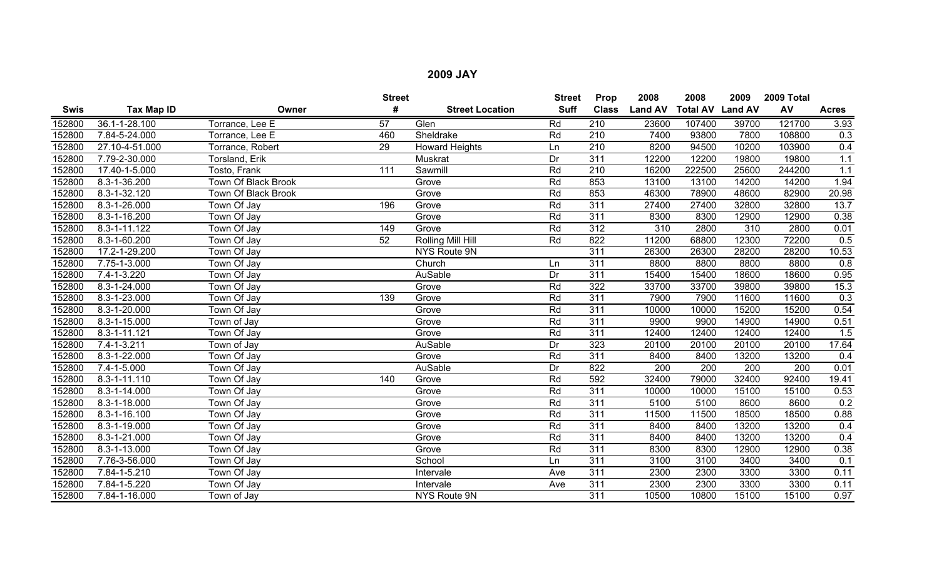|             |                    |                     | <b>Street</b>   |                        | <b>Street</b> | Prop             | 2008           | 2008                    | 2009  | 2009 Total       |                   |
|-------------|--------------------|---------------------|-----------------|------------------------|---------------|------------------|----------------|-------------------------|-------|------------------|-------------------|
| <b>Swis</b> | <b>Tax Map ID</b>  | Owner               | #               | <b>Street Location</b> | <b>Suff</b>   | <b>Class</b>     | <b>Land AV</b> | <b>Total AV Land AV</b> |       | AV               | <b>Acres</b>      |
| 152800      | 36.1-1-28.100      | Torrance, Lee E     | 57              | Glen                   | Rd            | $\overline{210}$ | 23600          | 107400                  | 39700 | 121700           | 3.93              |
| 152800      | 7.84-5-24.000      | Torrance, Lee E     | 460             | Sheldrake              | Rd            | 210              | 7400           | 93800                   | 7800  | 108800           | 0.3               |
| 152800      | 27.10-4-51.000     | Torrance, Robert    | $\overline{29}$ | <b>Howard Heights</b>  | Ln            | $\overline{210}$ | 8200           | 94500                   | 10200 | 103900           | 0.4               |
| 152800      | 7.79-2-30.000      | Torsland, Erik      |                 | Muskrat                | Dr            | $\overline{311}$ | 12200          | 12200                   | 19800 | 19800            | 1.1               |
| 152800      | 17.40-1-5.000      | Tosto, Frank        | 111             | Sawmill                | Rd            | 210              | 16200          | 222500                  | 25600 | 244200           | 1.1               |
| 152800      | 8.3-1-36.200       | Town Of Black Brook |                 | Grove                  | Rd            | 853              | 13100          | 13100                   | 14200 | 14200            | 1.94              |
| 152800      | 8.3-1-32.120       | Town Of Black Brook |                 | Grove                  | Rd            | 853              | 46300          | 78900                   | 48600 | 82900            | 20.98             |
| 152800      | 8.3-1-26.000       | Town Of Jay         | 196             | Grove                  | Rd            | $\overline{311}$ | 27400          | 27400                   | 32800 | 32800            | 13.7              |
| 152800      | 8.3-1-16.200       | Town Of Jay         |                 | Grove                  | Rd            | 311              | 8300           | 8300                    | 12900 | 12900            | 0.38              |
| 152800      | $8.3 - 1 - 11.122$ | Town Of Jay         | 149             | Grove                  | Rd            | 312              | 310            | 2800                    | 310   | 2800             | 0.01              |
| 152800      | 8.3-1-60.200       | Town Of Jay         | 52              | Rolling Mill Hill      | Rd            | 822              | 11200          | 68800                   | 12300 | 72200            | 0.5               |
| 152800      | 17.2-1-29.200      | Town Of Jay         |                 | NYS Route 9N           |               | $\overline{311}$ | 26300          | 26300                   | 28200 | 28200            | 10.53             |
| 152800      | 7.75-1-3.000       | Town Of Jay         |                 | Church                 | Ln            | 311              | 8800           | 8800                    | 8800  | 8800             | 0.8               |
| 152800      | 7.4-1-3.220        | Town Of Jay         |                 | AuSable                | Dr            | $\overline{311}$ | 15400          | 15400                   | 18600 | 18600            | 0.95              |
| 152800      | 8.3-1-24.000       | Town Of Jay         |                 | Grove                  | Rd            | 322              | 33700          | 33700                   | 39800 | 39800            | 15.3              |
| 152800      | 8.3-1-23.000       | Town Of Jay         | 139             | Grove                  | Rd            | $\overline{311}$ | 7900           | 7900                    | 11600 | 11600            | 0.3               |
| 152800      | 8.3-1-20.000       | Town Of Jay         |                 | Grove                  | Rd            | 311              | 10000          | 10000                   | 15200 | 15200            | 0.54              |
| 152800      | 8.3-1-15.000       | Town of Jay         |                 | Grove                  | Rd            | $\overline{311}$ | 9900           | 9900                    | 14900 | 14900            | 0.51              |
| 152800      | $8.3 - 1 - 11.121$ | Town Of Jay         |                 | Grove                  | Rd            | 311              | 12400          | 12400                   | 12400 | 12400            | 1.5               |
| 152800      | $7.4 - 1 - 3.211$  | Town of Jay         |                 | <b>AuSable</b>         | Dr            | 323              | 20100          | 20100                   | 20100 | 20100            | 17.64             |
| 152800      | 8.3-1-22.000       | Town Of Jay         |                 | Grove                  | Rd            | 311              | 8400           | 8400                    | 13200 | 13200            | 0.4               |
| 152800      | $7.4 - 1 - 5.000$  | Town Of Jay         |                 | AuSable                | Dr            | $\overline{822}$ | 200            | 200                     | 200   | $\overline{200}$ | 0.01              |
| 152800      | 8.3-1-11.110       | Town Of Jay         | 140             | Grove                  | Rd            | 592              | 32400          | 79000                   | 32400 | 92400            | 19.41             |
| 152800      | 8.3-1-14.000       | Town Of Jay         |                 | Grove                  | Rd            | 311              | 10000          | 10000                   | 15100 | 15100            | 0.53              |
| 152800      | 8.3-1-18.000       | Town Of Jay         |                 | Grove                  | Rd            | 311              | 5100           | 5100                    | 8600  | 8600             | 0.2               |
| 152800      | $8.3 - 1 - 16.100$ | Town Of Jay         |                 | Grove                  | Rd            | 311              | 11500          | 11500                   | 18500 | 18500            | 0.88              |
| 152800      | 8.3-1-19.000       | Town Of Jay         |                 | Grove                  | Rd            | 311              | 8400           | 8400                    | 13200 | 13200            | 0.4               |
| 152800      | 8.3-1-21.000       | Town Of Jay         |                 | Grove                  | Rd            | 311              | 8400           | 8400                    | 13200 | 13200            | 0.4               |
| 152800      | 8.3-1-13.000       | Town Of Jay         |                 | Grove                  | Rd            | 311              | 8300           | 8300                    | 12900 | 12900            | 0.38              |
| 152800      | 7.76-3-56.000      | Town Of Jay         |                 | School                 | Ln            | 311              | 3100           | 3100                    | 3400  | 3400             | 0.1               |
| 152800      | 7.84-1-5.210       | Town Of Jay         |                 | Intervale              | Ave           | 311              | 2300           | 2300                    | 3300  | 3300             | 0.11              |
| 152800      | 7.84-1-5.220       | Town Of Jay         |                 | Intervale              | Ave           | 311              | 2300           | 2300                    | 3300  | 3300             | 0.11              |
| 152800      | 7.84-1-16.000      | Town of Jay         |                 | NYS Route 9N           |               | 311              | 10500          | 10800                   | 15100 | 15100            | $\overline{0.97}$ |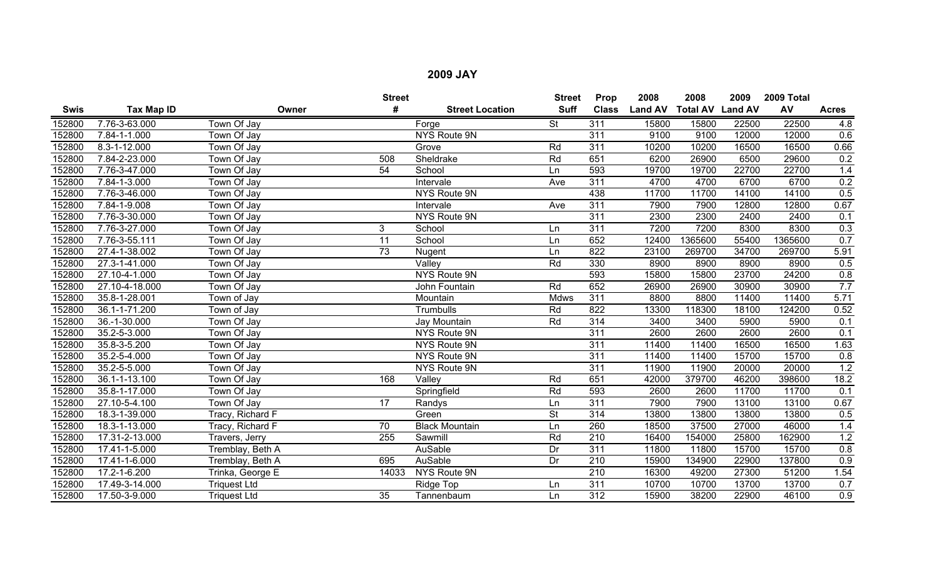|             |                    |                     | <b>Street</b>   |                        | <b>Street</b>            | Prop             | 2008           | 2008                    | 2009  | 2009 Total |                   |
|-------------|--------------------|---------------------|-----------------|------------------------|--------------------------|------------------|----------------|-------------------------|-------|------------|-------------------|
| <b>Swis</b> | Tax Map ID         | Owner               | #               | <b>Street Location</b> | <b>Suff</b>              | <b>Class</b>     | <b>Land AV</b> | <b>Total AV Land AV</b> |       | AV         | <b>Acres</b>      |
| 152800      | 7.76-3-63.000      | <b>Town Of Jay</b>  |                 | Forge                  | $\overline{\mathsf{St}}$ | 311              | 15800          | 15800                   | 22500 | 22500      | 4.8               |
| 152800      | $7.84 - 1 - 1.000$ | Town Of Jay         |                 | <b>NYS Route 9N</b>    |                          | $\overline{311}$ | 9100           | 9100                    | 12000 | 12000      | 0.6               |
| 152800      | 8.3-1-12.000       | Town Of Jay         |                 | Grove                  | Rd                       | 311              | 10200          | 10200                   | 16500 | 16500      | 0.66              |
| 152800      | 7.84-2-23.000      | <b>Town Of Jay</b>  | 508             | Sheldrake              | Rd                       | 651              | 6200           | 26900                   | 6500  | 29600      | 0.2               |
| 152800      | 7.76-3-47.000      | Town Of Jay         | 54              | School                 | Ln                       | 593              | 19700          | 19700                   | 22700 | 22700      | 1.4               |
| 152800      | 7.84-1-3.000       | Town Of Jay         |                 | Intervale              | Ave                      | 311              | 4700           | 4700                    | 6700  | 6700       | 0.2               |
| 152800      | 7.76-3-46.000      | Town Of Jay         |                 | NYS Route 9N           |                          | 438              | 11700          | 11700                   | 14100 | 14100      | 0.5               |
| 152800      | 7.84-1-9.008       | Town Of Jay         |                 | Intervale              | Ave                      | 311              | 7900           | 7900                    | 12800 | 12800      | 0.67              |
| 152800      | 7.76-3-30.000      | Town Of Jay         |                 | NYS Route 9N           |                          | 311              | 2300           | 2300                    | 2400  | 2400       | 0.1               |
| 152800      | 7.76-3-27.000      | Town Of Jay         | 3               | School                 | Ln                       | 311              | 7200           | 7200                    | 8300  | 8300       | 0.3               |
| 152800      | 7.76-3-55.111      | Town Of Jay         | $\overline{11}$ | School                 | Ln                       | 652              | 12400          | 1365600                 | 55400 | 1365600    | 0.7               |
| 152800      | 27.4-1-38.002      | <b>Town Of Jay</b>  | 73              | Nugent                 | Ln                       | 822              | 23100          | 269700                  | 34700 | 269700     | 5.91              |
| 152800      | 27.3-1-41.000      | Town Of Jay         |                 | Valley                 | Rd                       | 330              | 8900           | 8900                    | 8900  | 8900       | 0.5               |
| 152800      | 27.10-4-1.000      | Town Of Jay         |                 | NYS Route 9N           |                          | 593              | 15800          | 15800                   | 23700 | 24200      | $\frac{0.8}{7.7}$ |
| 152800      | 27.10-4-18.000     | Town Of Jay         |                 | John Fountain          | Rd                       | 652              | 26900          | 26900                   | 30900 | 30900      |                   |
| 152800      | 35.8-1-28.001      | Town of Jay         |                 | Mountain               | Mdws                     | 311              | 8800           | 8800                    | 11400 | 11400      | 5.71              |
| 152800      | 36.1-1-71.200      | Town of Jay         |                 | Trumbulls              | Rd                       | 822              | 13300          | 118300                  | 18100 | 124200     | 0.52              |
| 152800      | 36.-1-30.000       | <b>Town Of Jay</b>  |                 | Jay Mountain           | Rd                       | 314              | 3400           | 3400                    | 5900  | 5900       | 0.1               |
| 152800      | 35.2-5-3.000       | Town Of Jay         |                 | NYS Route 9N           |                          | $\overline{311}$ | 2600           | 2600                    | 2600  | 2600       | 0.1               |
| 152800      | 35.8-3-5.200       | <b>Town Of Jay</b>  |                 | NYS Route 9N           |                          | 311              | 11400          | 11400                   | 16500 | 16500      | 1.63              |
| 152800      | 35.2-5-4.000       | Town Of Jay         |                 | NYS Route 9N           |                          | 311              | 11400          | 11400                   | 15700 | 15700      | 0.8               |
| 152800      | $35.2 - 5 - 5.000$ | Town Of Jay         |                 | NYS Route 9N           |                          | 311              | 11900          | 11900                   | 20000 | 20000      | 1.2               |
| 152800      | 36.1-1-13.100      | Town Of Jay         | 168             | Valley                 | Rd                       | 651              | 42000          | 379700                  | 46200 | 398600     | 18.2              |
| 152800      | 35.8-1-17.000      | Town Of Jay         |                 | Springfield            | Rd                       | 593              | 2600           | 2600                    | 11700 | 11700      | 0.1               |
| 152800      | 27.10-5-4.100      | Town Of Jay         | $\overline{17}$ | Randys                 | Ln                       | 311              | 7900           | 7900                    | 13100 | 13100      | 0.67              |
| 152800      | 18.3-1-39.000      | Tracy, Richard F    |                 | Green                  | <b>St</b>                | 314              | 13800          | 13800                   | 13800 | 13800      | 0.5               |
| 152800      | 18.3-1-13.000      | Tracy, Richard F    | 70              | <b>Black Mountain</b>  | Ln                       | 260              | 18500          | 37500                   | 27000 | 46000      | 1.4               |
| 152800      | 17.31-2-13.000     | Travers, Jerry      | 255             | Sawmill                | Rd                       | $\overline{210}$ | 16400          | 154000                  | 25800 | 162900     | 1.2               |
| 152800      | 17.41-1-5.000      | Tremblay, Beth A    |                 | AuSable                | Dr                       | 311              | 11800          | 11800                   | 15700 | 15700      | 0.8               |
| 152800      | 17.41-1-6.000      | Tremblay, Beth A    | 695             | AuSable                | Dr                       | 210              | 15900          | 134900                  | 22900 | 137800     | 0.9               |
| 152800      | 17.2-1-6.200       | Trinka, George E    | 14033           | NYS Route 9N           |                          | $\overline{210}$ | 16300          | 49200                   | 27300 | 51200      | 1.54              |
| 152800      | 17.49-3-14.000     | <b>Triquest Ltd</b> |                 | Ridge Top              | Ln                       | 311              | 10700          | 10700                   | 13700 | 13700      | 0.7               |
| 152800      | 17.50-3-9.000      | <b>Triquest Ltd</b> | $\overline{35}$ | Tannenbaum             | Ln                       | 312              | 15900          | 38200                   | 22900 | 46100      | 0.9               |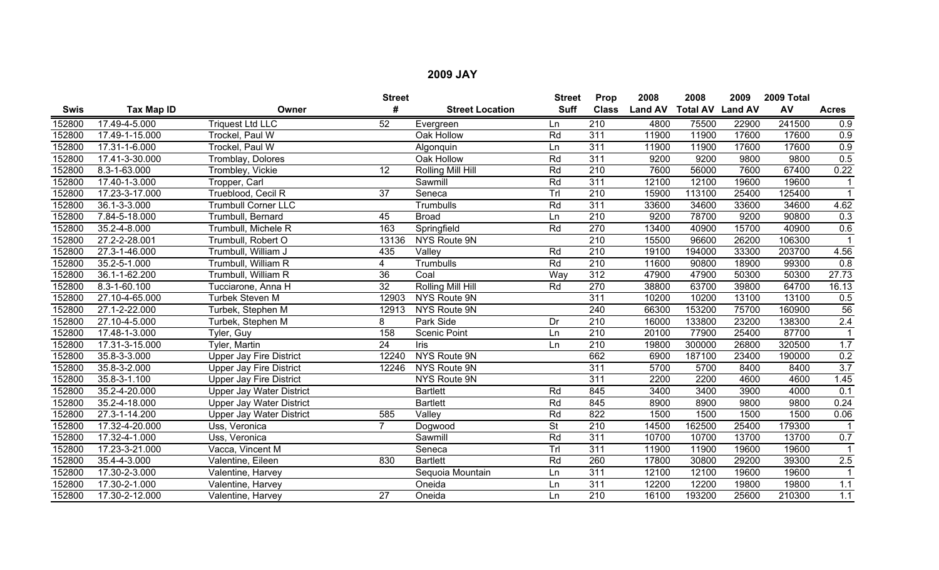|             |                |                                 | <b>Street</b>   |                          | <b>Street</b>            | Prop             | 2008           | 2008                    | 2009  | 2009 Total |                      |
|-------------|----------------|---------------------------------|-----------------|--------------------------|--------------------------|------------------|----------------|-------------------------|-------|------------|----------------------|
| <b>Swis</b> | Tax Map ID     | Owner                           | #               | <b>Street Location</b>   | <b>Suff</b>              | <b>Class</b>     | <b>Land AV</b> | <b>Total AV Land AV</b> |       | AV         | <b>Acres</b>         |
| 152800      | 17.49-4-5.000  | <b>Triquest Ltd LLC</b>         | $\overline{52}$ | Evergreen                | Ln                       | 210              | 4800           | 75500                   | 22900 | 241500     | 0.9                  |
| 152800      | 17.49-1-15.000 | Trockel, Paul W                 |                 | Oak Hollow               | Rd                       | 311              | 11900          | 11900                   | 17600 | 17600      | 0.9                  |
| 152800      | 17.31-1-6.000  | Trockel, Paul W                 |                 | Algonquin                | Ln                       | $\overline{311}$ | 11900          | 11900                   | 17600 | 17600      | 0.9                  |
| 152800      | 17.41-3-30.000 | Tromblay, Dolores               |                 | Oak Hollow               | Rd                       | 311              | 9200           | 9200                    | 9800  | 9800       | 0.5                  |
| 152800      | 8.3-1-63.000   | Trombley, Vickie                | 12              | Rolling Mill Hill        | Rd                       | 210              | 7600           | 56000                   | 7600  | 67400      | 0.22                 |
| 152800      | 17.40-1-3.000  | Tropper, Carl                   |                 | Sawmill                  | Rd                       | 311              | 12100          | 12100                   | 19600 | 19600      |                      |
| 152800      | 17.23-3-17.000 | Trueblood, Cecil R              | 37              | Seneca                   | Trl                      | 210              | 15900          | 113100                  | 25400 | 125400     | $\blacktriangleleft$ |
| 152800      | 36.1-3-3.000   | <b>Trumbull Corner LLC</b>      |                 | Trumbulls                | Rd                       | 311              | 33600          | 34600                   | 33600 | 34600      | 4.62                 |
| 152800      | 7.84-5-18.000  | Trumbull, Bernard               | 45              | <b>Broad</b>             | Ln                       | 210              | 9200           | 78700                   | 9200  | 90800      | 0.3                  |
| 152800      | 35.2-4-8.000   | Trumbull, Michele R             | 163             | Springfield              | Rd                       | 270              | 13400          | 40900                   | 15700 | 40900      | 0.6                  |
| 152800      | 27.2-2-28.001  | Trumbull, Robert O              | 13136           | <b>NYS Route 9N</b>      |                          | $\overline{210}$ | 15500          | 96600                   | 26200 | 106300     |                      |
| 152800      | 27.3-1-46.000  | Trumbull, William J             | 435             | Valley                   | Rd                       | 210              | 19100          | 194000                  | 33300 | 203700     | 4.56                 |
| 152800      | 35.2-5-1.000   | Trumbull, William R             | 4               | Trumbulls                | Rd                       | 210              | 11600          | 90800                   | 18900 | 99300      | 0.8                  |
| 152800      | 36.1-1-62.200  | Trumbull, William R             | 36              | Coal                     | Wav                      | 312              | 47900          | 47900                   | 50300 | 50300      | 27.73                |
| 152800      | 8.3-1-60.100   | Tucciarone, Anna H              | $\overline{32}$ | <b>Rolling Mill Hill</b> | Rd                       | 270              | 38800          | 63700                   | 39800 | 64700      | 16.13                |
| 152800      | 27.10-4-65.000 | <b>Turbek Steven M</b>          | 12903           | NYS Route 9N             |                          | 311              | 10200          | 10200                   | 13100 | 13100      | 0.5                  |
| 152800      | 27.1-2-22.000  | Turbek, Stephen M               | 12913           | NYS Route 9N             |                          | 240              | 66300          | 153200                  | 75700 | 160900     | 56                   |
| 152800      | 27.10-4-5.000  | Turbek, Stephen M               | 8               | Park Side                | Dr                       | 210              | 16000          | 133800                  | 23200 | 138300     | 2.4                  |
| 152800      | 17.48-1-3.000  | Tyler, Guy                      | 158             | <b>Scenic Point</b>      | Ln                       | 210              | 20100          | 77900                   | 25400 | 87700      |                      |
| 152800      | 17.31-3-15.000 | <b>Tyler, Martin</b>            | $\overline{24}$ | Iris                     | Ln                       | $\overline{210}$ | 19800          | 300000                  | 26800 | 320500     | 1.7                  |
| 152800      | 35.8-3-3.000   | Upper Jay Fire District         | 12240           | <b>NYS Route 9N</b>      |                          | 662              | 6900           | 187100                  | 23400 | 190000     | 0.2                  |
| 152800      | 35.8-3-2.000   | <b>Upper Jay Fire District</b>  | 12246           | NYS Route 9N             |                          | 311              | 5700           | 5700                    | 8400  | 8400       | 3.7                  |
| 152800      | 35.8-3-1.100   | <b>Upper Jay Fire District</b>  |                 | NYS Route 9N             |                          | 311              | 2200           | 2200                    | 4600  | 4600       | 1.45                 |
| 152800      | 35.2-4-20.000  | <b>Upper Jay Water District</b> |                 | <b>Bartlett</b>          | Rd                       | 845              | 3400           | 3400                    | 3900  | 4000       | 0.1                  |
| 152800      | 35.2-4-18.000  | <b>Upper Jay Water District</b> |                 | <b>Bartlett</b>          | Rd                       | 845              | 8900           | 8900                    | 9800  | 9800       | 0.24                 |
| 152800      | 27.3-1-14.200  | <b>Upper Jay Water District</b> | 585             | Valley                   | Rd                       | 822              | 1500           | 1500                    | 1500  | 1500       | 0.06                 |
| 152800      | 17.32-4-20.000 | Uss, Veronica                   | $\overline{7}$  | Dogwood                  | $\overline{\mathsf{St}}$ | 210              | 14500          | 162500                  | 25400 | 179300     |                      |
| 152800      | 17.32-4-1.000  | Uss, Veronica                   |                 | Sawmill                  | Rd                       | 311              | 10700          | 10700                   | 13700 | 13700      | 0.7                  |
| 152800      | 17.23-3-21.000 | Vacca, Vincent M                |                 | Seneca                   | Trl                      | 311              | 11900          | 11900                   | 19600 | 19600      |                      |
| 152800      | 35.4-4-3.000   | Valentine, Eileen               | 830             | <b>Bartlett</b>          | Rd                       | 260              | 17800          | 30800                   | 29200 | 39300      | 2.5                  |
| 152800      | 17.30-2-3.000  | Valentine, Harvey               |                 | Sequoia Mountain         | Ln                       | 311              | 12100          | 12100                   | 19600 | 19600      | $\mathbf{1}$         |
| 152800      | 17.30-2-1.000  | Valentine, Harvey               |                 | Oneida                   | Ln                       | 311              | 12200          | 12200                   | 19800 | 19800      | 1.1                  |
| 152800      | 17.30-2-12.000 | Valentine, Harvey               | $\overline{27}$ | Oneida                   | Ln                       | 210              | 16100          | 193200                  | 25600 | 210300     | 1.1                  |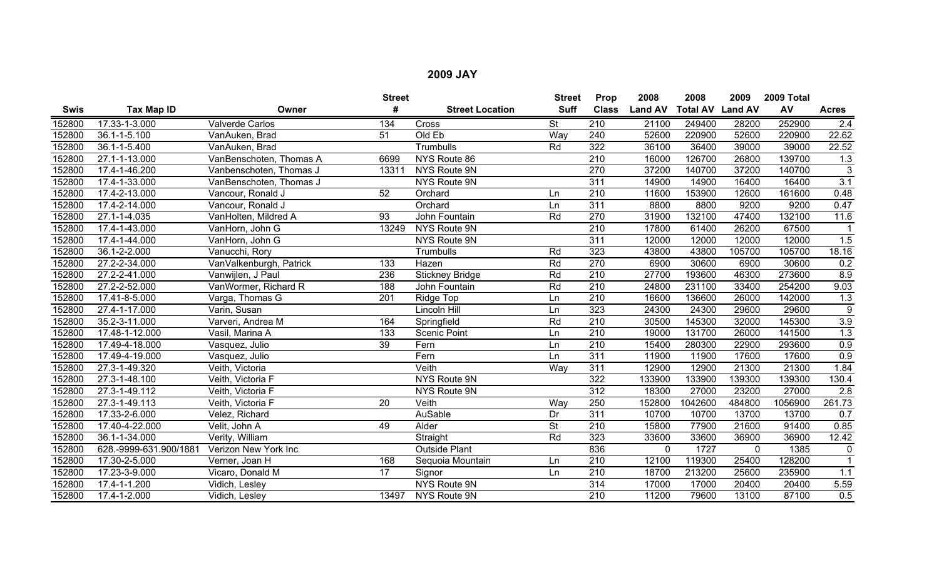|             |                        |                         | <b>Street</b>   |                        | <b>Street</b>            | Prop             | 2008           | 2008                    | 2009   | 2009 Total |                  |
|-------------|------------------------|-------------------------|-----------------|------------------------|--------------------------|------------------|----------------|-------------------------|--------|------------|------------------|
| <b>Swis</b> | Tax Map ID             | Owner                   | #               | <b>Street Location</b> | <b>Suff</b>              | <b>Class</b>     | <b>Land AV</b> | <b>Total AV Land AV</b> |        | AV         | <b>Acres</b>     |
| 152800      | 17.33-1-3.000          | <b>Valverde Carlos</b>  | 134             | Cross                  | $\overline{\mathsf{St}}$ | 210              | 21100          | 249400                  | 28200  | 252900     | 2.4              |
| 152800      | $36.1 - 1 - 5.100$     | VanAuken, Brad          | 51              | Old Eb                 | Way                      | 240              | 52600          | 220900                  | 52600  | 220900     | 22.62            |
| 152800      | 36.1-1-5.400           | VanAuken, Brad          |                 | <b>Trumbulls</b>       | Rd                       | 322              | 36100          | 36400                   | 39000  | 39000      | 22.52            |
| 152800      | 27.1-1-13.000          | VanBenschoten, Thomas A | 6699            | NYS Route 86           |                          | 210              | 16000          | 126700                  | 26800  | 139700     | 1.3              |
| 152800      | 17.4-1-46.200          | Vanbenschoten, Thomas J | 13311           | NYS Route 9N           |                          | 270              | 37200          | 140700                  | 37200  | 140700     | $\mathbf{3}$     |
| 152800      | 17.4-1-33.000          | VanBenschoten, Thomas J |                 | NYS Route 9N           |                          | 311              | 14900          | 14900                   | 16400  | 16400      | 3.1              |
| 152800      | 17.4-2-13.000          | Vancour, Ronald J       | 52              | Orchard                | Ln                       | 210              | 11600          | 153900                  | 12600  | 161600     | 0.48             |
| 152800      | 17.4-2-14.000          | Vancour, Ronald J       |                 | Orchard                | Ln                       | 311              | 8800           | 8800                    | 9200   | 9200       | 0.47             |
| 152800      | 27.1-1-4.035           | VanHolten, Mildred A    | 93              | John Fountain          | Rd                       | 270              | 31900          | 132100                  | 47400  | 132100     | 11.6             |
| 152800      | 17.4-1-43.000          | VanHorn, John G         | 13249           | NYS Route 9N           |                          | $\overline{210}$ | 17800          | 61400                   | 26200  | 67500      |                  |
| 152800      | 17.4-1-44.000          | VanHorn, John G         |                 | NYS Route 9N           |                          | $\overline{311}$ | 12000          | 12000                   | 12000  | 12000      | 1.5              |
| 152800      | 36.1-2-2.000           | Vanucchi, Rory          |                 | Trumbulls              | Rd                       | 323              | 43800          | 43800                   | 105700 | 105700     | 18.16            |
| 152800      | 27.2-2-34.000          | VanValkenburgh, Patrick | 133             | Hazen                  | Rd                       | 270              | 6900           | 30600                   | 6900   | 30600      | 0.2              |
| 152800      | 27.2-2-41.000          | Vanwijlen, J Paul       | 236             | <b>Stickney Bridge</b> | Rd                       | 210              | 27700          | 193600                  | 46300  | 273600     | 8.9              |
| 152800      | 27.2-2-52.000          | VanWormer, Richard R    | 188             | John Fountain          | Rd                       | $\overline{210}$ | 24800          | 231100                  | 33400  | 254200     | 9.03             |
| 152800      | 17.41-8-5.000          | Varga, Thomas G         | 201             | Ridge Top              | Ln                       | 210              | 16600          | 136600                  | 26000  | 142000     | 1.3              |
| 152800      | 27.4-1-17.000          | Varin, Susan            |                 | Lincoln Hill           | Ln                       | 323              | 24300          | 24300                   | 29600  | 29600      | $\overline{9}$   |
| 152800      | 35.2-3-11.000          | Varveri, Andrea M       | 164             | Springfield            | Rd                       | 210              | 30500          | 145300                  | 32000  | 145300     | 3.9              |
| 152800      | 17.48-1-12.000         | Vasil, Marina A         | 133             | <b>Scenic Point</b>    | Ln                       | $\overline{210}$ | 19000          | 131700                  | 26000  | 141500     | 1.3              |
| 152800      | 17.49-4-18.000         | Vasquez, Julio          | $\overline{39}$ | Fern                   | Ln                       | $\overline{210}$ | 15400          | 280300                  | 22900  | 293600     | 0.9              |
| 152800      | 17.49-4-19.000         | Vasquez, Julio          |                 | Fern                   | Ln.                      | 311              | 11900          | 11900                   | 17600  | 17600      | 0.9              |
| 152800      | 27.3-1-49.320          | Veith, Victoria         |                 | Veith                  | Way                      | 311              | 12900          | 12900                   | 21300  | 21300      | 1.84             |
| 152800      | 27.3-1-48.100          | Veith, Victoria F       |                 | NYS Route 9N           |                          | 322              | 133900         | 133900                  | 139300 | 139300     | 130.4            |
| 152800      | 27.3-1-49.112          | Veith, Victoria F       |                 | NYS Route 9N           |                          | 312              | 18300          | 27000                   | 23200  | 27000      | 2.8              |
| 152800      | 27.3-1-49.113          | Veith, Victoria F       | $\overline{20}$ | Veith                  | Way                      | 250              | 152800         | 1042600                 | 484800 | 1056900    | 261.73           |
| 152800      | 17.33-2-6.000          | Velez, Richard          |                 | AuSable                | Dr                       | 311              | 10700          | 10700                   | 13700  | 13700      | 0.7              |
| 152800      | 17.40-4-22.000         | Velit, John A           | 49              | Alder                  | <b>St</b>                | 210              | 15800          | 77900                   | 21600  | 91400      | 0.85             |
| 152800      | 36.1-1-34.000          | Verity, William         |                 | Straight               | Rd                       | 323              | 33600          | 33600                   | 36900  | 36900      | 12.42            |
| 152800      | 628.-9999-631.900/1881 | Verizon New York Inc    |                 | <b>Outside Plant</b>   |                          | 836              | 0              | 1727                    | 0      | 1385       | 0                |
| 152800      | 17.30-2-5.000          | Verner, Joan H          | 168             | Sequoia Mountain       | Ln                       | 210              | 12100          | 119300                  | 25400  | 128200     |                  |
| 152800      | 17.23-3-9.000          | Vicaro, Donald M        | 17              | Signor                 | Ln                       | 210              | 18700          | 213200                  | 25600  | 235900     | $\overline{1.1}$ |
| 152800      | 17.4-1-1.200           | Vidich, Lesley          |                 | NYS Route 9N           |                          | 314              | 17000          | 17000                   | 20400  | 20400      | 5.59             |
| 152800      | 17.4-1-2.000           | Vidich, Lesley          | 13497           | NYS Route 9N           |                          | 210              | 11200          | 79600                   | 13100  | 87100      | 0.5              |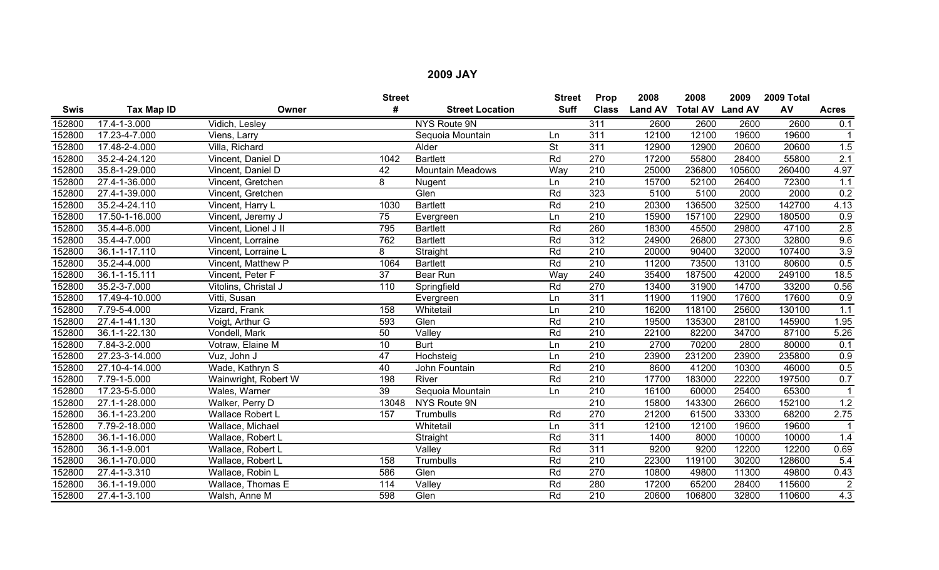|             |                   |                         | <b>Street</b>   |                             | <b>Street</b>            | Prop             | 2008           | 2008                    | 2009   | 2009 Total |              |
|-------------|-------------------|-------------------------|-----------------|-----------------------------|--------------------------|------------------|----------------|-------------------------|--------|------------|--------------|
| <b>Swis</b> | <b>Tax Map ID</b> | Owner                   | #               | <b>Street Location</b>      | <b>Suff</b>              | <b>Class</b>     | <b>Land AV</b> | <b>Total AV Land AV</b> |        | AV         | <b>Acres</b> |
| 152800      | 17.4-1-3.000      | Vidich, Lesley          |                 | <b>NYS Route 9N</b>         |                          | 311              | 2600           | 2600                    | 2600   | 2600       | 0.1          |
| 152800      | 17.23-4-7.000     | Viens, Larry            |                 | Sequoia Mountain            | Ln                       | 311              | 12100          | 12100                   | 19600  | 19600      |              |
| 152800      | 17.48-2-4.000     | Villa, Richard          |                 | Alder                       | $\overline{\mathsf{St}}$ | $\overline{311}$ | 12900          | 12900                   | 20600  | 20600      | 1.5          |
| 152800      | 35.2-4-24.120     | Vincent, Daniel D       | 1042            | <b>Bartlett</b>             | Rd                       | 270              | 17200          | 55800                   | 28400  | 55800      | 2.1          |
| 152800      | 35.8-1-29.000     | Vincent, Daniel D       | 42              | <b>Mountain Meadows</b>     | Way                      | $\overline{210}$ | 25000          | 236800                  | 105600 | 260400     | 4.97         |
| 152800      | 27.4-1-36.000     | Vincent, Gretchen       | 8               | Nugent                      | Ln                       | $\overline{210}$ | 15700          | 52100                   | 26400  | 72300      | 1.1          |
| 152800      | 27.4-1-39.000     | Vincent, Gretchen       |                 | Glen                        | Rd                       | 323              | 5100           | 5100                    | 2000   | 2000       | 0.2          |
| 152800      | 35.2-4-24.110     | Vincent, Harry L        | 1030            | <b>Bartlett</b>             | Rd                       | $\overline{210}$ | 20300          | 136500                  | 32500  | 142700     | 4.13         |
| 152800      | 17.50-1-16.000    | Vincent, Jeremy J       | 75              | Evergreen                   | Ln                       | 210              | 15900          | 157100                  | 22900  | 180500     | 0.9          |
| 152800      | 35.4-4-6.000      | Vincent, Lionel J II    | 795             | <b>Bartlett</b>             | Rd                       | 260              | 18300          | 45500                   | 29800  | 47100      | 2.8          |
| 152800      | 35.4-4-7.000      | Vincent, Lorraine       | 762             | <b>Bartlett</b>             | Rd                       | 312              | 24900          | 26800                   | 27300  | 32800      | 9.6          |
| 152800      | 36.1-1-17.110     | Vincent, Lorraine L     | 8               | Straight                    | Rd                       | $\overline{210}$ | 20000          | 90400                   | 32000  | 107400     | 3.9          |
| 152800      | 35.2-4-4.000      | Vincent, Matthew P      | 1064            | <b>Bartlett</b>             | Rd                       | $\overline{210}$ | 11200          | 73500                   | 13100  | 80600      | 0.5          |
| 152800      | 36.1-1-15.111     | Vincent, Peter F        | $\overline{37}$ | Bear Run                    | Way                      | 240              | 35400          | 187500                  | 42000  | 249100     | $18.5$       |
| 152800      | 35.2-3-7.000      | Vitolins, Christal J    | 110             | Springfield                 | Rd                       | 270              | 13400          | 31900                   | 14700  | 33200      | 0.56         |
| 152800      | 17.49-4-10.000    | Vitti, Susan            |                 | Evergreen                   | Ln                       | 311              | 11900          | 11900                   | 17600  | 17600      | 0.9          |
| 152800      | 7.79-5-4.000      | Vizard, Frank           | 158             | Whitetail                   | Ln                       | 210              | 16200          | 118100                  | 25600  | 130100     | 1.1          |
| 152800      | 27.4-1-41.130     | Voigt, Arthur G         | 593             | Glen                        | Rd                       | $\overline{210}$ | 19500          | 135300                  | 28100  | 145900     | 1.95         |
| 152800      | 36.1-1-22.130     | Vondell, Mark           | 50              | $\overline{\mathsf{Value}}$ | Rd                       | 210              | 22100          | 82200                   | 34700  | 87100      | 5.26         |
| 152800      | 7.84-3-2.000      | Votraw, Elaine M        | 10              | <b>Burt</b>                 | Ln                       | $\overline{210}$ | 2700           | 70200                   | 2800   | 80000      | 0.1          |
| 152800      | 27.23-3-14.000    | Vuz, John J             | $\overline{47}$ | Hochsteig                   | Ln                       | $\overline{210}$ | 23900          | 231200                  | 23900  | 235800     | 0.9          |
| 152800      | 27.10-4-14.000    | Wade, Kathryn S         | 40              | John Fountain               | Rd                       | 210              | 8600           | 41200                   | 10300  | 46000      | 0.5          |
| 152800      | 7.79-1-5.000      | Wainwright, Robert W    | 198             | River                       | Rd                       | 210              | 17700          | 183000                  | 22200  | 197500     | 0.7          |
| 152800      | 17.23-5-5.000     | Wales, Warner           | 39              | Sequoia Mountain            | Ln                       | $\overline{210}$ | 16100          | 60000                   | 25400  | 65300      | $\mathbf{1}$ |
| 152800      | 27.1-1-28.000     | Walker, Perry D         | 13048           | NYS Route 9N                |                          | $\overline{210}$ | 15800          | 143300                  | 26600  | 152100     | 1.2          |
| 152800      | 36.1-1-23.200     | <b>Wallace Robert L</b> | 157             | Trumbulls                   | Rd                       | 270              | 21200          | 61500                   | 33300  | 68200      | 2.75         |
| 152800      | 7.79-2-18.000     | Wallace, Michael        |                 | Whitetail                   | Ln                       | 311              | 12100          | 12100                   | 19600  | 19600      |              |
| 152800      | 36.1-1-16.000     | Wallace, Robert L       |                 | Straight                    | Rd                       | $\overline{311}$ | 1400           | 8000                    | 10000  | 10000      | 1.4          |
| 152800      | 36.1-1-9.001      | Wallace, Robert L       |                 | Valley                      | Rd                       | 311              | 9200           | 9200                    | 12200  | 12200      | 0.69         |
| 152800      | 36.1-1-70.000     | Wallace, Robert L       | 158             | Trumbulls                   | Rd                       | 210              | 22300          | 119100                  | 30200  | 128600     | 5.4          |
| 152800      | 27.4-1-3.310      | Wallace, Robin L        | 586             | Glen                        | Rd                       | 270              | 10800          | 49800                   | 11300  | 49800      | 0.43         |
| 152800      | 36.1-1-19.000     | Wallace, Thomas E       | 114             | Valley                      | Rd                       | 280              | 17200          | 65200                   | 28400  | 115600     | $\sqrt{2}$   |
| 152800      | 27.4-1-3.100      | Walsh, Anne M           | 598             | Glen                        | Rd                       | 210              | 20600          | 106800                  | 32800  | 110600     | 4.3          |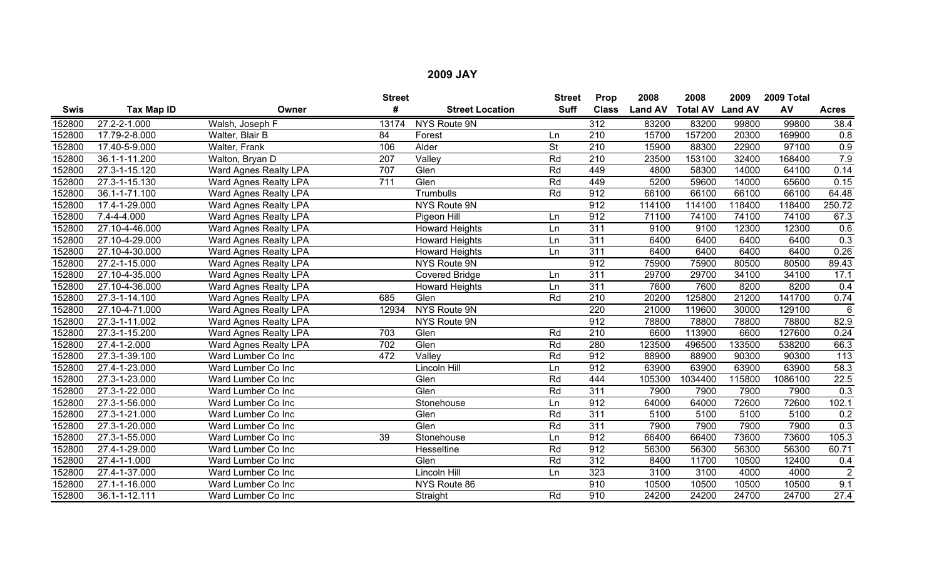|             |                   |                       | <b>Street</b> |                        | <b>Street</b>            | Prop             | 2008           | 2008                    | 2009   | 2009 Total |                  |
|-------------|-------------------|-----------------------|---------------|------------------------|--------------------------|------------------|----------------|-------------------------|--------|------------|------------------|
| <b>Swis</b> | <b>Tax Map ID</b> | Owner                 | #             | <b>Street Location</b> | <b>Suff</b>              | <b>Class</b>     | <b>Land AV</b> | <b>Total AV Land AV</b> |        | AV         | <b>Acres</b>     |
| 152800      | 27.2-2-1.000      | Walsh, Joseph F       | 13174         | NYS Route 9N           |                          | 312              | 83200          | 83200                   | 99800  | 99800      | 38.4             |
| 152800      | 17.79-2-8.000     | Walter, Blair B       | 84            | Forest                 | Ln                       | 210              | 15700          | 157200                  | 20300  | 169900     | 0.8              |
| 152800      | 17.40-5-9.000     | Walter, Frank         | 106           | Alder                  | $\overline{\mathsf{St}}$ | $\overline{210}$ | 15900          | 88300                   | 22900  | 97100      | 0.9              |
| 152800      | 36.1-1-11.200     | Walton, Bryan D       | 207           | Valley                 | Rd                       | 210              | 23500          | 153100                  | 32400  | 168400     | 7.9              |
| 152800      | 27.3-1-15.120     | Ward Agnes Realty LPA | 707           | Glen                   | Rd                       | 449              | 4800           | 58300                   | 14000  | 64100      | 0.14             |
| 152800      | 27.3-1-15.130     | Ward Agnes Realty LPA | 711           | Glen                   | Rd                       | 449              | 5200           | 59600                   | 14000  | 65600      | 0.15             |
| 152800      | 36.1-1-71.100     | Ward Agnes Realty LPA |               | Trumbulls              | Rd                       | 912              | 66100          | 66100                   | 66100  | 66100      | 64.48            |
| 152800      | 17.4-1-29.000     | Ward Agnes Realty LPA |               | NYS Route 9N           |                          | 912              | 114100         | 114100                  | 118400 | 118400     | 250.72           |
| 152800      | 7.4-4-4.000       | Ward Agnes Realty LPA |               | Pigeon Hill            | Ln                       | 912              | 71100          | 74100                   | 74100  | 74100      | 67.3             |
| 152800      | 27.10-4-46.000    | Ward Agnes Realty LPA |               | <b>Howard Heights</b>  | Ln                       | 311              | 9100           | 9100                    | 12300  | 12300      | 0.6              |
| 152800      | 27.10-4-29.000    | Ward Agnes Realty LPA |               | <b>Howard Heights</b>  | Ln                       | $\overline{311}$ | 6400           | 6400                    | 6400   | 6400       | 0.3              |
| 152800      | 27.10-4-30.000    | Ward Agnes Realty LPA |               | <b>Howard Heights</b>  | Ln                       | $\overline{311}$ | 6400           | 6400                    | 6400   | 6400       | 0.26             |
| 152800      | 27.2-1-15.000     | Ward Agnes Realty LPA |               | NYS Route 9N           |                          | 912              | 75900          | 75900                   | 80500  | 80500      | 89.43            |
| 152800      | 27.10-4-35.000    | Ward Agnes Realty LPA |               | <b>Covered Bridge</b>  | Ln                       | 311              | 29700          | 29700                   | 34100  | 34100      | 17.1             |
| 152800      | 27.10-4-36.000    | Ward Agnes Realty LPA |               | <b>Howard Heights</b>  | Ln                       | 311              | 7600           | 7600                    | 8200   | 8200       | 0.4              |
| 152800      | 27.3-1-14.100     | Ward Agnes Realty LPA | 685           | Glen                   | Rd                       | 210              | 20200          | 125800                  | 21200  | 141700     | 0.74             |
| 152800      | 27.10-4-71.000    | Ward Agnes Realty LPA | 12934         | NYS Route 9N           |                          | 220              | 21000          | 119600                  | 30000  | 129100     | 6                |
| 152800      | 27.3-1-11.002     | Ward Agnes Realty LPA |               | NYS Route 9N           |                          | 912              | 78800          | 78800                   | 78800  | 78800      | 82.9             |
| 152800      | 27.3-1-15.200     | Ward Agnes Realty LPA | 703           | Glen                   | Rd                       | 210              | 6600           | 113900                  | 6600   | 127600     | 0.24             |
| 152800      | 27.4-1-2.000      | Ward Agnes Realty LPA | 702           | Glen                   | Rd                       | 280              | 123500         | 496500                  | 133500 | 538200     | 66.3             |
| 152800      | 27.3-1-39.100     | Ward Lumber Co Inc    | 472           | Valley                 | Rd                       | 912              | 88900          | 88900                   | 90300  | 90300      | $\overline{113}$ |
| 152800      | 27.4-1-23.000     | Ward Lumber Co Inc    |               | Lincoln Hill           | Ln                       | 912              | 63900          | 63900                   | 63900  | 63900      | 58.3             |
| 152800      | 27.3-1-23.000     | Ward Lumber Co Inc    |               | Glen                   | Rd                       | 444              | 105300         | 1034400                 | 115800 | 1086100    | 22.5             |
| 152800      | 27.3-1-22.000     | Ward Lumber Co Inc    |               | Glen                   | Rd                       | 311              | 7900           | 7900                    | 7900   | 7900       | 0.3              |
| 152800      | 27.3-1-56.000     | Ward Lumber Co Inc    |               | Stonehouse             | Ln                       | 912              | 64000          | 64000                   | 72600  | 72600      | 102.1            |
| 152800      | 27.3-1-21.000     | Ward Lumber Co Inc    |               | Glen                   | Rd                       | $\overline{311}$ | 5100           | 5100                    | 5100   | 5100       | 0.2              |
| 152800      | 27.3-1-20.000     | Ward Lumber Co Inc    |               | Glen                   | Rd                       | 311              | 7900           | 7900                    | 7900   | 7900       | 0.3              |
| 152800      | 27.3-1-55.000     | Ward Lumber Co Inc    | 39            | Stonehouse             | Ln                       | 912              | 66400          | 66400                   | 73600  | 73600      | 105.3            |
| 152800      | 27.4-1-29.000     | Ward Lumber Co Inc    |               | Hesseltine             | Rd                       | 912              | 56300          | 56300                   | 56300  | 56300      | 60.71            |
| 152800      | 27.4-1-1.000      | Ward Lumber Co Inc    |               | Glen                   | Rd                       | 312              | 8400           | 11700                   | 10500  | 12400      | 0.4              |
| 152800      | 27.4-1-37.000     | Ward Lumber Co Inc    |               | Lincoln Hill           | Ln                       | 323              | 3100           | 3100                    | 4000   | 4000       | $\overline{2}$   |
| 152800      | 27.1-1-16.000     | Ward Lumber Co Inc    |               | NYS Route 86           |                          | 910              | 10500          | 10500                   | 10500  | 10500      | 9.1              |
| 152800      | 36.1-1-12.111     | Ward Lumber Co Inc    |               | Straight               | Rd                       | 910              | 24200          | 24200                   | 24700  | 24700      | 27.4             |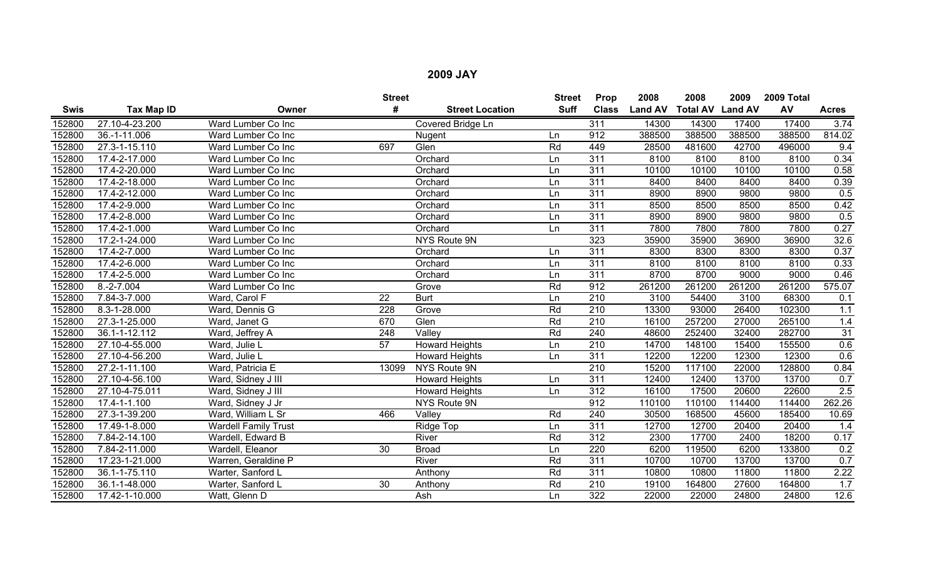|             |                |                             | <b>Street</b> |                        | <b>Street</b> | Prop             | 2008           | 2008                    | 2009   | 2009 Total |              |
|-------------|----------------|-----------------------------|---------------|------------------------|---------------|------------------|----------------|-------------------------|--------|------------|--------------|
| <b>Swis</b> | Tax Map ID     | Owner                       | #             | <b>Street Location</b> | <b>Suff</b>   | <b>Class</b>     | <b>Land AV</b> | <b>Total AV Land AV</b> |        | AV         | <b>Acres</b> |
| 152800      | 27.10-4-23.200 | Ward Lumber Co Inc          |               | Covered Bridge Ln      |               | 311              | 14300          | 14300                   | 17400  | 17400      | 3.74         |
| 152800      | 36.-1-11.006   | Ward Lumber Co Inc          |               | Nugent                 | Ln            | 912              | 388500         | 388500                  | 388500 | 388500     | 814.02       |
| 152800      | 27.3-1-15.110  | Ward Lumber Co Inc          | 697           | Glen                   | Rd            | 449              | 28500          | 481600                  | 42700  | 496000     | 9.4          |
| 152800      | 17.4-2-17.000  | Ward Lumber Co Inc          |               | Orchard                | Ln            | $\overline{311}$ | 8100           | 8100                    | 8100   | 8100       | 0.34         |
| 152800      | 17.4-2-20.000  | Ward Lumber Co Inc          |               | Orchard                | Ln            | $\overline{311}$ | 10100          | 10100                   | 10100  | 10100      | 0.58         |
| 152800      | 17.4-2-18.000  | Ward Lumber Co Inc          |               | Orchard                | Ln            | 311              | 8400           | 8400                    | 8400   | 8400       | 0.39         |
| 152800      | 17.4-2-12.000  | Ward Lumber Co Inc          |               | Orchard                | Ln            | 311              | 8900           | 8900                    | 9800   | 9800       | 0.5          |
| 152800      | 17.4-2-9.000   | Ward Lumber Co Inc          |               | Orchard                | Ln            | 311              | 8500           | 8500                    | 8500   | 8500       | 0.42         |
| 152800      | 17.4-2-8.000   | Ward Lumber Co Inc          |               | Orchard                | Ln.           | 311              | 8900           | 8900                    | 9800   | 9800       | 0.5          |
| 152800      | 17.4-2-1.000   | Ward Lumber Co Inc          |               | Orchard                | Ln            | 311              | 7800           | 7800                    | 7800   | 7800       | 0.27         |
| 152800      | 17.2-1-24.000  | Ward Lumber Co Inc          |               | NYS Route 9N           |               | 323              | 35900          | 35900                   | 36900  | 36900      | 32.6         |
| 152800      | 17.4-2-7.000   | Ward Lumber Co Inc          |               | Orchard                | Ln            | 311              | 8300           | 8300                    | 8300   | 8300       | 0.37         |
| 152800      | 17.4-2-6.000   | Ward Lumber Co Inc          |               | Orchard                | Ln            | 311              | 8100           | 8100                    | 8100   | 8100       | 0.33         |
| 152800      | 17.4-2-5.000   | Ward Lumber Co Inc          |               | Orchard                | Ln            | 311              | 8700           | 8700                    | 9000   | 9000       | 0.46         |
| 152800      | $8.-2-7.004$   | Ward Lumber Co Inc          |               | Grove                  | Rd            | 912              | 261200         | 261200                  | 261200 | 261200     | 575.07       |
| 152800      | 7.84-3-7.000   | Ward, Carol F               | 22            | <b>Burt</b>            | Ln            | 210              | 3100           | 54400                   | 3100   | 68300      | 0.1          |
| 152800      | 8.3-1-28.000   | Ward, Dennis G              | 228           | Grove                  | Rd            | 210              | 13300          | 93000                   | 26400  | 102300     | 1.1          |
| 152800      | 27.3-1-25.000  | Ward, Janet G               | 670           | Glen                   | Rd            | 210              | 16100          | 257200                  | 27000  | 265100     | 1.4          |
| 152800      | 36.1-1-12.112  | Ward, Jeffrey A             | 248           | Valley                 | Rd            | 240              | 48600          | 252400                  | 32400  | 282700     | 31           |
| 152800      | 27.10-4-55.000 | Ward, Julie L               | 57            | <b>Howard Heights</b>  | Ln            | 210              | 14700          | 148100                  | 15400  | 155500     | 0.6          |
| 152800      | 27.10-4-56.200 | Ward, Julie L               |               | <b>Howard Heights</b>  | Ln            | 311              | 12200          | 12200                   | 12300  | 12300      | 0.6          |
| 152800      | 27.2-1-11.100  | Ward, Patricia E            | 13099         | NYS Route 9N           |               | 210              | 15200          | 117100                  | 22000  | 128800     | 0.84         |
| 152800      | 27.10-4-56.100 | Ward, Sidney J III          |               | <b>Howard Heights</b>  | Ln            | $\overline{311}$ | 12400          | 12400                   | 13700  | 13700      | 0.7          |
| 152800      | 27.10-4-75.011 | Ward, Sidney J III          |               | <b>Howard Heights</b>  | Ln            | 312              | 16100          | 17500                   | 20600  | 22600      | 2.5          |
| 152800      | 17.4-1-1.100   | Ward, Sidney J Jr           |               | NYS Route 9N           |               | 912              | 110100         | 110100                  | 114400 | 114400     | 262.26       |
| 152800      | 27.3-1-39.200  | Ward, William L Sr          | 466           | Valley                 | Rd            | 240              | 30500          | 168500                  | 45600  | 185400     | 10.69        |
| 152800      | 17.49-1-8.000  | <b>Wardell Family Trust</b> |               | Ridge Top              | Ln            | 311              | 12700          | 12700                   | 20400  | 20400      | 1.4          |
| 152800      | 7.84-2-14.100  | Wardell, Edward B           |               | River                  | Rd            | $\overline{312}$ | 2300           | 17700                   | 2400   | 18200      | 0.17         |
| 152800      | 7.84-2-11.000  | Wardell, Eleanor            | 30            | <b>Broad</b>           | Ln            | 220              | 6200           | 119500                  | 6200   | 133800     | 0.2          |
| 152800      | 17.23-1-21.000 | Warren, Geraldine P         |               | River                  | Rd            | 311              | 10700          | 10700                   | 13700  | 13700      | 0.7          |
| 152800      | 36.1-1-75.110  | Warter, Sanford L           |               | Anthony                | Rd            | $\overline{311}$ | 10800          | 10800                   | 11800  | 11800      | 2.22         |
| 152800      | 36.1-1-48.000  | Warter, Sanford L           | 30            | Anthony                | Rd            | 210              | 19100          | 164800                  | 27600  | 164800     | 1.7          |
| 152800      | 17.42-1-10.000 | Watt, Glenn D               |               | Ash                    | Ln            | 322              | 22000          | 22000                   | 24800  | 24800      | 12.6         |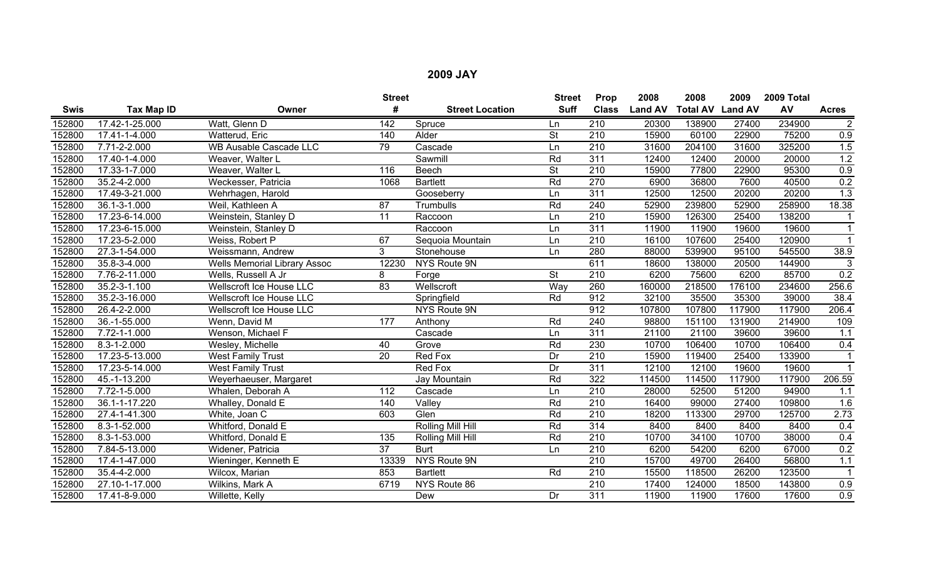|             |                |                                     | <b>Street</b>   |                        | <b>Street</b>            | Prop             | 2008           | 2008                    | 2009   | 2009 Total |                  |
|-------------|----------------|-------------------------------------|-----------------|------------------------|--------------------------|------------------|----------------|-------------------------|--------|------------|------------------|
| <b>Swis</b> | Tax Map ID     | Owner                               | #               | <b>Street Location</b> | <b>Suff</b>              | <b>Class</b>     | <b>Land AV</b> | <b>Total AV Land AV</b> |        | AV         | <b>Acres</b>     |
| 152800      | 17.42-1-25.000 | Watt, Glenn D                       | 142             | Spruce                 | Ln                       | 210              | 20300          | 138900                  | 27400  | 234900     | $\overline{2}$   |
| 152800      | 17.41-1-4.000  | Watterud, Eric                      | 140             | Alder                  | $\overline{\mathsf{St}}$ | 210              | 15900          | 60100                   | 22900  | 75200      | 0.9              |
| 152800      | 7.71-2-2.000   | <b>WB Ausable Cascade LLC</b>       | 79              | Cascade                | Ln                       | $\overline{210}$ | 31600          | 204100                  | 31600  | 325200     | 1.5              |
| 152800      | 17.40-1-4.000  | Weaver, Walter L                    |                 | Sawmill                | Rd                       | 311              | 12400          | 12400                   | 20000  | 20000      | 1.2              |
| 152800      | 17.33-1-7.000  | Weaver, Walter L                    | 116             | <b>Beech</b>           | <b>St</b>                | $\overline{210}$ | 15900          | 77800                   | 22900  | 95300      | 0.9              |
| 152800      | 35.2-4-2.000   | Weckesser, Patricia                 | 1068            | <b>Bartlett</b>        | Rd                       | 270              | 6900           | 36800                   | 7600   | 40500      | 0.2              |
| 152800      | 17.49-3-21.000 | Wehrhagen, Harold                   |                 | Gooseberry             | Ln                       | 311              | 12500          | 12500                   | 20200  | 20200      | 1.3              |
| 152800      | 36.1-3-1.000   | Weil, Kathleen A                    | 87              | Trumbulls              | Rd                       | 240              | 52900          | 239800                  | 52900  | 258900     | 18.38            |
| 152800      | 17.23-6-14.000 | Weinstein, Stanley D                | 11              | Raccoon                | Ln                       | 210              | 15900          | 126300                  | 25400  | 138200     |                  |
| 152800      | 17.23-6-15.000 | Weinstein, Stanley D                |                 | Raccoon                | Ln                       | 311              | 11900          | 11900                   | 19600  | 19600      |                  |
| 152800      | 17.23-5-2.000  | Weiss, Robert P                     | 67              | Sequoia Mountain       | Ln                       | $\overline{210}$ | 16100          | 107600                  | 25400  | 120900     |                  |
| 152800      | 27.3-1-54.000  | Weissmann, Andrew                   | 3               | Stonehouse             | Ln                       | 280              | 88000          | 539900                  | 95100  | 545500     | 38.9             |
| 152800      | 35.8-3-4.000   | <b>Wells Memorial Library Assoc</b> | 12230           | NYS Route 9N           |                          | 611              | 18600          | 138000                  | 20500  | 144900     | 3                |
| 152800      | 7.76-2-11.000  | Wells, Russell A Jr                 | 8               | Forge                  | <b>St</b>                | $\overline{210}$ | 6200           | 75600                   | 6200   | 85700      | 0.2              |
| 152800      | 35.2-3-1.100   | Wellscroft Ice House LLC            | $\overline{83}$ | Wellscroft             | Way                      | 260              | 160000         | 218500                  | 176100 | 234600     | 256.6            |
| 152800      | 35.2-3-16.000  | Wellscroft Ice House LLC            |                 | Springfield            | Rd                       | 912              | 32100          | 35500                   | 35300  | 39000      | 38.4             |
| 152800      | 26.4-2-2.000   | <b>Wellscroft Ice House LLC</b>     |                 | <b>NYS Route 9N</b>    |                          | 912              | 107800         | 107800                  | 117900 | 117900     | 206.4            |
| 152800      | 36.-1-55.000   | Wenn, David M                       | 177             | Anthony                | Rd                       | 240              | 98800          | 151100                  | 131900 | 214900     | 109              |
| 152800      | 7.72-1-1.000   | Wenson, Michael F                   |                 | Cascade                | Ln                       | 311              | 21100          | 21100                   | 39600  | 39600      | 1.1              |
| 152800      | 8.3-1-2.000    | Wesley, Michelle                    | 40              | Grove                  | Rd                       | 230              | 10700          | 106400                  | 10700  | 106400     | 0.4              |
| 152800      | 17.23-5-13.000 | <b>West Family Trust</b>            | $\overline{20}$ | Red Fox                | Dr                       | $\overline{210}$ | 15900          | 119400                  | 25400  | 133900     |                  |
| 152800      | 17.23-5-14.000 | <b>West Family Trust</b>            |                 | Red Fox                | Dr                       | 311              | 12100          | 12100                   | 19600  | 19600      |                  |
| 152800      | 45.-1-13.200   | Weyerhaeuser, Margaret              |                 | Jay Mountain           | Rd                       | 322              | 114500         | 114500                  | 117900 | 117900     | 206.59           |
| 152800      | 7.72-1-5.000   | Whalen, Deborah A                   | 112             | Cascade                | Ln                       | 210              | 28000          | 52500                   | 51200  | 94900      | 1.1              |
| 152800      | 36.1-1-17.220  | Whalley, Donald E                   | 140             | Valley                 | Rd                       | $\overline{210}$ | 16400          | 99000                   | 27400  | 109800     | 1.6              |
| 152800      | 27.4-1-41.300  | White, Joan C                       | 603             | Glen                   | Rd                       | $\overline{210}$ | 18200          | 113300                  | 29700  | 125700     | 2.73             |
| 152800      | 8.3-1-52.000   | Whitford, Donald E                  |                 | Rolling Mill Hill      | Rd                       | 314              | 8400           | 8400                    | 8400   | 8400       | 0.4              |
| 152800      | 8.3-1-53.000   | Whitford, Donald E                  | 135             | Rolling Mill Hill      | Rd                       | $\overline{210}$ | 10700          | 34100                   | 10700  | 38000      | 0.4              |
| 152800      | 7.84-5-13.000  | Widener, Patricia                   | 37              | <b>Burt</b>            | Ln                       | 210              | 6200           | 54200                   | 6200   | 67000      | 0.2              |
| 152800      | 17.4-1-47.000  | Wieninger, Kenneth E                | 13339           | NYS Route 9N           |                          | $\overline{210}$ | 15700          | 49700                   | 26400  | 56800      | 1.1              |
| 152800      | 35.4-4-2.000   | Wilcox, Marian                      | 853             | <b>Bartlett</b>        | Rd                       | 210              | 15500          | 118500                  | 26200  | 123500     | $\overline{1}$   |
| 152800      | 27.10-1-17.000 | Wilkins, Mark A                     | 6719            | NYS Route 86           |                          | 210              | 17400          | 124000                  | 18500  | 143800     | 0.9              |
| 152800      | 17.41-8-9.000  | Willette, Kelly                     |                 | Dew                    | Dr                       | 311              | 11900          | 11900                   | 17600  | 17600      | $\overline{0.9}$ |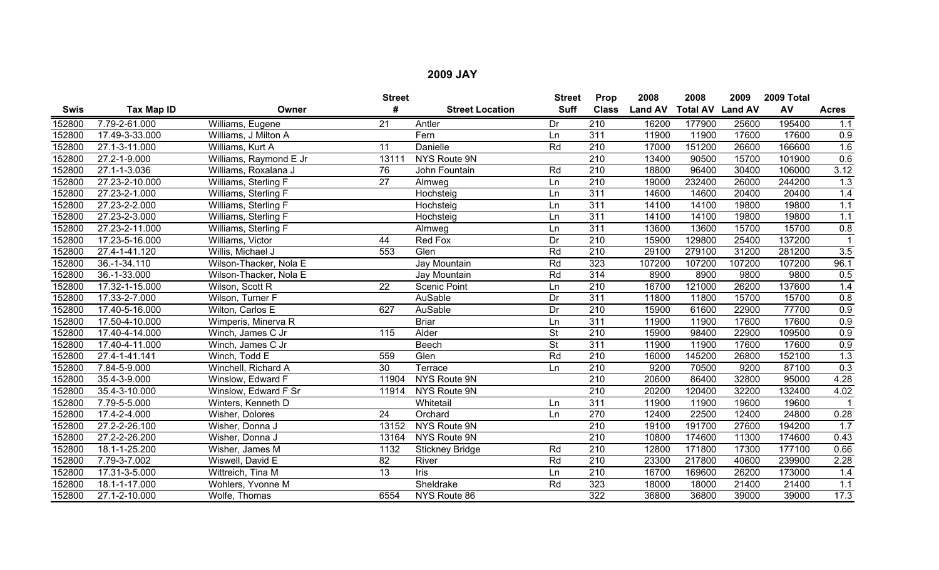|             |                    |                        | <b>Street</b>   |                        | <b>Street</b>   | Prop             | 2008           | 2008                    | 2009   | 2009 Total |                  |
|-------------|--------------------|------------------------|-----------------|------------------------|-----------------|------------------|----------------|-------------------------|--------|------------|------------------|
| <b>Swis</b> | Tax Map ID         | Owner                  | #               | <b>Street Location</b> | <b>Suff</b>     | <b>Class</b>     | <b>Land AV</b> | <b>Total AV Land AV</b> |        | AV         | <b>Acres</b>     |
| 152800      | 7.79-2-61.000      | Williams, Eugene       | 21              | Antler                 | Dr              | 210              | 16200          | 177900                  | 25600  | 195400     | 1.1              |
| 152800      | 17.49-3-33.000     | Williams, J Milton A   |                 | Fern                   | Ln              | 311              | 11900          | 11900                   | 17600  | 17600      | 0.9              |
| 152800      | 27.1-3-11.000      | Williams, Kurt A       | 11              | Danielle               | Rd              | 210              | 17000          | 151200                  | 26600  | 166600     | 1.6              |
| 152800      | 27.2-1-9.000       | Williams, Raymond E Jr | 13111           | NYS Route 9N           |                 | 210              | 13400          | 90500                   | 15700  | 101900     | 0.6              |
| 152800      | 27.1-1-3.036       | Williams, Roxalana J   | 76              | John Fountain          | Rd              | $\overline{210}$ | 18800          | 96400                   | 30400  | 106000     | 3.12             |
| 152800      | 27.23-2-10.000     | Williams, Sterling F   | $\overline{27}$ | Almweg                 | Ln              | $\overline{210}$ | 19000          | 232400                  | 26000  | 244200     | 1.3              |
| 152800      | 27.23-2-1.000      | Williams, Sterling F   |                 | Hochsteig              | Ln              | 311              | 14600          | 14600                   | 20400  | 20400      | 1.4              |
| 152800      | 27.23-2-2.000      | Williams, Sterling F   |                 | Hochsteig              | Ln              | 311              | 14100          | 14100                   | 19800  | 19800      | 1.1              |
| 152800      | 27.23-2-3.000      | Williams, Sterling F   |                 | Hochsteig              | Ln              | 311              | 14100          | 14100                   | 19800  | 19800      | 1.1              |
| 152800      | 27.23-2-11.000     | Williams, Sterling F   |                 | Almweg                 | Ln              | 311              | 13600          | 13600                   | 15700  | 15700      | 0.8              |
| 152800      | 17.23-5-16.000     | Williams, Victor       | 44              | Red Fox                | $\overline{Dr}$ | $\overline{210}$ | 15900          | 129800                  | 25400  | 137200     |                  |
| 152800      | 27.4-1-41.120      | Willis, Michael J      | 553             | Glen                   | Rd              | $\overline{210}$ | 29100          | 279100                  | 31200  | 281200     | 3.5              |
| 152800      | 36.-1-34.110       | Wilson-Thacker, Nola E |                 | Jay Mountain           | Rd              | 323              | 107200         | 107200                  | 107200 | 107200     | 96.1             |
| 152800      | 36.-1-33.000       | Wilson-Thacker, Nola E |                 | Jay Mountain           | Rd              | 314              | 8900           | 8900                    | 9800   | 9800       | 0.5              |
| 152800      | 17.32-1-15.000     | Wilson, Scott R        | $\overline{22}$ | <b>Scenic Point</b>    | Ln              | $\overline{210}$ | 16700          | 121000                  | 26200  | 137600     | 1.4              |
| 152800      | 17.33-2-7.000      | Wilson, Turner F       |                 | AuSable                | Dr              | 311              | 11800          | 11800                   | 15700  | 15700      | 0.8              |
| 152800      | 17.40-5-16.000     | Wilton, Carlos E       | 627             | AuSable                | Dr              | $\overline{210}$ | 15900          | 61600                   | 22900  | 77700      | 0.9              |
| 152800      | 17.50-4-10.000     | Wimperis, Minerva R    |                 | <b>Briar</b>           | Ln              | 311              | 11900          | 11900                   | 17600  | 17600      | 0.9              |
| 152800      | 17.40-4-14.000     | Winch, James C Jr      | 115             | Alder                  | <b>St</b>       | 210              | 15900          | 98400                   | 22900  | 109500     | $\overline{0.9}$ |
| 152800      | 17.40-4-11.000     | Winch, James C Jr      |                 | <b>Beech</b>           | <b>St</b>       | 311              | 11900          | 11900                   | 17600  | 17600      | 0.9              |
| 152800      | 27.4-1-41.141      | Winch, Todd E          | 559             | Glen                   | Rd              | $\overline{210}$ | 16000          | 145200                  | 26800  | 152100     | 1.3              |
| 152800      | 7.84-5-9.000       | Winchell, Richard A    | 30              | Terrace                | Ln              | 210              | 9200           | 70500                   | 9200   | 87100      | 0.3              |
| 152800      | $35.4 - 3 - 9.000$ | Winslow, Edward F      | 11904           | <b>NYS Route 9N</b>    |                 | 210              | 20600          | 86400                   | 32800  | 95000      | 4.28             |
| 152800      | 35.4-3-10.000      | Winslow, Edward F Sr   | 11914           | NYS Route 9N           |                 | 210              | 20200          | 120400                  | 32200  | 132400     | 4.02             |
| 152800      | 7.79-5-5.000       | Winters, Kenneth D     |                 | Whitetail              | Ln              | 311              | 11900          | 11900                   | 19600  | 19600      |                  |
| 152800      | 17.4-2-4.000       | Wisher, Dolores        | $\overline{24}$ | Orchard                | Ln              | 270              | 12400          | 22500                   | 12400  | 24800      | 0.28             |
| 152800      | 27.2-2-26.100      | Wisher, Donna J        | 13152           | NYS Route 9N           |                 | 210              | 19100          | 191700                  | 27600  | 194200     | 1.7              |
| 152800      | 27.2-2-26.200      | Wisher, Donna J        | 13164           | <b>NYS Route 9N</b>    |                 | $\overline{210}$ | 10800          | 174600                  | 11300  | 174600     | 0.43             |
| 152800      | 18.1-1-25.200      | Wisher, James M        | 1132            | <b>Stickney Bridge</b> | Rd              | $\overline{210}$ | 12800          | 171800                  | 17300  | 177100     | 0.66             |
| 152800      | 7.79-3-7.002       | Wiswell, David E       | $\overline{82}$ | River                  | Rd              | 210              | 23300          | 217800                  | 40600  | 239900     | 2.28             |
| 152800      | 17.31-3-5.000      | Wittreich, Tina M      | $\overline{13}$ | Iris                   | Ln              | $\overline{210}$ | 16700          | 169600                  | 26200  | 173000     | 1.4              |
| 152800      | 18.1-1-17.000      | Wohlers, Yvonne M      |                 | Sheldrake              | Rd              | 323              | 18000          | 18000                   | 21400  | 21400      | 1.1              |
| 152800      | 27.1-2-10.000      | Wolfe, Thomas          | 6554            | NYS Route 86           |                 | 322              | 36800          | 36800                   | 39000  | 39000      | 17.3             |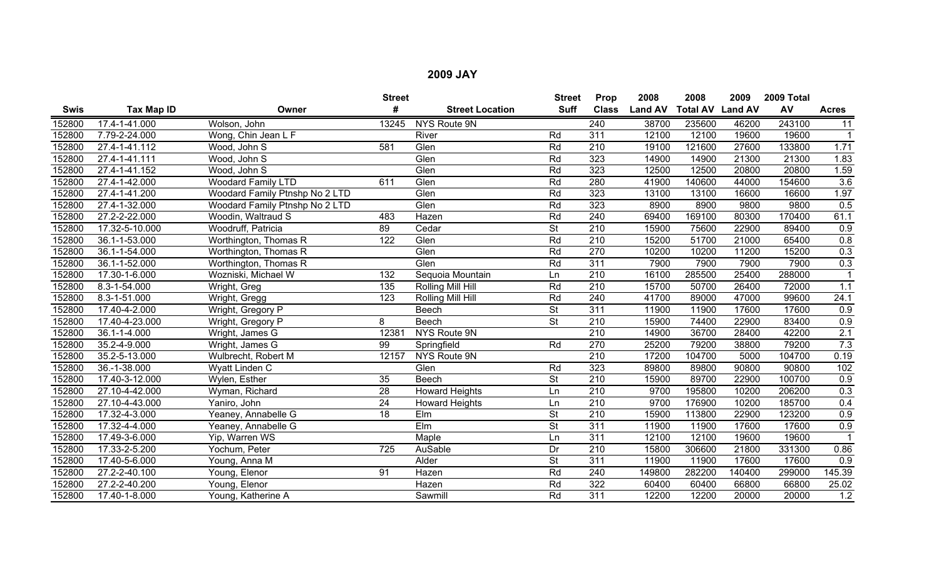|             |                |                                | <b>Street</b>    |                        | <b>Street</b>            | Prop             | 2008           | 2008                    | 2009   | 2009 Total |              |
|-------------|----------------|--------------------------------|------------------|------------------------|--------------------------|------------------|----------------|-------------------------|--------|------------|--------------|
| <b>Swis</b> | Tax Map ID     | Owner                          | #                | <b>Street Location</b> | <b>Suff</b>              | <b>Class</b>     | <b>Land AV</b> | <b>Total AV Land AV</b> |        | AV         | <b>Acres</b> |
| 152800      | 17.4-1-41.000  | Wolson, John                   | 13245            | <b>NYS Route 9N</b>    |                          | 240              | 38700          | 235600                  | 46200  | 243100     | 11           |
| 152800      | 7.79-2-24.000  | Wong, Chin Jean L F            |                  | River                  | Rd                       | 311              | 12100          | 12100                   | 19600  | 19600      |              |
| 152800      | 27.4-1-41.112  | Wood, John S                   | 581              | Glen                   | Rd                       | 210              | 19100          | 121600                  | 27600  | 133800     | 1.71         |
| 152800      | 27.4-1-41.111  | Wood, John S                   |                  | Glen                   | Rd                       | 323              | 14900          | 14900                   | 21300  | 21300      | 1.83         |
| 152800      | 27.4-1-41.152  | Wood, John S                   |                  | Glen                   | Rd                       | 323              | 12500          | 12500                   | 20800  | 20800      | 1.59         |
| 152800      | 27.4-1-42.000  | <b>Woodard Family LTD</b>      | 611              | Glen                   | Rd                       | 280              | 41900          | 140600                  | 44000  | 154600     | 3.6          |
| 152800      | 27.4-1-41.200  | Woodard Family Ptnshp No 2 LTD |                  | Glen                   | Rd                       | 323              | 13100          | 13100                   | 16600  | 16600      | 1.97         |
| 152800      | 27.4-1-32.000  | Woodard Family Ptnshp No 2 LTD |                  | Glen                   | Rd                       | 323              | 8900           | 8900                    | 9800   | 9800       | 0.5          |
| 152800      | 27.2-2-22.000  | Woodin, Waltraud S             | 483              | Hazen                  | Rd                       | 240              | 69400          | 169100                  | 80300  | 170400     | 61.1         |
| 152800      | 17.32-5-10.000 | Woodruff, Patricia             | 89               | Cedar                  | $\overline{\mathsf{St}}$ | $\overline{210}$ | 15900          | 75600                   | 22900  | 89400      | 0.9          |
| 152800      | 36.1-1-53.000  | Worthington, Thomas R          | $\overline{122}$ | Glen                   | Rd                       | $\overline{210}$ | 15200          | 51700                   | 21000  | 65400      | 0.8          |
| 152800      | 36.1-1-54.000  | Worthington, Thomas R          |                  | Glen                   | Rd                       | 270              | 10200          | 10200                   | 11200  | 15200      | 0.3          |
| 152800      | 36.1-1-52.000  | Worthington, Thomas R          |                  | Glen                   | Rd                       | 311              | 7900           | 7900                    | 7900   | 7900       | 0.3          |
| 152800      | 17.30-1-6.000  | Wozniski, Michael W            | 132              | Sequoia Mountain       | Ln                       | $\overline{210}$ | 16100          | 285500                  | 25400  | 288000     |              |
| 152800      | 8.3-1-54.000   | Wright, Greg                   | 135              | Rolling Mill Hill      | Rd                       | $\overline{210}$ | 15700          | 50700                   | 26400  | 72000      | 1.1          |
| 152800      | 8.3-1-51.000   | Wright, Gregg                  | 123              | Rolling Mill Hill      | Rd                       | 240              | 41700          | 89000                   | 47000  | 99600      | 24.1         |
| 152800      | 17.40-4-2.000  | Wright, Gregory P              |                  | Beech                  | $\overline{\mathsf{St}}$ | $\overline{311}$ | 11900          | 11900                   | 17600  | 17600      | 0.9          |
| 152800      | 17.40-4-23.000 | Wright, Gregory P              | 8                | Beech                  | $\overline{\mathsf{St}}$ | $\overline{210}$ | 15900          | 74400                   | 22900  | 83400      | 0.9          |
| 152800      | 36.1-1-4.000   | Wright, James G                | 12381            | <b>NYS Route 9N</b>    |                          | 210              | 14900          | 36700                   | 28400  | 42200      | 2.1          |
| 152800      | 35.2-4-9.000   | Wright, James G                | 99               | Springfield            | Rd                       | 270              | 25200          | 79200                   | 38800  | 79200      | 7.3          |
| 152800      | 35.2-5-13.000  | Wulbrecht, Robert M            | 12157            | NYS Route 9N           |                          | $\overline{210}$ | 17200          | 104700                  | 5000   | 104700     | 0.19         |
| 152800      | 36.-1-38.000   | Wyatt Linden C                 |                  | Glen                   | Rd                       | 323              | 89800          | 89800                   | 90800  | 90800      | 102          |
| 152800      | 17.40-3-12.000 | Wylen, Esther                  | 35               | <b>Beech</b>           | <b>St</b>                | 210              | 15900          | 89700                   | 22900  | 100700     | 0.9          |
| 152800      | 27.10-4-42.000 | Wyman, Richard                 | 28               | <b>Howard Heights</b>  | Ln                       | 210              | 9700           | 195800                  | 10200  | 206200     | 0.3          |
| 152800      | 27.10-4-43.000 | Yaniro, John                   | $\overline{24}$  | <b>Howard Heights</b>  | Ln                       | $\overline{210}$ | 9700           | 176900                  | 10200  | 185700     | 0.4          |
| 152800      | 17.32-4-3.000  | Yeaney, Annabelle G            | $\overline{18}$  | Elm                    | $\overline{\mathsf{St}}$ | $\overline{210}$ | 15900          | 113800                  | 22900  | 123200     | 0.9          |
| 152800      | 17.32-4-4.000  | Yeaney, Annabelle G            |                  | Elm                    | St                       | 311              | 11900          | 11900                   | 17600  | 17600      | 0.9          |
| 152800      | 17.49-3-6.000  | Yip, Warren WS                 |                  | Maple                  | Ln                       | 311              | 12100          | 12100                   | 19600  | 19600      |              |
| 152800      | 17.33-2-5.200  | Yochum, Peter                  | 725              | AuSable                | Dr                       | 210              | 15800          | 306600                  | 21800  | 331300     | 0.86         |
| 152800      | 17.40-5-6.000  | Young, Anna M                  |                  | Alder                  | $\overline{\mathsf{St}}$ | 311              | 11900          | 11900                   | 17600  | 17600      | 0.9          |
| 152800      | 27.2-2-40.100  | Young, Elenor                  | 91               | Hazen                  | Rd                       | 240              | 149800         | 282200                  | 140400 | 299000     | 145.39       |
| 152800      | 27.2-2-40.200  | Young, Elenor                  |                  | Hazen                  | Rd                       | 322              | 60400          | 60400                   | 66800  | 66800      | 25.02        |
| 152800      | 17.40-1-8.000  | Young, Katherine A             |                  | Sawmill                | Rd                       | 311              | 12200          | 12200                   | 20000  | 20000      | 1.2          |